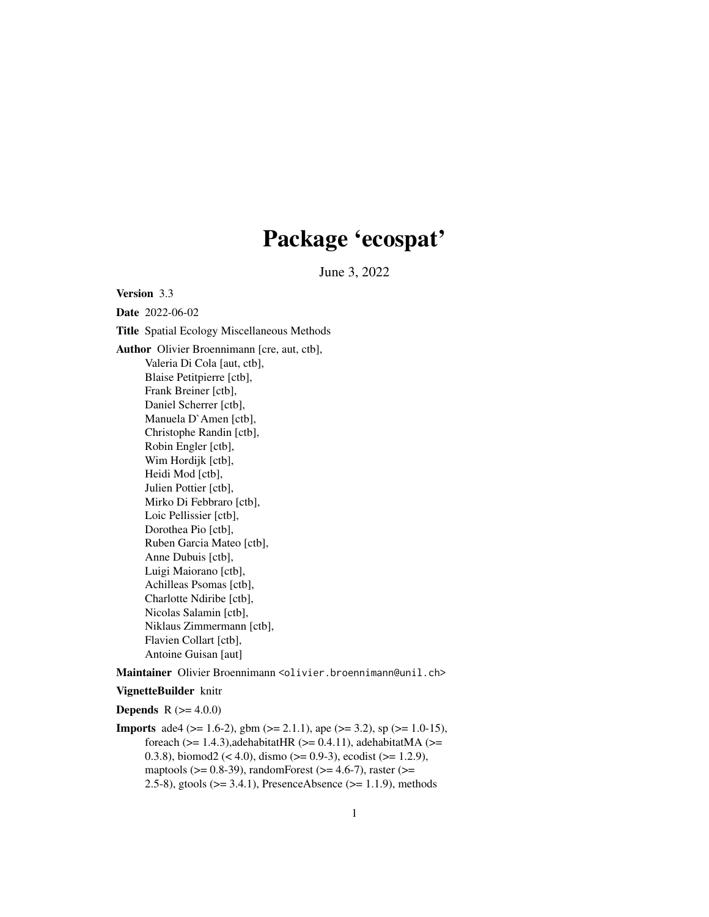# Package 'ecospat'

June 3, 2022

<span id="page-0-0"></span>Version 3.3

Date 2022-06-02

Title Spatial Ecology Miscellaneous Methods Author Olivier Broennimann [cre, aut, ctb], Valeria Di Cola [aut, ctb], Blaise Petitpierre [ctb], Frank Breiner [ctb], Daniel Scherrer [ctb], Manuela D`Amen [ctb], Christophe Randin [ctb], Robin Engler [ctb], Wim Hordijk [ctb], Heidi Mod [ctb], Julien Pottier [ctb], Mirko Di Febbraro [ctb], Loic Pellissier [ctb], Dorothea Pio [ctb], Ruben Garcia Mateo [ctb], Anne Dubuis [ctb], Luigi Maiorano [ctb], Achilleas Psomas [ctb], Charlotte Ndiribe [ctb], Nicolas Salamin [ctb], Niklaus Zimmermann [ctb], Flavien Collart [ctb], Antoine Guisan [aut]

Maintainer Olivier Broennimann <olivier.broennimann@unil.ch>

#### VignetteBuilder knitr

**Depends** R  $(>= 4.0.0)$ 

**Imports** ade4 ( $> = 1.6-2$ ), gbm ( $>= 2.1.1$ ), ape ( $>= 3.2$ ), sp ( $>= 1.0-15$ ), foreach ( $>= 1.4.3$ ), adehabitatHR ( $>= 0.4.11$ ), adehabitatMA ( $>=$ 0.3.8), biomod2 (< 4.0), dismo ( $> = 0.9-3$ ), ecodist ( $> = 1.2.9$ ), maptools ( $> = 0.8-39$ ), randomForest ( $>= 4.6-7$ ), raster ( $>=$ 2.5-8), gtools (>= 3.4.1), PresenceAbsence (>= 1.1.9), methods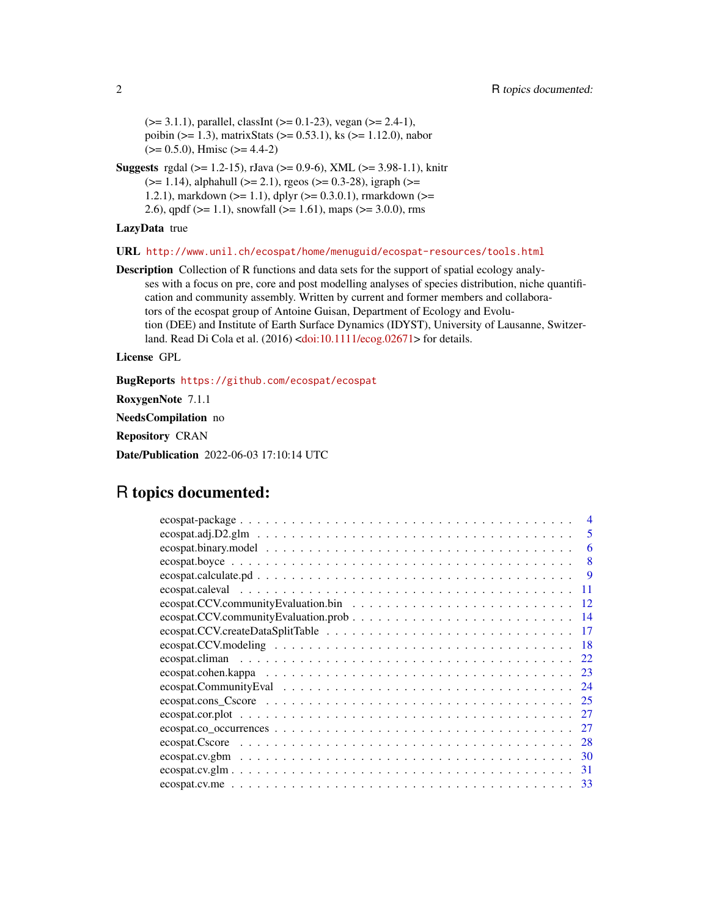$(>= 3.1.1)$ , parallel, classInt  $(>= 0.1-23)$ , vegan  $(>= 2.4-1)$ , poibin (>= 1.3), matrixStats (>= 0.53.1), ks (>= 1.12.0), nabor  $(>= 0.5.0)$ , Hmisc  $(>= 4.4-2)$ 

**Suggests** rgdal ( $> = 1.2-15$ ), rJava ( $> = 0.9-6$ ), XML ( $> = 3.98-1.1$ ), knitr (>= 1.14), alphahull (>= 2.1), rgeos (>= 0.3-28), igraph (>= 1.2.1), markdown ( $>= 1.1$ ), dplyr ( $>= 0.3.0.1$ ), rmarkdown ( $>= 1.1$ ) 2.6), qpdf ( $>= 1.1$ ), snowfall ( $>= 1.61$ ), maps ( $>= 3.0.0$ ), rms

LazyData true

URL <http://www.unil.ch/ecospat/home/menuguid/ecospat-resources/tools.html>

Description Collection of R functions and data sets for the support of spatial ecology analyses with a focus on pre, core and post modelling analyses of species distribution, niche quantification and community assembly. Written by current and former members and collaborators of the ecospat group of Antoine Guisan, Department of Ecology and Evolution (DEE) and Institute of Earth Surface Dynamics (IDYST), University of Lausanne, Switzerland. Read Di Cola et al. (2016) [<doi:10.1111/ecog.02671>](https://doi.org/10.1111/ecog.02671) for details.

License GPL

BugReports <https://github.com/ecospat/ecospat>

RoxygenNote 7.1.1

NeedsCompilation no

Repository CRAN

Date/Publication 2022-06-03 17:10:14 UTC

# R topics documented:

| 5                                                                                                                                   |
|-------------------------------------------------------------------------------------------------------------------------------------|
| 6                                                                                                                                   |
| 8                                                                                                                                   |
| -9                                                                                                                                  |
| -11                                                                                                                                 |
|                                                                                                                                     |
| -14                                                                                                                                 |
| -17                                                                                                                                 |
| $ecospat.CCV. modeling \dots \dots \dots \dots \dots \dots \dots \dots \dots \dots \dots \dots \dots \dots \dots \dots \dots \dots$ |
|                                                                                                                                     |
|                                                                                                                                     |
| -24                                                                                                                                 |
| ecospat.cons_Cscore $\ldots \ldots \ldots \ldots \ldots \ldots \ldots \ldots \ldots \ldots \ldots \ldots \ldots 25$                 |
| -27                                                                                                                                 |
| -27                                                                                                                                 |
| -28                                                                                                                                 |
| 30                                                                                                                                  |
| 31                                                                                                                                  |
|                                                                                                                                     |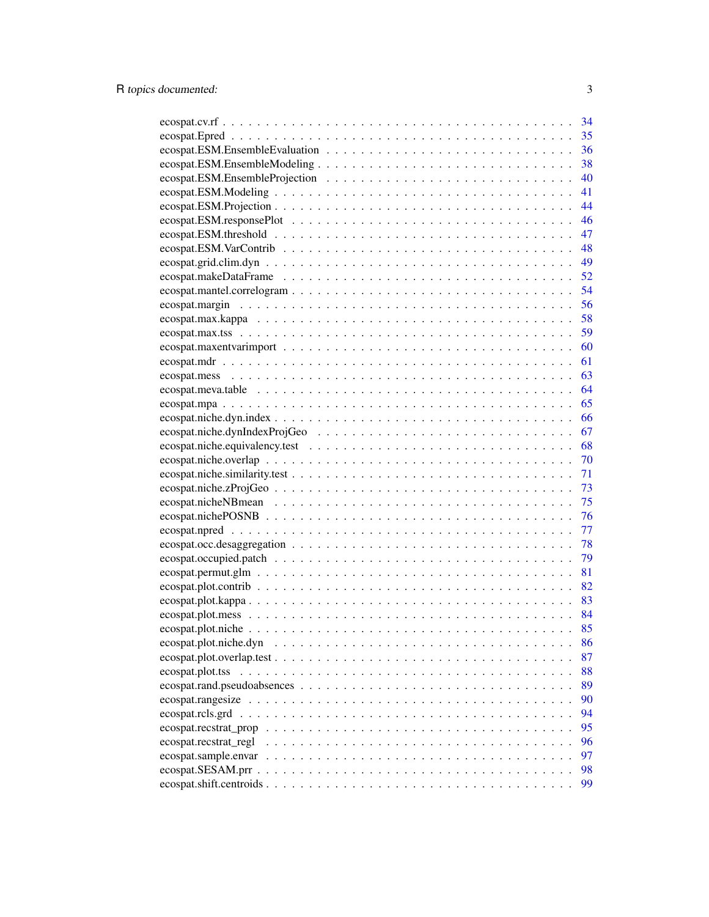|                                                                                                                           | 34 |
|---------------------------------------------------------------------------------------------------------------------------|----|
|                                                                                                                           | 35 |
|                                                                                                                           | 36 |
|                                                                                                                           | 38 |
|                                                                                                                           | 40 |
|                                                                                                                           | 41 |
|                                                                                                                           | 44 |
|                                                                                                                           | 46 |
|                                                                                                                           | 47 |
|                                                                                                                           | 48 |
|                                                                                                                           | 49 |
|                                                                                                                           | 52 |
|                                                                                                                           | 54 |
|                                                                                                                           | 56 |
|                                                                                                                           | 58 |
|                                                                                                                           | 59 |
| $ecospat.maxentvarimport \ldots \ldots \ldots \ldots \ldots \ldots \ldots \ldots \ldots \ldots \ldots \ldots$             | 60 |
|                                                                                                                           | 61 |
|                                                                                                                           | 63 |
|                                                                                                                           | 64 |
|                                                                                                                           | 65 |
|                                                                                                                           | 66 |
|                                                                                                                           | 67 |
|                                                                                                                           | 68 |
|                                                                                                                           | 70 |
|                                                                                                                           | 71 |
|                                                                                                                           | 73 |
|                                                                                                                           | 75 |
|                                                                                                                           | 76 |
|                                                                                                                           | 77 |
|                                                                                                                           | 78 |
|                                                                                                                           | 79 |
|                                                                                                                           | 81 |
|                                                                                                                           | 82 |
|                                                                                                                           | 83 |
|                                                                                                                           | 84 |
|                                                                                                                           | 85 |
| ecospat.plot.niche.dyn                                                                                                    | 86 |
|                                                                                                                           | 87 |
|                                                                                                                           | 88 |
|                                                                                                                           | 89 |
|                                                                                                                           | 90 |
| ecospat.rcls.grd                                                                                                          | 94 |
| $ecospat. recstrat\_prop \dots \dots \dots \dots \dots \dots \dots \dots \dots \dots \dots \dots \dots \dots \dots \dots$ | 95 |
| ecospat.recstrat regl                                                                                                     | 96 |
|                                                                                                                           | 97 |
|                                                                                                                           | 98 |
|                                                                                                                           | 99 |
|                                                                                                                           |    |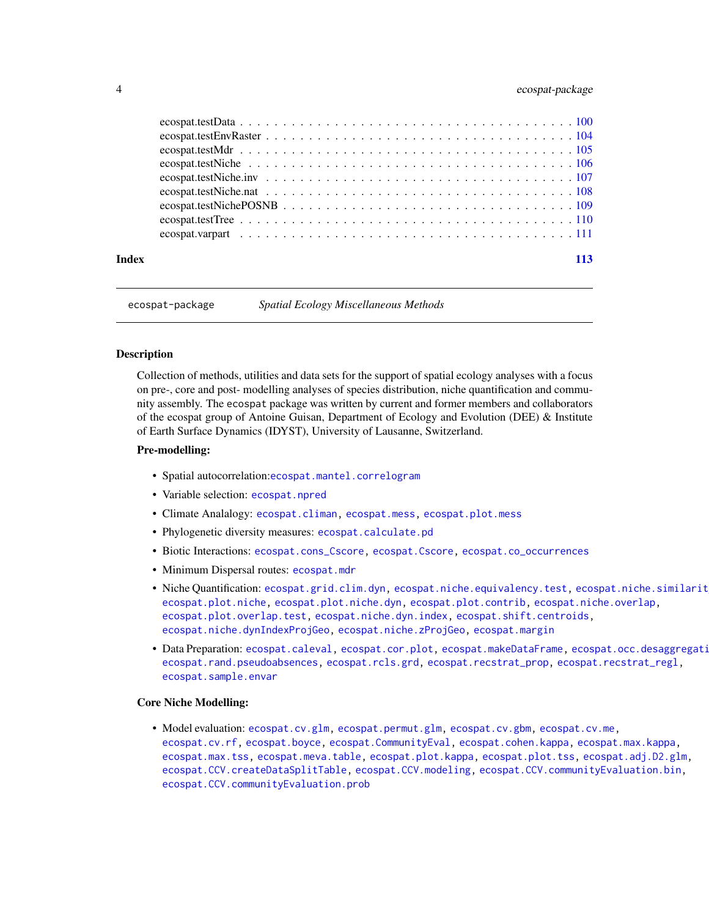# <span id="page-3-0"></span>4 ecospat-package

| Index |  |  |  |  |  |  |  |  |  |  |  |  |  |  |  |  |
|-------|--|--|--|--|--|--|--|--|--|--|--|--|--|--|--|--|

ecospat-package *Spatial Ecology Miscellaneous Methods*

# Description

Collection of methods, utilities and data sets for the support of spatial ecology analyses with a focus on pre-, core and post- modelling analyses of species distribution, niche quantification and community assembly. The ecospat package was written by current and former members and collaborators of the ecospat group of Antoine Guisan, Department of Ecology and Evolution (DEE) & Institute of Earth Surface Dynamics (IDYST), University of Lausanne, Switzerland.

#### Pre-modelling:

- Spatial autocorrelation:[ecospat.mantel.correlogram](#page-53-1)
- Variable selection: [ecospat.npred](#page-76-1)
- Climate Analalogy: [ecospat.climan,](#page-21-1) [ecospat.mess,](#page-62-1) [ecospat.plot.mess](#page-83-1)
- Phylogenetic diversity measures: [ecospat.calculate.pd](#page-8-1)
- Biotic Interactions: [ecospat.cons\\_Cscore,](#page-24-1) [ecospat.Cscore,](#page-27-1) [ecospat.co\\_occurrences](#page-26-1)
- Minimum Dispersal routes: [ecospat.mdr](#page-60-1)
- Niche Quantification: [ecospat.grid.clim.dyn,](#page-48-1) [ecospat.niche.equivalency.test,](#page-67-1) ecospat.niche.similarit [ecospat.plot.niche,](#page-84-1) [ecospat.plot.niche.dyn,](#page-85-1) [ecospat.plot.contrib,](#page-81-1) [ecospat.niche.overlap,](#page-69-1) [ecospat.plot.overlap.test,](#page-86-1) [ecospat.niche.dyn.index,](#page-65-1) [ecospat.shift.centroids,](#page-98-1) [ecospat.niche.dynIndexProjGeo,](#page-66-1) [ecospat.niche.zProjGeo,](#page-72-1) [ecospat.margin](#page-55-1)
- Data Preparation: [ecospat.caleval,](#page-10-1) [ecospat.cor.plot,](#page-26-2) [ecospat.makeDataFrame,](#page-51-1) ecospat.occ.desaggregati [ecospat.rand.pseudoabsences,](#page-88-1) [ecospat.rcls.grd,](#page-93-1) [ecospat.recstrat\\_prop,](#page-94-1) [ecospat.recstrat\\_regl,](#page-95-1) [ecospat.sample.envar](#page-96-1)

#### Core Niche Modelling:

• Model evaluation: [ecospat.cv.glm,](#page-30-1) [ecospat.permut.glm,](#page-80-1) [ecospat.cv.gbm,](#page-29-1) [ecospat.cv.me,](#page-32-1) [ecospat.cv.rf,](#page-33-1) [ecospat.boyce,](#page-7-1) [ecospat.CommunityEval,](#page-23-1) [ecospat.cohen.kappa,](#page-22-1) [ecospat.max.kappa,](#page-57-1) [ecospat.max.tss,](#page-58-1) [ecospat.meva.table,](#page-63-1) [ecospat.plot.kappa,](#page-82-1) [ecospat.plot.tss,](#page-87-1) [ecospat.adj.D2.glm,](#page-4-1) [ecospat.CCV.createDataSplitTable,](#page-16-1) [ecospat.CCV.modeling,](#page-17-1) [ecospat.CCV.communityEvaluation.bin,](#page-11-1) [ecospat.CCV.communityEvaluation.prob](#page-13-1)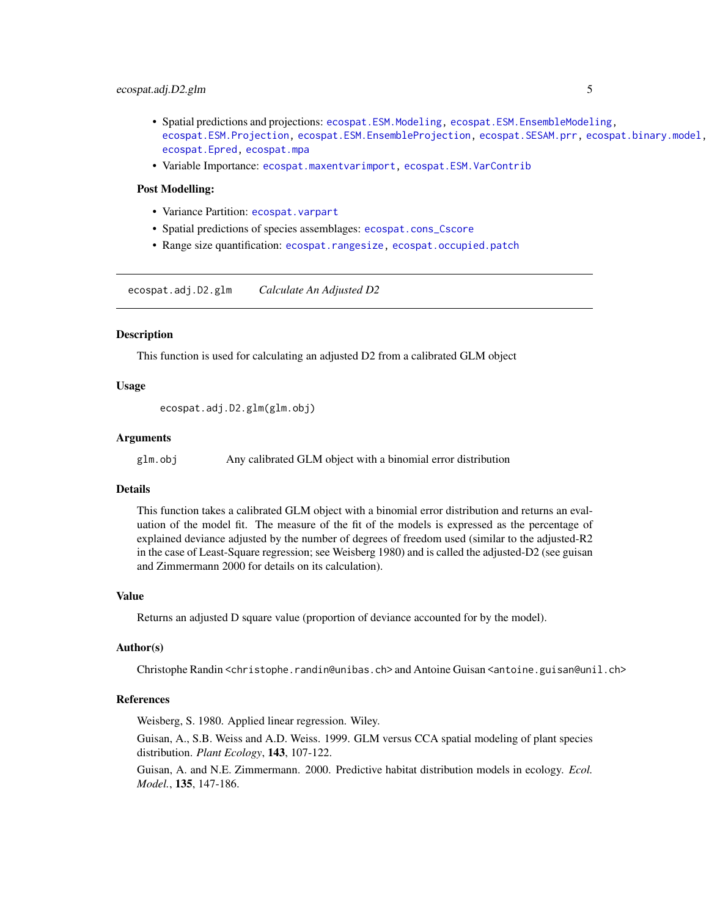- <span id="page-4-0"></span>• Spatial predictions and projections: [ecospat.ESM.Modeling,](#page-40-1) [ecospat.ESM.EnsembleModeling,](#page-37-1) [ecospat.ESM.Projection,](#page-43-1) [ecospat.ESM.EnsembleProjection,](#page-39-1) [ecospat.SESAM.prr,](#page-97-1) [ecospat.binary.model,](#page-5-1) [ecospat.Epred,](#page-34-1) [ecospat.mpa](#page-64-1)
- Variable Importance: [ecospat.maxentvarimport,](#page-59-1) [ecospat.ESM.VarContrib](#page-47-1)

#### Post Modelling:

- Variance Partition: [ecospat.varpart](#page-110-1)
- Spatial predictions of species assemblages: [ecospat.cons\\_Cscore](#page-24-1)
- Range size quantification: [ecospat.rangesize,](#page-89-1) [ecospat.occupied.patch](#page-78-1)

<span id="page-4-1"></span>ecospat.adj.D2.glm *Calculate An Adjusted D2*

#### **Description**

This function is used for calculating an adjusted D2 from a calibrated GLM object

# Usage

```
ecospat.adj.D2.glm(glm.obj)
```
# Arguments

glm.obj Any calibrated GLM object with a binomial error distribution

# Details

This function takes a calibrated GLM object with a binomial error distribution and returns an evaluation of the model fit. The measure of the fit of the models is expressed as the percentage of explained deviance adjusted by the number of degrees of freedom used (similar to the adjusted-R2 in the case of Least-Square regression; see Weisberg 1980) and is called the adjusted-D2 (see guisan and Zimmermann 2000 for details on its calculation).

# Value

Returns an adjusted D square value (proportion of deviance accounted for by the model).

#### Author(s)

Christophe Randin <christophe.randin@unibas.ch> and Antoine Guisan <antoine.guisan@unil.ch>

# References

Weisberg, S. 1980. Applied linear regression. Wiley.

Guisan, A., S.B. Weiss and A.D. Weiss. 1999. GLM versus CCA spatial modeling of plant species distribution. *Plant Ecology*, 143, 107-122.

Guisan, A. and N.E. Zimmermann. 2000. Predictive habitat distribution models in ecology. *Ecol. Model.*, 135, 147-186.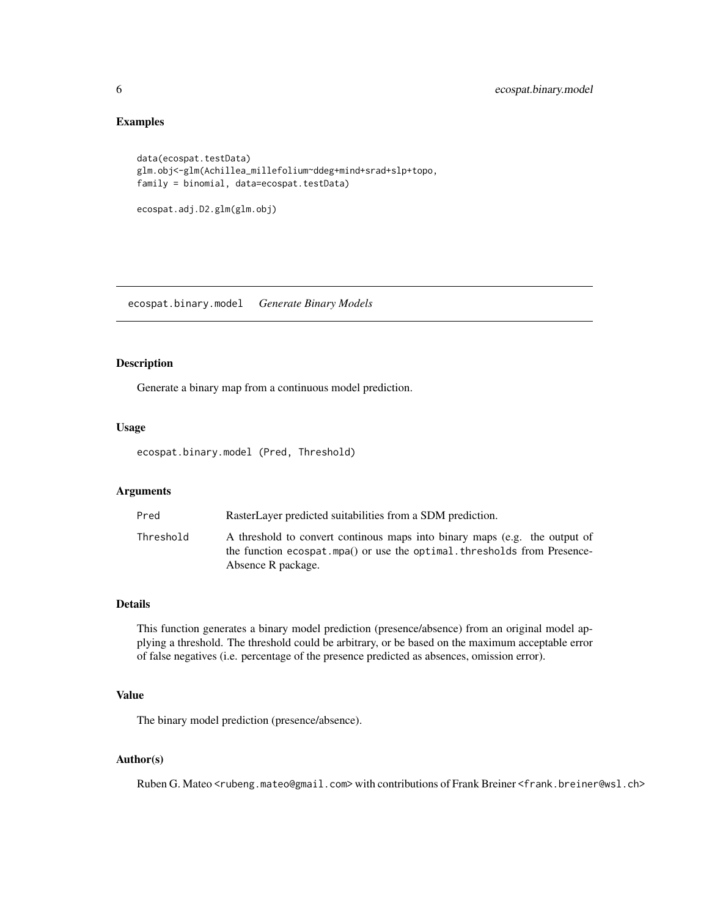# Examples

```
data(ecospat.testData)
glm.obj<-glm(Achillea_millefolium~ddeg+mind+srad+slp+topo,
family = binomial, data=ecospat.testData)
ecospat.adj.D2.glm(glm.obj)
```
<span id="page-5-1"></span>ecospat.binary.model *Generate Binary Models*

# Description

Generate a binary map from a continuous model prediction.

# Usage

ecospat.binary.model (Pred, Threshold)

# Arguments

| Pred      | RasterLayer predicted suitabilities from a SDM prediction.                                                                                                                   |
|-----------|------------------------------------------------------------------------------------------------------------------------------------------------------------------------------|
| Threshold | A threshold to convert continuous maps into binary maps (e.g. the output of<br>the function ecospat.mpa() or use the optimal.thresholds from Presence-<br>Absence R package. |

# Details

This function generates a binary model prediction (presence/absence) from an original model applying a threshold. The threshold could be arbitrary, or be based on the maximum acceptable error of false negatives (i.e. percentage of the presence predicted as absences, omission error).

# Value

The binary model prediction (presence/absence).

# Author(s)

Ruben G. Mateo <rubeng.mateo@gmail.com> with contributions of Frank Breiner <frank.breiner@wsl.ch>

<span id="page-5-0"></span>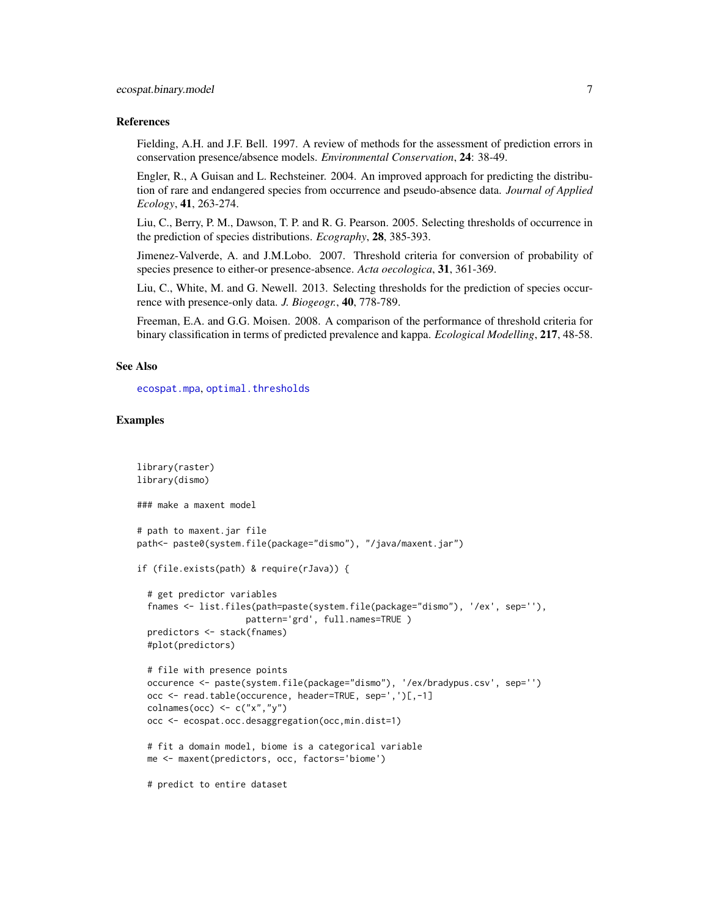#### References

Fielding, A.H. and J.F. Bell. 1997. A review of methods for the assessment of prediction errors in conservation presence/absence models. *Environmental Conservation*, 24: 38-49.

Engler, R., A Guisan and L. Rechsteiner. 2004. An improved approach for predicting the distribution of rare and endangered species from occurrence and pseudo-absence data. *Journal of Applied Ecology*, 41, 263-274.

Liu, C., Berry, P. M., Dawson, T. P. and R. G. Pearson. 2005. Selecting thresholds of occurrence in the prediction of species distributions. *Ecography*, 28, 385-393.

Jimenez-Valverde, A. and J.M.Lobo. 2007. Threshold criteria for conversion of probability of species presence to either-or presence-absence. *Acta oecologica*, 31, 361-369.

Liu, C., White, M. and G. Newell. 2013. Selecting thresholds for the prediction of species occurrence with presence-only data. *J. Biogeogr.*, 40, 778-789.

Freeman, E.A. and G.G. Moisen. 2008. A comparison of the performance of threshold criteria for binary classification in terms of predicted prevalence and kappa. *Ecological Modelling*, 217, 48-58.

#### See Also

[ecospat.mpa](#page-64-1), [optimal.thresholds](#page-0-0)

```
library(raster)
library(dismo)
### make a maxent model
# path to maxent.jar file
path<- paste0(system.file(package="dismo"), "/java/maxent.jar")
if (file.exists(path) & require(rJava)) {
 # get predictor variables
 fnames <- list.files(path=paste(system.file(package="dismo"), '/ex', sep=''),
                     pattern='grd', full.names=TRUE )
 predictors <- stack(fnames)
 #plot(predictors)
 # file with presence points
 occurence <- paste(system.file(package="dismo"), '/ex/bradypus.csv', sep='')
 occ <- read.table(occurence, header=TRUE, sep=',')[,-1]
 colnames(occ) \leq c("x","y")
 occ <- ecospat.occ.desaggregation(occ,min.dist=1)
 # fit a domain model, biome is a categorical variable
 me <- maxent(predictors, occ, factors='biome')
 # predict to entire dataset
```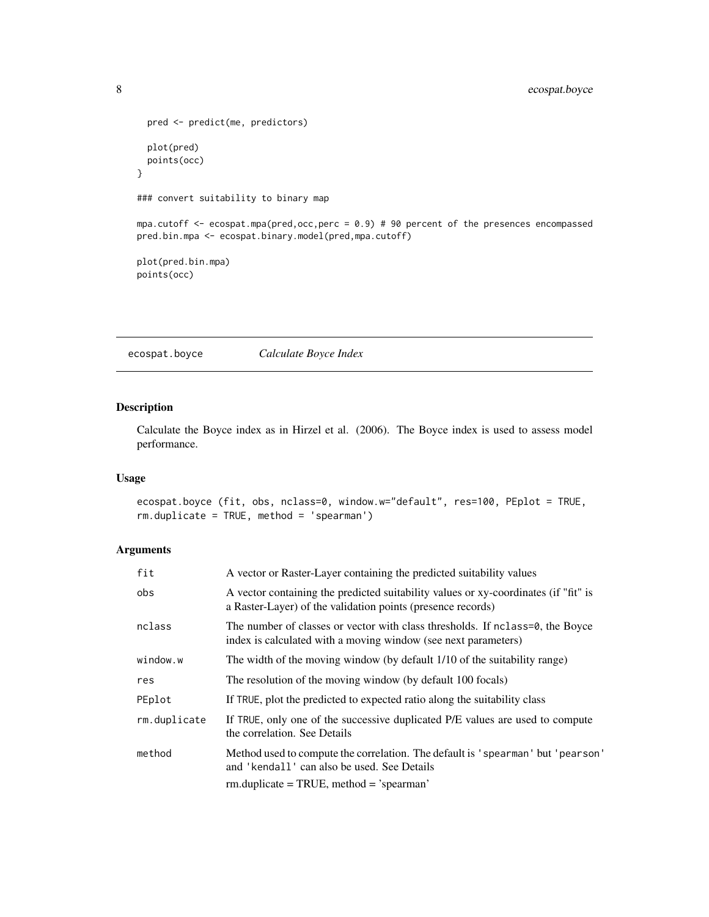```
pred <- predict(me, predictors)
  plot(pred)
  points(occ)
}
### convert suitability to binary map
mpa.cutoff <- ecospat.mpa(pred,occ,perc = 0.9) # 90 percent of the presences encompassed
pred.bin.mpa <- ecospat.binary.model(pred,mpa.cutoff)
plot(pred.bin.mpa)
points(occ)
```
<span id="page-7-1"></span>ecospat.boyce *Calculate Boyce Index*

# Description

Calculate the Boyce index as in Hirzel et al. (2006). The Boyce index is used to assess model performance.

# Usage

ecospat.boyce (fit, obs, nclass=0, window.w="default", res=100, PEplot = TRUE, rm.duplicate = TRUE, method = 'spearman')

# Arguments

| fit          | A vector or Raster-Layer containing the predicted suitability values                                                                               |
|--------------|----------------------------------------------------------------------------------------------------------------------------------------------------|
| obs          | A vector containing the predicted suitability values or xy-coordinates (if "fit" is<br>a Raster-Layer) of the validation points (presence records) |
| nclass       | The number of classes or vector with class thresholds. If nclass=0, the Boyce<br>index is calculated with a moving window (see next parameters)    |
| window.w     | The width of the moving window (by default 1/10 of the suitability range)                                                                          |
| res          | The resolution of the moving window (by default 100 focals)                                                                                        |
| PEplot       | If TRUE, plot the predicted to expected ratio along the suitability class                                                                          |
| rm.duplicate | If TRUE, only one of the successive duplicated P/E values are used to compute<br>the correlation. See Details                                      |
| method       | Method used to compute the correlation. The default is 'spearman' but 'pearson'<br>and 'kendall' can also be used. See Details                     |
|              | $rm.duplicate = TRUE$ , method = 'spearman'                                                                                                        |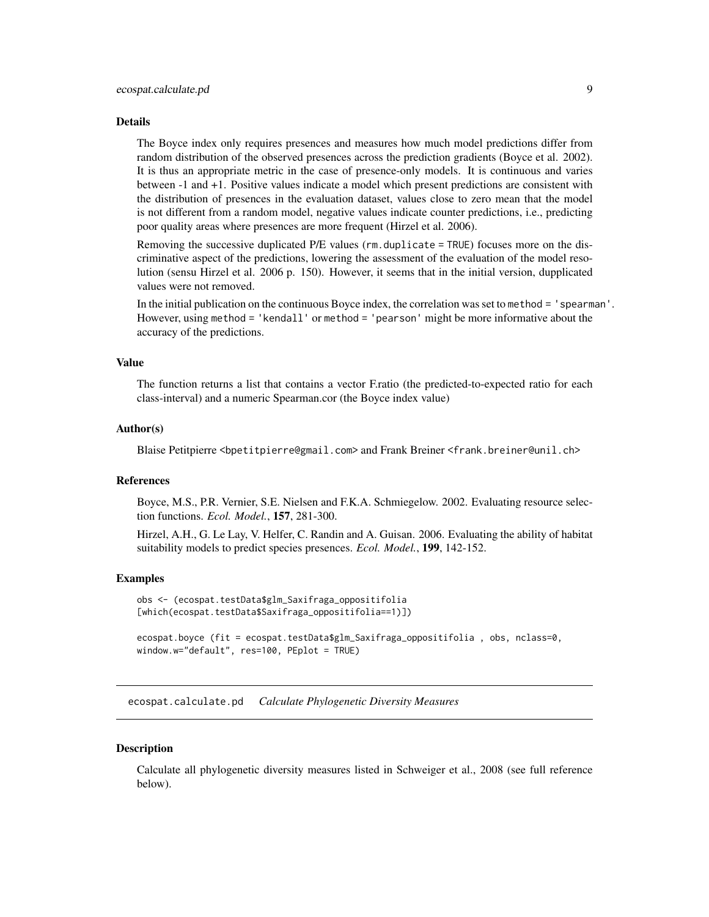#### <span id="page-8-0"></span>Details

The Boyce index only requires presences and measures how much model predictions differ from random distribution of the observed presences across the prediction gradients (Boyce et al. 2002). It is thus an appropriate metric in the case of presence-only models. It is continuous and varies between -1 and +1. Positive values indicate a model which present predictions are consistent with the distribution of presences in the evaluation dataset, values close to zero mean that the model is not different from a random model, negative values indicate counter predictions, i.e., predicting poor quality areas where presences are more frequent (Hirzel et al. 2006).

Removing the successive duplicated P/E values (rm.duplicate = TRUE) focuses more on the discriminative aspect of the predictions, lowering the assessment of the evaluation of the model resolution (sensu Hirzel et al. 2006 p. 150). However, it seems that in the initial version, dupplicated values were not removed.

In the initial publication on the continuous Boyce index, the correlation was set to method = 'spearman'. However, using method = 'kendall' or method = 'pearson' might be more informative about the accuracy of the predictions.

#### Value

The function returns a list that contains a vector F.ratio (the predicted-to-expected ratio for each class-interval) and a numeric Spearman.cor (the Boyce index value)

# Author(s)

Blaise Petitpierre <bpetitpierre@gmail.com> and Frank Breiner <frank.breiner@unil.ch>

#### References

Boyce, M.S., P.R. Vernier, S.E. Nielsen and F.K.A. Schmiegelow. 2002. Evaluating resource selection functions. *Ecol. Model.*, 157, 281-300.

Hirzel, A.H., G. Le Lay, V. Helfer, C. Randin and A. Guisan. 2006. Evaluating the ability of habitat suitability models to predict species presences. *Ecol. Model.*, 199, 142-152.

#### Examples

obs <- (ecospat.testData\$glm\_Saxifraga\_oppositifolia [which(ecospat.testData\$Saxifraga\_oppositifolia==1)])

```
ecospat.boyce (fit = ecospat.testData$glm_Saxifraga_oppositifolia , obs, nclass=0,
window.w="default", res=100, PEplot = TRUE)
```
<span id="page-8-1"></span>ecospat.calculate.pd *Calculate Phylogenetic Diversity Measures*

#### **Description**

Calculate all phylogenetic diversity measures listed in Schweiger et al., 2008 (see full reference below).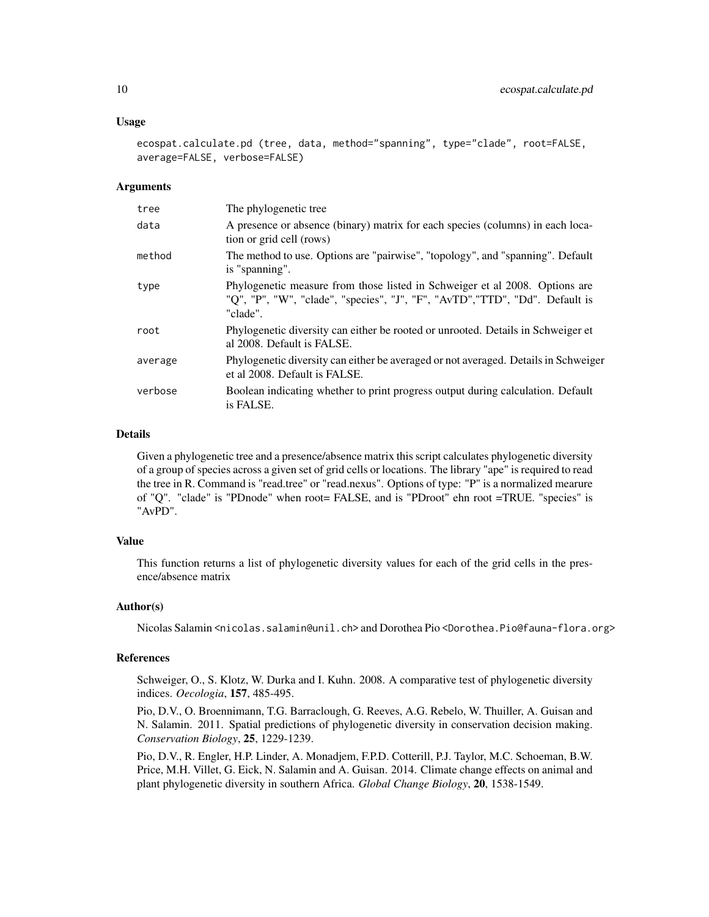#### Usage

```
ecospat.calculate.pd (tree, data, method="spanning", type="clade", root=FALSE,
average=FALSE, verbose=FALSE)
```
#### Arguments

| tree    | The phylogenetic tree                                                                                                                                                  |
|---------|------------------------------------------------------------------------------------------------------------------------------------------------------------------------|
| data    | A presence or absence (binary) matrix for each species (columns) in each loca-<br>tion or grid cell (rows)                                                             |
| method  | The method to use. Options are "pairwise", "topology", and "spanning". Default<br>is "spanning".                                                                       |
| type    | Phylogenetic measure from those listed in Schweiger et al 2008. Options are<br>"Q", "P", "W", "clade", "species", "J", "F", "AvTD","TTD", "Dd". Default is<br>"clade". |
| root    | Phylogenetic diversity can either be rooted or unrooted. Details in Schweiger et<br>al 2008. Default is FALSE.                                                         |
| average | Phylogenetic diversity can either be averaged or not averaged. Details in Schweiger<br>et al 2008. Default is FALSE.                                                   |
| verbose | Boolean indicating whether to print progress output during calculation. Default<br>is FALSE.                                                                           |

# Details

Given a phylogenetic tree and a presence/absence matrix this script calculates phylogenetic diversity of a group of species across a given set of grid cells or locations. The library "ape" is required to read the tree in R. Command is "read.tree" or "read.nexus". Options of type: "P" is a normalized mearure of "Q". "clade" is "PDnode" when root= FALSE, and is "PDroot" ehn root =TRUE. "species" is "AvPD".

# Value

This function returns a list of phylogenetic diversity values for each of the grid cells in the presence/absence matrix

# Author(s)

Nicolas Salamin <nicolas.salamin@unil.ch> and Dorothea Pio <Dorothea.Pio@fauna-flora.org>

#### References

Schweiger, O., S. Klotz, W. Durka and I. Kuhn. 2008. A comparative test of phylogenetic diversity indices. *Oecologia*, 157, 485-495.

Pio, D.V., O. Broennimann, T.G. Barraclough, G. Reeves, A.G. Rebelo, W. Thuiller, A. Guisan and N. Salamin. 2011. Spatial predictions of phylogenetic diversity in conservation decision making. *Conservation Biology*, 25, 1229-1239.

Pio, D.V., R. Engler, H.P. Linder, A. Monadjem, F.P.D. Cotterill, P.J. Taylor, M.C. Schoeman, B.W. Price, M.H. Villet, G. Eick, N. Salamin and A. Guisan. 2014. Climate change effects on animal and plant phylogenetic diversity in southern Africa. *Global Change Biology*, 20, 1538-1549.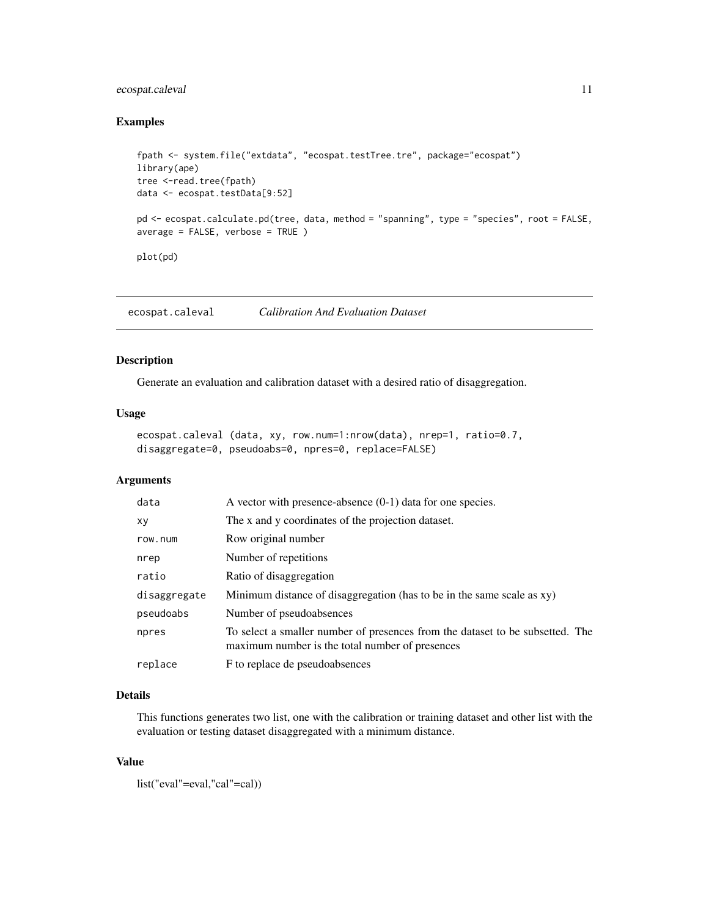# <span id="page-10-0"></span>ecospat.caleval 11

# Examples

```
fpath <- system.file("extdata", "ecospat.testTree.tre", package="ecospat")
library(ape)
tree <-read.tree(fpath)
data <- ecospat.testData[9:52]
pd <- ecospat.calculate.pd(tree, data, method = "spanning", type = "species", root = FALSE,
average = FALSE, verbose = TRUE )
plot(pd)
```
<span id="page-10-1"></span>ecospat.caleval *Calibration And Evaluation Dataset*

#### Description

Generate an evaluation and calibration dataset with a desired ratio of disaggregation.

# Usage

```
ecospat.caleval (data, xy, row.num=1:nrow(data), nrep=1, ratio=0.7,
disaggregate=0, pseudoabs=0, npres=0, replace=FALSE)
```
#### Arguments

| data         | A vector with presence-absence $(0-1)$ data for one species.                                                                     |
|--------------|----------------------------------------------------------------------------------------------------------------------------------|
| XV           | The x and y coordinates of the projection dataset.                                                                               |
| row.num      | Row original number                                                                                                              |
| nrep         | Number of repetitions                                                                                                            |
| ratio        | Ratio of disaggregation                                                                                                          |
| disaggregate | Minimum distance of disaggregation (has to be in the same scale as xy)                                                           |
| pseudoabs    | Number of pseudoabsences                                                                                                         |
| npres        | To select a smaller number of presences from the dataset to be subsetted. The<br>maximum number is the total number of presences |
| replace      | F to replace de pseudoabsences                                                                                                   |

# Details

This functions generates two list, one with the calibration or training dataset and other list with the evaluation or testing dataset disaggregated with a minimum distance.

# Value

list("eval"=eval,"cal"=cal))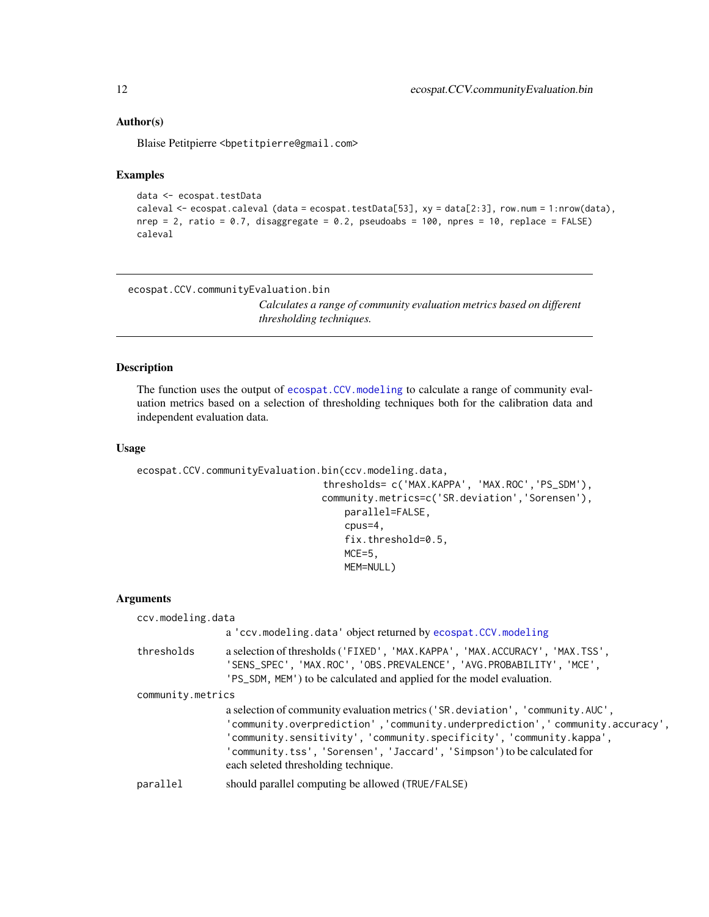# <span id="page-11-0"></span>Author(s)

Blaise Petitpierre <bpetitpierre@gmail.com>

# Examples

```
data <- ecospat.testData
caleval <- ecospat.caleval (data = ecospat.testData[53], xy = data[2:3], row.num = 1:nrow(data),
nrep = 2, ratio = 0.7, disaggregate = 0.2, pseudoabs = 100, npres = 10, replace = FALSE)
caleval
```
<span id="page-11-1"></span>ecospat.CCV.communityEvaluation.bin

*Calculates a range of community evaluation metrics based on different thresholding techniques.*

# Description

The function uses the output of [ecospat.CCV.modeling](#page-17-1) to calculate a range of community evaluation metrics based on a selection of thresholding techniques both for the calibration data and independent evaluation data.

# Usage

```
ecospat.CCV.communityEvaluation.bin(ccv.modeling.data,
```

```
thresholds= c('MAX.KAPPA', 'MAX.ROC','PS_SDM'),
community.metrics=c('SR.deviation','Sorensen'),
   parallel=FALSE,
   cpus=4,
    fix.threshold=0.5,
   MCE=5,
   MEM=NULL)
```
#### **Arguments**

| ccv.modeling.data |                                                                                                                                                                                                                                                                                                                                                            |
|-------------------|------------------------------------------------------------------------------------------------------------------------------------------------------------------------------------------------------------------------------------------------------------------------------------------------------------------------------------------------------------|
|                   | a 'ccv.modeling.data' object returned by ecospat.CCV.modeling                                                                                                                                                                                                                                                                                              |
| thresholds        | a selection of thresholds ('FIXED', 'MAX.KAPPA', 'MAX.ACCURACY', 'MAX.TSS',<br>'SENS_SPEC', 'MAX.ROC', 'OBS.PREVALENCE', 'AVG.PROBABILITY', 'MCE',<br>'PS_SDM, MEM') to be calculated and applied for the model evaluation.                                                                                                                                |
| community.metrics |                                                                                                                                                                                                                                                                                                                                                            |
|                   | a selection of community evaluation metrics ('SR. deviation', 'community. AUC',<br>'community.overprediction','community.underprediction','community.accuracy',<br>'community.sensitivity', 'community.specificity', 'community.kappa',<br>'community.tss', 'Sorensen', 'Jaccard', 'Simpson') to be calculated for<br>each seleted thresholding technique. |
| parallel          | should parallel computing be allowed (TRUE/FALSE)                                                                                                                                                                                                                                                                                                          |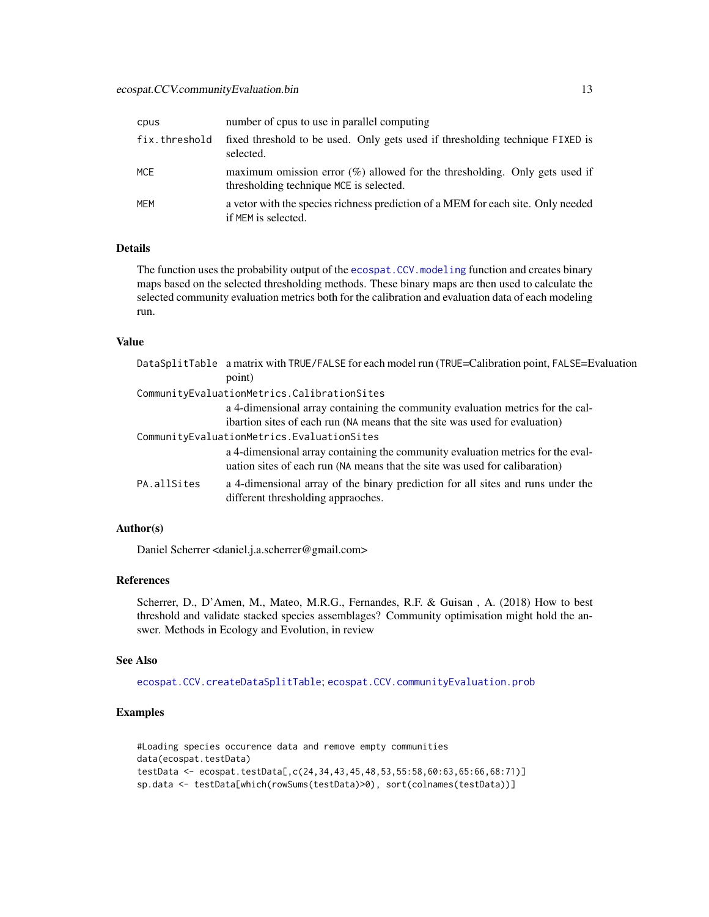| cpus          | number of cpus to use in parallel computing                                                                              |
|---------------|--------------------------------------------------------------------------------------------------------------------------|
| fix.threshold | fixed threshold to be used. Only gets used if thresholding technique FIXED is<br>selected.                               |
| <b>MCE</b>    | maximum omission error $(\%)$ allowed for the thresholding. Only gets used if<br>thresholding technique MCE is selected. |
| <b>MEM</b>    | a vetor with the species richness prediction of a MEM for each site. Only needed<br>if MEM is selected.                  |

# Details

The function uses the probability output of the [ecospat.CCV.modeling](#page-17-1) function and creates binary maps based on the selected thresholding methods. These binary maps are then used to calculate the selected community evaluation metrics both for the calibration and evaluation data of each modeling run.

# Value

|             | DataSplitTable a matrix with TRUE/FALSE for each model run (TRUE=Calibration point, FALSE=Evaluation                                                           |
|-------------|----------------------------------------------------------------------------------------------------------------------------------------------------------------|
|             | point)                                                                                                                                                         |
|             | CommunityEvaluationMetrics.CalibrationSites                                                                                                                    |
|             | a 4-dimensional array containing the community evaluation metrics for the cal-                                                                                 |
|             | ibartion sites of each run (NA means that the site was used for evaluation)                                                                                    |
|             | CommunityEvaluationMetrics.EvaluationSites                                                                                                                     |
|             | a 4-dimensional array containing the community evaluation metrics for the eval-<br>uation sites of each run (NA means that the site was used for calibaration) |
| PA.allSites | a 4-dimensional array of the binary prediction for all sites and runs under the<br>different thresholding appraoches.                                          |

# Author(s)

Daniel Scherrer <daniel.j.a.scherrer@gmail.com>

# References

Scherrer, D., D'Amen, M., Mateo, M.R.G., Fernandes, R.F. & Guisan , A. (2018) How to best threshold and validate stacked species assemblages? Community optimisation might hold the answer. Methods in Ecology and Evolution, in review

# See Also

[ecospat.CCV.createDataSplitTable](#page-16-1); [ecospat.CCV.communityEvaluation.prob](#page-13-1)

```
#Loading species occurence data and remove empty communities
data(ecospat.testData)
testData <- ecospat.testData[,c(24,34,43,45,48,53,55:58,60:63,65:66,68:71)]
sp.data <- testData[which(rowSums(testData)>0), sort(colnames(testData))]
```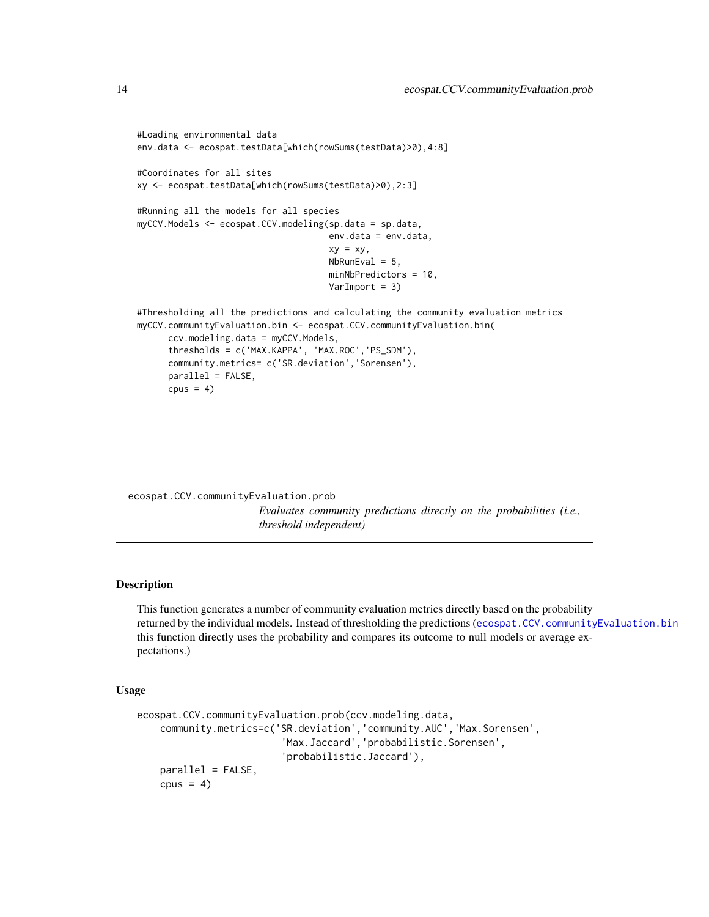```
#Loading environmental data
env.data <- ecospat.testData[which(rowSums(testData)>0),4:8]
#Coordinates for all sites
xy <- ecospat.testData[which(rowSums(testData)>0),2:3]
#Running all the models for all species
myCCV.Models <- ecospat.CCV.modeling(sp.data = sp.data,
                                     env.data = env.data,
                                     xy = xy,
                                     NbRunEval = 5,
                                     minNbPredictors = 10,
                                     VarImport = 3)
#Thresholding all the predictions and calculating the community evaluation metrics
myCCV.communityEvaluation.bin <- ecospat.CCV.communityEvaluation.bin(
      ccv.modeling.data = myCCV.Models,
      thresholds = c('MAX.KAPPA', 'MAX.ROC','PS_SDM'),
      community.metrics= c('SR.deviation','Sorensen'),
     parallel = FALSE,
     cpus = 4)
```
<span id="page-13-1"></span>ecospat.CCV.communityEvaluation.prob *Evaluates community predictions directly on the probabilities (i.e., threshold independent)*

# Description

This function generates a number of community evaluation metrics directly based on the probability returned by the individual models. Instead of thresholding the predictions ([ecospat.CCV.communityEvaluation.bin](#page-11-1) this function directly uses the probability and compares its outcome to null models or average expectations.)

#### Usage

```
ecospat.CCV.communityEvaluation.prob(ccv.modeling.data,
   community.metrics=c('SR.deviation','community.AUC','Max.Sorensen',
                         'Max.Jaccard','probabilistic.Sorensen',
                         'probabilistic.Jaccard'),
   parallel = FALSE,
   cpus = 4)
```
<span id="page-13-0"></span>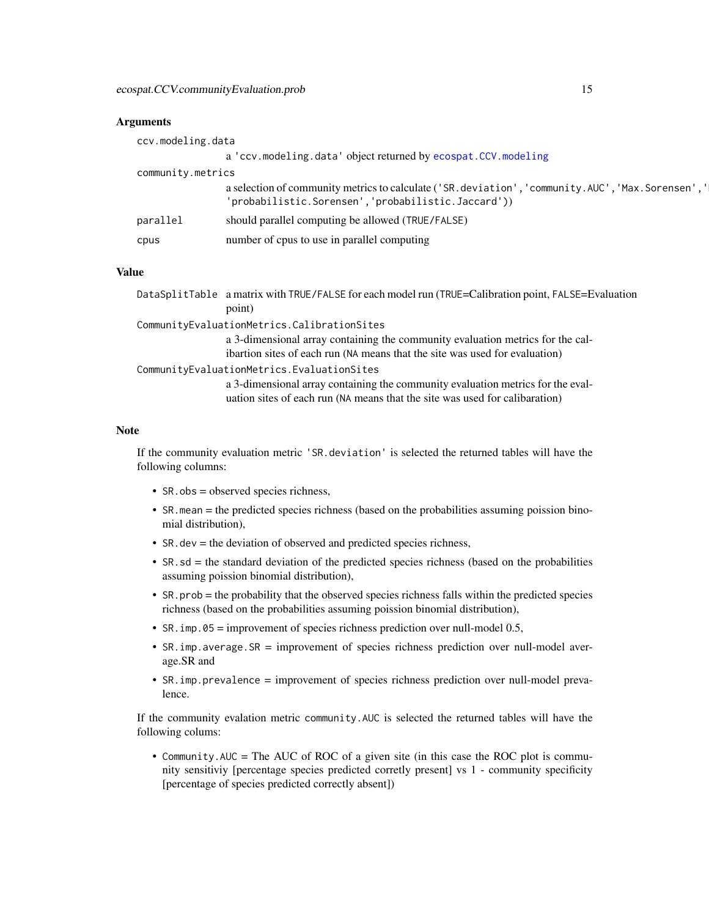# **Arguments**

| ccv.modeling.data |                                                                                                                                                            |  |  |  |  |
|-------------------|------------------------------------------------------------------------------------------------------------------------------------------------------------|--|--|--|--|
|                   | a 'ccv.modeling.data' object returned by ecospat.CCV.modeling                                                                                              |  |  |  |  |
| community.metrics |                                                                                                                                                            |  |  |  |  |
|                   | a selection of community metrics to calculate ('SR. deviation', 'community. AUC', 'Max. Sorensen', '<br>'probabilistic.Sorensen','probabilistic.Jaccard')) |  |  |  |  |
| parallel          | should parallel computing be allowed (TRUE/FALSE)                                                                                                          |  |  |  |  |
| cpus              | number of cpus to use in parallel computing                                                                                                                |  |  |  |  |

# Value

| DataSplitTable a matrix with TRUE/FALSE for each model run (TRUE=Calibration point, FALSE=Evaluation |
|------------------------------------------------------------------------------------------------------|
| point)                                                                                               |
| CommunityEvaluationMetrics.CalibrationSites                                                          |
| a 3-dimensional array containing the community evaluation metrics for the cal-                       |
| ibartion sites of each run (NA means that the site was used for evaluation)                          |
| CommunityEvaluationMetrics.EvaluationSites                                                           |
| a 3-dimensional array containing the community evaluation metrics for the eval-                      |
| uation sites of each run (NA means that the site was used for calibaration)                          |

#### Note

If the community evaluation metric 'SR.deviation' is selected the returned tables will have the following columns:

- SR. obs = observed species richness,
- SR.mean = the predicted species richness (based on the probabilities assuming poission binomial distribution),
- SR.dev = the deviation of observed and predicted species richness,
- SR.sd = the standard deviation of the predicted species richness (based on the probabilities assuming poission binomial distribution),
- SR.prob = the probability that the observed species richness falls within the predicted species richness (based on the probabilities assuming poission binomial distribution),
- SR. imp. 05 = improvement of species richness prediction over null-model 0.5,
- SR.imp.average.SR = improvement of species richness prediction over null-model average.SR and
- SR.imp.prevalence = improvement of species richness prediction over null-model prevalence.

If the community evalation metric community.AUC is selected the returned tables will have the following colums:

• Community.AUC = The AUC of ROC of a given site (in this case the ROC plot is community sensitiviy [percentage species predicted corretly present] vs 1 - community specificity [percentage of species predicted correctly absent])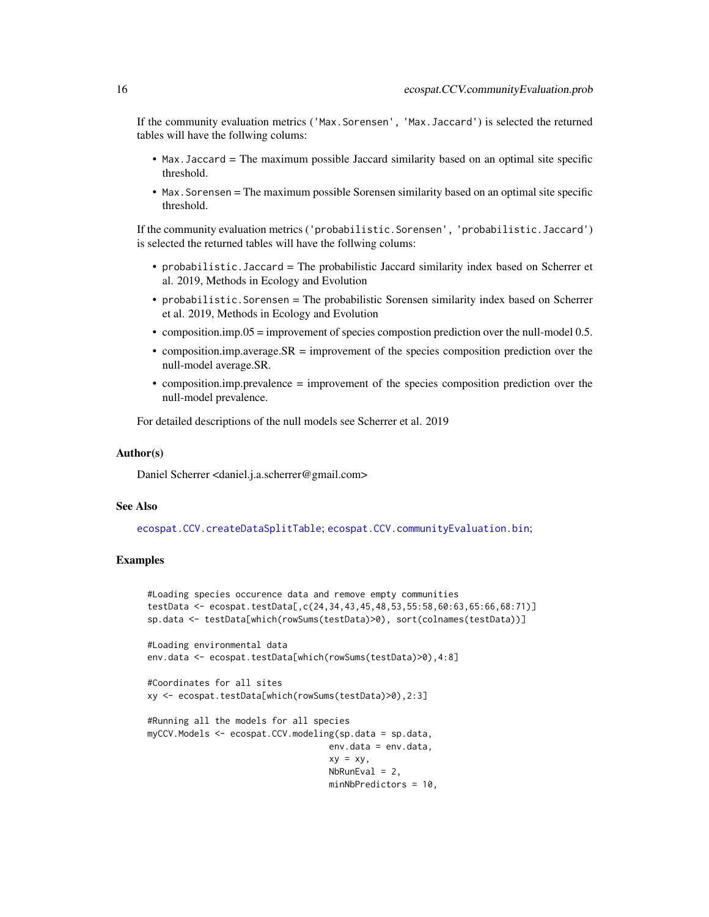If the community evaluation metrics ('Max.Sorensen', 'Max.Jaccard') is selected the returned tables will have the follwing colums:

- Max.Jaccard = The maximum possible Jaccard similarity based on an optimal site specific threshold.
- Max.Sorensen = The maximum possible Sorensen similarity based on an optimal site specific threshold.

If the community evaluation metrics ('probabilistic.Sorensen', 'probabilistic.Jaccard') is selected the returned tables will have the follwing colums:

- probabilistic.Jaccard = The probabilistic Jaccard similarity index based on Scherrer et al. 2019, Methods in Ecology and Evolution
- probabilistic.Sorensen = The probabilistic Sorensen similarity index based on Scherrer et al. 2019, Methods in Ecology and Evolution
- composition.imp.05 = improvement of species compostion prediction over the null-model 0.5.
- composition.imp.average.SR = improvement of the species composition prediction over the null-model average.SR.
- composition.imp.prevalence = improvement of the species composition prediction over the null-model prevalence.

For detailed descriptions of the null models see Scherrer et al. 2019

#### Author(s)

Daniel Scherrer <daniel.j.a.scherrer@gmail.com>

#### See Also

[ecospat.CCV.createDataSplitTable](#page-16-1); [ecospat.CCV.communityEvaluation.bin](#page-11-1);

```
#Loading species occurence data and remove empty communities
testData <- ecospat.testData[,c(24,34,43,45,48,53,55:58,60:63,65:66,68:71)]
sp.data <- testData[which(rowSums(testData)>0), sort(colnames(testData))]
```

```
#Loading environmental data
env.data <- ecospat.testData[which(rowSums(testData)>0),4:8]
```

```
#Coordinates for all sites
xy <- ecospat.testData[which(rowSums(testData)>0),2:3]
```

```
#Running all the models for all species
myCCV.Models <- ecospat.CCV.modeling(sp.data = sp.data,
                                   env.data = env.data,
                                   xy = xy,
                                   NbRunEval = 2,
                                   minNbPredictors = 10,
```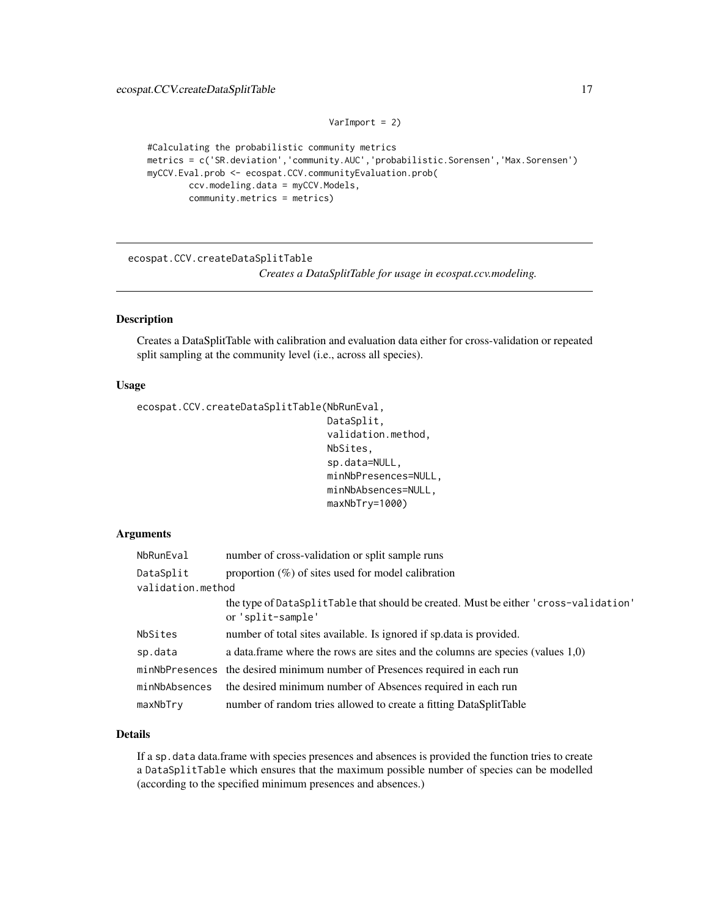```
VarImport = 2)
```

```
#Calculating the probabilistic community metrics
metrics = c('SR.deviation','community.AUC','probabilistic.Sorensen','Max.Sorensen')
myCCV.Eval.prob <- ecospat.CCV.communityEvaluation.prob(
        ccv.modeling.data = myCCV.Models,
        community.metrics = metrics)
```

```
ecospat.CCV.createDataSplitTable
```
*Creates a DataSplitTable for usage in ecospat.ccv.modeling.*

# Description

Creates a DataSplitTable with calibration and evaluation data either for cross-validation or repeated split sampling at the community level (i.e., across all species).

# Usage

```
ecospat.CCV.createDataSplitTable(NbRunEval,
```

```
DataSplit,
validation.method,
NbSites,
sp.data=NULL,
minNbPresences=NULL,
minNbAbsences=NULL,
maxNbTry=1000)
```
# Arguments

| NbRunEval         | number of cross-validation or split sample runs                                                           |
|-------------------|-----------------------------------------------------------------------------------------------------------|
| DataSplit         | proportion $(\%)$ of sites used for model calibration                                                     |
| validation.method |                                                                                                           |
|                   | the type of DataSplitTable that should be created. Must be either 'cross-validation'<br>or 'split-sample' |
| NbSites           | number of total sites available. Is ignored if sp. data is provided.                                      |
| sp.data           | a data. frame where the rows are sites and the columns are species (values 1,0)                           |
|                   | minNbPresences the desired minimum number of Presences required in each run                               |
| minNbAbsences     | the desired minimum number of Absences required in each run                                               |
| maxNbTry          | number of random tries allowed to create a fitting DataSplitTable                                         |

# Details

If a sp.data data.frame with species presences and absences is provided the function tries to create a DataSplitTable which ensures that the maximum possible number of species can be modelled (according to the specified minimum presences and absences.)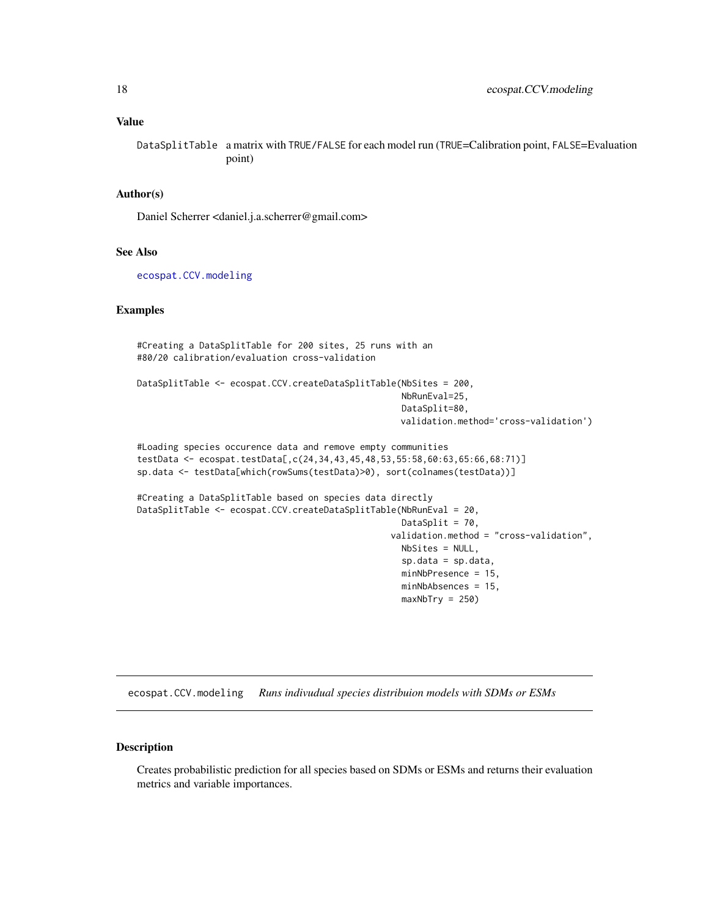# <span id="page-17-0"></span>Value

DataSplitTable a matrix with TRUE/FALSE for each model run (TRUE=Calibration point, FALSE=Evaluation point)

# Author(s)

Daniel Scherrer <daniel.j.a.scherrer@gmail.com>

# See Also

[ecospat.CCV.modeling](#page-17-1)

# Examples

```
#Creating a DataSplitTable for 200 sites, 25 runs with an
#80/20 calibration/evaluation cross-validation
DataSplitTable <- ecospat.CCV.createDataSplitTable(NbSites = 200,
                                                   NbRunEval=25,
                                                   DataSplit=80,
                                                   validation.method='cross-validation')
#Loading species occurence data and remove empty communities
testData <- ecospat.testData[,c(24,34,43,45,48,53,55:58,60:63,65:66,68:71)]
sp.data <- testData[which(rowSums(testData)>0), sort(colnames(testData))]
#Creating a DataSplitTable based on species data directly
DataSplitTable <- ecospat.CCV.createDataSplitTable(NbRunEval = 20,
                                                   DataSplit = 70,
                                                 validation.method = "cross-validation",
                                                   NbSites = NULL,
                                                   sp.data = sp.data,
                                                   minNbPresence = 15,
                                                   minNbAbsences = 15,
                                                   maxNbTry = 250)
```
<span id="page-17-1"></span>ecospat.CCV.modeling *Runs indivudual species distribuion models with SDMs or ESMs*

# Description

Creates probabilistic prediction for all species based on SDMs or ESMs and returns their evaluation metrics and variable importances.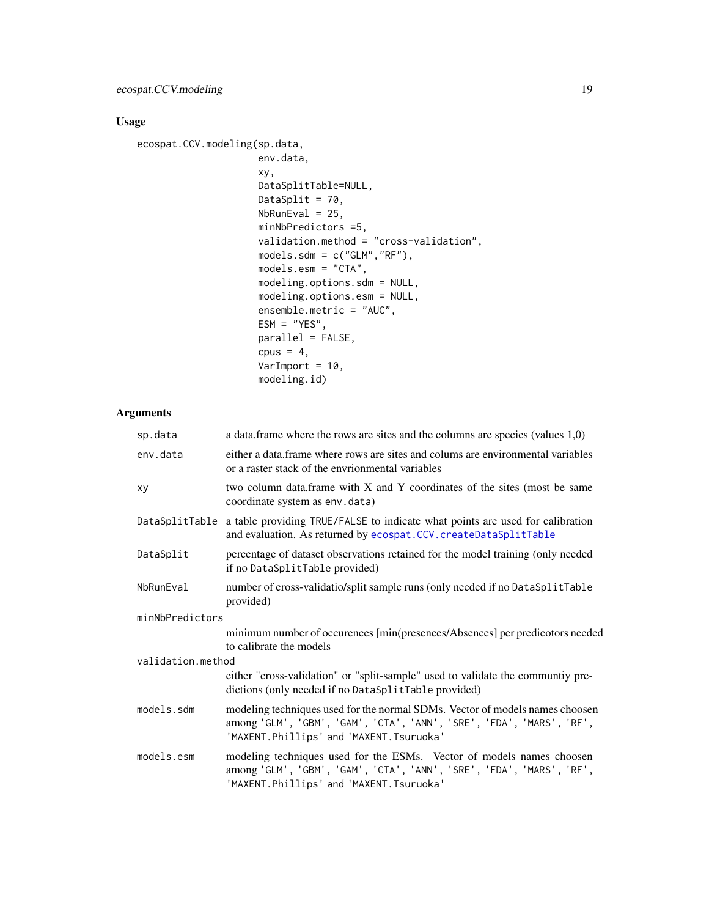# Usage

```
ecospat.CCV.modeling(sp.data,
                     env.data,
                     xy,
                     DataSplitTable=NULL,
                     DataSplit = 70,
                     NbRunEval = 25,
                     minNbPredictors =5,
                     validation.method = "cross-validation",
                     models.sdm = c("GLM","RF"),
                     models.esm = "CTA",
                     modeling.options.sdm = NULL,
                     modeling.options.esm = NULL,
                     ensemble.metric = "AUC",
                     ESM = "YES",parallel = FALSE,
                     cpus = 4,VarImport = 10,
                     modeling.id)
```
# Arguments

| sp.data           | a data. frame where the rows are sites and the columns are species (values $1,0$ )                                                                                                              |
|-------------------|-------------------------------------------------------------------------------------------------------------------------------------------------------------------------------------------------|
| env.data          | either a data.frame where rows are sites and colums are environmental variables<br>or a raster stack of the envrionmental variables                                                             |
| xy                | two column data.frame with X and Y coordinates of the sites (most be same<br>coordinate system as env.data)                                                                                     |
|                   | DataSplitTable a table providing TRUE/FALSE to indicate what points are used for calibration<br>and evaluation. As returned by ecospat. CCV. createDataSplitTable                               |
| DataSplit         | percentage of dataset observations retained for the model training (only needed<br>if no DataSplitTable provided)                                                                               |
| NbRunEval         | number of cross-validatio/split sample runs (only needed if no DataSplitTable<br>provided)                                                                                                      |
| minNbPredictors   |                                                                                                                                                                                                 |
|                   | minimum number of occurences [min(presences/Absences] per predicotors needed<br>to calibrate the models                                                                                         |
| validation.method |                                                                                                                                                                                                 |
|                   | either "cross-validation" or "split-sample" used to validate the communtiy pre-<br>dictions (only needed if no DataSplitTable provided)                                                         |
| models.sdm        | modeling techniques used for the normal SDMs. Vector of models names choosen<br>among 'GLM', 'GBM', 'GAM', 'CTA', 'ANN', 'SRE', 'FDA', 'MARS', 'RF',<br>'MAXENT.Phillips' and 'MAXENT.Tsuruoka' |
| models.esm        | modeling techniques used for the ESMs. Vector of models names choosen<br>among 'GLM', 'GBM', 'GAM', 'CTA', 'ANN', 'SRE', 'FDA', 'MARS', 'RF',<br>'MAXENT.Phillips' and 'MAXENT.Tsuruoka'        |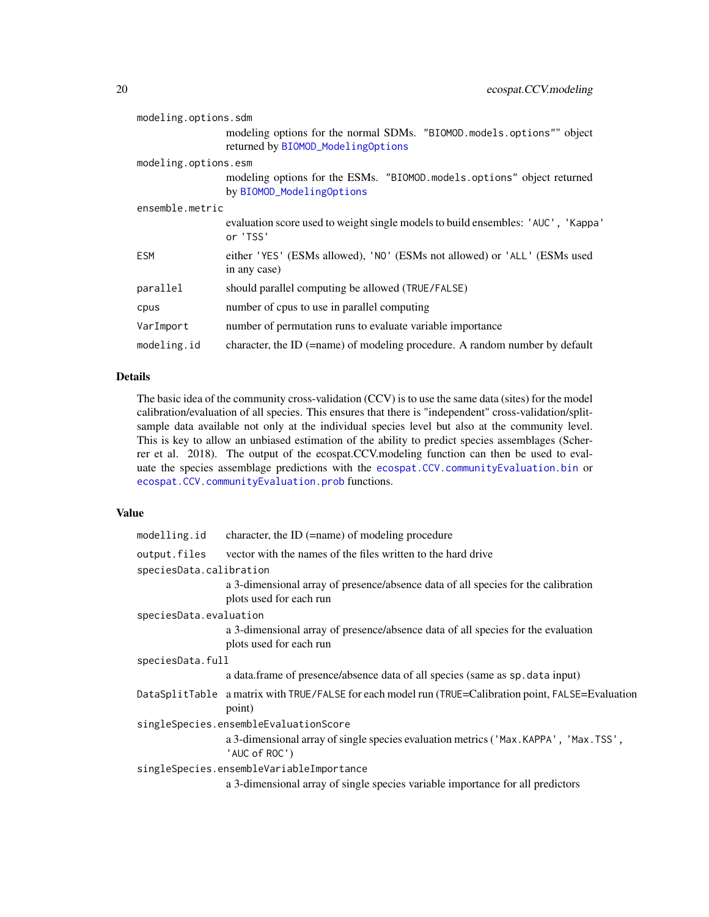| modeling.options.sdm |                                                                                                             |
|----------------------|-------------------------------------------------------------------------------------------------------------|
|                      | modeling options for the normal SDMs. "BIOMOD.models.options"" object<br>returned by BIOMOD_ModelingOptions |
| modeling.options.esm |                                                                                                             |
|                      | modeling options for the ESMs. "BIOMOD.models.options" object returned<br>by BIOMOD_ModelingOptions         |
| ensemble.metric      |                                                                                                             |
|                      | evaluation score used to weight single models to build ensembles: 'AUC', 'Kappa'<br>or 'TSS'                |
| <b>ESM</b>           | either 'YES' (ESMs allowed), 'NO' (ESMs not allowed) or 'ALL' (ESMs used<br>in any case)                    |
| parallel             | should parallel computing be allowed (TRUE/FALSE)                                                           |
| cpus                 | number of cpus to use in parallel computing                                                                 |
| VarImport            | number of permutation runs to evaluate variable importance                                                  |
| modeling.id          | character, the ID (=name) of modeling procedure. A random number by default                                 |

# Details

The basic idea of the community cross-validation (CCV) is to use the same data (sites) for the model calibration/evaluation of all species. This ensures that there is "independent" cross-validation/splitsample data available not only at the individual species level but also at the community level. This is key to allow an unbiased estimation of the ability to predict species assemblages (Scherrer et al. 2018). The output of the ecospat.CCV.modeling function can then be used to evaluate the species assemblage predictions with the [ecospat.CCV.communityEvaluation.bin](#page-11-1) or [ecospat.CCV.communityEvaluation.prob](#page-13-1) functions.

# Value

| modelling.id            | character, the ID $(=\text{name})$ of modeling procedure                                                       |  |
|-------------------------|----------------------------------------------------------------------------------------------------------------|--|
| output.files            | vector with the names of the files written to the hard drive                                                   |  |
| speciesData.calibration |                                                                                                                |  |
|                         | a 3-dimensional array of presence/absence data of all species for the calibration<br>plots used for each run   |  |
| speciesData.evaluation  |                                                                                                                |  |
|                         | a 3-dimensional array of presence/absence data of all species for the evaluation<br>plots used for each run    |  |
| speciesData.full        |                                                                                                                |  |
|                         | a data.frame of presence/absence data of all species (same as sp. data input)                                  |  |
|                         | DataSplitTable a matrix with TRUE/FALSE for each model run (TRUE=Calibration point, FALSE=Evaluation<br>point) |  |
|                         | singleSpecies.ensembleEvaluationScore                                                                          |  |
|                         | a 3-dimensional array of single species evaluation metrics ('Max.KAPPA', 'Max.TSS',<br>'AUC of ROC')           |  |
|                         | singleSpecies.ensembleVariableImportance                                                                       |  |
|                         | a 3-dimensional array of single species variable importance for all predictors                                 |  |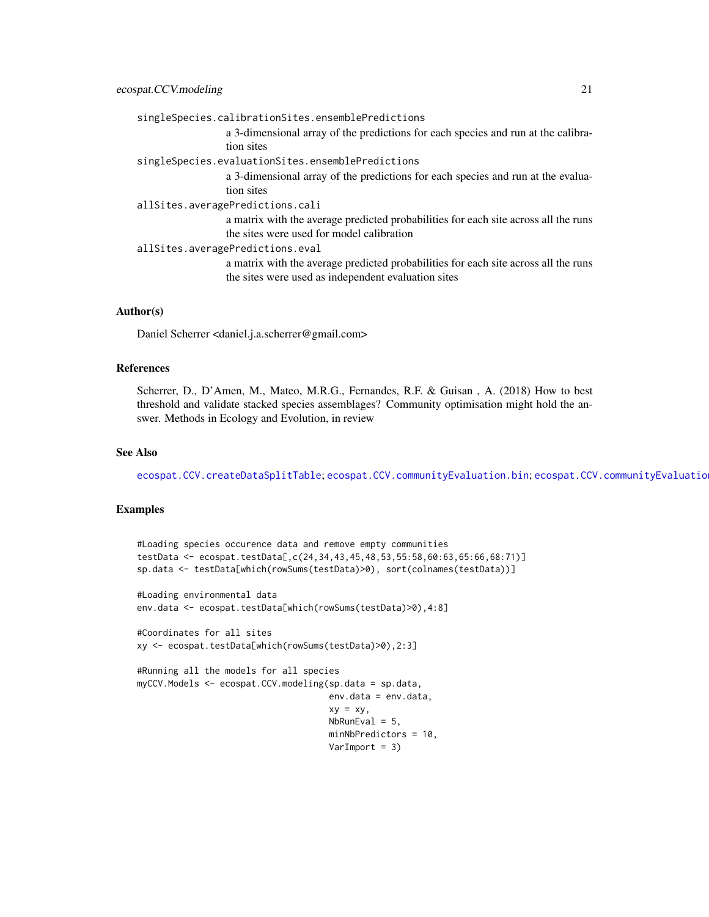singleSpecies.calibrationSites.ensemblePredictions

a 3-dimensional array of the predictions for each species and run at the calibration sites

singleSpecies.evaluationSites.ensemblePredictions

a 3-dimensional array of the predictions for each species and run at the evaluation sites

allSites.averagePredictions.cali

a matrix with the average predicted probabilities for each site across all the runs the sites were used for model calibration

```
allSites.averagePredictions.eval
```
a matrix with the average predicted probabilities for each site across all the runs the sites were used as independent evaluation sites

# Author(s)

Daniel Scherrer <daniel.j.a.scherrer@gmail.com>

#### References

Scherrer, D., D'Amen, M., Mateo, M.R.G., Fernandes, R.F. & Guisan , A. (2018) How to best threshold and validate stacked species assemblages? Community optimisation might hold the answer. Methods in Ecology and Evolution, in review

# See Also

[ecospat.CCV.createDataSplitTable](#page-16-1); [ecospat.CCV.communityEvaluation.bin](#page-11-1); ecospat.CCV.communityEvaluatio

```
#Loading species occurence data and remove empty communities
testData <- ecospat.testData[,c(24,34,43,45,48,53,55:58,60:63,65:66,68:71)]
sp.data <- testData[which(rowSums(testData)>0), sort(colnames(testData))]
#Loading environmental data
env.data <- ecospat.testData[which(rowSums(testData)>0),4:8]
#Coordinates for all sites
```

```
xy <- ecospat.testData[which(rowSums(testData)>0),2:3]
```

```
#Running all the models for all species
myCCV.Models <- ecospat.CCV.modeling(sp.data = sp.data,
                                     env.data = env.data,
                                     xy = xy,
                                     NbRunEval = 5,
                                     minNbPredictors = 10,
                                     VarImport = 3)
```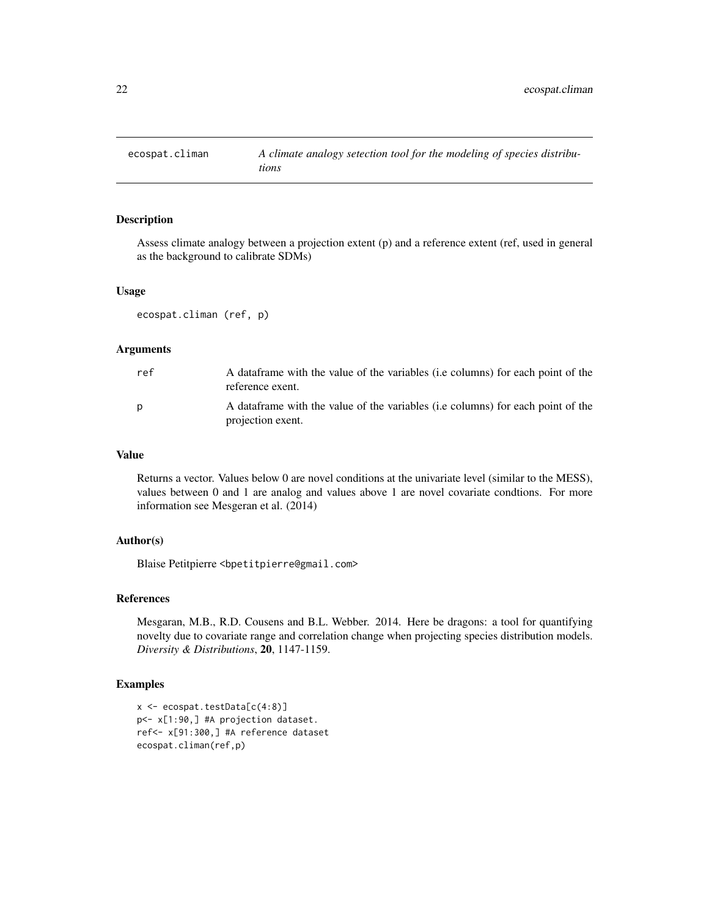<span id="page-21-1"></span><span id="page-21-0"></span>

# Description

Assess climate analogy between a projection extent (p) and a reference extent (ref, used in general as the background to calibrate SDMs)

# Usage

ecospat.climan (ref, p)

# Arguments

| ref | A dataframe with the value of the variables ( <i>i.e columns</i> ) for each point of the<br>reference exent.  |
|-----|---------------------------------------------------------------------------------------------------------------|
| p   | A dataframe with the value of the variables ( <i>i.e columns</i> ) for each point of the<br>projection exent. |

#### Value

Returns a vector. Values below 0 are novel conditions at the univariate level (similar to the MESS), values between 0 and 1 are analog and values above 1 are novel covariate condtions. For more information see Mesgeran et al. (2014)

# Author(s)

Blaise Petitpierre <bpetitpierre@gmail.com>

# References

Mesgaran, M.B., R.D. Cousens and B.L. Webber. 2014. Here be dragons: a tool for quantifying novelty due to covariate range and correlation change when projecting species distribution models. *Diversity & Distributions*, 20, 1147-1159.

```
x <- ecospat.testData[c(4:8)]
p<- x[1:90,] #A projection dataset.
ref<- x[91:300,] #A reference dataset
ecospat.climan(ref,p)
```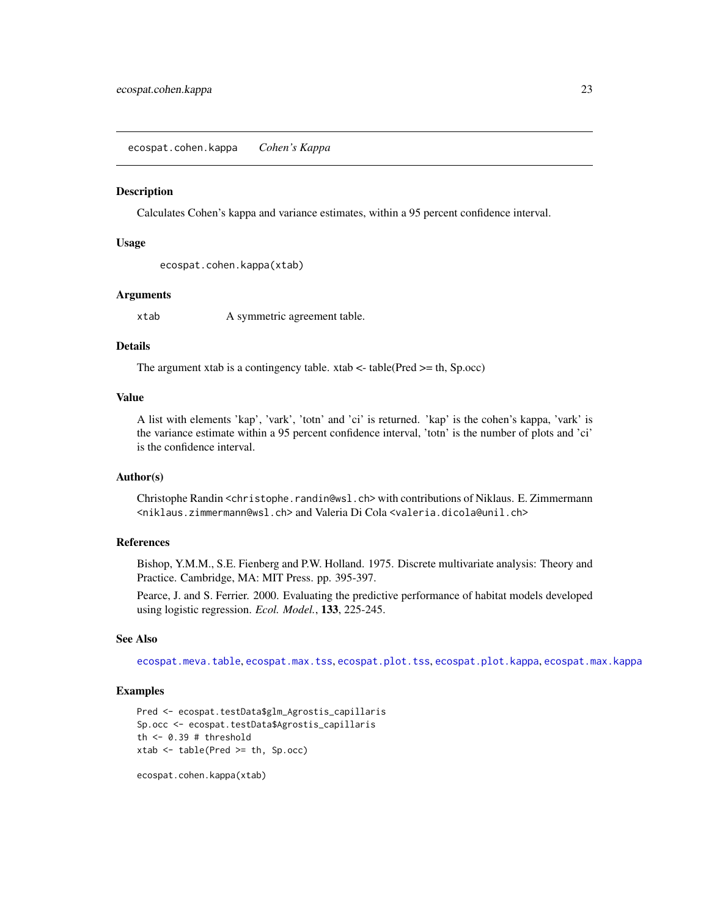<span id="page-22-1"></span><span id="page-22-0"></span>ecospat.cohen.kappa *Cohen's Kappa*

#### Description

Calculates Cohen's kappa and variance estimates, within a 95 percent confidence interval.

# Usage

```
ecospat.cohen.kappa(xtab)
```
#### Arguments

xtab A symmetric agreement table.

# Details

The argument xtab is a contingency table. xtab  $\lt$ -table(Pred  $\gt$ = th, Sp.occ)

#### Value

A list with elements 'kap', 'vark', 'totn' and 'ci' is returned. 'kap' is the cohen's kappa, 'vark' is the variance estimate within a 95 percent confidence interval, 'totn' is the number of plots and 'ci' is the confidence interval.

# Author(s)

Christophe Randin <christophe.randin@wsl.ch> with contributions of Niklaus. E. Zimmermann <niklaus.zimmermann@wsl.ch> and Valeria Di Cola <valeria.dicola@unil.ch>

# References

Bishop, Y.M.M., S.E. Fienberg and P.W. Holland. 1975. Discrete multivariate analysis: Theory and Practice. Cambridge, MA: MIT Press. pp. 395-397.

Pearce, J. and S. Ferrier. 2000. Evaluating the predictive performance of habitat models developed using logistic regression. *Ecol. Model.*, 133, 225-245.

# See Also

[ecospat.meva.table](#page-63-1), [ecospat.max.tss](#page-58-1), [ecospat.plot.tss](#page-87-1), [ecospat.plot.kappa](#page-82-1), [ecospat.max.kappa](#page-57-1)

# Examples

```
Pred <- ecospat.testData$glm_Agrostis_capillaris
Sp.occ <- ecospat.testData$Agrostis_capillaris
th <- 0.39 # threshold
xtab <- table(Pred >= th, Sp.occ)
```
ecospat.cohen.kappa(xtab)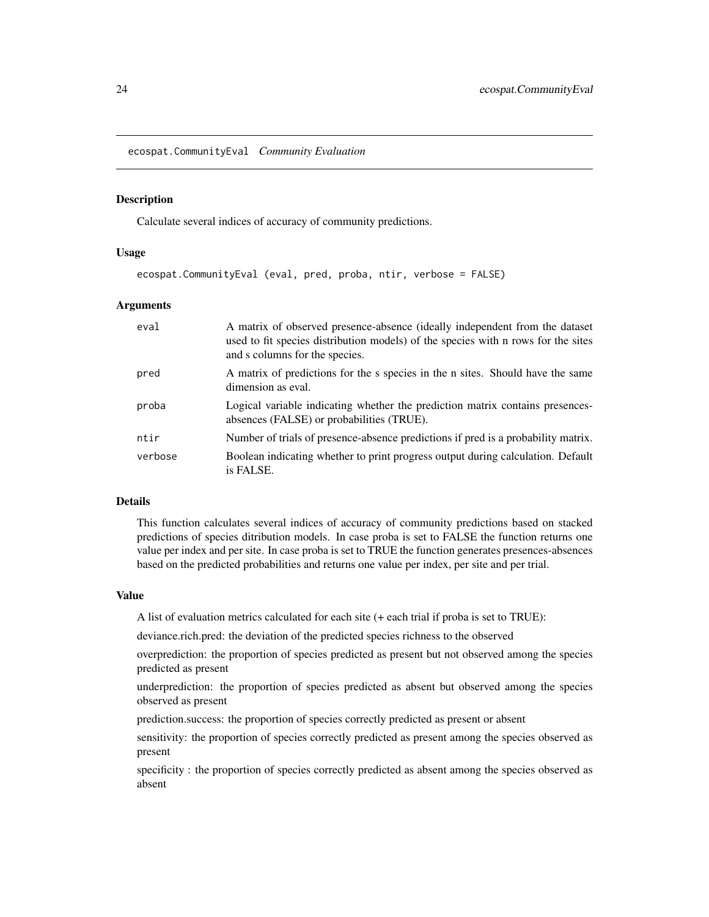<span id="page-23-1"></span><span id="page-23-0"></span>ecospat.CommunityEval *Community Evaluation*

# Description

Calculate several indices of accuracy of community predictions.

# Usage

ecospat.CommunityEval (eval, pred, proba, ntir, verbose = FALSE)

# Arguments

| eval    | A matrix of observed presence-absence (ideally independent from the dataset<br>used to fit species distribution models) of the species with n rows for the sites<br>and s columns for the species. |
|---------|----------------------------------------------------------------------------------------------------------------------------------------------------------------------------------------------------|
| pred    | A matrix of predictions for the s species in the n sites. Should have the same<br>dimension as eval.                                                                                               |
| proba   | Logical variable indicating whether the prediction matrix contains presences-<br>absences (FALSE) or probabilities (TRUE).                                                                         |
| ntir    | Number of trials of presence-absence predictions if pred is a probability matrix.                                                                                                                  |
| verbose | Boolean indicating whether to print progress output during calculation. Default<br>is FALSE.                                                                                                       |

# Details

This function calculates several indices of accuracy of community predictions based on stacked predictions of species ditribution models. In case proba is set to FALSE the function returns one value per index and per site. In case proba is set to TRUE the function generates presences-absences based on the predicted probabilities and returns one value per index, per site and per trial.

#### Value

A list of evaluation metrics calculated for each site (+ each trial if proba is set to TRUE):

deviance.rich.pred: the deviation of the predicted species richness to the observed

overprediction: the proportion of species predicted as present but not observed among the species predicted as present

underprediction: the proportion of species predicted as absent but observed among the species observed as present

prediction.success: the proportion of species correctly predicted as present or absent

sensitivity: the proportion of species correctly predicted as present among the species observed as present

specificity : the proportion of species correctly predicted as absent among the species observed as absent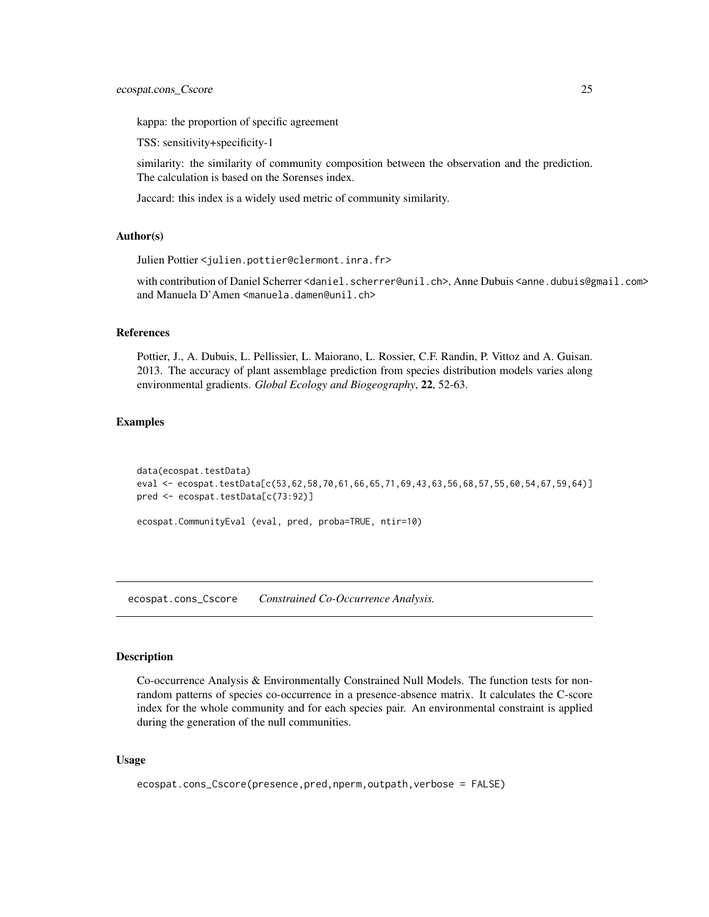<span id="page-24-0"></span>kappa: the proportion of specific agreement

TSS: sensitivity+specificity-1

similarity: the similarity of community composition between the observation and the prediction. The calculation is based on the Sorenses index.

Jaccard: this index is a widely used metric of community similarity.

# Author(s)

Julien Pottier <julien.pottier@clermont.inra.fr>

with contribution of Daniel Scherrer <daniel.scherrer@unil.ch>, Anne Dubuis <anne.dubuis@gmail.com> and Manuela D'Amen <manuela.damen@unil.ch>

# References

Pottier, J., A. Dubuis, L. Pellissier, L. Maiorano, L. Rossier, C.F. Randin, P. Vittoz and A. Guisan. 2013. The accuracy of plant assemblage prediction from species distribution models varies along environmental gradients. *Global Ecology and Biogeography*, 22, 52-63.

# Examples

```
data(ecospat.testData)
eval <- ecospat.testData[c(53,62,58,70,61,66,65,71,69,43,63,56,68,57,55,60,54,67,59,64)]
pred <- ecospat.testData[c(73:92)]
ecospat.CommunityEval (eval, pred, proba=TRUE, ntir=10)
```
<span id="page-24-1"></span>ecospat.cons\_Cscore *Constrained Co-Occurrence Analysis.*

# Description

Co-occurrence Analysis & Environmentally Constrained Null Models. The function tests for nonrandom patterns of species co-occurrence in a presence-absence matrix. It calculates the C-score index for the whole community and for each species pair. An environmental constraint is applied during the generation of the null communities.

# Usage

```
ecospat.cons_Cscore(presence,pred,nperm,outpath,verbose = FALSE)
```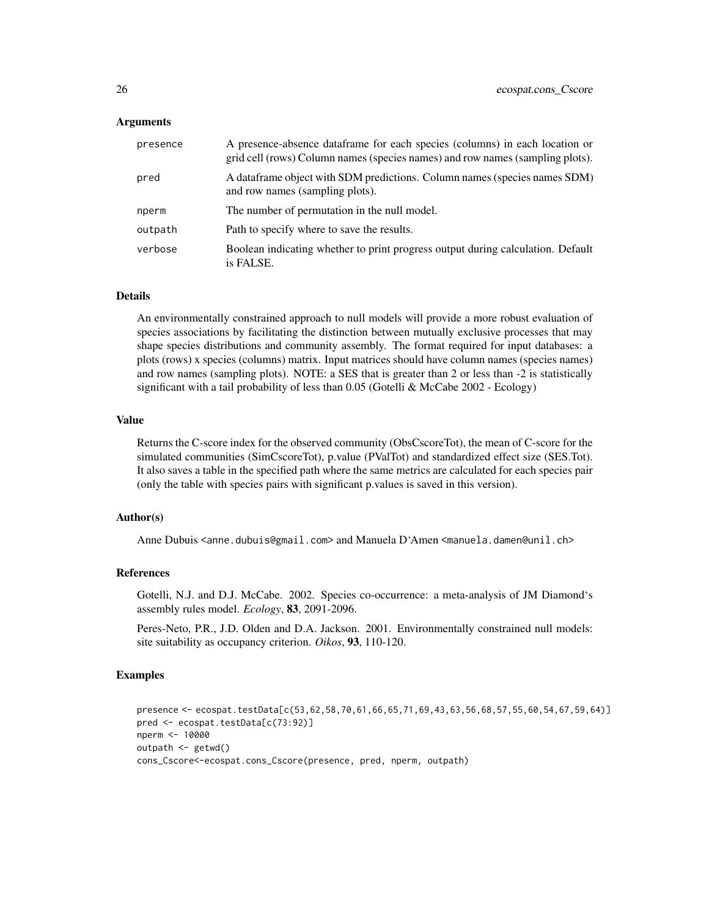# Arguments

| presence | A presence-absence data frame for each species (columns) in each location or<br>grid cell (rows) Column names (species names) and row names (sampling plots). |
|----------|---------------------------------------------------------------------------------------------------------------------------------------------------------------|
| pred     | A dataframe object with SDM predictions. Column names (species names SDM)<br>and row names (sampling plots).                                                  |
| nperm    | The number of permutation in the null model.                                                                                                                  |
| outpath  | Path to specify where to save the results.                                                                                                                    |
| verbose  | Boolean indicating whether to print progress output during calculation. Default<br>is FALSE.                                                                  |

#### Details

An environmentally constrained approach to null models will provide a more robust evaluation of species associations by facilitating the distinction between mutually exclusive processes that may shape species distributions and community assembly. The format required for input databases: a plots (rows) x species (columns) matrix. Input matrices should have column names (species names) and row names (sampling plots). NOTE: a SES that is greater than 2 or less than -2 is statistically significant with a tail probability of less than 0.05 (Gotelli & McCabe 2002 - Ecology)

#### Value

Returns the C-score index for the observed community (ObsCscoreTot), the mean of C-score for the simulated communities (SimCscoreTot), p.value (PValTot) and standardized effect size (SES.Tot). It also saves a table in the specified path where the same metrics are calculated for each species pair (only the table with species pairs with significant p.values is saved in this version).

# Author(s)

Anne Dubuis <anne.dubuis@gmail.com> and Manuela D'Amen <manuela.damen@unil.ch>

# References

Gotelli, N.J. and D.J. McCabe. 2002. Species co-occurrence: a meta-analysis of JM Diamond's assembly rules model. *Ecology*, 83, 2091-2096.

Peres-Neto, P.R., J.D. Olden and D.A. Jackson. 2001. Environmentally constrained null models: site suitability as occupancy criterion. *Oikos*, 93, 110-120.

```
presence <- ecospat.testData[c(53,62,58,70,61,66,65,71,69,43,63,56,68,57,55,60,54,67,59,64)]
pred <- ecospat.testData[c(73:92)]
nperm <- 10000
outpath <- getwd()
cons_Cscore<-ecospat.cons_Cscore(presence, pred, nperm, outpath)
```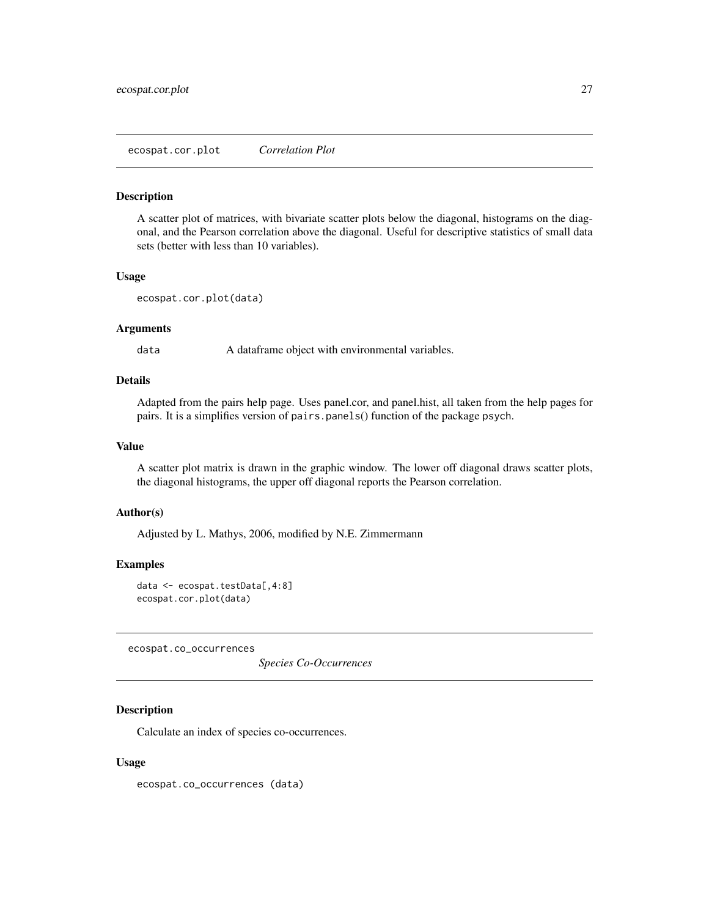<span id="page-26-2"></span><span id="page-26-0"></span>ecospat.cor.plot *Correlation Plot*

# Description

A scatter plot of matrices, with bivariate scatter plots below the diagonal, histograms on the diagonal, and the Pearson correlation above the diagonal. Useful for descriptive statistics of small data sets (better with less than 10 variables).

#### Usage

ecospat.cor.plot(data)

# Arguments

data A dataframe object with environmental variables.

# Details

Adapted from the pairs help page. Uses panel.cor, and panel.hist, all taken from the help pages for pairs. It is a simplifies version of pairs.panels() function of the package psych.

# Value

A scatter plot matrix is drawn in the graphic window. The lower off diagonal draws scatter plots, the diagonal histograms, the upper off diagonal reports the Pearson correlation.

# Author(s)

Adjusted by L. Mathys, 2006, modified by N.E. Zimmermann

#### Examples

```
data <- ecospat.testData[,4:8]
ecospat.cor.plot(data)
```
<span id="page-26-1"></span>ecospat.co\_occurrences

*Species Co-Occurrences*

# Description

Calculate an index of species co-occurrences.

# Usage

ecospat.co\_occurrences (data)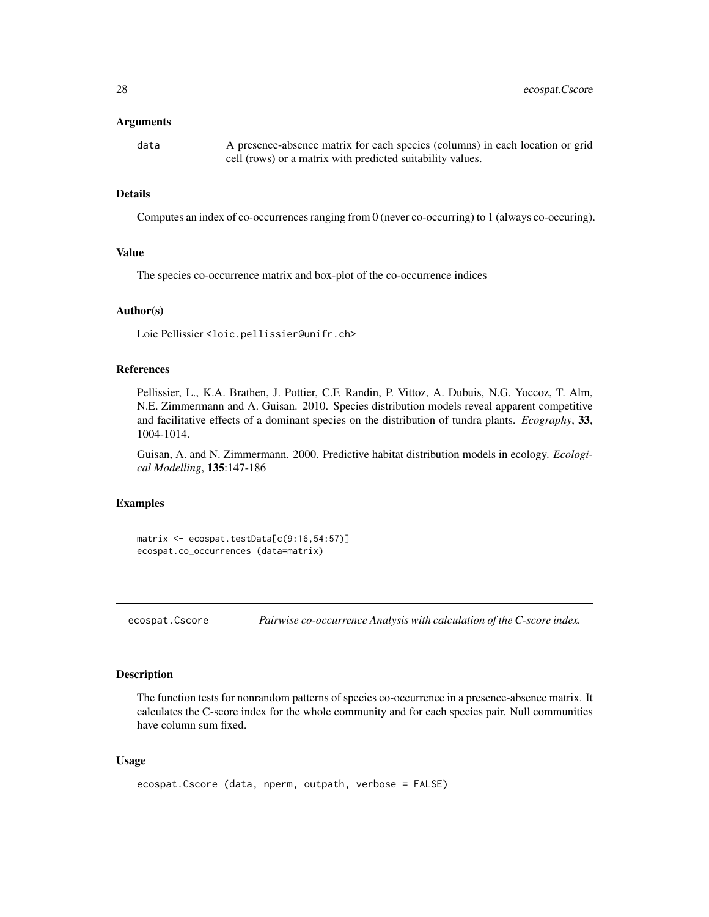#### <span id="page-27-0"></span>Arguments

data A presence-absence matrix for each species (columns) in each location or grid cell (rows) or a matrix with predicted suitability values.

# Details

Computes an index of co-occurrences ranging from 0 (never co-occurring) to 1 (always co-occuring).

# Value

The species co-occurrence matrix and box-plot of the co-occurrence indices

#### Author(s)

Loic Pellissier <loic.pellissier@unifr.ch>

# References

Pellissier, L., K.A. Brathen, J. Pottier, C.F. Randin, P. Vittoz, A. Dubuis, N.G. Yoccoz, T. Alm, N.E. Zimmermann and A. Guisan. 2010. Species distribution models reveal apparent competitive and facilitative effects of a dominant species on the distribution of tundra plants. *Ecography*, 33, 1004-1014.

Guisan, A. and N. Zimmermann. 2000. Predictive habitat distribution models in ecology. *Ecological Modelling*, 135:147-186

# Examples

```
matrix <- ecospat.testData[c(9:16,54:57)]
ecospat.co_occurrences (data=matrix)
```
<span id="page-27-1"></span>ecospat.Cscore *Pairwise co-occurrence Analysis with calculation of the C-score index.*

# **Description**

The function tests for nonrandom patterns of species co-occurrence in a presence-absence matrix. It calculates the C-score index for the whole community and for each species pair. Null communities have column sum fixed.

# Usage

```
ecospat.Cscore (data, nperm, outpath, verbose = FALSE)
```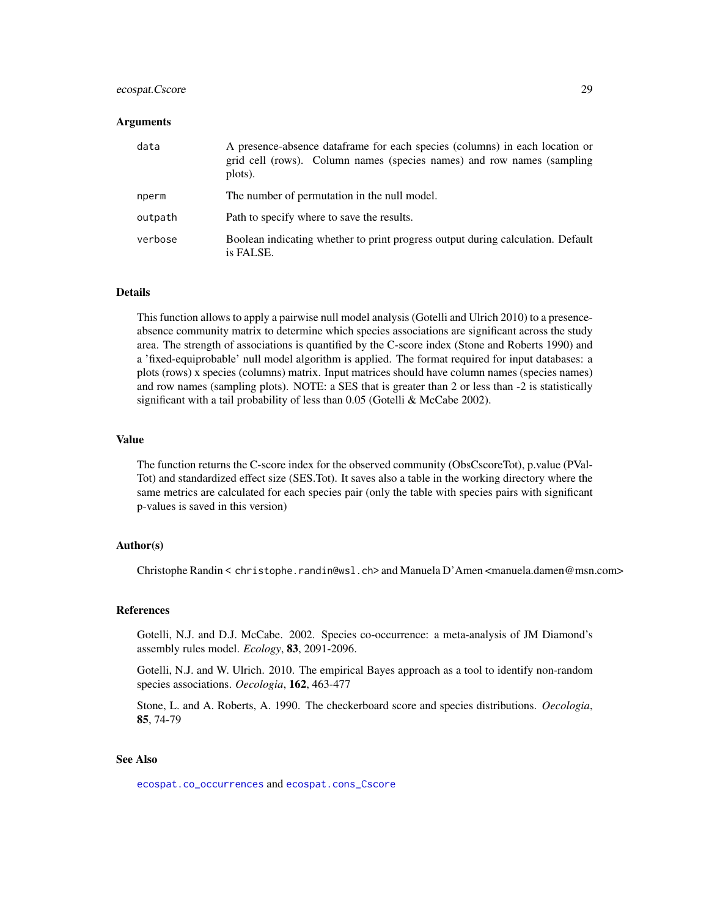# ecospat.Cscore 29

#### Arguments

| data    | A presence-absence dataframe for each species (columns) in each location or<br>grid cell (rows). Column names (species names) and row names (sampling<br>plots). |
|---------|------------------------------------------------------------------------------------------------------------------------------------------------------------------|
| nperm   | The number of permutation in the null model.                                                                                                                     |
| outpath | Path to specify where to save the results.                                                                                                                       |
| verbose | Boolean indicating whether to print progress output during calculation. Default<br>is FALSE.                                                                     |

# Details

This function allows to apply a pairwise null model analysis (Gotelli and Ulrich 2010) to a presenceabsence community matrix to determine which species associations are significant across the study area. The strength of associations is quantified by the C-score index (Stone and Roberts 1990) and a 'fixed-equiprobable' null model algorithm is applied. The format required for input databases: a plots (rows) x species (columns) matrix. Input matrices should have column names (species names) and row names (sampling plots). NOTE: a SES that is greater than 2 or less than -2 is statistically significant with a tail probability of less than 0.05 (Gotelli & McCabe 2002).

#### Value

The function returns the C-score index for the observed community (ObsCscoreTot), p.value (PVal-Tot) and standardized effect size (SES.Tot). It saves also a table in the working directory where the same metrics are calculated for each species pair (only the table with species pairs with significant p-values is saved in this version)

# Author(s)

Christophe Randin < christophe.randin@wsl.ch> and Manuela D'Amen <manuela.damen@msn.com>

# References

Gotelli, N.J. and D.J. McCabe. 2002. Species co-occurrence: a meta-analysis of JM Diamond's assembly rules model. *Ecology*, 83, 2091-2096.

Gotelli, N.J. and W. Ulrich. 2010. The empirical Bayes approach as a tool to identify non-random species associations. *Oecologia*, 162, 463-477

Stone, L. and A. Roberts, A. 1990. The checkerboard score and species distributions. *Oecologia*, 85, 74-79

# See Also

[ecospat.co\\_occurrences](#page-26-1) and [ecospat.cons\\_Cscore](#page-24-1)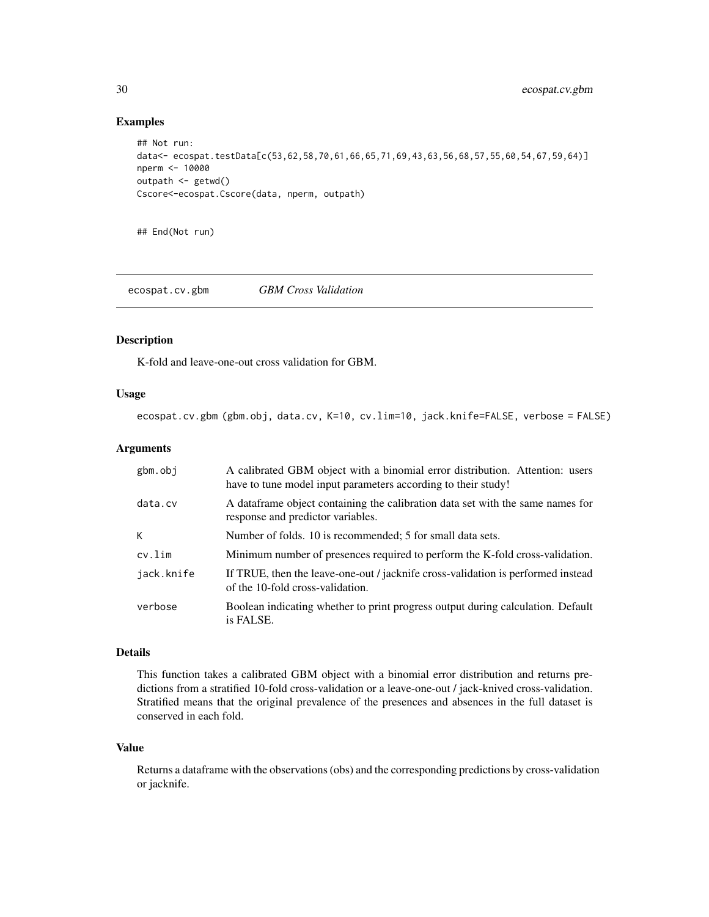# Examples

```
## Not run:
data<- ecospat.testData[c(53,62,58,70,61,66,65,71,69,43,63,56,68,57,55,60,54,67,59,64)]
nperm <- 10000
outpath <- getwd()
Cscore<-ecospat.Cscore(data, nperm, outpath)
```
## End(Not run)

<span id="page-29-1"></span>ecospat.cv.gbm *GBM Cross Validation*

# Description

K-fold and leave-one-out cross validation for GBM.

# Usage

ecospat.cv.gbm (gbm.obj, data.cv, K=10, cv.lim=10, jack.knife=FALSE, verbose = FALSE)

# Arguments

| gbm.obj    | A calibrated GBM object with a binomial error distribution. Attention: users<br>have to tune model input parameters according to their study! |
|------------|-----------------------------------------------------------------------------------------------------------------------------------------------|
| data.cv    | A data frame object containing the calibration data set with the same names for<br>response and predictor variables.                          |
| К          | Number of folds. 10 is recommended; 5 for small data sets.                                                                                    |
| cv.lim     | Minimum number of presences required to perform the K-fold cross-validation.                                                                  |
| jack.knife | If TRUE, then the leave-one-out / jacknife cross-validation is performed instead<br>of the 10-fold cross-validation.                          |
| verbose    | Boolean indicating whether to print progress output during calculation. Default<br>is FALSE.                                                  |

# Details

This function takes a calibrated GBM object with a binomial error distribution and returns predictions from a stratified 10-fold cross-validation or a leave-one-out / jack-knived cross-validation. Stratified means that the original prevalence of the presences and absences in the full dataset is conserved in each fold.

# Value

Returns a dataframe with the observations (obs) and the corresponding predictions by cross-validation or jacknife.

<span id="page-29-0"></span>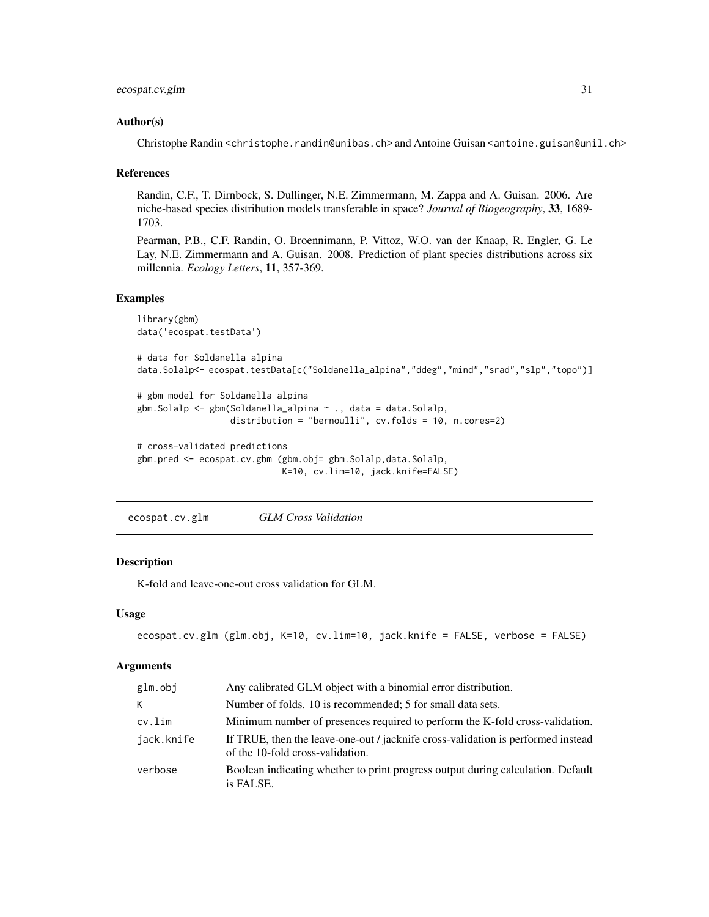# <span id="page-30-0"></span>Author(s)

Christophe Randin <christophe.randin@unibas.ch> and Antoine Guisan <antoine.guisan@unil.ch>

#### References

Randin, C.F., T. Dirnbock, S. Dullinger, N.E. Zimmermann, M. Zappa and A. Guisan. 2006. Are niche-based species distribution models transferable in space? *Journal of Biogeography*, 33, 1689- 1703.

Pearman, P.B., C.F. Randin, O. Broennimann, P. Vittoz, W.O. van der Knaap, R. Engler, G. Le Lay, N.E. Zimmermann and A. Guisan. 2008. Prediction of plant species distributions across six millennia. *Ecology Letters*, 11, 357-369.

#### Examples

```
library(gbm)
data('ecospat.testData')
# data for Soldanella alpina
data.Solalp<- ecospat.testData[c("Soldanella_alpina","ddeg","mind","srad","slp","topo")]
# gbm model for Soldanella alpina
gbm.Solalp <- gbm(Soldanella_alpina ~ ., data = data.Solalp,
                  distribution = "bernoulli", cv.folds = 10, n.cores=2)
# cross-validated predictions
```

```
gbm.pred <- ecospat.cv.gbm (gbm.obj= gbm.Solalp,data.Solalp,
                            K=10, cv.lim=10, jack.knife=FALSE)
```
<span id="page-30-1"></span>ecospat.cv.glm *GLM Cross Validation*

# Description

K-fold and leave-one-out cross validation for GLM.

#### Usage

```
ecospat.cv.glm (glm.obj, K=10, cv.lim=10, jack.knife = FALSE, verbose = FALSE)
```
#### Arguments

| glm.obj    | Any calibrated GLM object with a binomial error distribution.                                                        |
|------------|----------------------------------------------------------------------------------------------------------------------|
| K          | Number of folds. 10 is recommended; 5 for small data sets.                                                           |
| cv.lim     | Minimum number of presences required to perform the K-fold cross-validation.                                         |
| jack.knife | If TRUE, then the leave-one-out / jacknife cross-validation is performed instead<br>of the 10-fold cross-validation. |
| verbose    | Boolean indicating whether to print progress output during calculation. Default<br>is FALSE.                         |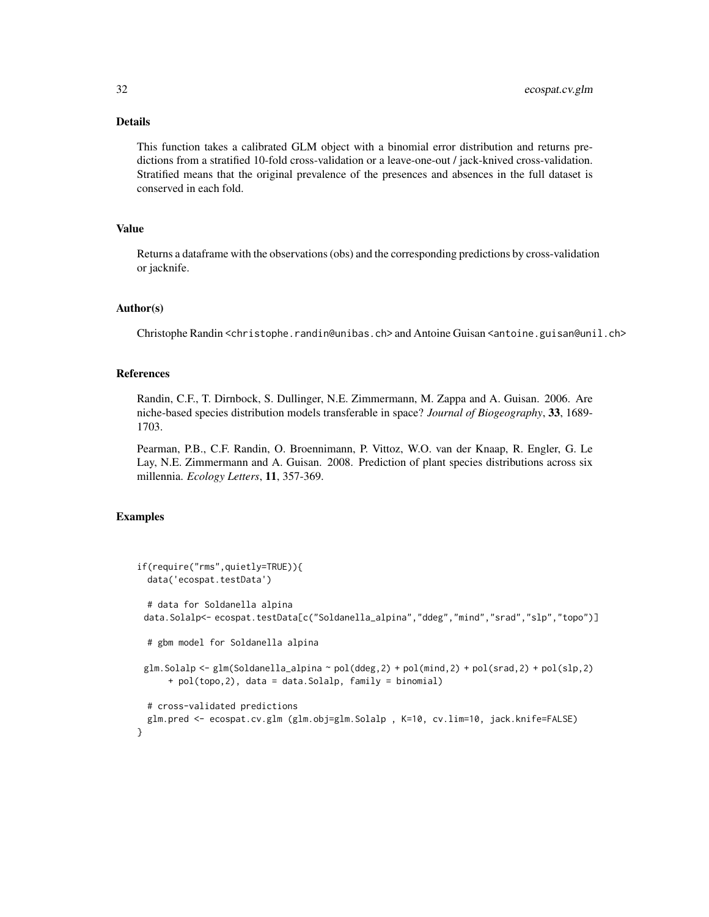# Details

This function takes a calibrated GLM object with a binomial error distribution and returns predictions from a stratified 10-fold cross-validation or a leave-one-out / jack-knived cross-validation. Stratified means that the original prevalence of the presences and absences in the full dataset is conserved in each fold.

# Value

Returns a dataframe with the observations (obs) and the corresponding predictions by cross-validation or jacknife.

#### Author(s)

Christophe Randin <christophe.randin@unibas.ch> and Antoine Guisan <antoine.guisan@unil.ch>

# References

Randin, C.F., T. Dirnbock, S. Dullinger, N.E. Zimmermann, M. Zappa and A. Guisan. 2006. Are niche-based species distribution models transferable in space? *Journal of Biogeography*, 33, 1689- 1703.

Pearman, P.B., C.F. Randin, O. Broennimann, P. Vittoz, W.O. van der Knaap, R. Engler, G. Le Lay, N.E. Zimmermann and A. Guisan. 2008. Prediction of plant species distributions across six millennia. *Ecology Letters*, 11, 357-369.

```
if(require("rms",quietly=TRUE)){
 data('ecospat.testData')
 # data for Soldanella alpina
 data.Solalp<- ecospat.testData[c("Soldanella_alpina","ddeg","mind","srad","slp","topo")]
 # gbm model for Soldanella alpina
 glm.Solalp <- glm(Soldanella_alpina ~ pol(ddeg, 2) + pol(mind, 2) + pol(srad, 2) + pol(slp, 2)
      + pol(topo,2), data = data.Solalp, family = binomial)
 # cross-validated predictions
 glm.pred <- ecospat.cv.glm (glm.obj=glm.Solalp , K=10, cv.lim=10, jack.knife=FALSE)
}
```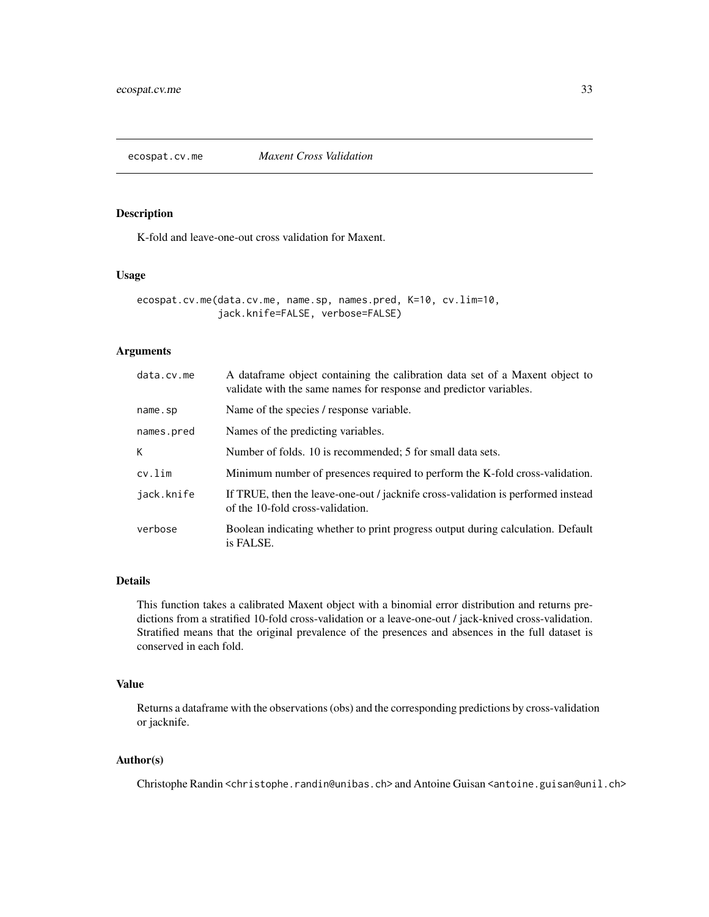<span id="page-32-1"></span><span id="page-32-0"></span>

# Description

K-fold and leave-one-out cross validation for Maxent.

# Usage

```
ecospat.cv.me(data.cv.me, name.sp, names.pred, K=10, cv.lim=10,
              jack.knife=FALSE, verbose=FALSE)
```
# Arguments

| data.cv.me | A dataframe object containing the calibration data set of a Maxent object to<br>validate with the same names for response and predictor variables. |
|------------|----------------------------------------------------------------------------------------------------------------------------------------------------|
| name.sp    | Name of the species / response variable.                                                                                                           |
| names.pred | Names of the predicting variables.                                                                                                                 |
| K          | Number of folds. 10 is recommended; 5 for small data sets.                                                                                         |
| cv.lim     | Minimum number of presences required to perform the K-fold cross-validation.                                                                       |
| jack.knife | If TRUE, then the leave-one-out / jacknife cross-validation is performed instead<br>of the 10-fold cross-validation.                               |
| verbose    | Boolean indicating whether to print progress output during calculation. Default<br>is FALSE.                                                       |

# Details

This function takes a calibrated Maxent object with a binomial error distribution and returns predictions from a stratified 10-fold cross-validation or a leave-one-out / jack-knived cross-validation. Stratified means that the original prevalence of the presences and absences in the full dataset is conserved in each fold.

# Value

Returns a dataframe with the observations (obs) and the corresponding predictions by cross-validation or jacknife.

# Author(s)

Christophe Randin <christophe.randin@unibas.ch> and Antoine Guisan <antoine.guisan@unil.ch>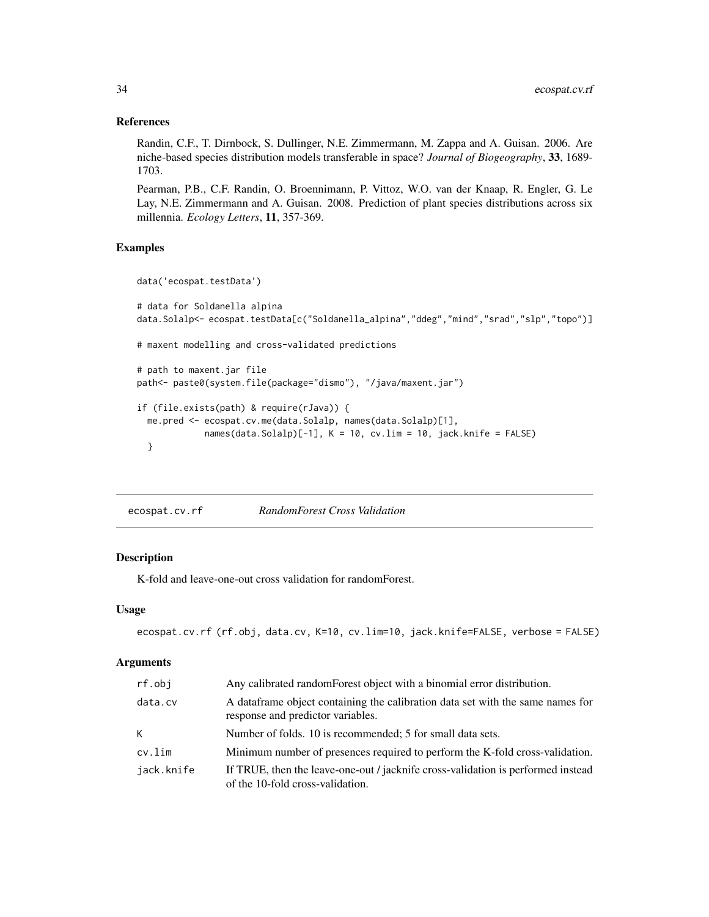# References

Randin, C.F., T. Dirnbock, S. Dullinger, N.E. Zimmermann, M. Zappa and A. Guisan. 2006. Are niche-based species distribution models transferable in space? *Journal of Biogeography*, 33, 1689- 1703.

Pearman, P.B., C.F. Randin, O. Broennimann, P. Vittoz, W.O. van der Knaap, R. Engler, G. Le Lay, N.E. Zimmermann and A. Guisan. 2008. Prediction of plant species distributions across six millennia. *Ecology Letters*, 11, 357-369.

# Examples

```
data('ecospat.testData')
# data for Soldanella alpina
data.Solalp<- ecospat.testData[c("Soldanella_alpina","ddeg","mind","srad","slp","topo")]
# maxent modelling and cross-validated predictions
# path to maxent.jar file
path<- paste0(system.file(package="dismo"), "/java/maxent.jar")
if (file.exists(path) & require(rJava)) {
 me.pred <- ecospat.cv.me(data.Solalp, names(data.Solalp)[1],
             names(data.Solalp)[-1], K = 10, cv.lim = 10, jack.knife = FALSE)
 }
```
<span id="page-33-1"></span>ecospat.cv.rf *RandomForest Cross Validation*

# Description

K-fold and leave-one-out cross validation for randomForest.

#### Usage

```
ecospat.cv.rf (rf.obj, data.cv, K=10, cv.lim=10, jack.knife=FALSE, verbose = FALSE)
```
#### Arguments

| rf.obj     | Any calibrated random Forest object with a binomial error distribution.                                              |
|------------|----------------------------------------------------------------------------------------------------------------------|
| data.cv    | A data frame object containing the calibration data set with the same names for<br>response and predictor variables. |
| K          | Number of folds. 10 is recommended; 5 for small data sets.                                                           |
| cv.lim     | Minimum number of presences required to perform the K-fold cross-validation.                                         |
| jack.knife | If TRUE, then the leave-one-out / jacknife cross-validation is performed instead<br>of the 10-fold cross-validation. |

<span id="page-33-0"></span>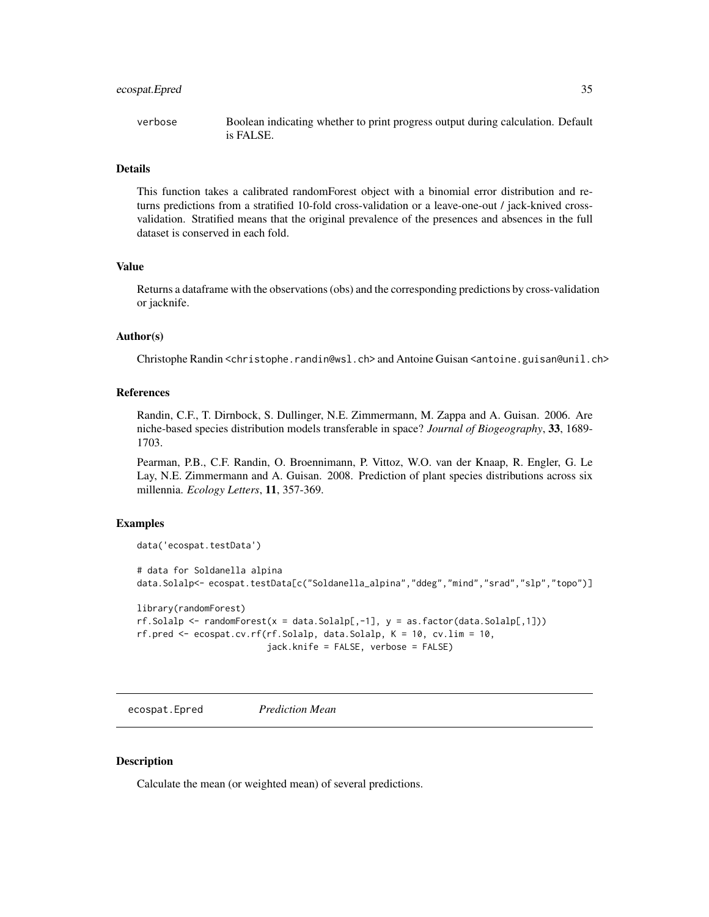# <span id="page-34-0"></span>ecospat.Epred 35

verbose Boolean indicating whether to print progress output during calculation. Default is FALSE.

# **Details**

This function takes a calibrated randomForest object with a binomial error distribution and returns predictions from a stratified 10-fold cross-validation or a leave-one-out / jack-knived crossvalidation. Stratified means that the original prevalence of the presences and absences in the full dataset is conserved in each fold.

# Value

Returns a dataframe with the observations (obs) and the corresponding predictions by cross-validation or jacknife.

# Author(s)

Christophe Randin <christophe.randin@wsl.ch> and Antoine Guisan <antoine.guisan@unil.ch>

# **References**

Randin, C.F., T. Dirnbock, S. Dullinger, N.E. Zimmermann, M. Zappa and A. Guisan. 2006. Are niche-based species distribution models transferable in space? *Journal of Biogeography*, 33, 1689- 1703.

Pearman, P.B., C.F. Randin, O. Broennimann, P. Vittoz, W.O. van der Knaap, R. Engler, G. Le Lay, N.E. Zimmermann and A. Guisan. 2008. Prediction of plant species distributions across six millennia. *Ecology Letters*, 11, 357-369.

# Examples

```
# data for Soldanella alpina
data.Solalp<- ecospat.testData[c("Soldanella_alpina","ddeg","mind","srad","slp","topo")]
```

```
library(randomForest)
rf.Solalp <- randomForest(x = data.Solalp[,-1], y = as.factor(data.Solalp[,1]))
rf.pred <- ecospat.cv.rf(rf.Solalp, data.Solalp, K = 10, cv.lim = 10,
                         jack.knife = FALSE, verbose = FALSE)
```
<span id="page-34-1"></span>ecospat.Epred *Prediction Mean*

data('ecospat.testData')

# **Description**

Calculate the mean (or weighted mean) of several predictions.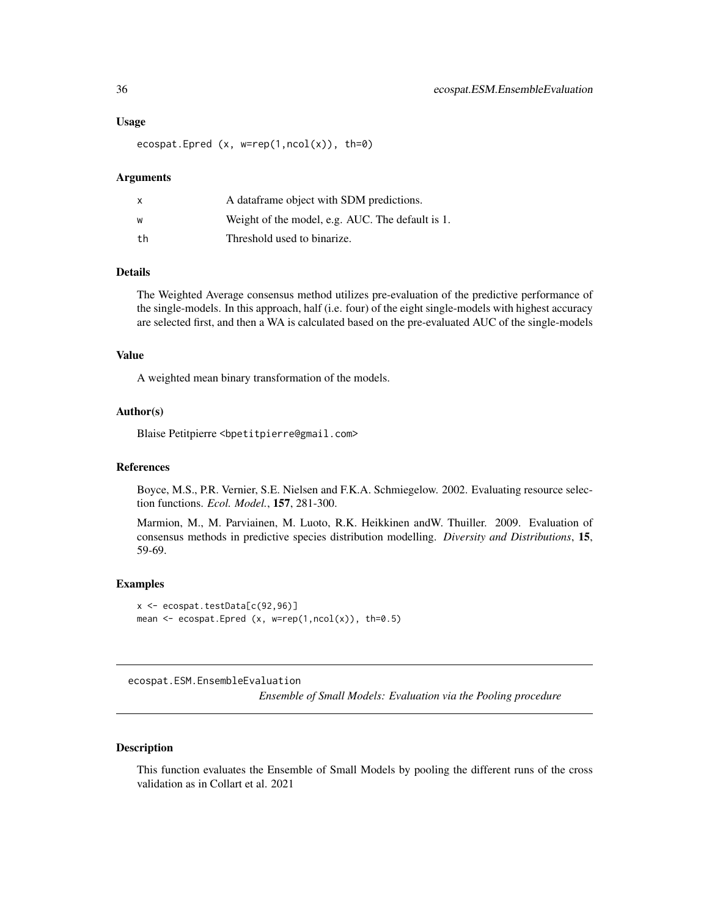#### <span id="page-35-0"></span>Usage

ecospat.Epred (x, w=rep(1,ncol(x)), th=0)

# Arguments

| X  | A dataframe object with SDM predictions.         |
|----|--------------------------------------------------|
| W  | Weight of the model, e.g. AUC. The default is 1. |
| th | Threshold used to binarize.                      |

# Details

The Weighted Average consensus method utilizes pre-evaluation of the predictive performance of the single-models. In this approach, half (i.e. four) of the eight single-models with highest accuracy are selected first, and then a WA is calculated based on the pre-evaluated AUC of the single-models

# Value

A weighted mean binary transformation of the models.

#### Author(s)

Blaise Petitpierre <bpetitpierre@gmail.com>

# References

Boyce, M.S., P.R. Vernier, S.E. Nielsen and F.K.A. Schmiegelow. 2002. Evaluating resource selection functions. *Ecol. Model.*, 157, 281-300.

Marmion, M., M. Parviainen, M. Luoto, R.K. Heikkinen andW. Thuiller. 2009. Evaluation of consensus methods in predictive species distribution modelling. *Diversity and Distributions*, 15, 59-69.

# Examples

```
x <- ecospat.testData[c(92,96)]
mean \leq ecospat. Epred (x, w=rep(1, ncol(x)), th=0.5)
```
ecospat.ESM.EnsembleEvaluation

*Ensemble of Small Models: Evaluation via the Pooling procedure*

#### Description

This function evaluates the Ensemble of Small Models by pooling the different runs of the cross validation as in Collart et al. 2021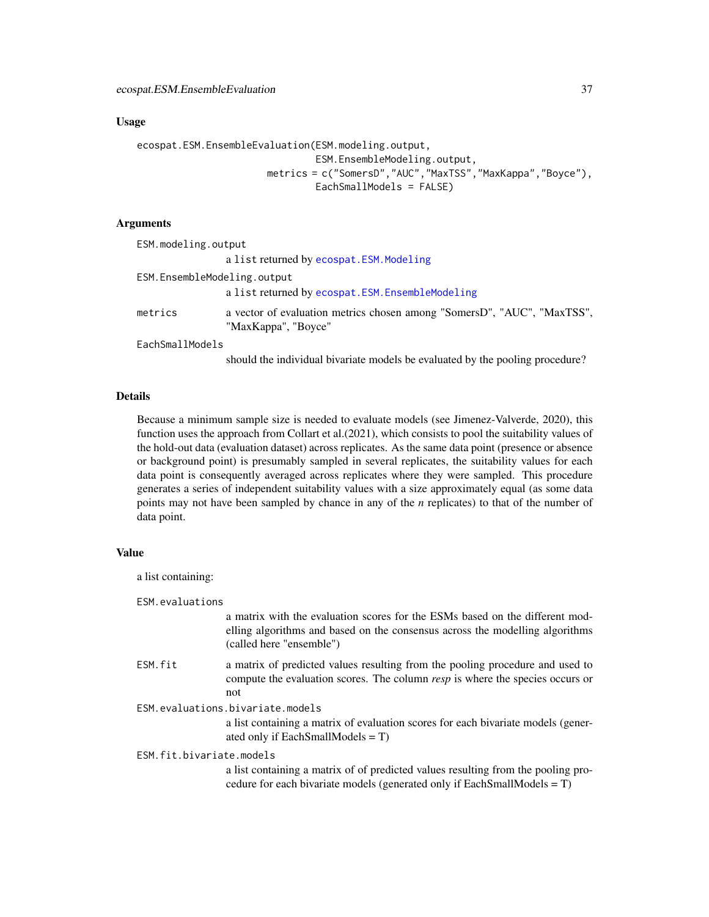#### Usage

```
ecospat.ESM.EnsembleEvaluation(ESM.modeling.output,
                               ESM.EnsembleModeling.output,
                      metrics = c("SomersD","AUC","MaxTSS","MaxKappa","Boyce"),
                               EachSmallModels = FALSE)
```
## Arguments

| ESM.modeling.output         |                                                                                                |
|-----------------------------|------------------------------------------------------------------------------------------------|
|                             | a list returned by ecospat. ESM. Modeling                                                      |
| ESM.EnsembleModeling.output |                                                                                                |
|                             | a list returned by ecospat. ESM. EnsembleModeling                                              |
| metrics                     | a vector of evaluation metrics chosen among "SomersD", "AUC", "MaxTSS",<br>"MaxKappa", "Boyce" |
| EachSmallModels             |                                                                                                |
|                             | should the individual bivariate models be evaluated by the pooling procedure?                  |

# Details

Because a minimum sample size is needed to evaluate models (see Jimenez-Valverde, 2020), this function uses the approach from Collart et al.(2021), which consists to pool the suitability values of the hold-out data (evaluation dataset) across replicates. As the same data point (presence or absence or background point) is presumably sampled in several replicates, the suitability values for each data point is consequently averaged across replicates where they were sampled. This procedure generates a series of independent suitability values with a size approximately equal (as some data points may not have been sampled by chance in any of the *n* replicates) to that of the number of data point.

#### Value

a list containing:

| ESM.evaluations                                                                                                                                                                          |  |  |
|------------------------------------------------------------------------------------------------------------------------------------------------------------------------------------------|--|--|
| a matrix with the evaluation scores for the ESMs based on the different mod-<br>elling algorithms and based on the consensus across the modelling algorithms<br>(called here "ensemble") |  |  |
| a matrix of predicted values resulting from the pooling procedure and used to<br>compute the evaluation scores. The column resp is where the species occurs or<br>not                    |  |  |
| ESM.evaluations.bivariate.models                                                                                                                                                         |  |  |
| a list containing a matrix of evaluation scores for each bivariate models (gener-<br>ated only if EachSmallModels = $T$ )                                                                |  |  |
| ESM.fit.bivariate.models                                                                                                                                                                 |  |  |
| a list containing a matrix of of predicted values resulting from the pooling pro-<br>cedure for each bivariate models (generated only if EachSmallModels = $T$ )                         |  |  |
|                                                                                                                                                                                          |  |  |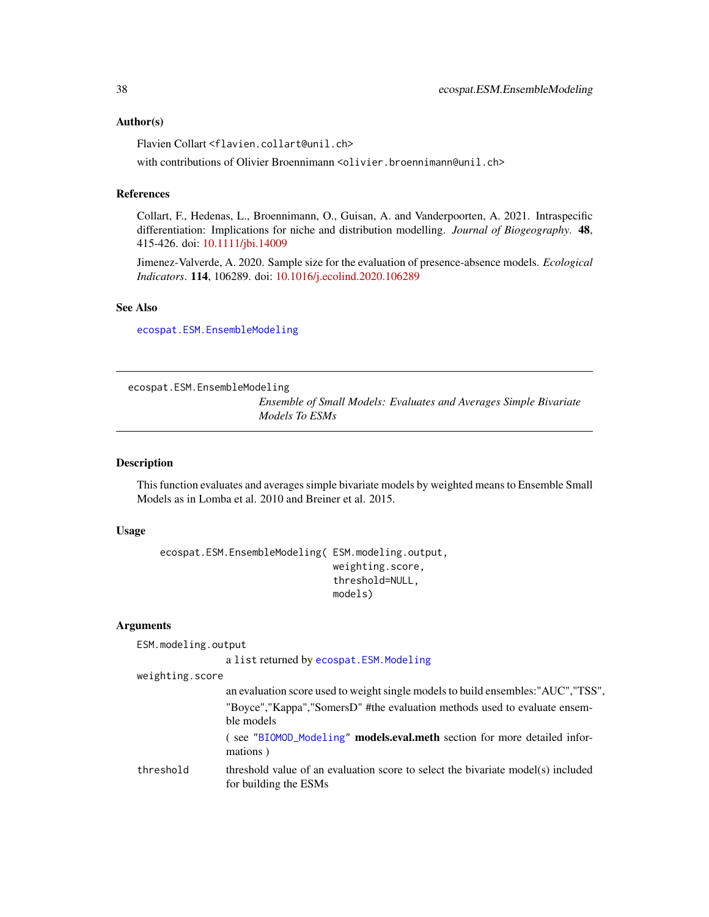#### Author(s)

Flavien Collart <flavien.collart@unil.ch>

with contributions of Olivier Broennimann <olivier.broennimann@unil.ch>

#### References

Collart, F., Hedenas, L., Broennimann, O., Guisan, A. and Vanderpoorten, A. 2021. Intraspecific differentiation: Implications for niche and distribution modelling. *Journal of Biogeography*. 48, 415-426. doi: [10.1111/jbi.14009](https://doi.org/10.1111/jbi.14009)

Jimenez-Valverde, A. 2020. Sample size for the evaluation of presence-absence models. *Ecological Indicators*. 114, 106289. doi: [10.1016/j.ecolind.2020.106289](https://doi.org/10.1016/j.ecolind.2020.106289)

#### See Also

[ecospat.ESM.EnsembleModeling](#page-37-0)

<span id="page-37-0"></span>ecospat.ESM.EnsembleModeling

*Ensemble of Small Models: Evaluates and Averages Simple Bivariate Models To ESMs*

#### Description

This function evaluates and averages simple bivariate models by weighted means to Ensemble Small Models as in Lomba et al. 2010 and Breiner et al. 2015.

### Usage

```
ecospat.ESM.EnsembleModeling( ESM.modeling.output,
                              weighting.score,
                              threshold=NULL,
                              models)
```
## Arguments

ESM.modeling.output

a list returned by [ecospat.ESM.Modeling](#page-40-0)

weighting.score

|           | an evaluation score used to weight single models to build ensembles: "AUC", "TSS",                        |
|-----------|-----------------------------------------------------------------------------------------------------------|
|           | "Boyce", "Kappa", "SomersD" #the evaluation methods used to evaluate ensem-<br>ble models                 |
|           | (see "BIOMOD_Modeling" <b>models.eval.meth</b> section for more detailed infor-<br>mations)               |
| threshold | threshold value of an evaluation score to select the bivariate model(s) included<br>for building the ESMs |
|           |                                                                                                           |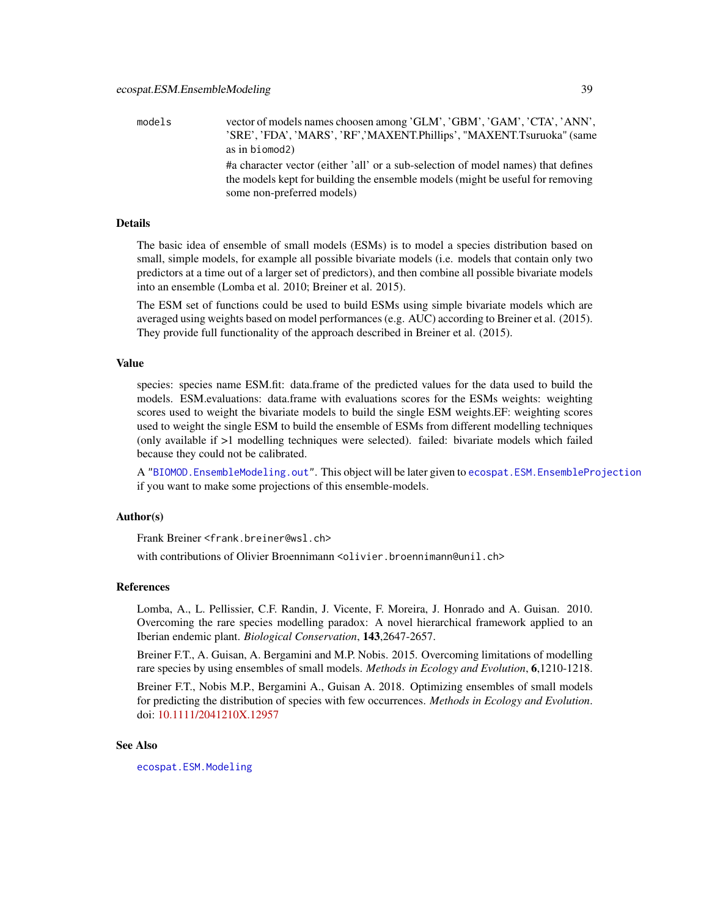models vector of models names choosen among 'GLM', 'GBM', 'GAM', 'CTA', 'ANN', 'SRE', 'FDA', 'MARS', 'RF','MAXENT.Phillips', "MAXENT.Tsuruoka" (same as in biomod2)

> #a character vector (either 'all' or a sub-selection of model names) that defines the models kept for building the ensemble models (might be useful for removing some non-preferred models)

## Details

The basic idea of ensemble of small models (ESMs) is to model a species distribution based on small, simple models, for example all possible bivariate models (i.e. models that contain only two predictors at a time out of a larger set of predictors), and then combine all possible bivariate models into an ensemble (Lomba et al. 2010; Breiner et al. 2015).

The ESM set of functions could be used to build ESMs using simple bivariate models which are averaged using weights based on model performances (e.g. AUC) according to Breiner et al. (2015). They provide full functionality of the approach described in Breiner et al. (2015).

#### Value

species: species name ESM.fit: data.frame of the predicted values for the data used to build the models. ESM.evaluations: data.frame with evaluations scores for the ESMs weights: weighting scores used to weight the bivariate models to build the single ESM weights.EF: weighting scores used to weight the single ESM to build the ensemble of ESMs from different modelling techniques (only available if >1 modelling techniques were selected). failed: bivariate models which failed because they could not be calibrated.

A ["BIOMOD.EnsembleModeling.out"](#page-0-0). This object will be later given to [ecospat.ESM.EnsembleProjection](#page-39-0) if you want to make some projections of this ensemble-models.

## Author(s)

Frank Breiner <frank.breiner@wsl.ch>

with contributions of Olivier Broennimann <olivier.broennimann@unil.ch>

#### References

Lomba, A., L. Pellissier, C.F. Randin, J. Vicente, F. Moreira, J. Honrado and A. Guisan. 2010. Overcoming the rare species modelling paradox: A novel hierarchical framework applied to an Iberian endemic plant. *Biological Conservation*, 143,2647-2657.

Breiner F.T., A. Guisan, A. Bergamini and M.P. Nobis. 2015. Overcoming limitations of modelling rare species by using ensembles of small models. *Methods in Ecology and Evolution*, 6,1210-1218.

Breiner F.T., Nobis M.P., Bergamini A., Guisan A. 2018. Optimizing ensembles of small models for predicting the distribution of species with few occurrences. *Methods in Ecology and Evolution*. doi: [10.1111/2041210X.12957](https://doi.org/10.1111/2041-210X.12957)

### See Also

[ecospat.ESM.Modeling](#page-40-0)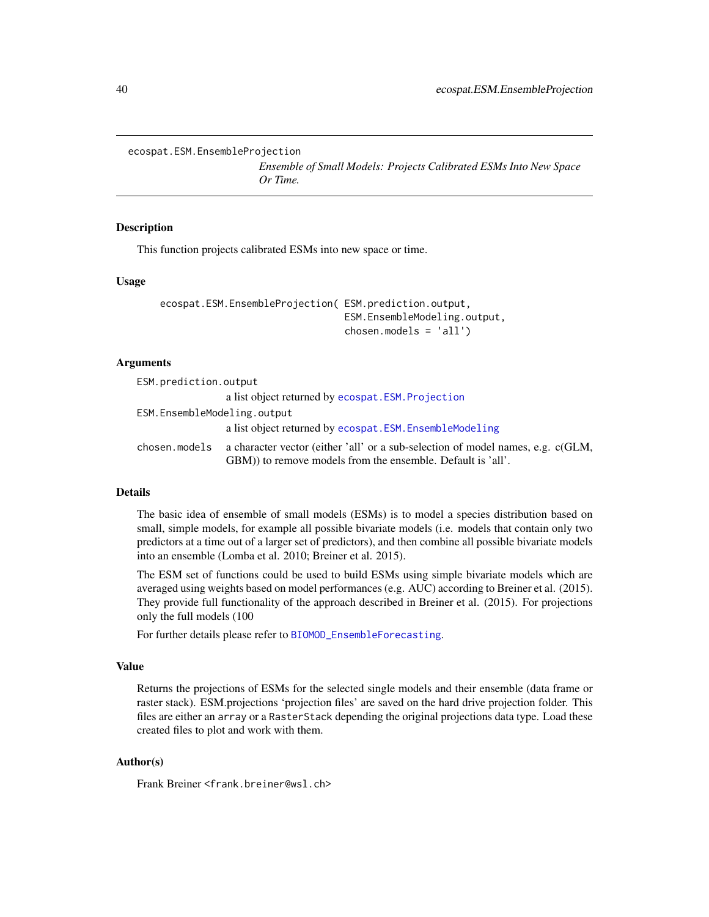<span id="page-39-0"></span>ecospat.ESM.EnsembleProjection

*Ensemble of Small Models: Projects Calibrated ESMs Into New Space Or Time.*

#### Description

This function projects calibrated ESMs into new space or time.

## Usage

```
ecospat.ESM.EnsembleProjection( ESM.prediction.output,
                                ESM.EnsembleModeling.output,
                                chosen.models = 'all')
```
## Arguments

| ESM.prediction.output       |                                                                                                                                               |  |
|-----------------------------|-----------------------------------------------------------------------------------------------------------------------------------------------|--|
|                             | a list object returned by ecospat. ESM. Projection                                                                                            |  |
| ESM.EnsembleModeling.output |                                                                                                                                               |  |
|                             | a list object returned by ecospat. ESM. Ensemble Modeling                                                                                     |  |
| chosen.models               | a character vector (either 'all' or a sub-selection of model names, e.g. c(GLM,<br>GBM) to remove models from the ensemble. Default is 'all'. |  |

#### Details

The basic idea of ensemble of small models (ESMs) is to model a species distribution based on small, simple models, for example all possible bivariate models (i.e. models that contain only two predictors at a time out of a larger set of predictors), and then combine all possible bivariate models into an ensemble (Lomba et al. 2010; Breiner et al. 2015).

The ESM set of functions could be used to build ESMs using simple bivariate models which are averaged using weights based on model performances (e.g. AUC) according to Breiner et al. (2015). They provide full functionality of the approach described in Breiner et al. (2015). For projections only the full models (100

For further details please refer to [BIOMOD\\_EnsembleForecasting](#page-0-0).

#### Value

Returns the projections of ESMs for the selected single models and their ensemble (data frame or raster stack). ESM.projections 'projection files' are saved on the hard drive projection folder. This files are either an array or a RasterStack depending the original projections data type. Load these created files to plot and work with them.

## Author(s)

Frank Breiner <frank.breiner@wsl.ch>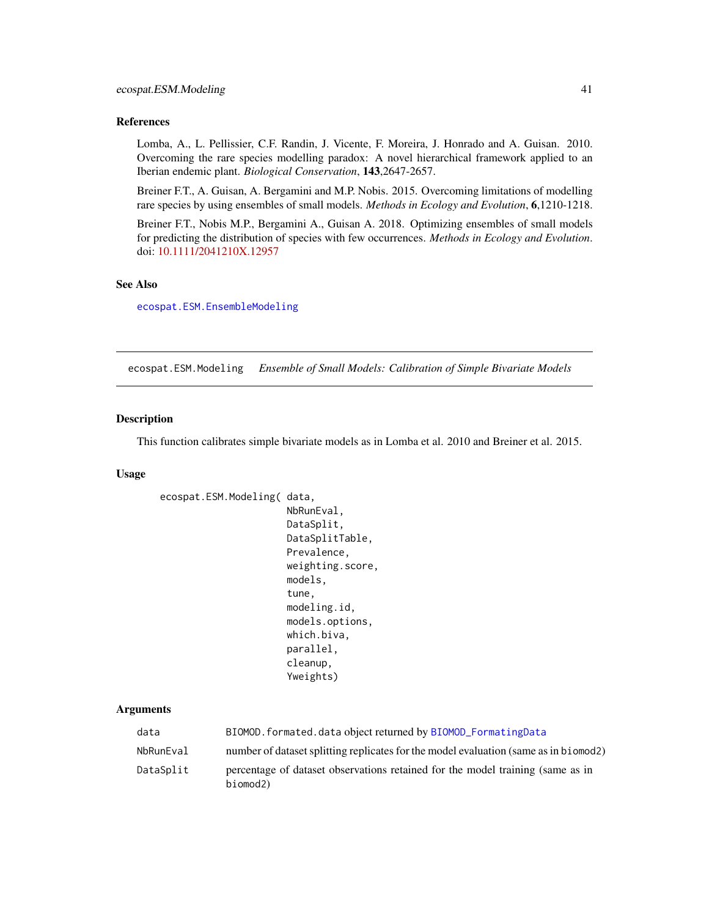#### References

Lomba, A., L. Pellissier, C.F. Randin, J. Vicente, F. Moreira, J. Honrado and A. Guisan. 2010. Overcoming the rare species modelling paradox: A novel hierarchical framework applied to an Iberian endemic plant. *Biological Conservation*, 143,2647-2657.

Breiner F.T., A. Guisan, A. Bergamini and M.P. Nobis. 2015. Overcoming limitations of modelling rare species by using ensembles of small models. *Methods in Ecology and Evolution*, 6,1210-1218.

Breiner F.T., Nobis M.P., Bergamini A., Guisan A. 2018. Optimizing ensembles of small models for predicting the distribution of species with few occurrences. *Methods in Ecology and Evolution*. doi: [10.1111/2041210X.12957](https://doi.org/10.1111/2041-210X.12957)

## See Also

[ecospat.ESM.EnsembleModeling](#page-37-0)

<span id="page-40-0"></span>ecospat.ESM.Modeling *Ensemble of Small Models: Calibration of Simple Bivariate Models*

## Description

This function calibrates simple bivariate models as in Lomba et al. 2010 and Breiner et al. 2015.

## Usage

ecospat.ESM.Modeling( data, NbRunEval, DataSplit, DataSplitTable, Prevalence, weighting.score, models, tune, modeling.id, models.options, which.biva, parallel, cleanup, Yweights)

#### Arguments

| data      | BIOMOD. formated. data object returned by BIOMOD_FormatingData                             |
|-----------|--------------------------------------------------------------------------------------------|
| NbRunEval | number of dataset splitting replicates for the model evaluation (same as in biomod2)       |
| DataSplit | percentage of dataset observations retained for the model training (same as in<br>biomod2) |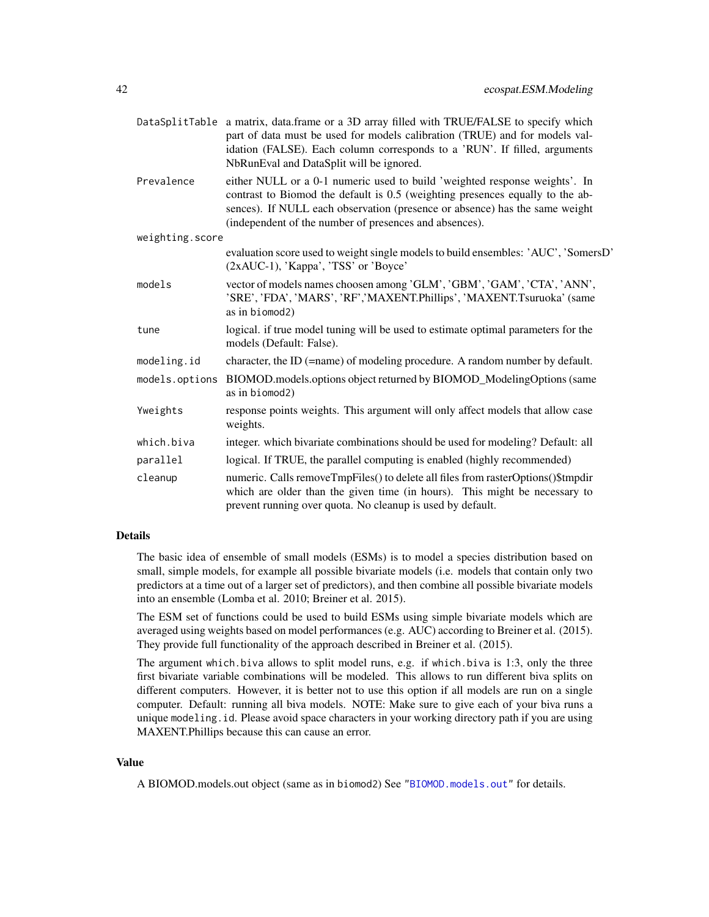|                 | DataSplitTable a matrix, data.frame or a 3D array filled with TRUE/FALSE to specify which<br>part of data must be used for models calibration (TRUE) and for models val-<br>idation (FALSE). Each column corresponds to a 'RUN'. If filled, arguments<br>NbRunEval and DataSplit will be ignored.    |
|-----------------|------------------------------------------------------------------------------------------------------------------------------------------------------------------------------------------------------------------------------------------------------------------------------------------------------|
| Prevalence      | either NULL or a 0-1 numeric used to build 'weighted response weights'. In<br>contrast to Biomod the default is 0.5 (weighting presences equally to the ab-<br>sences). If NULL each observation (presence or absence) has the same weight<br>(independent of the number of presences and absences). |
| weighting.score |                                                                                                                                                                                                                                                                                                      |
|                 | evaluation score used to weight single models to build ensembles: 'AUC', 'SomersD'<br>(2xAUC-1), 'Kappa', 'TSS' or 'Boyce'                                                                                                                                                                           |
| models          | vector of models names choosen among 'GLM', 'GBM', 'GAM', 'CTA', 'ANN',<br>'SRE', 'FDA', 'MARS', 'RF','MAXENT.Phillips', 'MAXENT.Tsuruoka' (same<br>as in biomod2)                                                                                                                                   |
| tune            | logical. if true model tuning will be used to estimate optimal parameters for the<br>models (Default: False).                                                                                                                                                                                        |
| modeling.id     | character, the ID (=name) of modeling procedure. A random number by default.                                                                                                                                                                                                                         |
| models.options  | BIOMOD.models.options object returned by BIOMOD_ModelingOptions (same<br>as in biomod2)                                                                                                                                                                                                              |
| Yweights        | response points weights. This argument will only affect models that allow case<br>weights.                                                                                                                                                                                                           |
| which.biva      | integer. which bivariate combinations should be used for modeling? Default: all                                                                                                                                                                                                                      |
| parallel        | logical. If TRUE, the parallel computing is enabled (highly recommended)                                                                                                                                                                                                                             |
| cleanup         | numeric. Calls removeTmpFiles() to delete all files from rasterOptions()\$tmpdir<br>which are older than the given time (in hours). This might be necessary to<br>prevent running over quota. No cleanup is used by default.                                                                         |

## Details

The basic idea of ensemble of small models (ESMs) is to model a species distribution based on small, simple models, for example all possible bivariate models (i.e. models that contain only two predictors at a time out of a larger set of predictors), and then combine all possible bivariate models into an ensemble (Lomba et al. 2010; Breiner et al. 2015).

The ESM set of functions could be used to build ESMs using simple bivariate models which are averaged using weights based on model performances (e.g. AUC) according to Breiner et al. (2015). They provide full functionality of the approach described in Breiner et al. (2015).

The argument which.biva allows to split model runs, e.g. if which.biva is 1:3, only the three first bivariate variable combinations will be modeled. This allows to run different biva splits on different computers. However, it is better not to use this option if all models are run on a single computer. Default: running all biva models. NOTE: Make sure to give each of your biva runs a unique modeling.id. Please avoid space characters in your working directory path if you are using MAXENT.Phillips because this can cause an error.

## Value

A BIOMOD.models.out object (same as in biomod2) See ["BIOMOD.models.out"](#page-0-0) for details.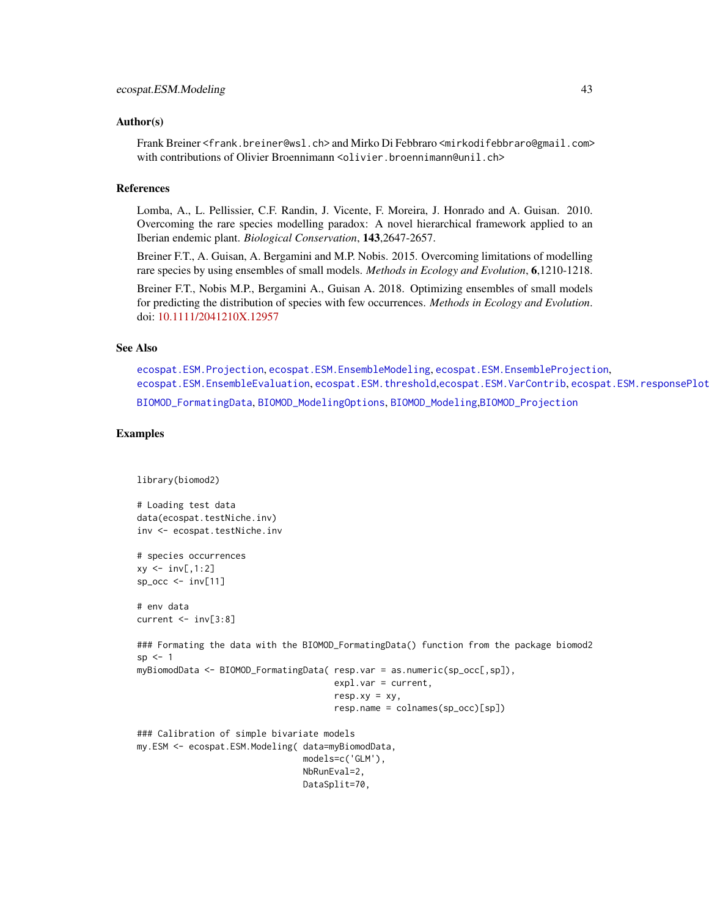#### Author(s)

Frank Breiner <frank.breiner@wsl.ch> and Mirko Di Febbraro <mirkodifebbraro@gmail.com> with contributions of Olivier Broennimann <olivier.broennimann@unil.ch>

## **References**

Lomba, A., L. Pellissier, C.F. Randin, J. Vicente, F. Moreira, J. Honrado and A. Guisan. 2010. Overcoming the rare species modelling paradox: A novel hierarchical framework applied to an Iberian endemic plant. *Biological Conservation*, 143,2647-2657.

Breiner F.T., A. Guisan, A. Bergamini and M.P. Nobis. 2015. Overcoming limitations of modelling rare species by using ensembles of small models. *Methods in Ecology and Evolution*, 6,1210-1218.

Breiner F.T., Nobis M.P., Bergamini A., Guisan A. 2018. Optimizing ensembles of small models for predicting the distribution of species with few occurrences. *Methods in Ecology and Evolution*. doi: [10.1111/2041210X.12957](https://doi.org/10.1111/2041-210X.12957)

## See Also

[ecospat.ESM.Projection](#page-43-0), [ecospat.ESM.EnsembleModeling](#page-37-0), [ecospat.ESM.EnsembleProjection](#page-39-0), [ecospat.ESM.EnsembleEvaluation](#page-35-0), [ecospat.ESM.threshold](#page-46-0),[ecospat.ESM.VarContrib](#page-47-0), [ecospat.ESM.responsePlot](#page-45-0)

[BIOMOD\\_FormatingData](#page-0-0), [BIOMOD\\_ModelingOptions](#page-0-0), [BIOMOD\\_Modeling](#page-0-0),[BIOMOD\\_Projection](#page-0-0)

#### Examples

library(biomod2)

```
# Loading test data
data(ecospat.testNiche.inv)
inv <- ecospat.testNiche.inv
# species occurrences
xy \le -i nv[,1:2]
sp\_occ < -inv[11]# env data
current <- inv[3:8]
### Formating the data with the BIOMOD_FormatingData() function from the package biomod2
sp < -1myBiomodData <- BIOMOD_FormatingData( resp.var = as.numeric(sp_occ[,sp]),
                                      expl.var = current,
                                      resp. xy = xy,resp.name = colnames(sp_occ)[sp])
### Calibration of simple bivariate models
my.ESM <- ecospat.ESM.Modeling( data=myBiomodData,
                                models=c('GLM'),
                                NbRunEval=2,
                                DataSplit=70,
```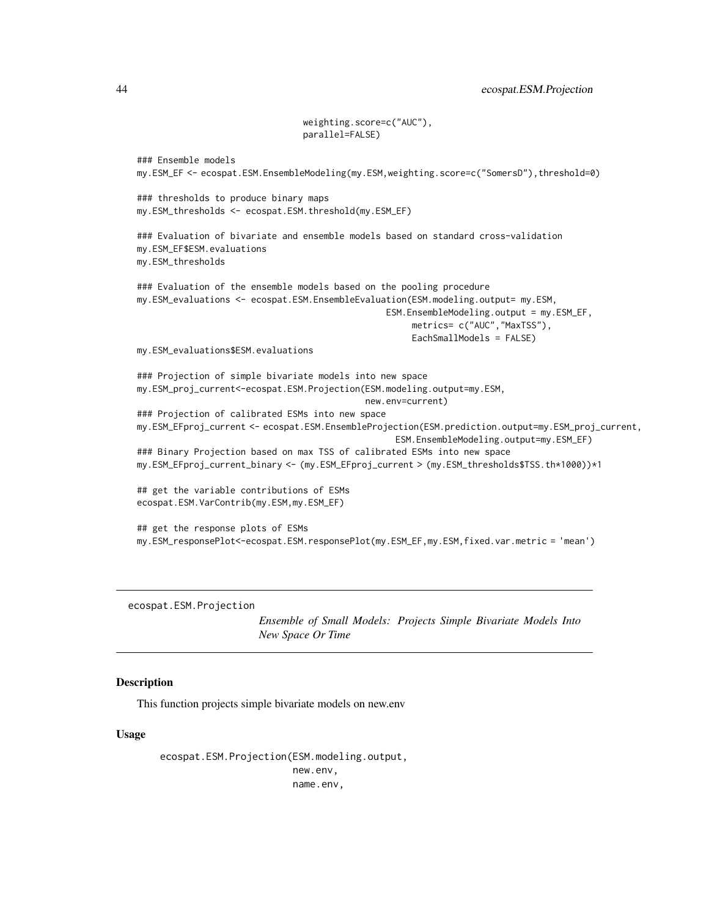```
weighting.score=c("AUC"),
                                parallel=FALSE)
### Ensemble models
my.ESM_EF <- ecospat.ESM.EnsembleModeling(my.ESM,weighting.score=c("SomersD"),threshold=0)
### thresholds to produce binary maps
my.ESM_thresholds <- ecospat.ESM.threshold(my.ESM_EF)
### Evaluation of bivariate and ensemble models based on standard cross-validation
my.ESM_EF$ESM.evaluations
my.ESM_thresholds
### Evaluation of the ensemble models based on the pooling procedure
my.ESM_evaluations <- ecospat.ESM.EnsembleEvaluation(ESM.modeling.output= my.ESM,
                                                ESM.EnsembleModeling.output = my.ESM_EF,
                                                     metrics= c("AUC","MaxTSS"),
                                                     EachSmallModels = FALSE)
my.ESM_evaluations$ESM.evaluations
### Projection of simple bivariate models into new space
my.ESM_proj_current<-ecospat.ESM.Projection(ESM.modeling.output=my.ESM,
                                            new.env=current)
### Projection of calibrated ESMs into new space
my.ESM_EFproj_current <- ecospat.ESM.EnsembleProjection(ESM.prediction.output=my.ESM_proj_current,
                                                  ESM.EnsembleModeling.output=my.ESM_EF)
### Binary Projection based on max TSS of calibrated ESMs into new space
my.ESM_EFproj_current_binary <- (my.ESM_EFproj_current > (my.ESM_thresholds$TSS.th*1000))*1
## get the variable contributions of ESMs
ecospat.ESM.VarContrib(my.ESM,my.ESM_EF)
## get the response plots of ESMs
my.ESM_responsePlot<-ecospat.ESM.responsePlot(my.ESM_EF,my.ESM,fixed.var.metric = 'mean')
```
<span id="page-43-0"></span>ecospat.ESM.Projection

*Ensemble of Small Models: Projects Simple Bivariate Models Into New Space Or Time*

## Description

This function projects simple bivariate models on new.env

#### Usage

ecospat.ESM.Projection(ESM.modeling.output, new.env, name.env,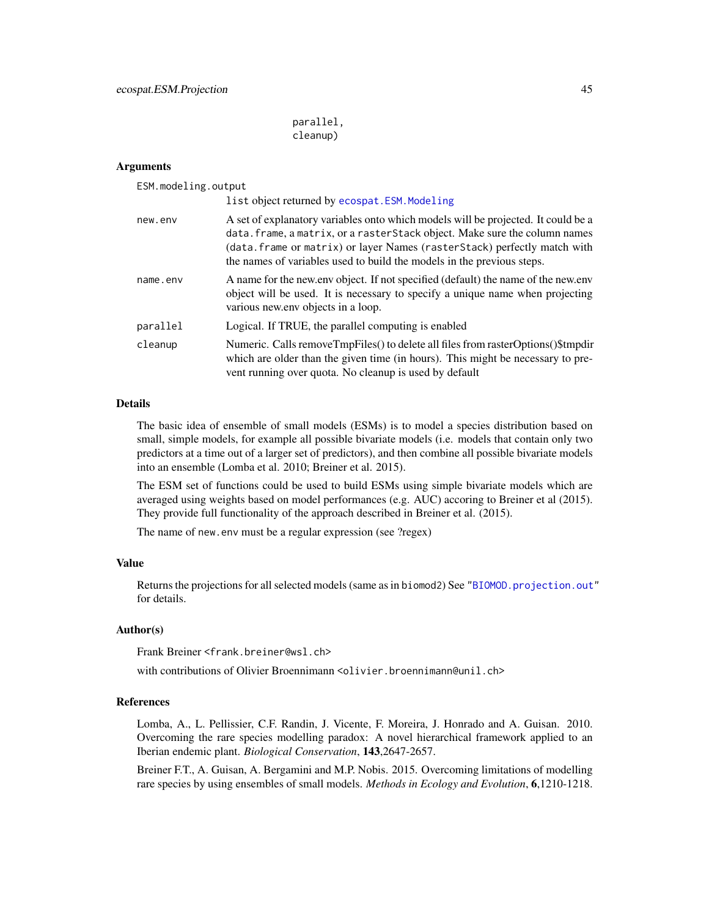## parallel, cleanup)

## Arguments

ESM.modeling.output

|          | list object returned by ecospat. ESM. Modeling                                                                                                                                                                                                                                                                         |
|----------|------------------------------------------------------------------------------------------------------------------------------------------------------------------------------------------------------------------------------------------------------------------------------------------------------------------------|
| new.env  | A set of explanatory variables onto which models will be projected. It could be a<br>data. frame, a matrix, or a rasterStack object. Make sure the column names<br>(data. frame or matrix) or layer Names (rasterStack) perfectly match with<br>the names of variables used to build the models in the previous steps. |
| name.env | A name for the new env object. If not specified (default) the name of the new env<br>object will be used. It is necessary to specify a unique name when projecting<br>various new.env objects in a loop.                                                                                                               |
| parallel | Logical. If TRUE, the parallel computing is enabled                                                                                                                                                                                                                                                                    |
| cleanup  | Numeric. Calls remove Tmp Files () to delete all files from raster Options () \$tmp dir<br>which are older than the given time (in hours). This might be necessary to pre-<br>vent running over quota. No cleanup is used by default                                                                                   |

## Details

The basic idea of ensemble of small models (ESMs) is to model a species distribution based on small, simple models, for example all possible bivariate models (i.e. models that contain only two predictors at a time out of a larger set of predictors), and then combine all possible bivariate models into an ensemble (Lomba et al. 2010; Breiner et al. 2015).

The ESM set of functions could be used to build ESMs using simple bivariate models which are averaged using weights based on model performances (e.g. AUC) accoring to Breiner et al (2015). They provide full functionality of the approach described in Breiner et al. (2015).

The name of new.env must be a regular expression (see ?regex)

## Value

Returns the projections for all selected models (same as in biomod2) See ["BIOMOD.projection.out"](#page-0-0) for details.

## Author(s)

Frank Breiner <frank.breiner@wsl.ch>

with contributions of Olivier Broennimann <olivier.broennimann@unil.ch>

#### References

Lomba, A., L. Pellissier, C.F. Randin, J. Vicente, F. Moreira, J. Honrado and A. Guisan. 2010. Overcoming the rare species modelling paradox: A novel hierarchical framework applied to an Iberian endemic plant. *Biological Conservation*, 143,2647-2657.

Breiner F.T., A. Guisan, A. Bergamini and M.P. Nobis. 2015. Overcoming limitations of modelling rare species by using ensembles of small models. *Methods in Ecology and Evolution*, 6,1210-1218.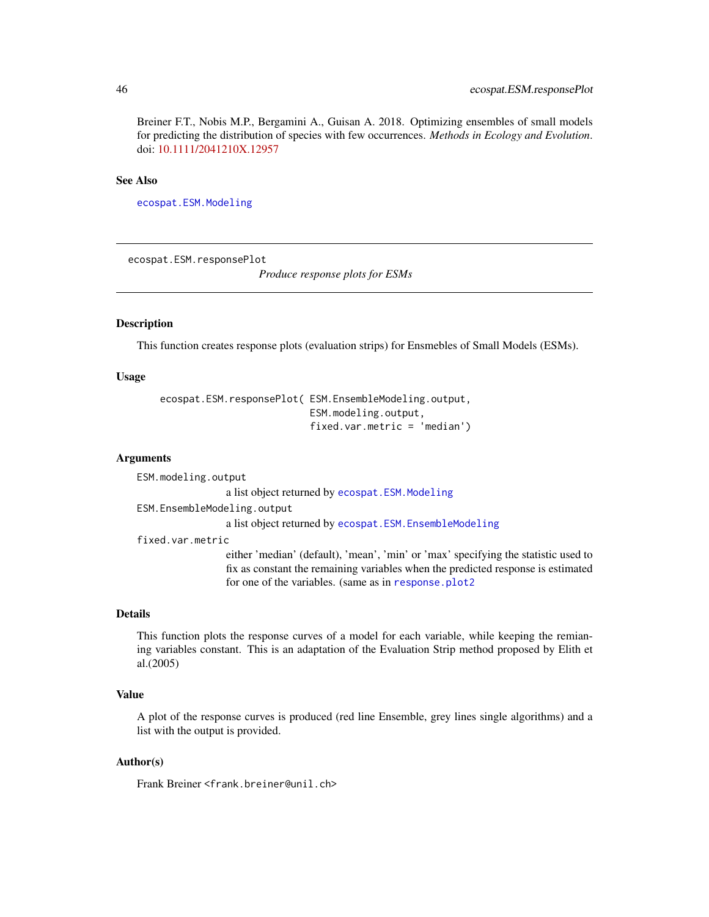Breiner F.T., Nobis M.P., Bergamini A., Guisan A. 2018. Optimizing ensembles of small models for predicting the distribution of species with few occurrences. *Methods in Ecology and Evolution*. doi: [10.1111/2041210X.12957](https://doi.org/10.1111/2041-210X.12957)

## See Also

[ecospat.ESM.Modeling](#page-40-0)

<span id="page-45-0"></span>ecospat.ESM.responsePlot

*Produce response plots for ESMs*

## **Description**

This function creates response plots (evaluation strips) for Ensmebles of Small Models (ESMs).

## Usage

```
ecospat.ESM.responsePlot( ESM.EnsembleModeling.output,
                          ESM.modeling.output,
                          fixed.var.metric = 'median')
```
## Arguments

ESM.modeling.output

a list object returned by [ecospat.ESM.Modeling](#page-40-0)

ESM.EnsembleModeling.output

a list object returned by [ecospat.ESM.EnsembleModeling](#page-37-0)

fixed.var.metric

either 'median' (default), 'mean', 'min' or 'max' specifying the statistic used to fix as constant the remaining variables when the predicted response is estimated for one of the variables. (same as in [response.plot2](#page-0-0)

#### Details

This function plots the response curves of a model for each variable, while keeping the remianing variables constant. This is an adaptation of the Evaluation Strip method proposed by Elith et al.(2005)

## Value

A plot of the response curves is produced (red line Ensemble, grey lines single algorithms) and a list with the output is provided.

## Author(s)

Frank Breiner <frank.breiner@unil.ch>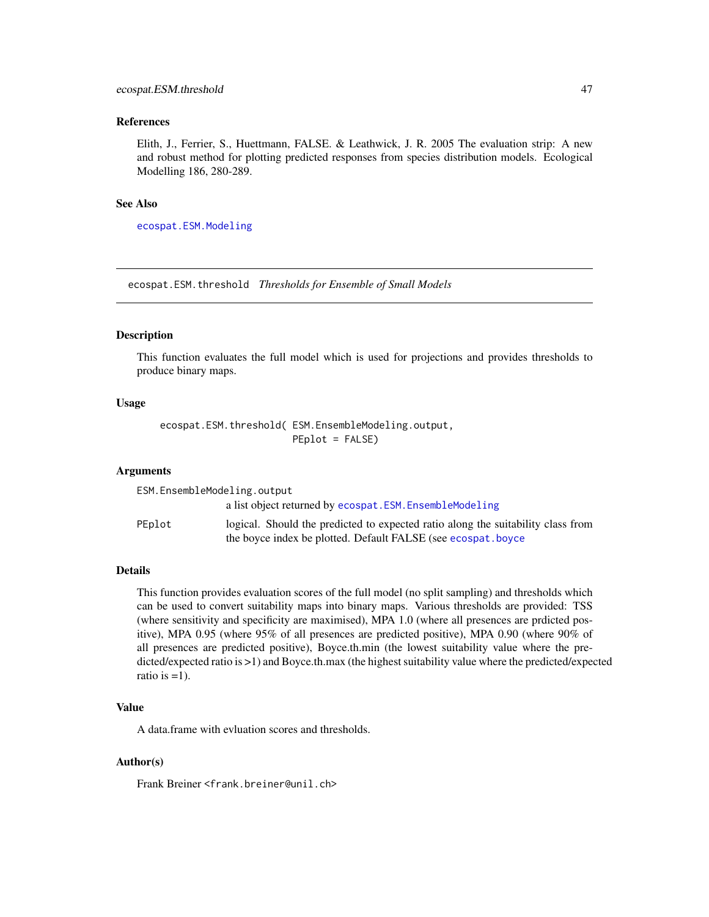### References

Elith, J., Ferrier, S., Huettmann, FALSE. & Leathwick, J. R. 2005 The evaluation strip: A new and robust method for plotting predicted responses from species distribution models. Ecological Modelling 186, 280-289.

### See Also

[ecospat.ESM.Modeling](#page-40-0)

<span id="page-46-0"></span>ecospat.ESM.threshold *Thresholds for Ensemble of Small Models*

## Description

This function evaluates the full model which is used for projections and provides thresholds to produce binary maps.

## Usage

ecospat.ESM.threshold( ESM.EnsembleModeling.output, PEplot = FALSE)

## Arguments

ESM.EnsembleModeling.output a list object returned by [ecospat.ESM.EnsembleModeling](#page-37-0) PEplot logical. Should the predicted to expected ratio along the suitability class from the boyce index be plotted. Default FALSE (see [ecospat.boyce](#page-7-0)

## Details

This function provides evaluation scores of the full model (no split sampling) and thresholds which can be used to convert suitability maps into binary maps. Various thresholds are provided: TSS (where sensitivity and specificity are maximised), MPA 1.0 (where all presences are prdicted positive), MPA 0.95 (where 95% of all presences are predicted positive), MPA 0.90 (where 90% of all presences are predicted positive), Boyce.th.min (the lowest suitability value where the predicted/expected ratio is >1) and Boyce.th.max (the highest suitability value where the predicted/expected ratio is  $=1$ ).

## Value

A data.frame with evluation scores and thresholds.

## Author(s)

Frank Breiner <frank.breiner@unil.ch>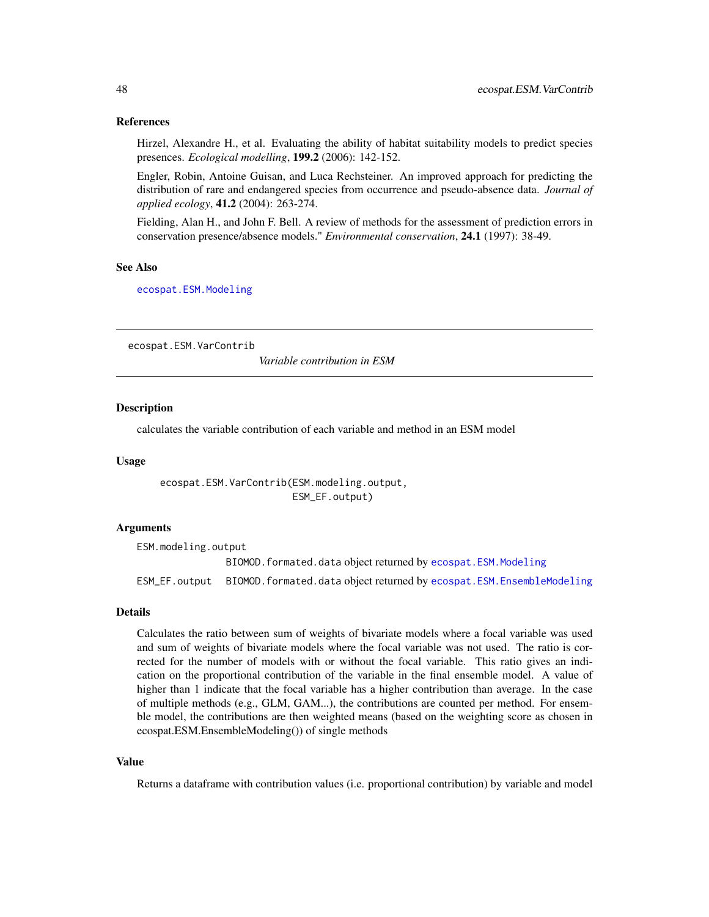## References

Hirzel, Alexandre H., et al. Evaluating the ability of habitat suitability models to predict species presences. *Ecological modelling*, 199.2 (2006): 142-152.

Engler, Robin, Antoine Guisan, and Luca Rechsteiner. An improved approach for predicting the distribution of rare and endangered species from occurrence and pseudo-absence data. *Journal of applied ecology*, 41.2 (2004): 263-274.

Fielding, Alan H., and John F. Bell. A review of methods for the assessment of prediction errors in conservation presence/absence models." *Environmental conservation*, 24.1 (1997): 38-49.

## See Also

[ecospat.ESM.Modeling](#page-40-0)

<span id="page-47-0"></span>ecospat.ESM.VarContrib

*Variable contribution in ESM*

### **Description**

calculates the variable contribution of each variable and method in an ESM model

#### Usage

ecospat.ESM.VarContrib(ESM.modeling.output, ESM\_EF.output)

#### Arguments

ESM.modeling.output BIOMOD.formated.data object returned by [ecospat.ESM.Modeling](#page-40-0) ESM\_EF.output BIOMOD.formated.data object returned by [ecospat.ESM.EnsembleModeling](#page-37-0)

## Details

Calculates the ratio between sum of weights of bivariate models where a focal variable was used and sum of weights of bivariate models where the focal variable was not used. The ratio is corrected for the number of models with or without the focal variable. This ratio gives an indication on the proportional contribution of the variable in the final ensemble model. A value of higher than 1 indicate that the focal variable has a higher contribution than average. In the case of multiple methods (e.g., GLM, GAM...), the contributions are counted per method. For ensemble model, the contributions are then weighted means (based on the weighting score as chosen in ecospat.ESM.EnsembleModeling()) of single methods

#### Value

Returns a dataframe with contribution values (i.e. proportional contribution) by variable and model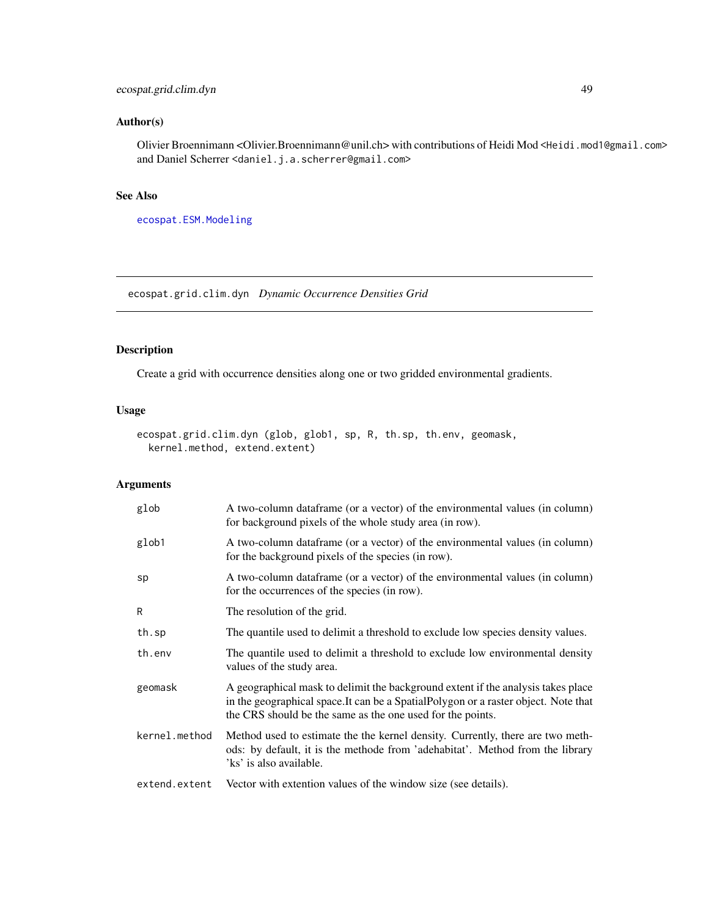## ecospat.grid.clim.dyn 49

## Author(s)

Olivier Broennimann <Olivier.Broennimann@unil.ch> with contributions of Heidi Mod <Heidi.mod1@gmail.com> and Daniel Scherrer <daniel.j.a.scherrer@gmail.com>

#### See Also

[ecospat.ESM.Modeling](#page-40-0)

<span id="page-48-0"></span>ecospat.grid.clim.dyn *Dynamic Occurrence Densities Grid*

## Description

Create a grid with occurrence densities along one or two gridded environmental gradients.

## Usage

```
ecospat.grid.clim.dyn (glob, glob1, sp, R, th.sp, th.env, geomask,
 kernel.method, extend.extent)
```
## Arguments

| glob          | A two-column data frame (or a vector) of the environmental values (in column)<br>for background pixels of the whole study area (in row).                                                                                               |
|---------------|----------------------------------------------------------------------------------------------------------------------------------------------------------------------------------------------------------------------------------------|
| glob1         | A two-column dataframe (or a vector) of the environmental values (in column)<br>for the background pixels of the species (in row).                                                                                                     |
| sp            | A two-column data frame (or a vector) of the environmental values (in column)<br>for the occurrences of the species (in row).                                                                                                          |
| R             | The resolution of the grid.                                                                                                                                                                                                            |
| th.sp         | The quantile used to delimit a threshold to exclude low species density values.                                                                                                                                                        |
| th.env        | The quantile used to delimit a threshold to exclude low environmental density<br>values of the study area.                                                                                                                             |
| geomask       | A geographical mask to delimit the background extent if the analysis takes place<br>in the geographical space. It can be a Spatial Polygon or a raster object. Note that<br>the CRS should be the same as the one used for the points. |
| kernel.method | Method used to estimate the the kernel density. Currently, there are two meth-<br>ods: by default, it is the methode from 'adehabitat'. Method from the library<br>'ks' is also available.                                             |
| extend.extent | Vector with extention values of the window size (see details).                                                                                                                                                                         |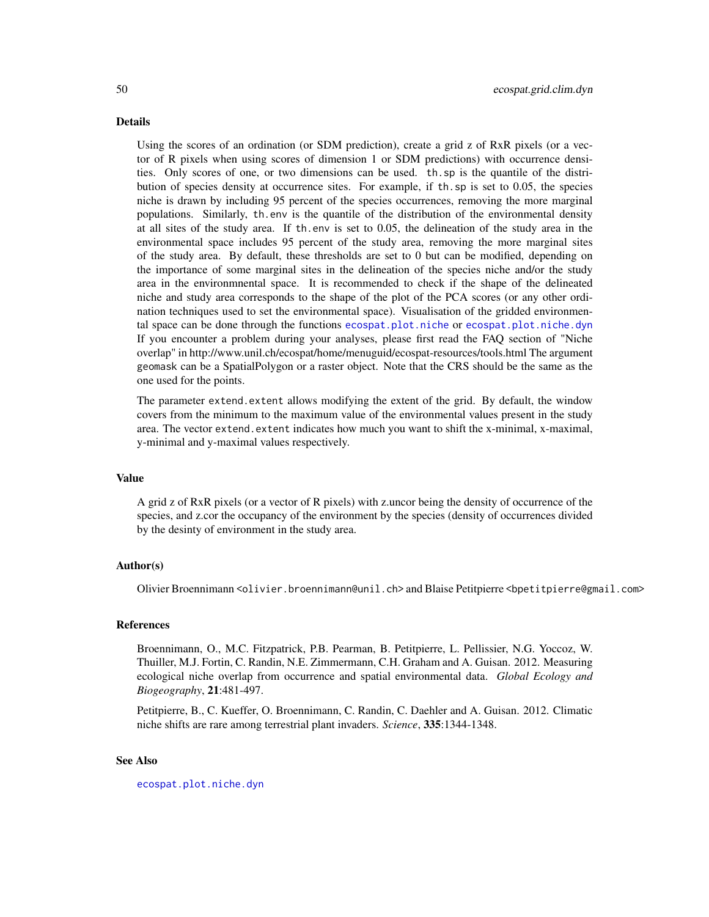## Details

Using the scores of an ordination (or SDM prediction), create a grid z of RxR pixels (or a vector of R pixels when using scores of dimension 1 or SDM predictions) with occurrence densities. Only scores of one, or two dimensions can be used. th.sp is the quantile of the distribution of species density at occurrence sites. For example, if th.sp is set to 0.05, the species niche is drawn by including 95 percent of the species occurrences, removing the more marginal populations. Similarly, th.env is the quantile of the distribution of the environmental density at all sites of the study area. If th.env is set to 0.05, the delineation of the study area in the environmental space includes 95 percent of the study area, removing the more marginal sites of the study area. By default, these thresholds are set to 0 but can be modified, depending on the importance of some marginal sites in the delineation of the species niche and/or the study area in the environmnental space. It is recommended to check if the shape of the delineated niche and study area corresponds to the shape of the plot of the PCA scores (or any other ordination techniques used to set the environmental space). Visualisation of the gridded environmental space can be done through the functions [ecospat.plot.niche](#page-84-0) or [ecospat.plot.niche.dyn](#page-85-0) If you encounter a problem during your analyses, please first read the FAQ section of "Niche overlap" in http://www.unil.ch/ecospat/home/menuguid/ecospat-resources/tools.html The argument geomask can be a SpatialPolygon or a raster object. Note that the CRS should be the same as the one used for the points.

The parameter extend.extent allows modifying the extent of the grid. By default, the window covers from the minimum to the maximum value of the environmental values present in the study area. The vector extend.extent indicates how much you want to shift the x-minimal, x-maximal, y-minimal and y-maximal values respectively.

## Value

A grid z of RxR pixels (or a vector of R pixels) with z.uncor being the density of occurrence of the species, and z.cor the occupancy of the environment by the species (density of occurrences divided by the desinty of environment in the study area.

## Author(s)

Olivier Broennimann <olivier.broennimann@unil.ch> and Blaise Petitpierre <bpetitpierre@gmail.com>

#### References

Broennimann, O., M.C. Fitzpatrick, P.B. Pearman, B. Petitpierre, L. Pellissier, N.G. Yoccoz, W. Thuiller, M.J. Fortin, C. Randin, N.E. Zimmermann, C.H. Graham and A. Guisan. 2012. Measuring ecological niche overlap from occurrence and spatial environmental data. *Global Ecology and Biogeography*, 21:481-497.

Petitpierre, B., C. Kueffer, O. Broennimann, C. Randin, C. Daehler and A. Guisan. 2012. Climatic niche shifts are rare among terrestrial plant invaders. *Science*, 335:1344-1348.

#### See Also

[ecospat.plot.niche.dyn](#page-85-0)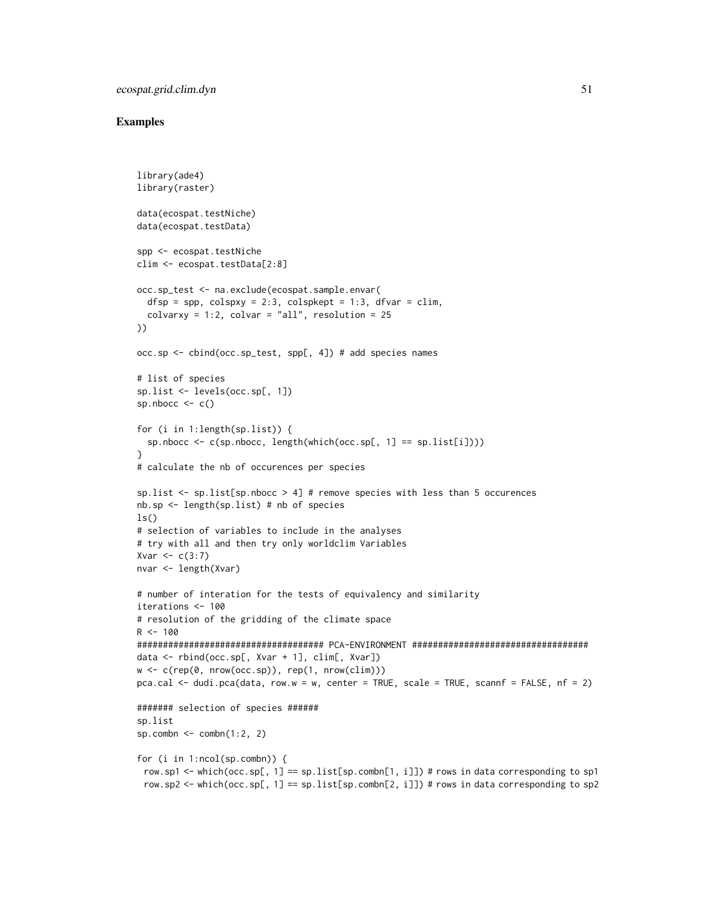## Examples

```
library(ade4)
library(raster)
data(ecospat.testNiche)
data(ecospat.testData)
spp <- ecospat.testNiche
clim <- ecospat.testData[2:8]
occ.sp_test <- na.exclude(ecospat.sample.envar(
  dfsp = spp, colspxy = 2:3, colspkept = 1:3, dfvar = claim,
  colvarxy = 1:2, colvar = "all", resolution = 25))
occ.sp <- cbind(occ.sp_test, spp[, 4]) # add species names
# list of species
sp.list <- levels(occ.sp[, 1])
sp.nbocc \leq c()
for (i in 1:length(sp.list)) {
  sp.nbocc <- c(sp.nbocc, length(which(occ.sp[, 1] == sp.list[i])))
}
# calculate the nb of occurences per species
sp.list \le sp.list[sp.nbocc > 4] # remove species with less than 5 occurences
nb.sp <- length(sp.list) # nb of species
ls()# selection of variables to include in the analyses
# try with all and then try only worldclim Variables
Xvar \leftarrow c(3:7)nvar <- length(Xvar)
# number of interation for the tests of equivalency and similarity
iterations <- 100
# resolution of the gridding of the climate space
R <- 100
#################################### PCA-ENVIRONMENT ##################################
data <- rbind(occ.sp[, Xvar + 1], clim[, Xvar])
w <- c(rep(0, nrow(occ.sp)), rep(1, nrow(clim)))
pca.cal <- dudi.pca(data, row.w = w, center = TRUE, scale = TRUE, scannf = FALSE, nf = 2)
####### selection of species ######
sp.list
sp.combn \leq combn(1:2, 2)
for (i in 1:ncol(sp.combn)) {
 row.sp1 <- which(occ.sp[, 1] == sp.list[sp.combn[1, i]]) # rows in data corresponding to sp1
 row.sp2 <- which(occ.sp[, 1] == sp.list[sp.combn[2, i]]) # rows in data corresponding to sp2
```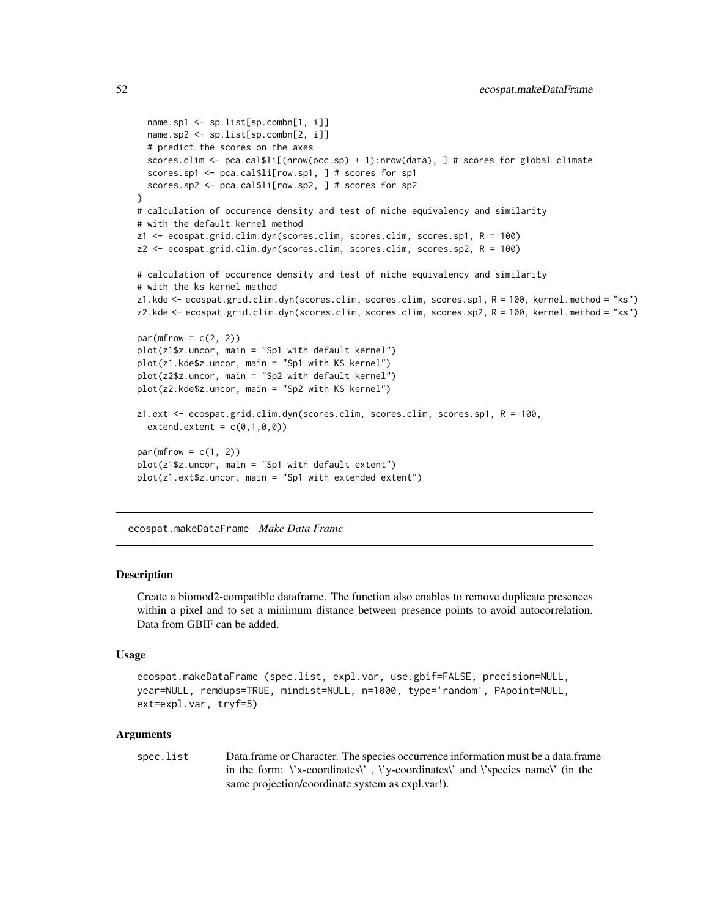```
name.sp1 <- sp.list[sp.combn[1, i]]
  name.sp2 <- sp.list[sp.combn[2, i]]
  # predict the scores on the axes
  scores.clim <- pca.cal$li[(nrow(occ.sp) + 1):nrow(data), ] # scores for global climate
  scores.sp1 <- pca.cal$li[row.sp1, ] # scores for sp1
  scores.sp2 <- pca.cal$li[row.sp2, ] # scores for sp2
}
# calculation of occurence density and test of niche equivalency and similarity
# with the default kernel method
z1 <- ecospat.grid.clim.dyn(scores.clim, scores.clim, scores.sp1, R = 100)
z2 <- ecospat.grid.clim.dyn(scores.clim, scores.clim, scores.sp2, R = 100)
# calculation of occurence density and test of niche equivalency and similarity
# with the ks kernel method
z1.kde <- ecospat.grid.clim.dyn(scores.clim, scores.clim, scores.sp1, R = 100, kernel.method = "ks")
z2.kde <- ecospat.grid.clim.dyn(scores.clim, scores.clim, scores.sp2, R = 100, kernel.method = "ks")
par(mfrow = c(2, 2))plot(z1$z.uncor, main = "Sp1 with default kernel")
plot(z1.kde$z.uncor, main = "Sp1 with KS kernel")
plot(z2$z.uncor, main = "Sp2 with default kernel")
plot(z2.kde$z.uncor, main = "Sp2 with KS kernel")
z1.ext <- ecospat.grid.clim.dyn(scores.clim, scores.clim, scores.sp1, R = 100,
  extend.extent = c(\theta,1,\theta,\theta))
par(mfrow = c(1, 2))plot(z1$z.uncor, main = "Sp1 with default extent")
plot(z1.ext$z.uncor, main = "Sp1 with extended extent")
```
ecospat.makeDataFrame *Make Data Frame*

#### **Description**

Create a biomod2-compatible dataframe. The function also enables to remove duplicate presences within a pixel and to set a minimum distance between presence points to avoid autocorrelation. Data from GBIF can be added.

## Usage

```
ecospat.makeDataFrame (spec.list, expl.var, use.gbif=FALSE, precision=NULL,
year=NULL, remdups=TRUE, mindist=NULL, n=1000, type='random', PApoint=NULL,
ext=expl.var, tryf=5)
```
#### Arguments

spec.list Data.frame or Character. The species occurrence information must be a data.frame in the form: \'x-coordinates\' , \'y-coordinates\' and \'species name\' (in the same projection/coordinate system as expl.var!).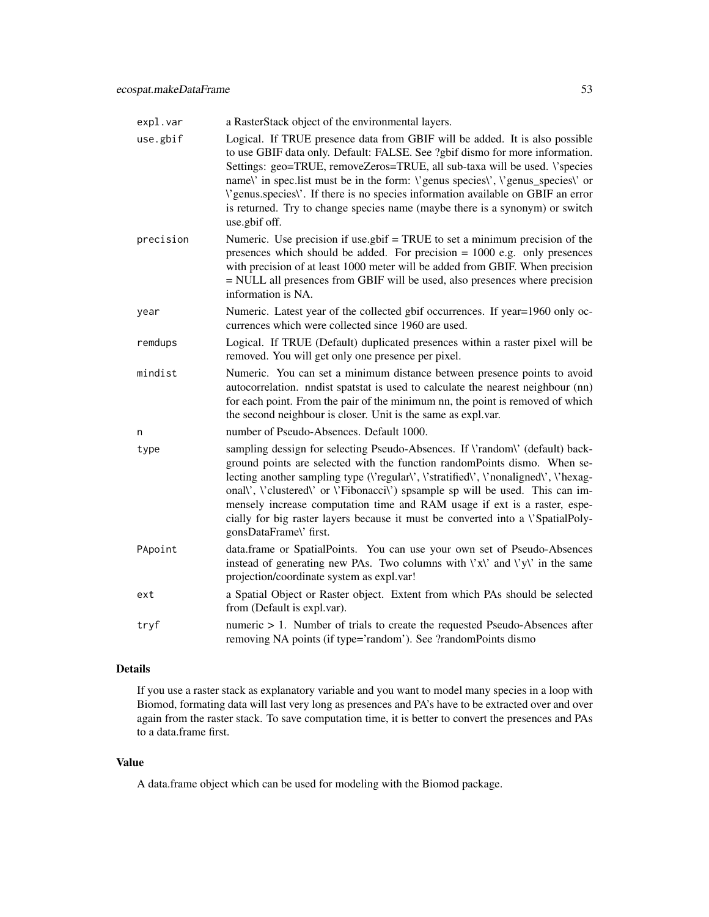| expl.var  | a RasterStack object of the environmental layers.                                                                                                                                                                                                                                                                                                                                                                                                                                                                                 |
|-----------|-----------------------------------------------------------------------------------------------------------------------------------------------------------------------------------------------------------------------------------------------------------------------------------------------------------------------------------------------------------------------------------------------------------------------------------------------------------------------------------------------------------------------------------|
| use.gbif  | Logical. If TRUE presence data from GBIF will be added. It is also possible<br>to use GBIF data only. Default: FALSE. See ?gbif dismo for more information.<br>Settings: geo=TRUE, removeZeros=TRUE, all sub-taxa will be used. <i>\</i> 'species<br>name\' in spec.list must be in the form: \'genus species\', \'genus_species\' or<br><i>\'genus.species\'.</i> If there is no species information available on GBIF an error<br>is returned. Try to change species name (maybe there is a synonym) or switch<br>use.gbif off. |
| precision | Numeric. Use precision if use $g\text{bif} = \text{TRUE}$ to set a minimum precision of the<br>presences which should be added. For precision $= 1000$ e.g. only presences<br>with precision of at least 1000 meter will be added from GBIF. When precision<br>= NULL all presences from GBIF will be used, also presences where precision<br>information is NA.                                                                                                                                                                  |
| year      | Numeric. Latest year of the collected gbif occurrences. If year=1960 only oc-<br>currences which were collected since 1960 are used.                                                                                                                                                                                                                                                                                                                                                                                              |
| remdups   | Logical. If TRUE (Default) duplicated presences within a raster pixel will be<br>removed. You will get only one presence per pixel.                                                                                                                                                                                                                                                                                                                                                                                               |
| mindist   | Numeric. You can set a minimum distance between presence points to avoid<br>autocorrelation. nudist spatstat is used to calculate the nearest neighbour (nn)<br>for each point. From the pair of the minimum nn, the point is removed of which<br>the second neighbour is closer. Unit is the same as expl.var.                                                                                                                                                                                                                   |
| n         | number of Pseudo-Absences. Default 1000.                                                                                                                                                                                                                                                                                                                                                                                                                                                                                          |
| type      | sampling dessign for selecting Pseudo-Absences. If \'random\' (default) back-<br>ground points are selected with the function randomPoints dismo. When se-<br>lecting another sampling type (\'regular\', \'stratified\', \'nonaligned\', \'hexag-<br>onall', l'clusteredl' or l'Fibonaccil') spsample sp will be used. This can im-<br>mensely increase computation time and RAM usage if ext is a raster, espe-<br>cially for big raster layers because it must be converted into a l'SpatialPoly-<br>gonsDataFrame\' first.    |
| PApoint   | data.frame or SpatialPoints. You can use your own set of Pseudo-Absences<br>instead of generating new PAs. Two columns with $\forall x \land y$ and $\forall y \land y$ in the same<br>projection/coordinate system as expl.var!                                                                                                                                                                                                                                                                                                  |
| ext       | a Spatial Object or Raster object. Extent from which PAs should be selected<br>from (Default is expl.var).                                                                                                                                                                                                                                                                                                                                                                                                                        |
| tryf      | numeric $> 1$ . Number of trials to create the requested Pseudo-Absences after<br>removing NA points (if type='random'). See ?randomPoints dismo                                                                                                                                                                                                                                                                                                                                                                                  |

## Details

If you use a raster stack as explanatory variable and you want to model many species in a loop with Biomod, formating data will last very long as presences and PA's have to be extracted over and over again from the raster stack. To save computation time, it is better to convert the presences and PAs to a data.frame first.

## Value

A data.frame object which can be used for modeling with the Biomod package.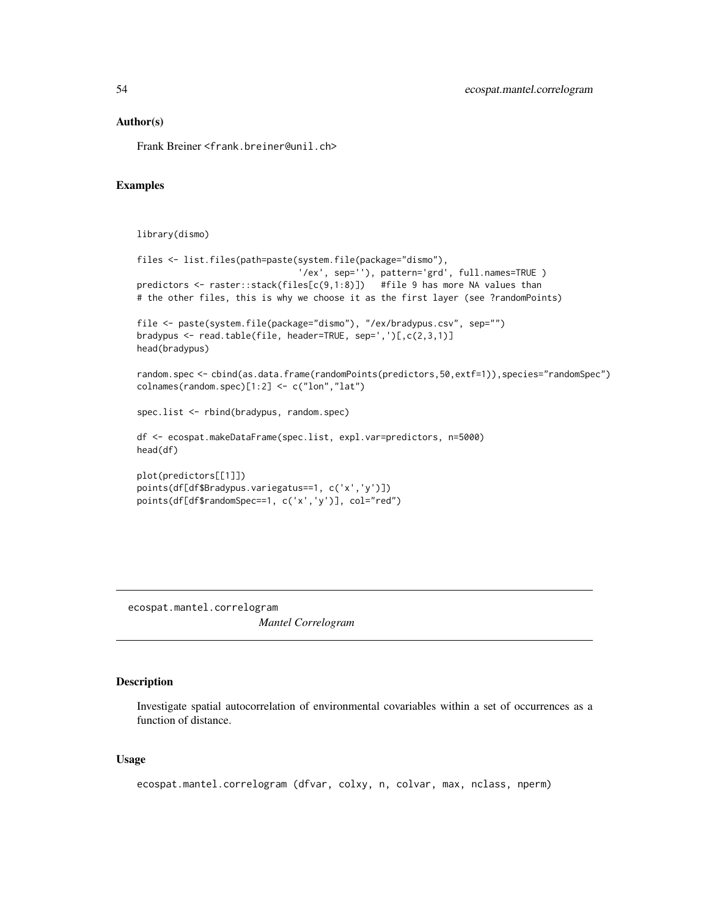#### Author(s)

Frank Breiner <frank.breiner@unil.ch>

## Examples

library(dismo)

```
files <- list.files(path=paste(system.file(package="dismo"),
                               '/ex', sep=''), pattern='grd', full.names=TRUE )
predictors <- raster::stack(files[c(9,1:8)]) #file 9 has more NA values than
# the other files, this is why we choose it as the first layer (see ?randomPoints)
file <- paste(system.file(package="dismo"), "/ex/bradypus.csv", sep="")
bradypus <- read.table(file, header=TRUE, sep=',')[,c(2,3,1)]
head(bradypus)
random.spec <- cbind(as.data.frame(randomPoints(predictors,50,extf=1)),species="randomSpec")
colnames(random.spec)[1:2] <- c("lon","lat")
spec.list <- rbind(bradypus, random.spec)
df <- ecospat.makeDataFrame(spec.list, expl.var=predictors, n=5000)
head(df)
plot(predictors[[1]])
points(df[df$Bradypus.variegatus==1, c('x','y')])
points(df[df$randomSpec==1, c('x','y')], col="red")
```
ecospat.mantel.correlogram *Mantel Correlogram*

## Description

Investigate spatial autocorrelation of environmental covariables within a set of occurrences as a function of distance.

### Usage

ecospat.mantel.correlogram (dfvar, colxy, n, colvar, max, nclass, nperm)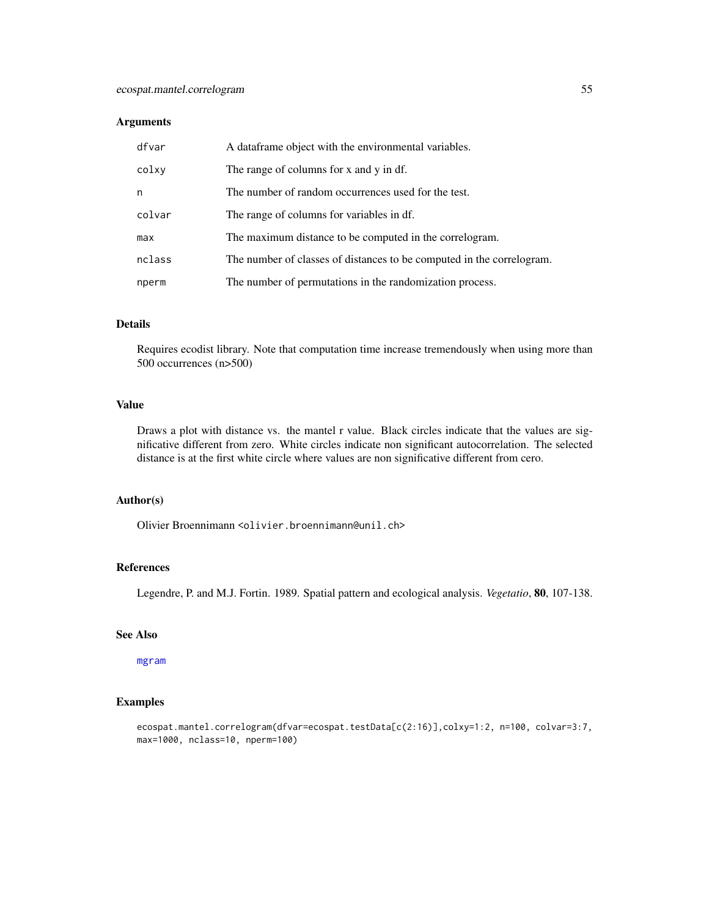## Arguments

| dfvar  | A dataframe object with the environmental variables.                  |
|--------|-----------------------------------------------------------------------|
| colxy  | The range of columns for x and y in df.                               |
| n      | The number of random occurrences used for the test.                   |
| colvar | The range of columns for variables in df.                             |
| max    | The maximum distance to be computed in the correlogram.               |
| nclass | The number of classes of distances to be computed in the correlogram. |
| nperm  | The number of permutations in the randomization process.              |

## Details

Requires ecodist library. Note that computation time increase tremendously when using more than 500 occurrences (n>500)

## Value

Draws a plot with distance vs. the mantel r value. Black circles indicate that the values are significative different from zero. White circles indicate non significant autocorrelation. The selected distance is at the first white circle where values are non significative different from cero.

## Author(s)

Olivier Broennimann <olivier.broennimann@unil.ch>

## References

Legendre, P. and M.J. Fortin. 1989. Spatial pattern and ecological analysis. *Vegetatio*, 80, 107-138.

## See Also

[mgram](#page-0-0)

## Examples

ecospat.mantel.correlogram(dfvar=ecospat.testData[c(2:16)],colxy=1:2, n=100, colvar=3:7, max=1000, nclass=10, nperm=100)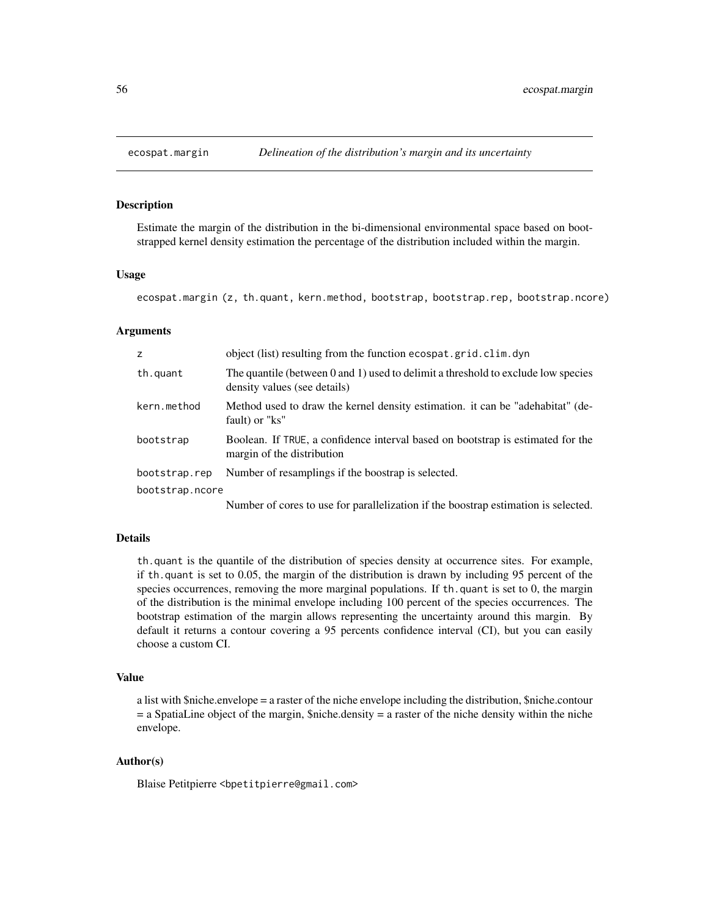## **Description**

Estimate the margin of the distribution in the bi-dimensional environmental space based on bootstrapped kernel density estimation the percentage of the distribution included within the margin.

## Usage

ecospat.margin (z, th.quant, kern.method, bootstrap, bootstrap.rep, bootstrap.ncore)

#### Arguments

| z               | object (list) resulting from the function ecospat.grid.clim.dyn                                                   |
|-----------------|-------------------------------------------------------------------------------------------------------------------|
| th.quant        | The quantile (between 0 and 1) used to delimit a threshold to exclude low species<br>density values (see details) |
| kern.method     | Method used to draw the kernel density estimation. it can be "adehabitat" (de-<br>fault) or "ks"                  |
| bootstrap       | Boolean. If TRUE, a confidence interval based on bootstrap is estimated for the<br>margin of the distribution     |
| bootstrap.rep   | Number of resamplings if the boostrap is selected.                                                                |
| bootstrap.ncore |                                                                                                                   |

Number of cores to use for parallelization if the boostrap estimation is selected.

## Details

th.quant is the quantile of the distribution of species density at occurrence sites. For example, if th.quant is set to 0.05, the margin of the distribution is drawn by including 95 percent of the species occurrences, removing the more marginal populations. If th.quant is set to 0, the margin of the distribution is the minimal envelope including 100 percent of the species occurrences. The bootstrap estimation of the margin allows representing the uncertainty around this margin. By default it returns a contour covering a 95 percents confidence interval (CI), but you can easily choose a custom CI.

#### Value

a list with \$niche.envelope = a raster of the niche envelope including the distribution, \$niche.contour  $=$  a SpatiaLine object of the margin,  $\frac{1}{2}$  shiche.density = a raster of the niche density within the niche envelope.

## Author(s)

Blaise Petitpierre <bpetitpierre@gmail.com>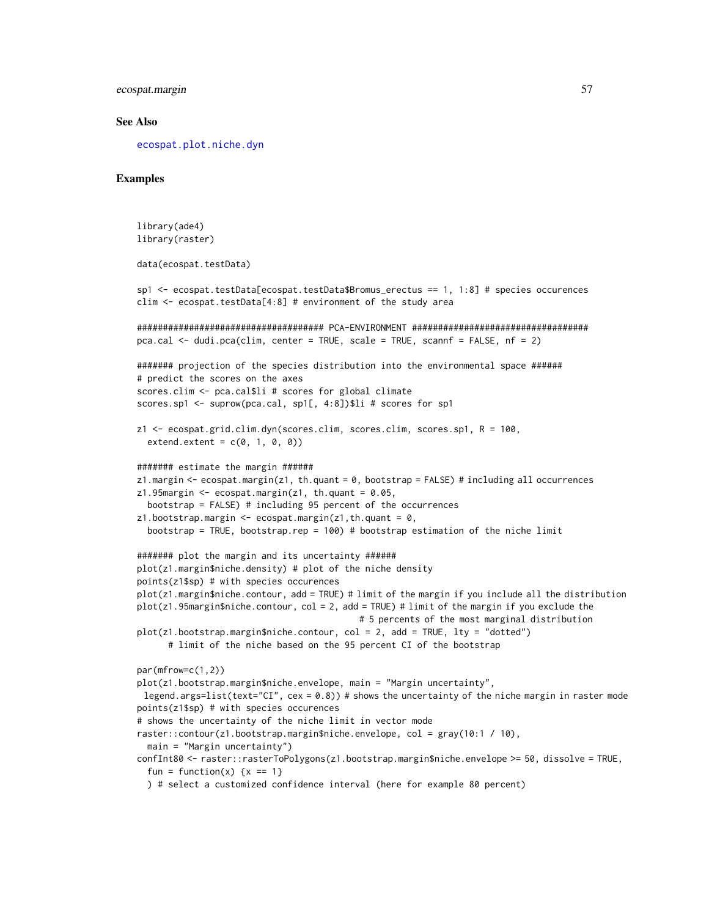ecospat.margin 57

#### See Also

[ecospat.plot.niche.dyn](#page-85-0)

## Examples

```
library(ade4)
library(raster)
```
data(ecospat.testData)

```
sp1 <- ecospat.testData[ecospat.testData$Bromus_erectus == 1, 1:8] # species occurences
clim \leq ecospat.testData[4:8] # environment of the study area
#################################### PCA-ENVIRONMENT ##################################
pca.cal <- dudi.pca(clim, center = TRUE, scale = TRUE, scannf = FALSE, nf = 2)
####### projection of the species distribution into the environmental space ######
# predict the scores on the axes
scores.clim <- pca.cal$li # scores for global climate
scores.sp1 <- suprow(pca.cal, sp1[, 4:8])$li # scores for sp1
z1 <- ecospat.grid.clim.dyn(scores.clim, scores.clim, scores.sp1, R = 100,
 extend.extent = c(\emptyset, 1, \emptyset, \emptyset)####### estimate the margin ######
z1.margin \leq ecospat.margin(z1, th.quant = 0, bootstrap = FALSE) # including all occurrences
z1.95margin \leq ecospat.margin(z1, th.quant = 0.05,
 bootstrap = FALSE) # including 95 percent of the occurrences
z1.bootstrap.margin \leq ecospat.margin(z1, th.quant = 0,
 bootstrap = TRUE, bootstrap.rep = 100) # bootstrap estimation of the niche limit
####### plot the margin and its uncertainty ######
plot(z1.margin$niche.density) # plot of the niche density
points(z1$sp) # with species occurences
plot(z1.margin$niche.contour, add = TRUE) # limit of the margin if you include all the distribution
plot(z1.95margin$niche.contour, col = 2, add = TRUE) # limit of the margin if you exclude the
                                            # 5 percents of the most marginal distribution
plot(z1.bootstrap.margin$niche.contour, col = 2, add = TRUE, lty = "dotted")
      # limit of the niche based on the 95 percent CI of the bootstrap
par(mfrow=c(1,2))
plot(z1.bootstrap.margin$niche.envelope, main = "Margin uncertainty",
 legend.args=list(text="CI", cex = 0.8)) # shows the uncertainty of the niche margin in raster mode
points(z1$sp) # with species occurences
# shows the uncertainty of the niche limit in vector mode
raster::contour(z1.bootstrap.margin$niche.envelope, col = gray(10:1 / 10),
 main = "Margin uncertainty")
confInt80 <- raster::rasterToPolygons(z1.bootstrap.margin$niche.envelope >= 50, dissolve = TRUE,
 fun = function(x) \{x == 1\}) # select a customized confidence interval (here for example 80 percent)
```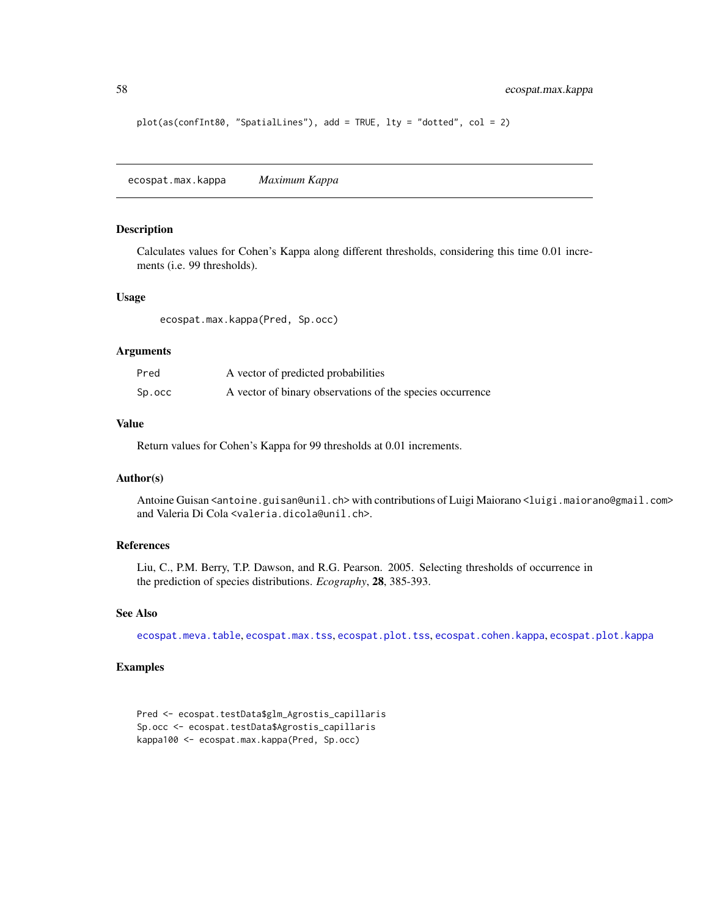```
plot(as(confInt80, "SpatialLines"), add = TRUE, lty = "dotted", col = 2)
```
<span id="page-57-0"></span>ecospat.max.kappa *Maximum Kappa*

## Description

Calculates values for Cohen's Kappa along different thresholds, considering this time 0.01 increments (i.e. 99 thresholds).

#### Usage

ecospat.max.kappa(Pred, Sp.occ)

## Arguments

| Pred   | A vector of predicted probabilities                       |
|--------|-----------------------------------------------------------|
| Sp.occ | A vector of binary observations of the species occurrence |

## Value

Return values for Cohen's Kappa for 99 thresholds at 0.01 increments.

## Author(s)

Antoine Guisan <antoine.guisan@unil.ch> with contributions of Luigi Maiorano <luigi.maiorano@gmail.com> and Valeria Di Cola <valeria.dicola@unil.ch>.

## References

Liu, C., P.M. Berry, T.P. Dawson, and R.G. Pearson. 2005. Selecting thresholds of occurrence in the prediction of species distributions. *Ecography*, 28, 385-393.

#### See Also

[ecospat.meva.table](#page-63-0), [ecospat.max.tss](#page-58-0), [ecospat.plot.tss](#page-87-0), [ecospat.cohen.kappa](#page-22-0), [ecospat.plot.kappa](#page-82-0)

## Examples

```
Pred <- ecospat.testData$glm_Agrostis_capillaris
Sp.occ <- ecospat.testData$Agrostis_capillaris
kappa100 <- ecospat.max.kappa(Pred, Sp.occ)
```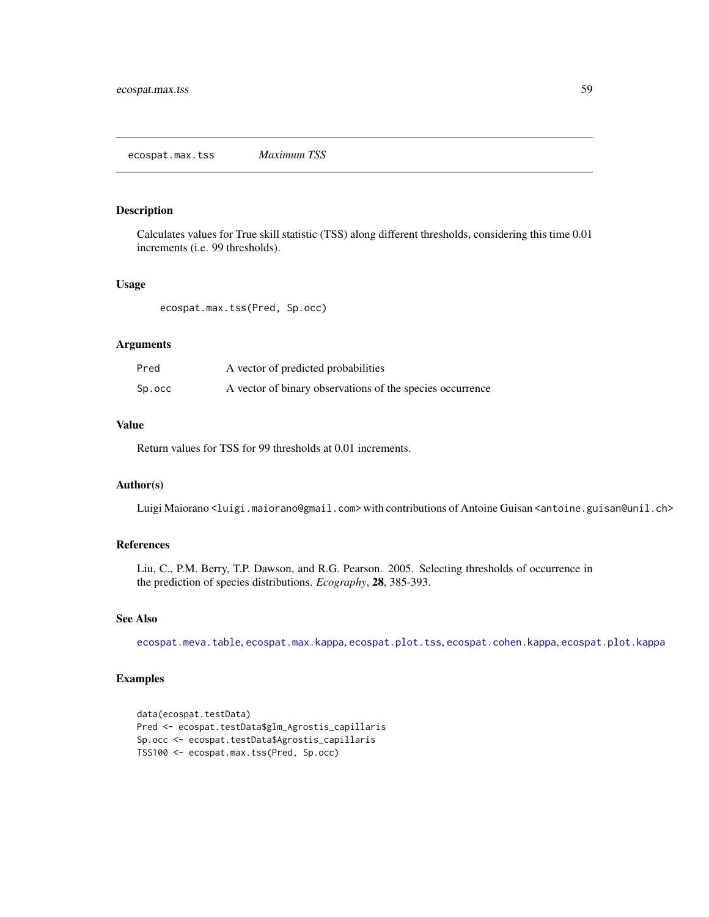## <span id="page-58-0"></span>Description

Calculates values for True skill statistic (TSS) along different thresholds, considering this time 0.01 increments (i.e. 99 thresholds).

#### Usage

ecospat.max.tss(Pred, Sp.occ)

## Arguments

| Pred   | A vector of predicted probabilities                       |
|--------|-----------------------------------------------------------|
| Sp.occ | A vector of binary observations of the species occurrence |

## Value

Return values for TSS for 99 thresholds at 0.01 increments.

## Author(s)

Luigi Maiorano <luigi.maiorano@gmail.com> with contributions of Antoine Guisan <antoine.guisan@unil.ch>

## References

Liu, C., P.M. Berry, T.P. Dawson, and R.G. Pearson. 2005. Selecting thresholds of occurrence in the prediction of species distributions. *Ecography*, 28, 385-393.

## See Also

[ecospat.meva.table](#page-63-0), [ecospat.max.kappa](#page-57-0), [ecospat.plot.tss](#page-87-0), [ecospat.cohen.kappa](#page-22-0), [ecospat.plot.kappa](#page-82-0)

## Examples

```
data(ecospat.testData)
Pred <- ecospat.testData$glm_Agrostis_capillaris
Sp.occ <- ecospat.testData$Agrostis_capillaris
TSS100 <- ecospat.max.tss(Pred, Sp.occ)
```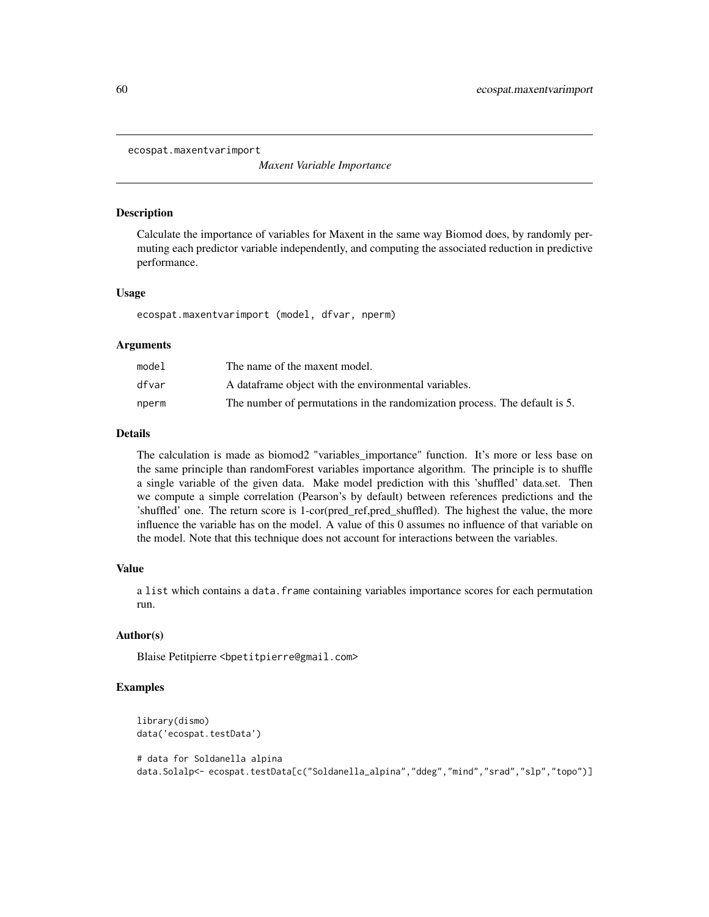ecospat.maxentvarimport

*Maxent Variable Importance*

#### Description

Calculate the importance of variables for Maxent in the same way Biomod does, by randomly permuting each predictor variable independently, and computing the associated reduction in predictive performance.

#### Usage

ecospat.maxentvarimport (model, dfvar, nperm)

#### Arguments

| model | The name of the maxent model.                                              |
|-------|----------------------------------------------------------------------------|
| dfvar | A data frame object with the environmental variables.                      |
| nperm | The number of permutations in the randomization process. The default is 5. |

#### Details

The calculation is made as biomod2 "variables\_importance" function. It's more or less base on the same principle than randomForest variables importance algorithm. The principle is to shuffle a single variable of the given data. Make model prediction with this 'shuffled' data.set. Then we compute a simple correlation (Pearson's by default) between references predictions and the 'shuffled' one. The return score is 1-cor(pred\_ref,pred\_shuffled). The highest the value, the more influence the variable has on the model. A value of this 0 assumes no influence of that variable on the model. Note that this technique does not account for interactions between the variables.

## Value

a list which contains a data.frame containing variables importance scores for each permutation run.

## Author(s)

Blaise Petitpierre <bpetitpierre@gmail.com>

## Examples

```
library(dismo)
data('ecospat.testData')
```
# data for Soldanella alpina data.Solalp<- ecospat.testData[c("Soldanella\_alpina","ddeg","mind","srad","slp","topo")]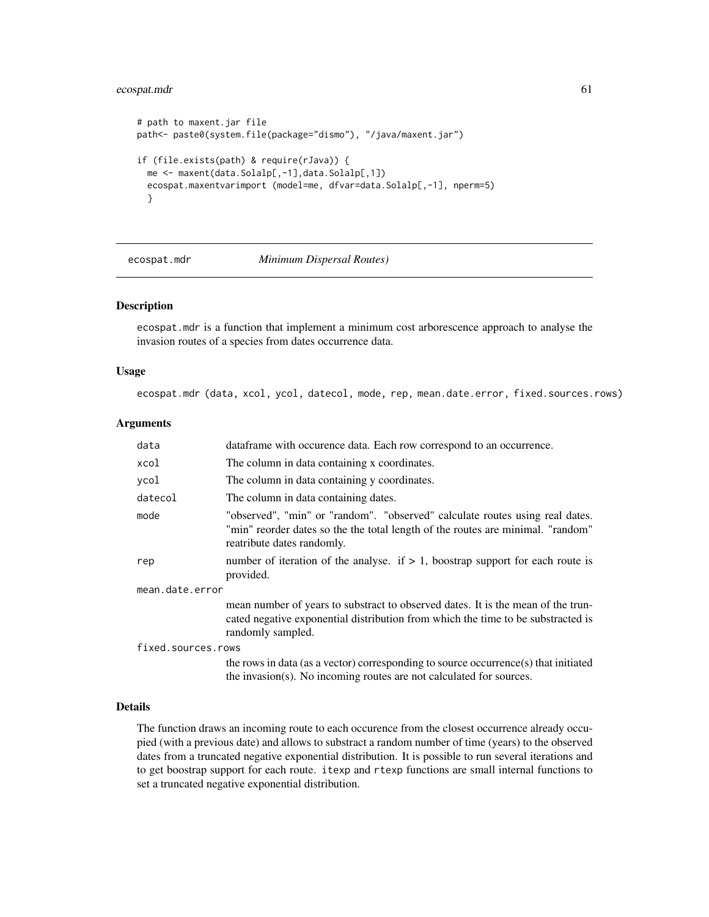## ecospat.mdr 61

```
# path to maxent.jar file
path<- paste0(system.file(package="dismo"), "/java/maxent.jar")
if (file.exists(path) & require(rJava)) {
 me <- maxent(data.Solalp[,-1],data.Solalp[,1])
 ecospat.maxentvarimport (model=me, dfvar=data.Solalp[,-1], nperm=5)
 }
```
#### ecospat.mdr *Minimum Dispersal Routes)*

## Description

ecospat.mdr is a function that implement a minimum cost arborescence approach to analyse the invasion routes of a species from dates occurrence data.

#### Usage

ecospat.mdr (data, xcol, ycol, datecol, mode, rep, mean.date.error, fixed.sources.rows)

#### Arguments

| data               | data frame with occurence data. Each row correspond to an occurrence.                                                                                                                         |  |
|--------------------|-----------------------------------------------------------------------------------------------------------------------------------------------------------------------------------------------|--|
| xcol               | The column in data containing x coordinates.                                                                                                                                                  |  |
| ycol               | The column in data containing y coordinates.                                                                                                                                                  |  |
| datecol            | The column in data containing dates.                                                                                                                                                          |  |
| mode               | "observed", "min" or "random". "observed" calculate routes using real dates.<br>"min" reorder dates so the the total length of the routes are minimal. "random"<br>reatribute dates randomly. |  |
| rep                | number of iteration of the analyse. if $> 1$ , boostrap support for each route is<br>provided.                                                                                                |  |
| mean.date.error    |                                                                                                                                                                                               |  |
|                    | mean number of years to substract to observed dates. It is the mean of the trun-<br>cated negative exponential distribution from which the time to be substracted is<br>randomly sampled.     |  |
| fixed.sources.rows |                                                                                                                                                                                               |  |
|                    | the rows in data (as a vector) corresponding to source occurrence(s) that initiated                                                                                                           |  |
|                    | the invasion(s). No incoming routes are not calculated for sources.                                                                                                                           |  |

## Details

The function draws an incoming route to each occurence from the closest occurrence already occupied (with a previous date) and allows to substract a random number of time (years) to the observed dates from a truncated negative exponential distribution. It is possible to run several iterations and to get boostrap support for each route. itexp and rtexp functions are small internal functions to set a truncated negative exponential distribution.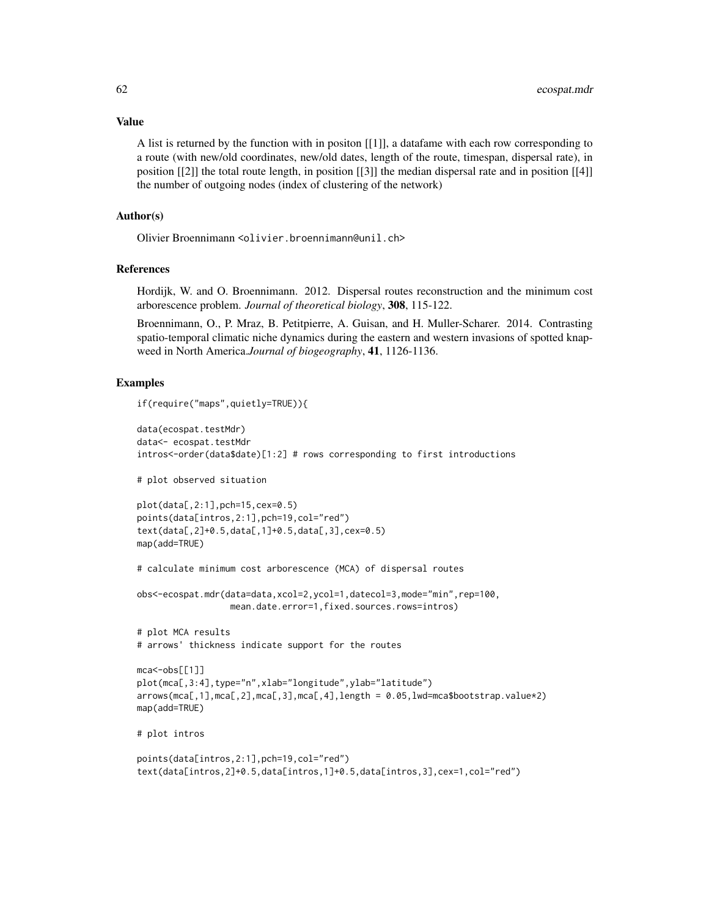#### Value

A list is returned by the function with in positon [[1]], a datafame with each row corresponding to a route (with new/old coordinates, new/old dates, length of the route, timespan, dispersal rate), in position [[2]] the total route length, in position [[3]] the median dispersal rate and in position [[4]] the number of outgoing nodes (index of clustering of the network)

## Author(s)

Olivier Broennimann <olivier.broennimann@unil.ch>

#### References

Hordijk, W. and O. Broennimann. 2012. Dispersal routes reconstruction and the minimum cost arborescence problem. *Journal of theoretical biology*, 308, 115-122.

Broennimann, O., P. Mraz, B. Petitpierre, A. Guisan, and H. Muller-Scharer. 2014. Contrasting spatio-temporal climatic niche dynamics during the eastern and western invasions of spotted knapweed in North America.*Journal of biogeography*, 41, 1126-1136.

## Examples

```
if(require("maps",quietly=TRUE)){
```

```
data(ecospat.testMdr)
data<- ecospat.testMdr
intros<-order(data$date)[1:2] # rows corresponding to first introductions
```
# plot observed situation

```
plot(data[,2:1],pch=15,cex=0.5)
points(data[intros,2:1],pch=19,col="red")
text(data[,2]+0.5,data[,1]+0.5,data[,3],cex=0.5)
map(add=TRUE)
```
# calculate minimum cost arborescence (MCA) of dispersal routes

```
obs<-ecospat.mdr(data=data,xcol=2,ycol=1,datecol=3,mode="min",rep=100,
                 mean.date.error=1,fixed.sources.rows=intros)
```

```
# plot MCA results
# arrows' thickness indicate support for the routes
```

```
mca<-obs[[1]]
plot(mca[,3:4],type="n",xlab="longitude",ylab="latitude")
arrows(mca[,1],mca[,2],mca[,3],mca[,4],length = 0.05,lwd=mca$bootstrap.value*2)
map(add=TRUE)
```

```
# plot intros
```

```
points(data[intros,2:1],pch=19,col="red")
text(data[intros,2]+0.5,data[intros,1]+0.5,data[intros,3],cex=1,col="red")
```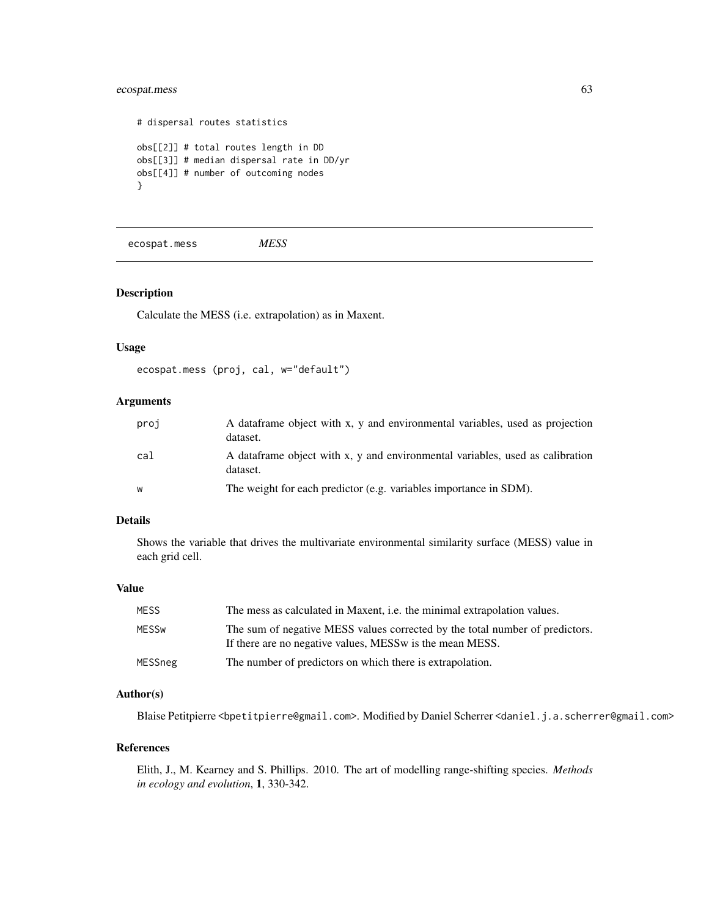## ecospat.mess 63

```
# dispersal routes statistics
obs[[2]] # total routes length in DD
obs[[3]] # median dispersal rate in DD/yr
obs[[4]] # number of outcoming nodes
}
```
ecospat.mess *MESS*

## Description

Calculate the MESS (i.e. extrapolation) as in Maxent.

#### Usage

```
ecospat.mess (proj, cal, w="default")
```
## Arguments

| proj | A dataframe object with x, y and environmental variables, used as projection<br>dataset.  |
|------|-------------------------------------------------------------------------------------------|
| cal  | A dataframe object with x, y and environmental variables, used as calibration<br>dataset. |
| W    | The weight for each predictor (e.g. variables importance in SDM).                         |

## Details

Shows the variable that drives the multivariate environmental similarity surface (MESS) value in each grid cell.

### Value

| MESS         | The mess as calculated in Maxent, <i>i.e.</i> the minimal extrapolation values.                                                           |
|--------------|-------------------------------------------------------------------------------------------------------------------------------------------|
| <b>MESSw</b> | The sum of negative MESS values corrected by the total number of predictors.<br>If there are no negative values, MESS w is the mean MESS. |
| MESSneg      | The number of predictors on which there is extrapolation.                                                                                 |

## Author(s)

Blaise Petitpierre <bpetitpierre@gmail.com>. Modified by Daniel Scherrer <daniel.j.a.scherrer@gmail.com>

#### References

Elith, J., M. Kearney and S. Phillips. 2010. The art of modelling range-shifting species. *Methods in ecology and evolution*, 1, 330-342.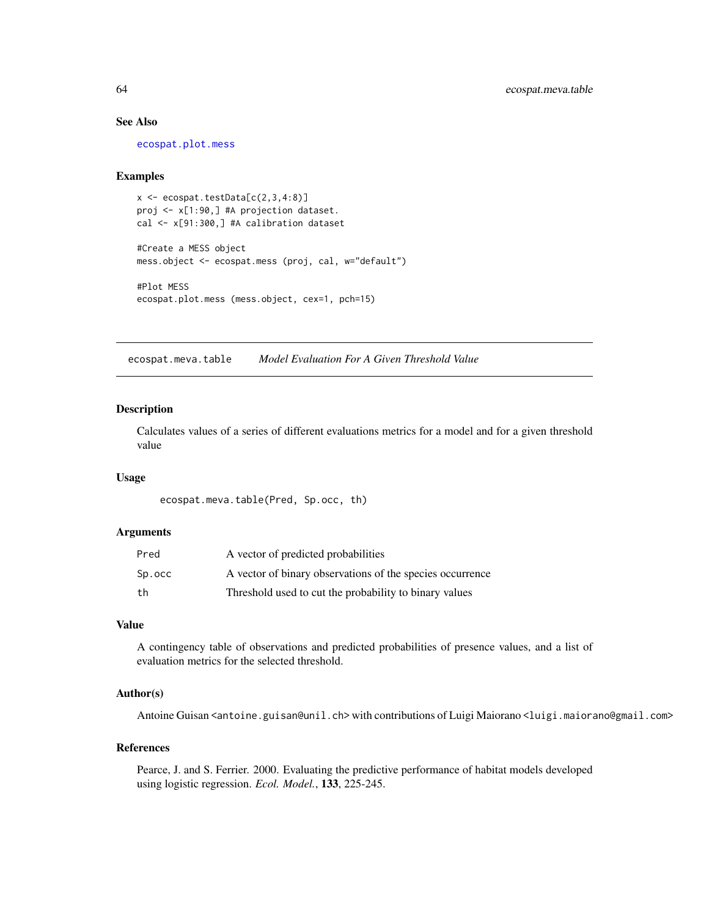## See Also

[ecospat.plot.mess](#page-83-0)

## Examples

```
x \leftarrow e \cos p \cdot t \cdot t \cdot \sinh[c(2,3,4:8)]proj <- x[1:90,] #A projection dataset.
cal <- x[91:300,] #A calibration dataset
#Create a MESS object
mess.object <- ecospat.mess (proj, cal, w="default")
```

```
#Plot MESS
ecospat.plot.mess (mess.object, cex=1, pch=15)
```
<span id="page-63-0"></span>ecospat.meva.table *Model Evaluation For A Given Threshold Value*

## Description

Calculates values of a series of different evaluations metrics for a model and for a given threshold value

## Usage

ecospat.meva.table(Pred, Sp.occ, th)

#### Arguments

| Pred   | A vector of predicted probabilities                       |
|--------|-----------------------------------------------------------|
| Sp.occ | A vector of binary observations of the species occurrence |
| th     | Threshold used to cut the probability to binary values    |

## Value

A contingency table of observations and predicted probabilities of presence values, and a list of evaluation metrics for the selected threshold.

## Author(s)

Antoine Guisan <antoine.guisan@unil.ch> with contributions of Luigi Maiorano <luigi.maiorano@gmail.com>

## References

Pearce, J. and S. Ferrier. 2000. Evaluating the predictive performance of habitat models developed using logistic regression. *Ecol. Model.*, 133, 225-245.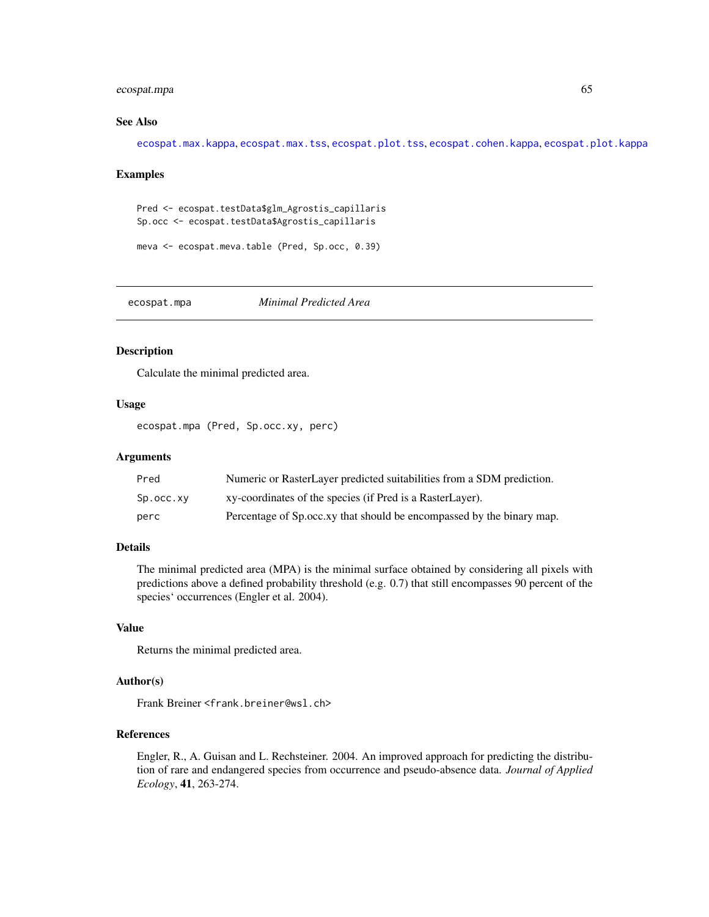## ecospat.mpa 65

## See Also

[ecospat.max.kappa](#page-57-0), [ecospat.max.tss](#page-58-0), [ecospat.plot.tss](#page-87-0), [ecospat.cohen.kappa](#page-22-0), [ecospat.plot.kappa](#page-82-0)

#### Examples

Pred <- ecospat.testData\$glm\_Agrostis\_capillaris Sp.occ <- ecospat.testData\$Agrostis\_capillaris

meva <- ecospat.meva.table (Pred, Sp.occ, 0.39)

ecospat.mpa *Minimal Predicted Area*

## Description

Calculate the minimal predicted area.

## Usage

ecospat.mpa (Pred, Sp.occ.xy, perc)

## Arguments

| Pred      | Numeric or RasterLayer predicted suitabilities from a SDM prediction.   |
|-----------|-------------------------------------------------------------------------|
| Sp.occ.xy | xy-coordinates of the species (if Pred is a RasterLayer).               |
| perc      | Percentage of Sp. occ. xy that should be encompassed by the binary map. |

## Details

The minimal predicted area (MPA) is the minimal surface obtained by considering all pixels with predictions above a defined probability threshold (e.g. 0.7) that still encompasses 90 percent of the species' occurrences (Engler et al. 2004).

## Value

Returns the minimal predicted area.

## Author(s)

Frank Breiner <frank.breiner@wsl.ch>

## References

Engler, R., A. Guisan and L. Rechsteiner. 2004. An improved approach for predicting the distribution of rare and endangered species from occurrence and pseudo-absence data. *Journal of Applied Ecology*, 41, 263-274.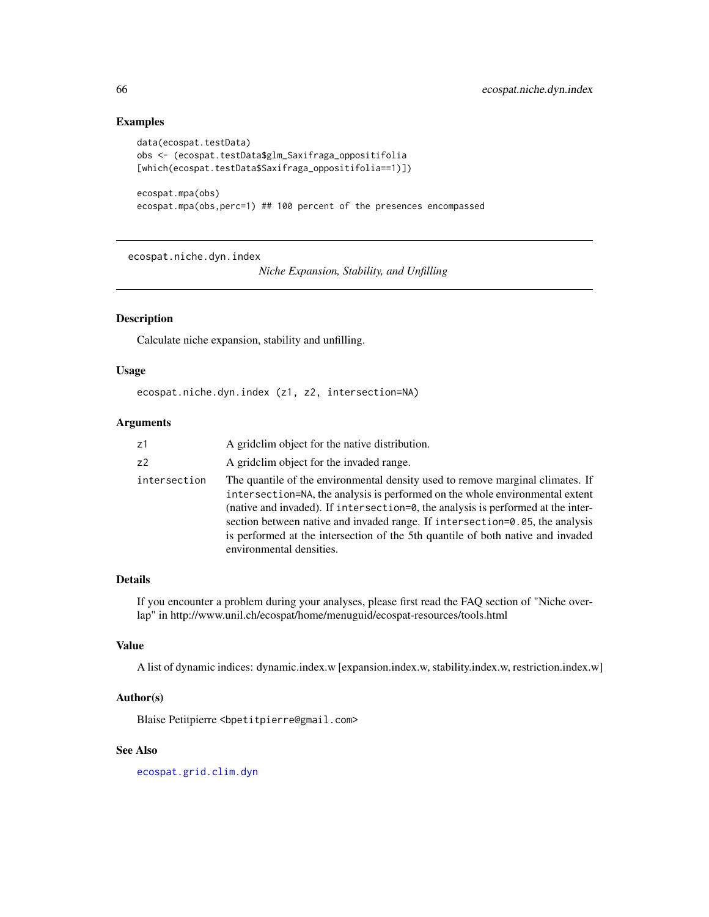## Examples

```
data(ecospat.testData)
obs <- (ecospat.testData$glm_Saxifraga_oppositifolia
[which(ecospat.testData$Saxifraga_oppositifolia==1)])
ecospat.mpa(obs)
ecospat.mpa(obs,perc=1) ## 100 percent of the presences encompassed
```
<span id="page-65-0"></span>ecospat.niche.dyn.index

*Niche Expansion, Stability, and Unfilling*

## Description

Calculate niche expansion, stability and unfilling.

## Usage

ecospat.niche.dyn.index (z1, z2, intersection=NA)

## Arguments

| z1           | A gridclim object for the native distribution.                                                                                                                                                                                                                                                                                                                                                                                                    |
|--------------|---------------------------------------------------------------------------------------------------------------------------------------------------------------------------------------------------------------------------------------------------------------------------------------------------------------------------------------------------------------------------------------------------------------------------------------------------|
| z2           | A gridclim object for the invaded range.                                                                                                                                                                                                                                                                                                                                                                                                          |
| intersection | The quantile of the environmental density used to remove marginal climates. If<br>intersection=NA, the analysis is performed on the whole environmental extent<br>(native and invaded). If intersection=0, the analysis is performed at the inter-<br>section between native and invaded range. If intersection=0.05, the analysis<br>is performed at the intersection of the 5th quantile of both native and invaded<br>environmental densities. |
|              |                                                                                                                                                                                                                                                                                                                                                                                                                                                   |

## Details

If you encounter a problem during your analyses, please first read the FAQ section of "Niche overlap" in http://www.unil.ch/ecospat/home/menuguid/ecospat-resources/tools.html

## Value

A list of dynamic indices: dynamic.index.w [expansion.index.w, stability.index.w, restriction.index.w]

## Author(s)

Blaise Petitpierre <bpetitpierre@gmail.com>

## See Also

[ecospat.grid.clim.dyn](#page-48-0)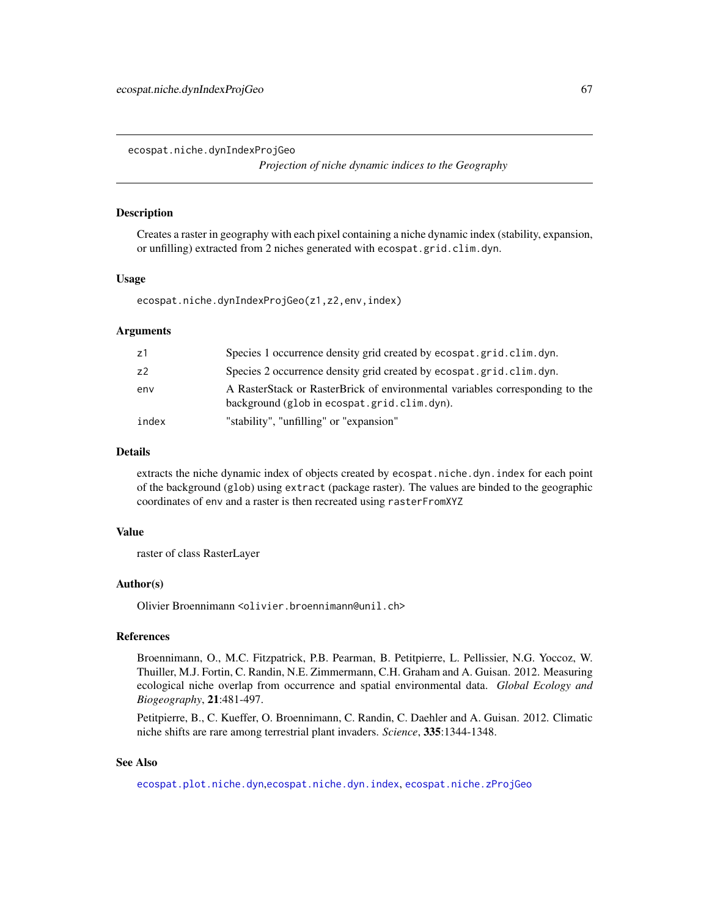ecospat.niche.dynIndexProjGeo

*Projection of niche dynamic indices to the Geography*

#### Description

Creates a raster in geography with each pixel containing a niche dynamic index (stability, expansion, or unfilling) extracted from 2 niches generated with ecospat.grid.clim.dyn.

## Usage

ecospat.niche.dynIndexProjGeo(z1,z2,env,index)

## Arguments

| 71             | Species 1 occurrence density grid created by ecospat.grid.clim.dyn.                                                         |
|----------------|-----------------------------------------------------------------------------------------------------------------------------|
| Z <sup>2</sup> | Species 2 occurrence density grid created by ecospat.grid.clim.dyn.                                                         |
| env            | A RasterStack or RasterBrick of environmental variables corresponding to the<br>background (glob in ecospat.grid.clim.dyn). |
| index          | "stability", "unfilling" or "expansion"                                                                                     |

## Details

extracts the niche dynamic index of objects created by ecospat.niche.dyn.index for each point of the background (glob) using extract (package raster). The values are binded to the geographic coordinates of env and a raster is then recreated using rasterFromXYZ

## Value

raster of class RasterLayer

#### Author(s)

Olivier Broennimann <olivier.broennimann@unil.ch>

## References

Broennimann, O., M.C. Fitzpatrick, P.B. Pearman, B. Petitpierre, L. Pellissier, N.G. Yoccoz, W. Thuiller, M.J. Fortin, C. Randin, N.E. Zimmermann, C.H. Graham and A. Guisan. 2012. Measuring ecological niche overlap from occurrence and spatial environmental data. *Global Ecology and Biogeography*, 21:481-497.

Petitpierre, B., C. Kueffer, O. Broennimann, C. Randin, C. Daehler and A. Guisan. 2012. Climatic niche shifts are rare among terrestrial plant invaders. *Science*, 335:1344-1348.

## See Also

[ecospat.plot.niche.dyn](#page-85-0),[ecospat.niche.dyn.index](#page-65-0), [ecospat.niche.zProjGeo](#page-72-0)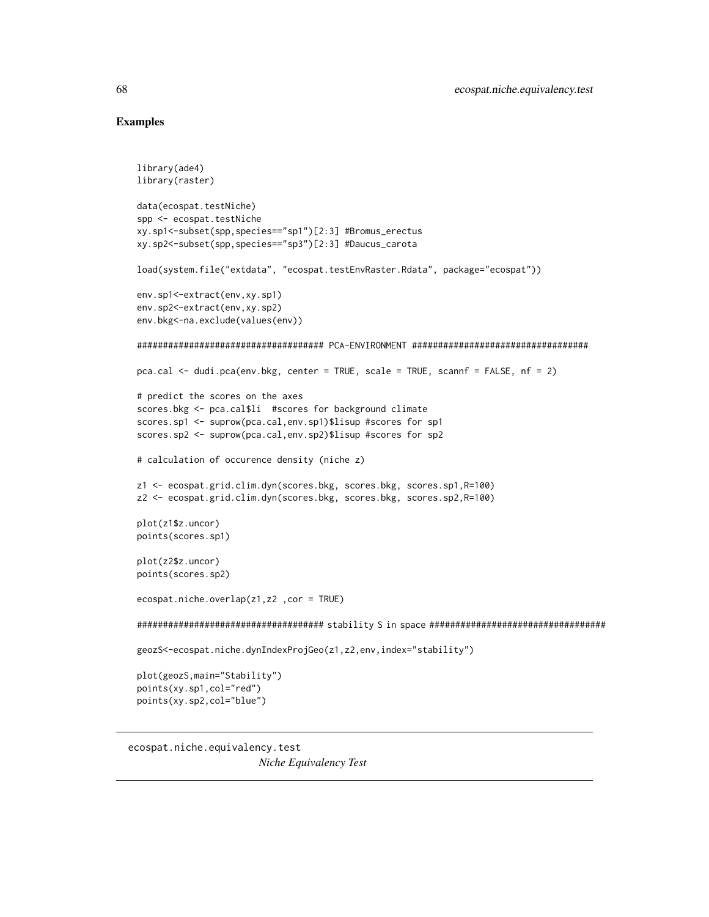## Examples

```
library(ade4)
library(raster)
data(ecospat.testNiche)
spp <- ecospat.testNiche
xy.sp1<-subset(spp,species=="sp1")[2:3] #Bromus_erectus
xy.sp2<-subset(spp,species=="sp3")[2:3] #Daucus_carota
load(system.file("extdata", "ecospat.testEnvRaster.Rdata", package="ecospat"))
env.sp1<-extract(env,xy.sp1)
env.sp2<-extract(env,xy.sp2)
env.bkg<-na.exclude(values(env))
#################################### PCA-ENVIRONMENT ##################################
pca.cal <- dudi.pca(env.bkg, center = TRUE, scale = TRUE, scannf = FALSE, nf = 2)
# predict the scores on the axes
scores.bkg <- pca.cal$li #scores for background climate
scores.sp1 <- suprow(pca.cal,env.sp1)$lisup #scores for sp1
scores.sp2 <- suprow(pca.cal,env.sp2)$lisup #scores for sp2
# calculation of occurence density (niche z)
z1 <- ecospat.grid.clim.dyn(scores.bkg, scores.bkg, scores.sp1,R=100)
z2 <- ecospat.grid.clim.dyn(scores.bkg, scores.bkg, scores.sp2,R=100)
plot(z1$z.uncor)
points(scores.sp1)
plot(z2$z.uncor)
points(scores.sp2)
ecospat.niche.overlap(z1,z2 ,cor = TRUE)
#################################### stability S in space ##################################
geozS<-ecospat.niche.dynIndexProjGeo(z1,z2,env,index="stability")
plot(geozS,main="Stability")
points(xy.sp1,col="red")
points(xy.sp2,col="blue")
```
ecospat.niche.equivalency.test *Niche Equivalency Test*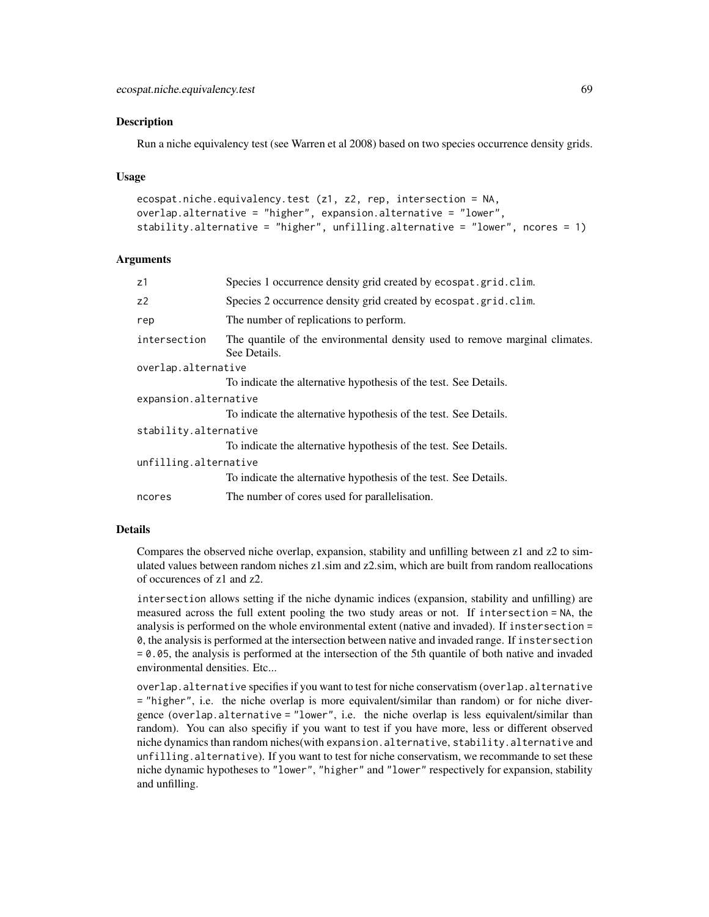### Description

Run a niche equivalency test (see Warren et al 2008) based on two species occurrence density grids.

#### Usage

```
ecospat.niche.equivalency.test (z1, z2, rep, intersection = NA,
overlap.alternative = "higher", expansion.alternative = "lower",
stability.alternative = "higher", unfilling.alternative = "lower", ncores = 1)
```
#### Arguments

| z1                    | Species 1 occurrence density grid created by ecospat.grid.clim.                             |
|-----------------------|---------------------------------------------------------------------------------------------|
| z <sub>2</sub>        | Species 2 occurrence density grid created by ecospat.grid.clim.                             |
| rep                   | The number of replications to perform.                                                      |
| intersection          | The quantile of the environmental density used to remove marginal climates.<br>See Details. |
| overlap.alternative   |                                                                                             |
|                       | To indicate the alternative hypothesis of the test. See Details.                            |
| expansion.alternative |                                                                                             |
|                       | To indicate the alternative hypothesis of the test. See Details.                            |
| stability.alternative |                                                                                             |
|                       | To indicate the alternative hypothesis of the test. See Details.                            |
| unfilling.alternative |                                                                                             |
|                       | To indicate the alternative hypothesis of the test. See Details.                            |
| ncores                | The number of cores used for parallelisation.                                               |
|                       |                                                                                             |

#### Details

Compares the observed niche overlap, expansion, stability and unfilling between z1 and z2 to simulated values between random niches z1.sim and z2.sim, which are built from random reallocations of occurences of z1 and z2.

intersection allows setting if the niche dynamic indices (expansion, stability and unfilling) are measured across the full extent pooling the two study areas or not. If intersection = NA, the analysis is performed on the whole environmental extent (native and invaded). If instersection = 0, the analysis is performed at the intersection between native and invaded range. If instersection = 0.05, the analysis is performed at the intersection of the 5th quantile of both native and invaded environmental densities. Etc...

overlap.alternative specifies if you want to test for niche conservatism (overlap.alternative = "higher", i.e. the niche overlap is more equivalent/similar than random) or for niche divergence (overlap.alternative = "lower", i.e. the niche overlap is less equivalent/similar than random). You can also specifiy if you want to test if you have more, less or different observed niche dynamics than random niches(with expansion.alternative, stability.alternative and unfilling.alternative). If you want to test for niche conservatism, we recommande to set these niche dynamic hypotheses to "lower", "higher" and "lower" respectively for expansion, stability and unfilling.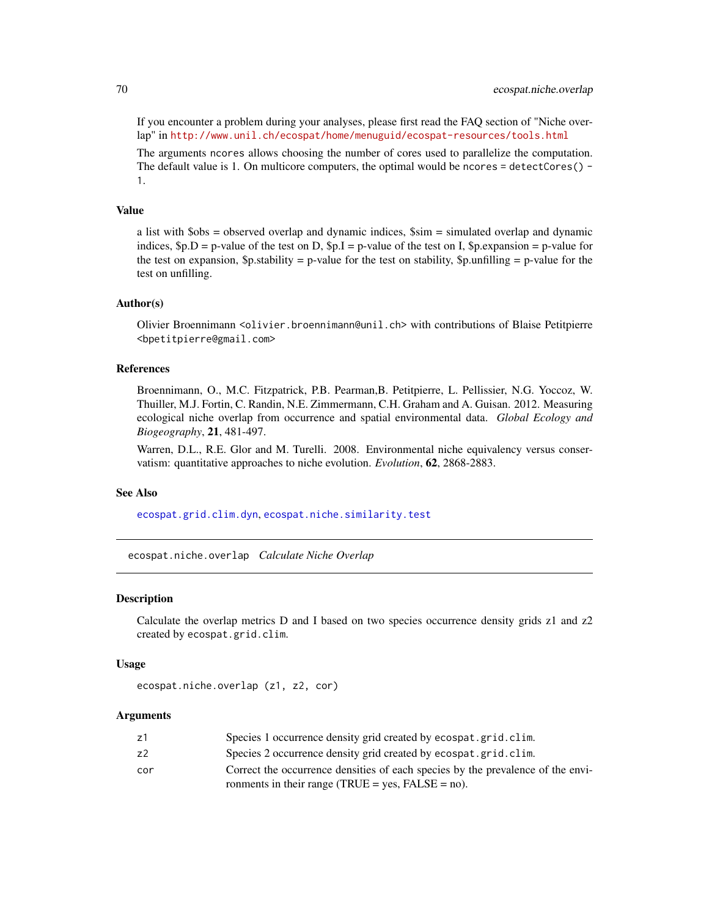If you encounter a problem during your analyses, please first read the FAQ section of "Niche overlap" in <http://www.unil.ch/ecospat/home/menuguid/ecospat-resources/tools.html>

The arguments ncores allows choosing the number of cores used to parallelize the computation. The default value is 1. On multicore computers, the optimal would be ncores = detectCores() -1.

### Value

a list with \$obs = observed overlap and dynamic indices, \$sim = simulated overlap and dynamic indices,  $p.D = p-value$  of the test on D,  $p.I = p-value$  of the test on I,  $p\_expansion = p-value$  for the test on expansion, \$p.stability = p-value for the test on stability, \$p.unfilling = p-value for the test on unfilling.

## Author(s)

Olivier Broennimann <olivier.broennimann@unil.ch> with contributions of Blaise Petitpierre <bpetitpierre@gmail.com>

## References

Broennimann, O., M.C. Fitzpatrick, P.B. Pearman,B. Petitpierre, L. Pellissier, N.G. Yoccoz, W. Thuiller, M.J. Fortin, C. Randin, N.E. Zimmermann, C.H. Graham and A. Guisan. 2012. Measuring ecological niche overlap from occurrence and spatial environmental data. *Global Ecology and Biogeography*, 21, 481-497.

Warren, D.L., R.E. Glor and M. Turelli. 2008. Environmental niche equivalency versus conservatism: quantitative approaches to niche evolution. *Evolution*, 62, 2868-2883.

#### See Also

[ecospat.grid.clim.dyn](#page-48-0), [ecospat.niche.similarity.test](#page-70-0)

ecospat.niche.overlap *Calculate Niche Overlap*

#### Description

Calculate the overlap metrics D and I based on two species occurrence density grids z1 and z2 created by ecospat.grid.clim.

#### Usage

```
ecospat.niche.overlap (z1, z2, cor)
```
#### Arguments

| z1  | Species 1 occurrence density grid created by ecospat.grid.clim.                 |
|-----|---------------------------------------------------------------------------------|
| z2  | Species 2 occurrence density grid created by ecospat.grid.clim.                 |
| cor | Correct the occurrence densities of each species by the prevalence of the envi- |
|     | ronments in their range (TRUE = yes, $FALSE = no$ ).                            |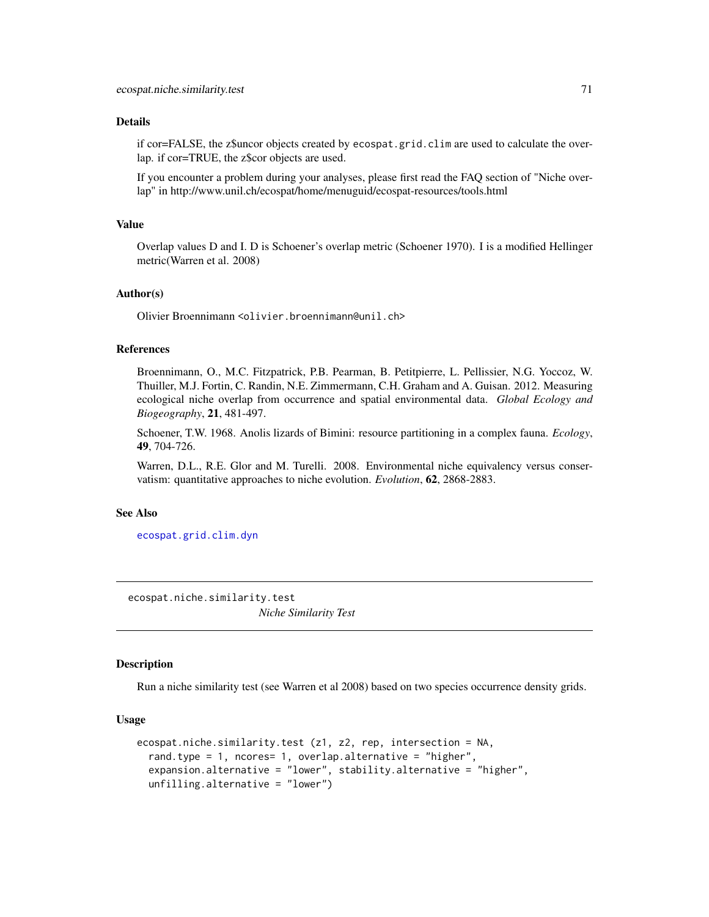## Details

if cor=FALSE, the z\$uncor objects created by ecospat.grid.clim are used to calculate the overlap. if cor=TRUE, the z\$cor objects are used.

If you encounter a problem during your analyses, please first read the FAQ section of "Niche overlap" in http://www.unil.ch/ecospat/home/menuguid/ecospat-resources/tools.html

## Value

Overlap values D and I. D is Schoener's overlap metric (Schoener 1970). I is a modified Hellinger metric(Warren et al. 2008)

## Author(s)

Olivier Broennimann <olivier.broennimann@unil.ch>

## References

Broennimann, O., M.C. Fitzpatrick, P.B. Pearman, B. Petitpierre, L. Pellissier, N.G. Yoccoz, W. Thuiller, M.J. Fortin, C. Randin, N.E. Zimmermann, C.H. Graham and A. Guisan. 2012. Measuring ecological niche overlap from occurrence and spatial environmental data. *Global Ecology and Biogeography*, 21, 481-497.

Schoener, T.W. 1968. Anolis lizards of Bimini: resource partitioning in a complex fauna. *Ecology*, 49, 704-726.

Warren, D.L., R.E. Glor and M. Turelli. 2008. Environmental niche equivalency versus conservatism: quantitative approaches to niche evolution. *Evolution*, 62, 2868-2883.

#### See Also

[ecospat.grid.clim.dyn](#page-48-0)

<span id="page-70-0"></span>ecospat.niche.similarity.test

*Niche Similarity Test*

#### **Description**

Run a niche similarity test (see Warren et al 2008) based on two species occurrence density grids.

## Usage

```
ecospat.niche.similarity.test (z1, z2, rep, intersection = NA,
  rand.type = 1, ncores= 1, overlap.alternative = "higher",
  expansion.alternative = "lower", stability.alternative = "higher",
  unfilling.alternative = "lower")
```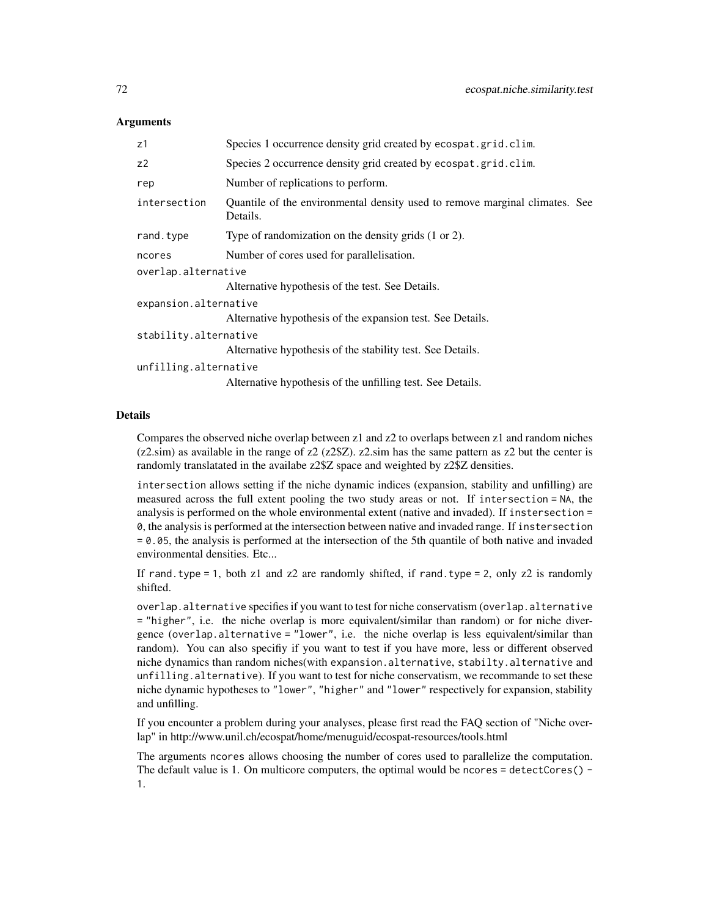## **Arguments**

| z1                    | Species 1 occurrence density grid created by ecospat.grid.clim.                         |
|-----------------------|-----------------------------------------------------------------------------------------|
| z2                    | Species 2 occurrence density grid created by ecospat.grid.clim.                         |
| rep                   | Number of replications to perform.                                                      |
| intersection          | Quantile of the environmental density used to remove marginal climates. See<br>Details. |
| rand.type             | Type of randomization on the density grids (1 or 2).                                    |
| ncores                | Number of cores used for parallelisation.                                               |
| overlap.alternative   |                                                                                         |
|                       | Alternative hypothesis of the test. See Details.                                        |
| expansion.alternative |                                                                                         |
|                       | Alternative hypothesis of the expansion test. See Details.                              |
| stability.alternative |                                                                                         |
|                       | Alternative hypothesis of the stability test. See Details.                              |
| unfilling.alternative |                                                                                         |
|                       | Alternative hypothesis of the unfilling test. See Details.                              |

#### Details

Compares the observed niche overlap between z1 and z2 to overlaps between z1 and random niches  $(z2 \text{.sim})$  as available in the range of  $z2$  ( $z2\$  $Z$ ).  $z2 \text{.sim}$  has the same pattern as  $z2$  but the center is randomly translatated in the availabe z2\$Z space and weighted by z2\$Z densities.

intersection allows setting if the niche dynamic indices (expansion, stability and unfilling) are measured across the full extent pooling the two study areas or not. If intersection = NA, the analysis is performed on the whole environmental extent (native and invaded). If instersection = 0, the analysis is performed at the intersection between native and invaded range. If instersection = 0.05, the analysis is performed at the intersection of the 5th quantile of both native and invaded environmental densities. Etc...

If rand.type = 1, both  $z1$  and  $z2$  are randomly shifted, if rand.type = 2, only  $z2$  is randomly shifted.

overlap.alternative specifies if you want to test for niche conservatism (overlap.alternative = "higher", i.e. the niche overlap is more equivalent/similar than random) or for niche divergence (overlap.alternative = "lower", i.e. the niche overlap is less equivalent/similar than random). You can also specifiy if you want to test if you have more, less or different observed niche dynamics than random niches(with expansion.alternative, stabilty.alternative and unfilling.alternative). If you want to test for niche conservatism, we recommande to set these niche dynamic hypotheses to "lower", "higher" and "lower" respectively for expansion, stability and unfilling.

If you encounter a problem during your analyses, please first read the FAQ section of "Niche overlap" in http://www.unil.ch/ecospat/home/menuguid/ecospat-resources/tools.html

The arguments ncores allows choosing the number of cores used to parallelize the computation. The default value is 1. On multicore computers, the optimal would be ncores = detectCores() -1.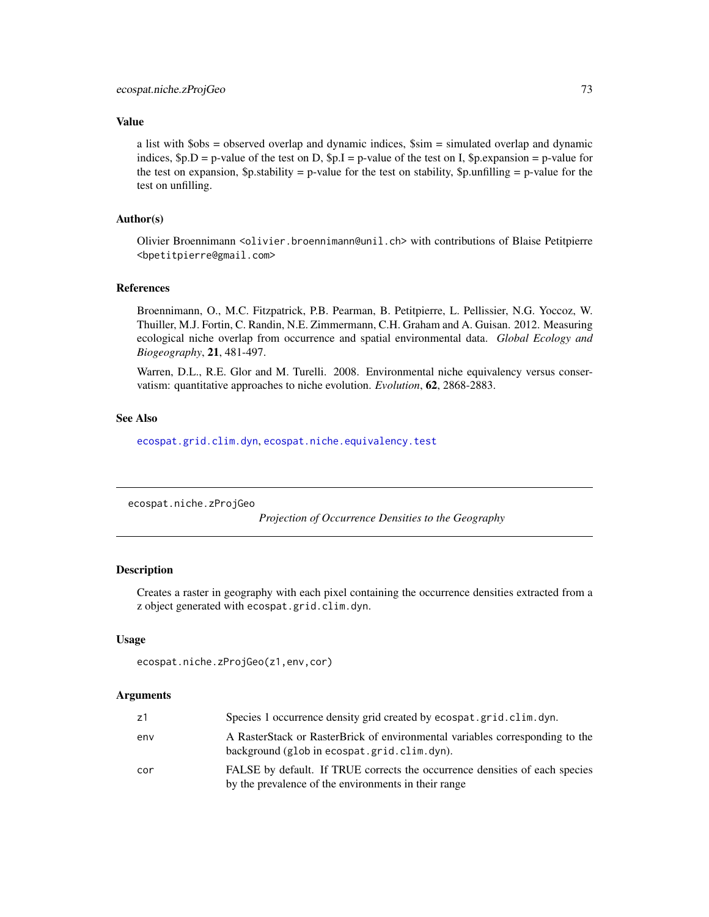# Value

a list with \$obs = observed overlap and dynamic indices, \$sim = simulated overlap and dynamic indices,  $p.D = p-value$  of the test on D,  $p.I = p-value$  of the test on I,  $p\_expansion = p-value$  for the test on expansion, \$p.stability = p-value for the test on stability, \$p.unfilling = p-value for the test on unfilling.

# Author(s)

Olivier Broennimann <olivier.broennimann@unil.ch> with contributions of Blaise Petitpierre <bpetitpierre@gmail.com>

# References

Broennimann, O., M.C. Fitzpatrick, P.B. Pearman, B. Petitpierre, L. Pellissier, N.G. Yoccoz, W. Thuiller, M.J. Fortin, C. Randin, N.E. Zimmermann, C.H. Graham and A. Guisan. 2012. Measuring ecological niche overlap from occurrence and spatial environmental data. *Global Ecology and Biogeography*, 21, 481-497.

Warren, D.L., R.E. Glor and M. Turelli. 2008. Environmental niche equivalency versus conservatism: quantitative approaches to niche evolution. *Evolution*, 62, 2868-2883.

## See Also

[ecospat.grid.clim.dyn](#page-48-0), [ecospat.niche.equivalency.test](#page-67-0)

ecospat.niche.zProjGeo

*Projection of Occurrence Densities to the Geography*

# **Description**

Creates a raster in geography with each pixel containing the occurrence densities extracted from a z object generated with ecospat.grid.clim.dyn.

## Usage

```
ecospat.niche.zProjGeo(z1,env,cor)
```
#### Arguments

| z1  | Species 1 occurrence density grid created by ecospat.grid.clim.dyn.                                                                 |
|-----|-------------------------------------------------------------------------------------------------------------------------------------|
| env | A RasterStack or RasterBrick of environmental variables corresponding to the<br>background (glob in ecospat.grid.clim.dyn).         |
| cor | FALSE by default. If TRUE corrects the occurrence densities of each species<br>by the prevalence of the environments in their range |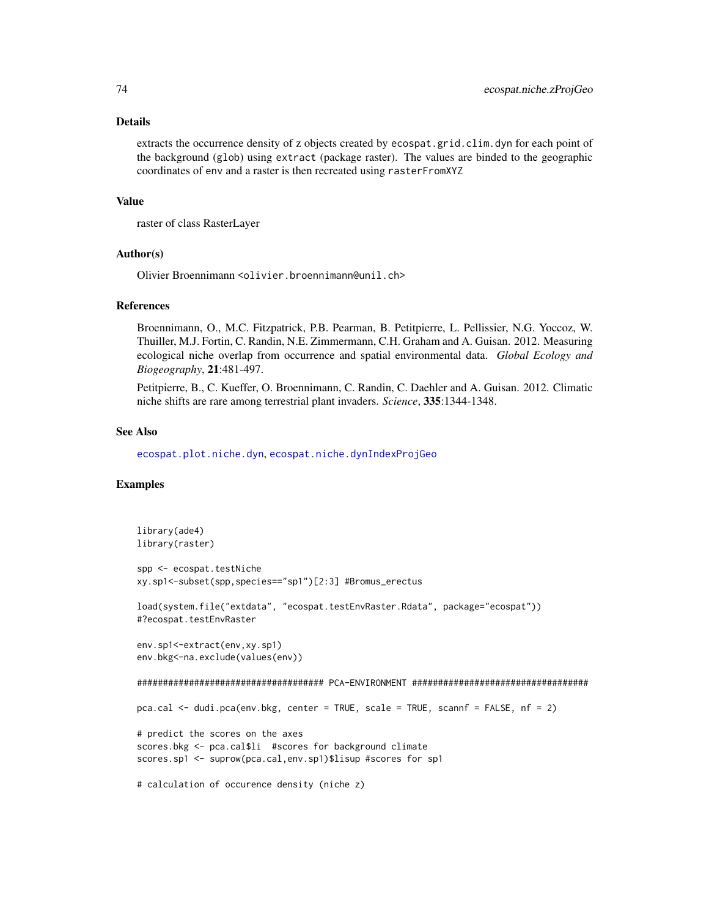#### Details

extracts the occurrence density of z objects created by ecospat.grid.clim.dyn for each point of the background (glob) using extract (package raster). The values are binded to the geographic coordinates of env and a raster is then recreated using rasterFromXYZ

#### Value

raster of class RasterLayer

# Author(s)

Olivier Broennimann <olivier.broennimann@unil.ch>

# References

Broennimann, O., M.C. Fitzpatrick, P.B. Pearman, B. Petitpierre, L. Pellissier, N.G. Yoccoz, W. Thuiller, M.J. Fortin, C. Randin, N.E. Zimmermann, C.H. Graham and A. Guisan. 2012. Measuring ecological niche overlap from occurrence and spatial environmental data. *Global Ecology and Biogeography*, 21:481-497.

Petitpierre, B., C. Kueffer, O. Broennimann, C. Randin, C. Daehler and A. Guisan. 2012. Climatic niche shifts are rare among terrestrial plant invaders. *Science*, 335:1344-1348.

# See Also

[ecospat.plot.niche.dyn](#page-85-0), [ecospat.niche.dynIndexProjGeo](#page-66-0)

# Examples

```
library(ade4)
library(raster)
spp <- ecospat.testNiche
xy.sp1<-subset(spp,species=="sp1")[2:3] #Bromus_erectus
load(system.file("extdata", "ecospat.testEnvRaster.Rdata", package="ecospat"))
#?ecospat.testEnvRaster
env.sp1<-extract(env,xy.sp1)
env.bkg<-na.exclude(values(env))
#################################### PCA-ENVIRONMENT ##################################
pca.cal <- dudi.pca(env.bkg, center = TRUE, scale = TRUE, scannf = FALSE, nf = 2)
# predict the scores on the axes
scores.bkg <- pca.cal$li #scores for background climate
scores.sp1 <- suprow(pca.cal,env.sp1)$lisup #scores for sp1
# calculation of occurence density (niche z)
```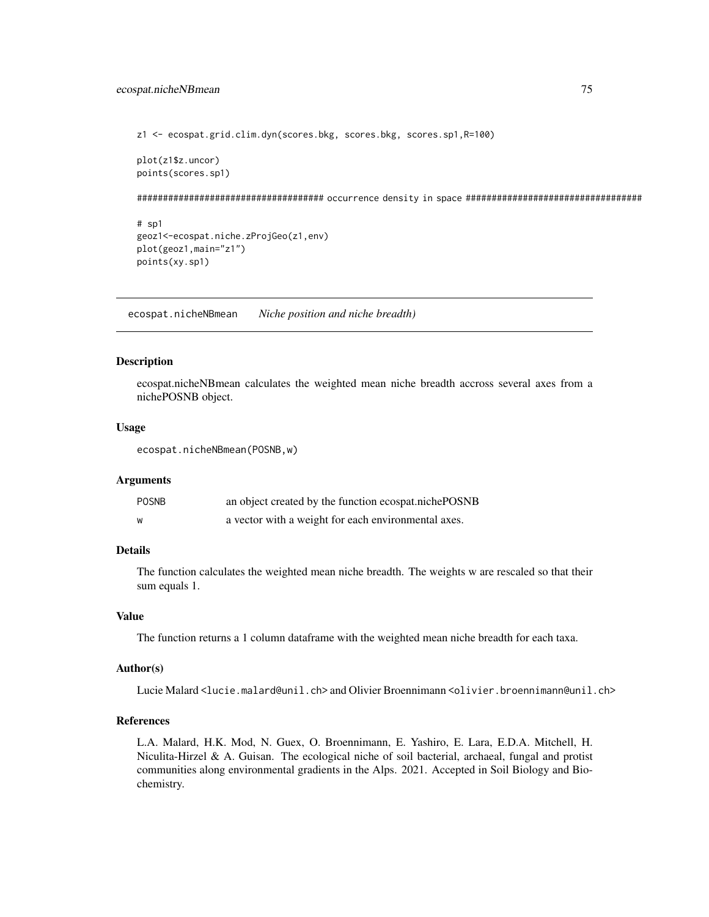z1 <- ecospat.grid.clim.dyn(scores.bkg, scores.bkg, scores.sp1,R=100)

plot(z1\$z.uncor) points(scores.sp1)

#################################### occurrence density in space ##################################

```
# sp1
geoz1<-ecospat.niche.zProjGeo(z1,env)
plot(geoz1,main="z1")
points(xy.sp1)
```
ecospat.nicheNBmean *Niche position and niche breadth)*

# Description

ecospat.nicheNBmean calculates the weighted mean niche breadth accross several axes from a nichePOSNB object.

#### Usage

ecospat.nicheNBmean(POSNB,w)

#### Arguments

| POSNB | an object created by the function ecospat.nichePOSNB |
|-------|------------------------------------------------------|
| W     | a vector with a weight for each environmental axes.  |

#### Details

The function calculates the weighted mean niche breadth. The weights w are rescaled so that their sum equals 1.

#### Value

The function returns a 1 column dataframe with the weighted mean niche breadth for each taxa.

#### Author(s)

Lucie Malard <lucie.malard@unil.ch> and Olivier Broennimann <olivier.broennimann@unil.ch>

#### References

L.A. Malard, H.K. Mod, N. Guex, O. Broennimann, E. Yashiro, E. Lara, E.D.A. Mitchell, H. Niculita-Hirzel & A. Guisan. The ecological niche of soil bacterial, archaeal, fungal and protist communities along environmental gradients in the Alps. 2021. Accepted in Soil Biology and Biochemistry.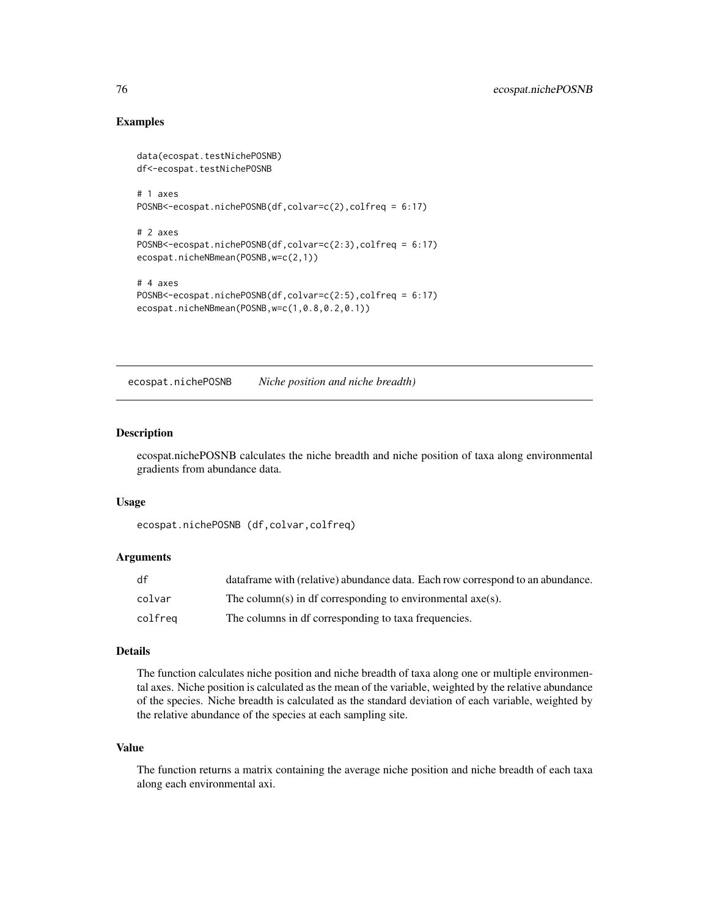# Examples

```
data(ecospat.testNichePOSNB)
df<-ecospat.testNichePOSNB
# 1 axes
POSNB<-ecospat.nichePOSNB(df,colvar=c(2),colfreq = 6:17)
# 2 axes
POSNB<-ecospat.nichePOSNB(df,colvar=c(2:3),colfreq = 6:17)
ecospat.nicheNBmean(POSNB,w=c(2,1))
# 4 axes
POSNB<-ecospat.nichePOSNB(df,colvar=c(2:5),colfreq = 6:17)
ecospat.nicheNBmean(POSNB,w=c(1,0.8,0.2,0.1))
```
ecospat.nichePOSNB *Niche position and niche breadth)*

# Description

ecospat.nichePOSNB calculates the niche breadth and niche position of taxa along environmental gradients from abundance data.

# Usage

ecospat.nichePOSNB (df,colvar,colfreq)

## Arguments

| df      | data frame with (relative) abundance data. Each row correspond to an abundance. |
|---------|---------------------------------------------------------------------------------|
| colvar  | The column(s) in df corresponding to environmental $axe(s)$ .                   |
| colfreg | The columns in df corresponding to taxa frequencies.                            |

#### Details

The function calculates niche position and niche breadth of taxa along one or multiple environmental axes. Niche position is calculated as the mean of the variable, weighted by the relative abundance of the species. Niche breadth is calculated as the standard deviation of each variable, weighted by the relative abundance of the species at each sampling site.

# Value

The function returns a matrix containing the average niche position and niche breadth of each taxa along each environmental axi.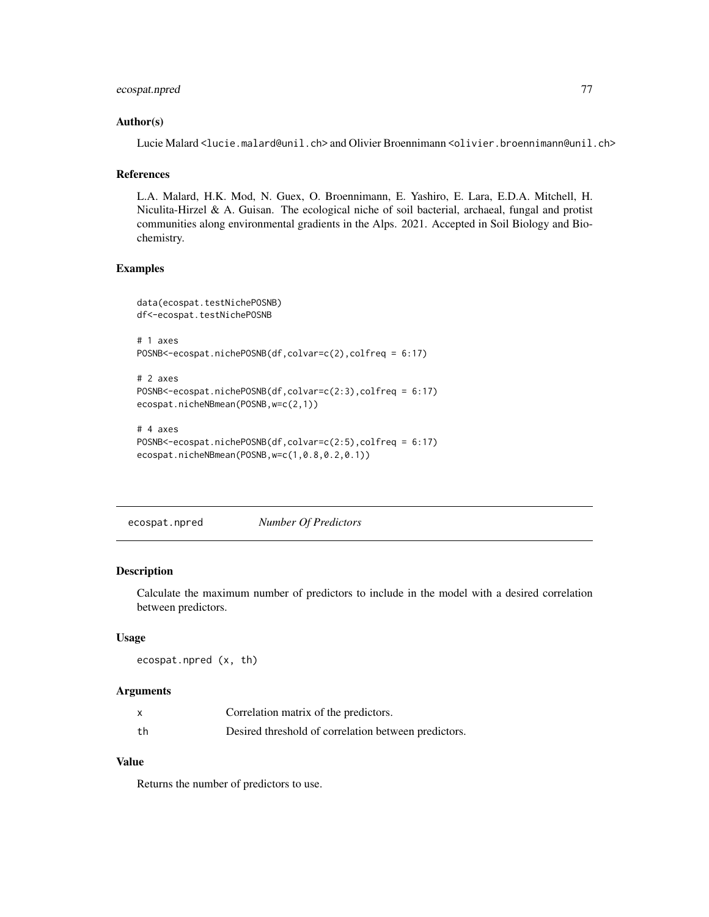```
ecospat.npred 77
```
#### Author(s)

Lucie Malard <lucie.malard@unil.ch> and Olivier Broennimann <olivier.broennimann@unil.ch>

#### References

L.A. Malard, H.K. Mod, N. Guex, O. Broennimann, E. Yashiro, E. Lara, E.D.A. Mitchell, H. Niculita-Hirzel & A. Guisan. The ecological niche of soil bacterial, archaeal, fungal and protist communities along environmental gradients in the Alps. 2021. Accepted in Soil Biology and Biochemistry.

## Examples

```
data(ecospat.testNichePOSNB)
df<-ecospat.testNichePOSNB
```

```
# 1 axes
POSNB<-ecospat.nichePOSNB(df,colvar=c(2),colfreq = 6:17)
```

```
# 2 axes
POSNB<-ecospat.nichePOSNB(df,colvar=c(2:3),colfreq = 6:17)
ecospat.nicheNBmean(POSNB,w=c(2,1))
```

```
# 4 axes
POSNB<-ecospat.nichePOSNB(df,colvar=c(2:5),colfreq = 6:17)
ecospat.nicheNBmean(POSNB,w=c(1,0.8,0.2,0.1))
```
ecospat.npred *Number Of Predictors*

## Description

Calculate the maximum number of predictors to include in the model with a desired correlation between predictors.

## Usage

```
ecospat.npred (x, th)
```
#### Arguments

|    | Correlation matrix of the predictors.                |
|----|------------------------------------------------------|
| th | Desired threshold of correlation between predictors. |

# Value

Returns the number of predictors to use.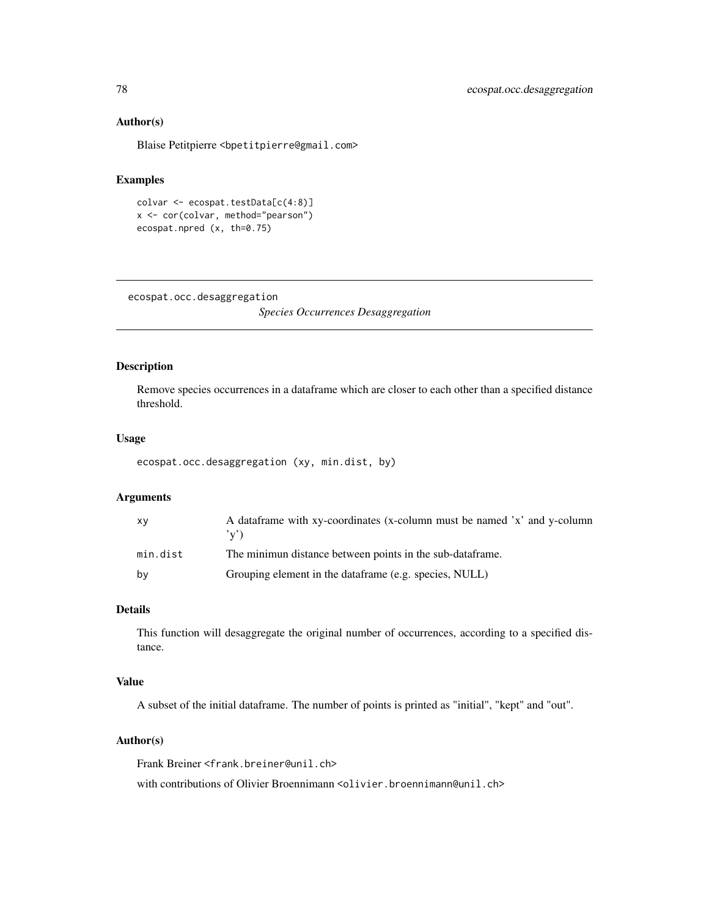## Author(s)

Blaise Petitpierre <bpetitpierre@gmail.com>

#### Examples

```
colvar <- ecospat.testData[c(4:8)]
x <- cor(colvar, method="pearson")
ecospat.npred (x, th=0.75)
```
ecospat.occ.desaggregation

*Species Occurrences Desaggregation*

#### Description

Remove species occurrences in a dataframe which are closer to each other than a specified distance threshold.

# Usage

```
ecospat.occ.desaggregation (xy, min.dist, by)
```
# Arguments

| XV       | A data frame with xy-coordinates (x-column must be named 'x' and y-column<br>$\mathbf{v}$ ) |
|----------|---------------------------------------------------------------------------------------------|
| min.dist | The minimun distance between points in the sub-dataframe.                                   |
| bv       | Grouping element in the dataframe (e.g. species, NULL)                                      |

# Details

This function will desaggregate the original number of occurrences, according to a specified distance.

# Value

A subset of the initial dataframe. The number of points is printed as "initial", "kept" and "out".

## Author(s)

Frank Breiner <frank.breiner@unil.ch>

with contributions of Olivier Broennimann <olivier.broennimann@unil.ch>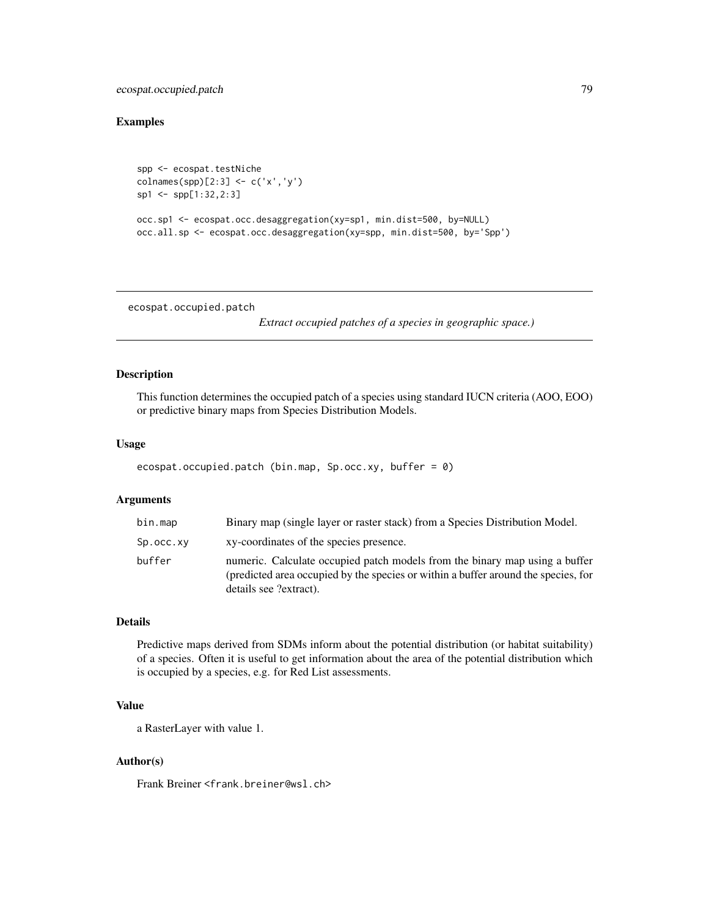# ecospat.occupied.patch 79

# Examples

```
spp <- ecospat.testNiche
\text{colnames}(\text{spp})[2:3] \leftarrow c('x', 'y')sp1 <- spp[1:32,2:3]
occ.sp1 <- ecospat.occ.desaggregation(xy=sp1, min.dist=500, by=NULL)
occ.all.sp <- ecospat.occ.desaggregation(xy=spp, min.dist=500, by='Spp')
```
<span id="page-78-0"></span>ecospat.occupied.patch

*Extract occupied patches of a species in geographic space.)*

# Description

This function determines the occupied patch of a species using standard IUCN criteria (AOO, EOO) or predictive binary maps from Species Distribution Models.

#### Usage

```
ecospat.occupied.patch (bin.map, Sp.occ.xy, buffer = \theta)
```
#### Arguments

| bin.map   | Binary map (single layer or raster stack) from a Species Distribution Model.                                                                                                                |
|-----------|---------------------------------------------------------------------------------------------------------------------------------------------------------------------------------------------|
| Sp.occ.xv | xy-coordinates of the species presence.                                                                                                                                                     |
| buffer    | numeric. Calculate occupied patch models from the binary map using a buffer<br>(predicted area occupied by the species or within a buffer around the species, for<br>details see ?extract). |

# Details

Predictive maps derived from SDMs inform about the potential distribution (or habitat suitability) of a species. Often it is useful to get information about the area of the potential distribution which is occupied by a species, e.g. for Red List assessments.

# Value

a RasterLayer with value 1.

# Author(s)

Frank Breiner <frank.breiner@wsl.ch>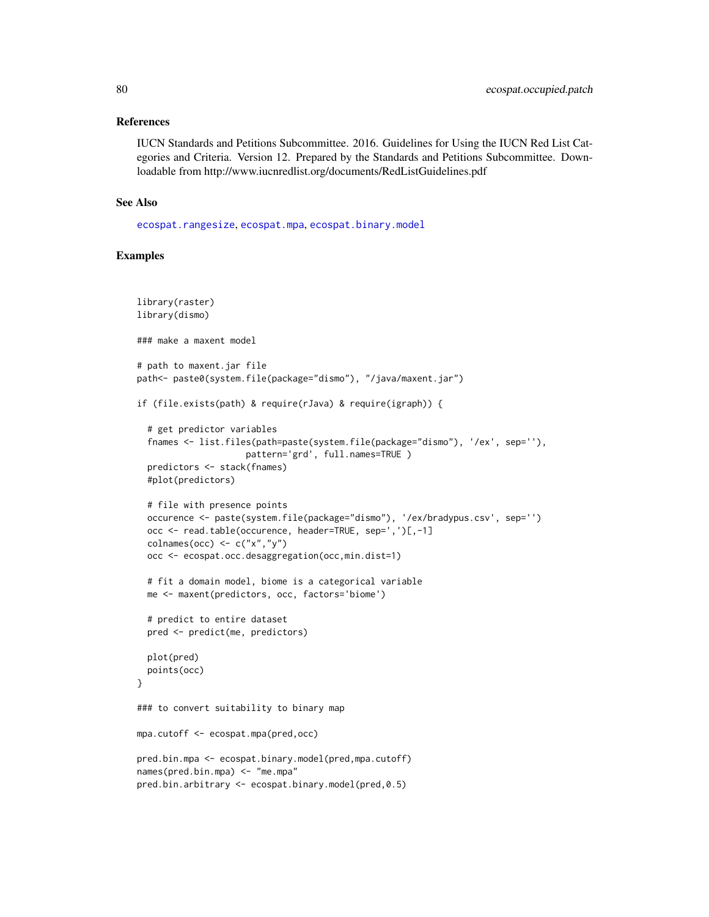## References

IUCN Standards and Petitions Subcommittee. 2016. Guidelines for Using the IUCN Red List Categories and Criteria. Version 12. Prepared by the Standards and Petitions Subcommittee. Downloadable from http://www.iucnredlist.org/documents/RedListGuidelines.pdf

# See Also

[ecospat.rangesize](#page-89-0), [ecospat.mpa](#page-64-0), [ecospat.binary.model](#page-5-0)

#### Examples

```
library(raster)
library(dismo)
### make a maxent model
# path to maxent.jar file
path<- paste0(system.file(package="dismo"), "/java/maxent.jar")
if (file.exists(path) & require(rJava) & require(igraph)) {
 # get predictor variables
 fnames <- list.files(path=paste(system.file(package="dismo"), '/ex', sep=''),
                    pattern='grd', full.names=TRUE )
 predictors <- stack(fnames)
 #plot(predictors)
 # file with presence points
 occurence <- paste(system.file(package="dismo"), '/ex/bradypus.csv', sep='')
 occ <- read.table(occurence, header=TRUE, sep=',')[,-1]
 colnames(occ) \leq c("x","y")
 occ <- ecospat.occ.desaggregation(occ,min.dist=1)
 # fit a domain model, biome is a categorical variable
 me <- maxent(predictors, occ, factors='biome')
 # predict to entire dataset
 pred <- predict(me, predictors)
 plot(pred)
 points(occ)
}
### to convert suitability to binary map
mpa.cutoff <- ecospat.mpa(pred,occ)
pred.bin.mpa <- ecospat.binary.model(pred,mpa.cutoff)
names(pred.bin.mpa) <- "me.mpa"
pred.bin.arbitrary <- ecospat.binary.model(pred,0.5)
```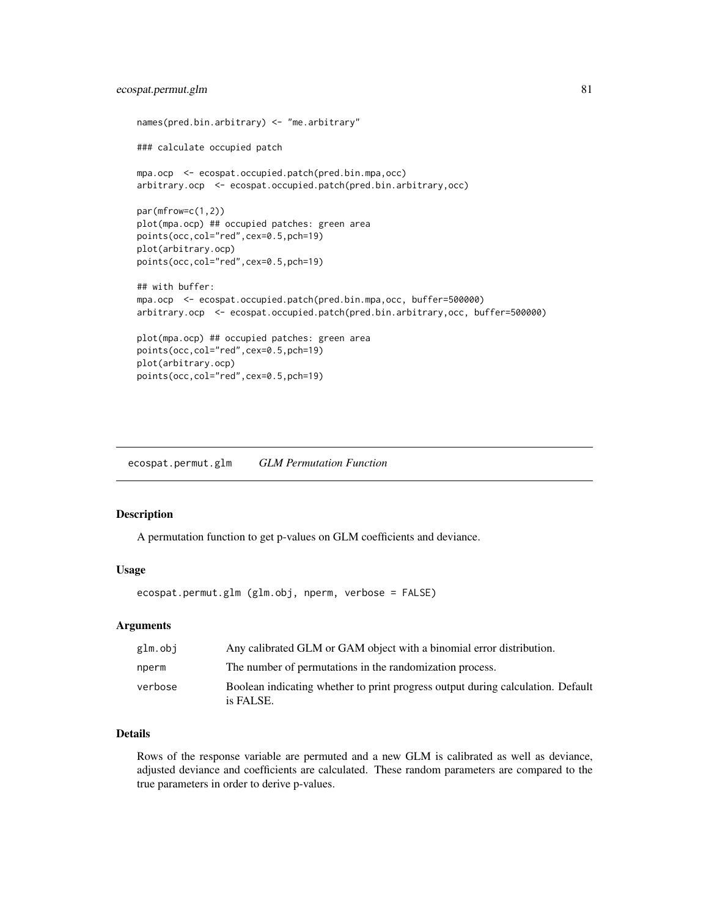```
names(pred.bin.arbitrary) <- "me.arbitrary"
### calculate occupied patch
mpa.ocp <- ecospat.occupied.patch(pred.bin.mpa,occ)
arbitrary.ocp <- ecospat.occupied.patch(pred.bin.arbitrary,occ)
par(mfrow=c(1,2))
plot(mpa.ocp) ## occupied patches: green area
points(occ,col="red",cex=0.5,pch=19)
plot(arbitrary.ocp)
points(occ,col="red",cex=0.5,pch=19)
## with buffer:
mpa.ocp <- ecospat.occupied.patch(pred.bin.mpa,occ, buffer=500000)
arbitrary.ocp <- ecospat.occupied.patch(pred.bin.arbitrary,occ, buffer=500000)
plot(mpa.ocp) ## occupied patches: green area
points(occ,col="red",cex=0.5,pch=19)
plot(arbitrary.ocp)
points(occ,col="red",cex=0.5,pch=19)
```
ecospat.permut.glm *GLM Permutation Function*

# Description

A permutation function to get p-values on GLM coefficients and deviance.

#### Usage

ecospat.permut.glm (glm.obj, nperm, verbose = FALSE)

#### Arguments

| glm.obj | Any calibrated GLM or GAM object with a binomial error distribution.                         |
|---------|----------------------------------------------------------------------------------------------|
| nperm   | The number of permutations in the randomization process.                                     |
| verbose | Boolean indicating whether to print progress output during calculation. Default<br>is FALSE. |

# Details

Rows of the response variable are permuted and a new GLM is calibrated as well as deviance, adjusted deviance and coefficients are calculated. These random parameters are compared to the true parameters in order to derive p-values.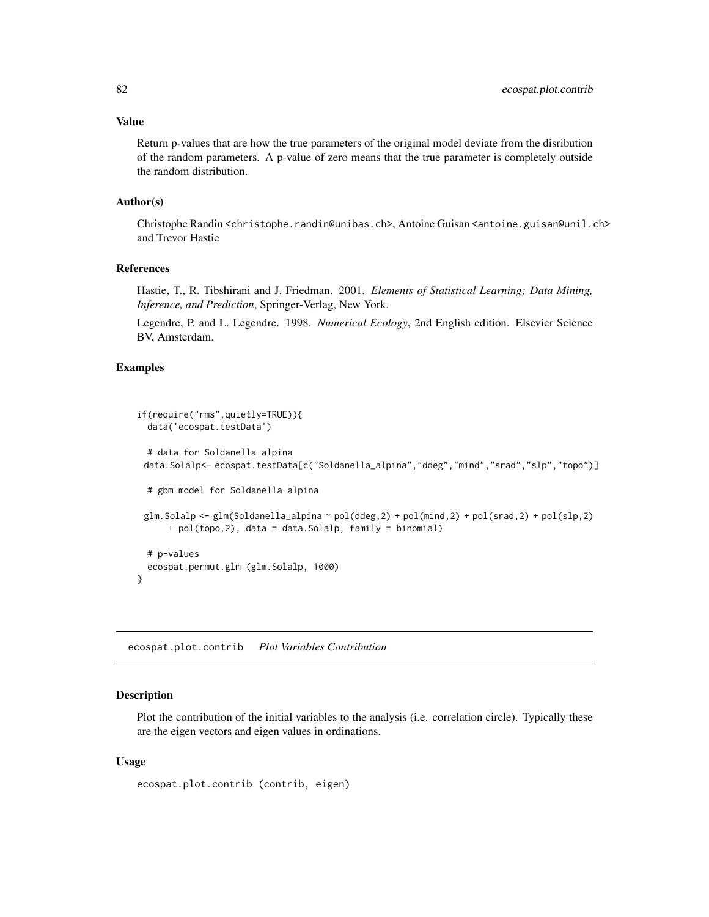# Value

Return p-values that are how the true parameters of the original model deviate from the disribution of the random parameters. A p-value of zero means that the true parameter is completely outside the random distribution.

## Author(s)

Christophe Randin <christophe.randin@unibas.ch>, Antoine Guisan <antoine.guisan@unil.ch> and Trevor Hastie

#### References

Hastie, T., R. Tibshirani and J. Friedman. 2001. *Elements of Statistical Learning; Data Mining, Inference, and Prediction*, Springer-Verlag, New York.

Legendre, P. and L. Legendre. 1998. *Numerical Ecology*, 2nd English edition. Elsevier Science BV, Amsterdam.

## Examples

```
if(require("rms",quietly=TRUE)){
 data('ecospat.testData')
 # data for Soldanella alpina
 data.Solalp<- ecospat.testData[c("Soldanella_alpina","ddeg","mind","srad","slp","topo")]
 # gbm model for Soldanella alpina
 glm.Solalp <- glm(Soldanella_alpina ~ pol(ddeg, 2) + pol(mind, 2) + pol(srad, 2) + pol(slp, 2)
      + pol(topo,2), data = data.Solalp, family = binomial)
 # p-values
 ecospat.permut.glm (glm.Solalp, 1000)
}
```
ecospat.plot.contrib *Plot Variables Contribution*

# **Description**

Plot the contribution of the initial variables to the analysis (i.e. correlation circle). Typically these are the eigen vectors and eigen values in ordinations.

## Usage

```
ecospat.plot.contrib (contrib, eigen)
```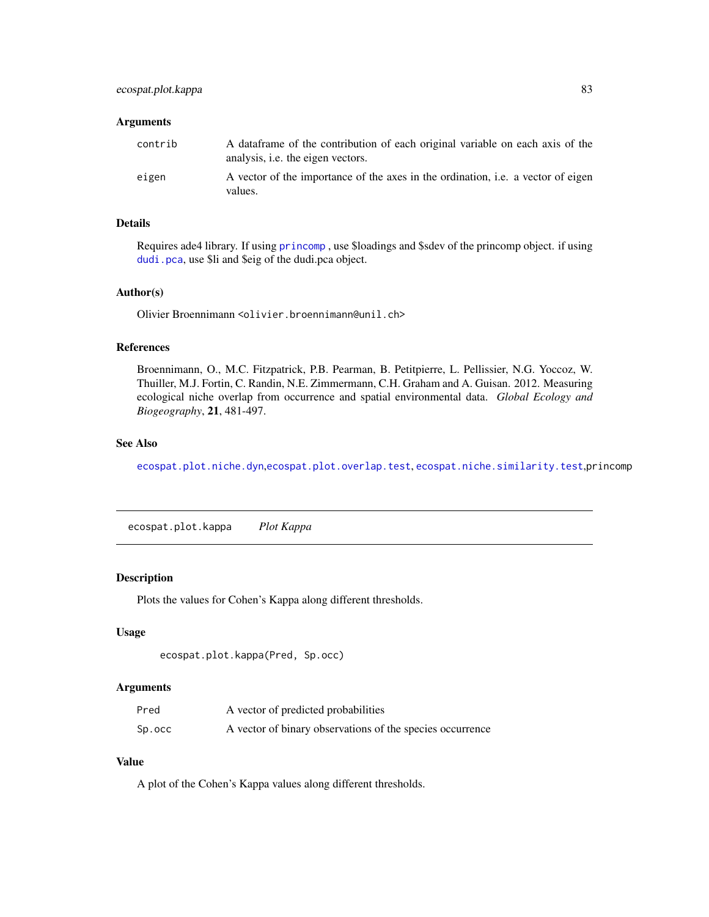# Arguments

| contrib | A dataframe of the contribution of each original variable on each axis of the<br>analysis, <i>i.e.</i> the eigen vectors. |
|---------|---------------------------------------------------------------------------------------------------------------------------|
| eigen   | A vector of the importance of the axes in the ordination, i.e. a vector of eigen<br>values.                               |

# Details

Requires ade4 library. If using [princomp](#page-0-0) , use \$loadings and \$sdev of the princomp object. if using [dudi.pca](#page-0-0), use \$li and \$eig of the dudi.pca object.

#### Author(s)

Olivier Broennimann <olivier.broennimann@unil.ch>

# References

Broennimann, O., M.C. Fitzpatrick, P.B. Pearman, B. Petitpierre, L. Pellissier, N.G. Yoccoz, W. Thuiller, M.J. Fortin, C. Randin, N.E. Zimmermann, C.H. Graham and A. Guisan. 2012. Measuring ecological niche overlap from occurrence and spatial environmental data. *Global Ecology and Biogeography*, 21, 481-497.

#### See Also

[ecospat.plot.niche.dyn](#page-85-0),[ecospat.plot.overlap.test](#page-86-0), [ecospat.niche.similarity.test](#page-70-0),princomp

<span id="page-82-0"></span>ecospat.plot.kappa *Plot Kappa*

#### Description

Plots the values for Cohen's Kappa along different thresholds.

#### Usage

```
ecospat.plot.kappa(Pred, Sp.occ)
```
# Arguments

| Pred   | A vector of predicted probabilities                       |
|--------|-----------------------------------------------------------|
| Sp.occ | A vector of binary observations of the species occurrence |

### Value

A plot of the Cohen's Kappa values along different thresholds.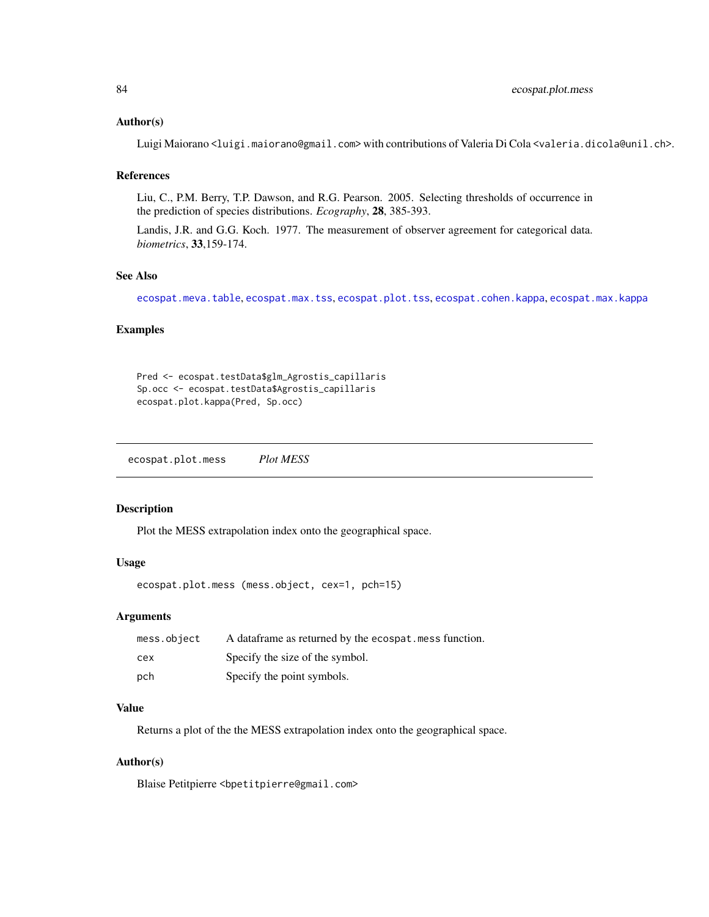## Author(s)

Luigi Maiorano <luigi.maiorano@gmail.com> with contributions of Valeria Di Cola <valeria.dicola@unil.ch>.

# References

Liu, C., P.M. Berry, T.P. Dawson, and R.G. Pearson. 2005. Selecting thresholds of occurrence in the prediction of species distributions. *Ecography*, 28, 385-393.

Landis, J.R. and G.G. Koch. 1977. The measurement of observer agreement for categorical data. *biometrics*, 33,159-174.

# See Also

[ecospat.meva.table](#page-63-0), [ecospat.max.tss](#page-58-0), [ecospat.plot.tss](#page-87-0), [ecospat.cohen.kappa](#page-22-0), [ecospat.max.kappa](#page-57-0)

# Examples

```
Pred <- ecospat.testData$glm_Agrostis_capillaris
Sp.occ <- ecospat.testData$Agrostis_capillaris
ecospat.plot.kappa(Pred, Sp.occ)
```
ecospat.plot.mess *Plot MESS*

# Description

Plot the MESS extrapolation index onto the geographical space.

## Usage

```
ecospat.plot.mess (mess.object, cex=1, pch=15)
```
#### Arguments

| mess.object | A data frame as returned by the ecospat. mess function. |
|-------------|---------------------------------------------------------|
| cex         | Specify the size of the symbol.                         |
| pch         | Specify the point symbols.                              |

# Value

Returns a plot of the the MESS extrapolation index onto the geographical space.

## Author(s)

Blaise Petitpierre <bpetitpierre@gmail.com>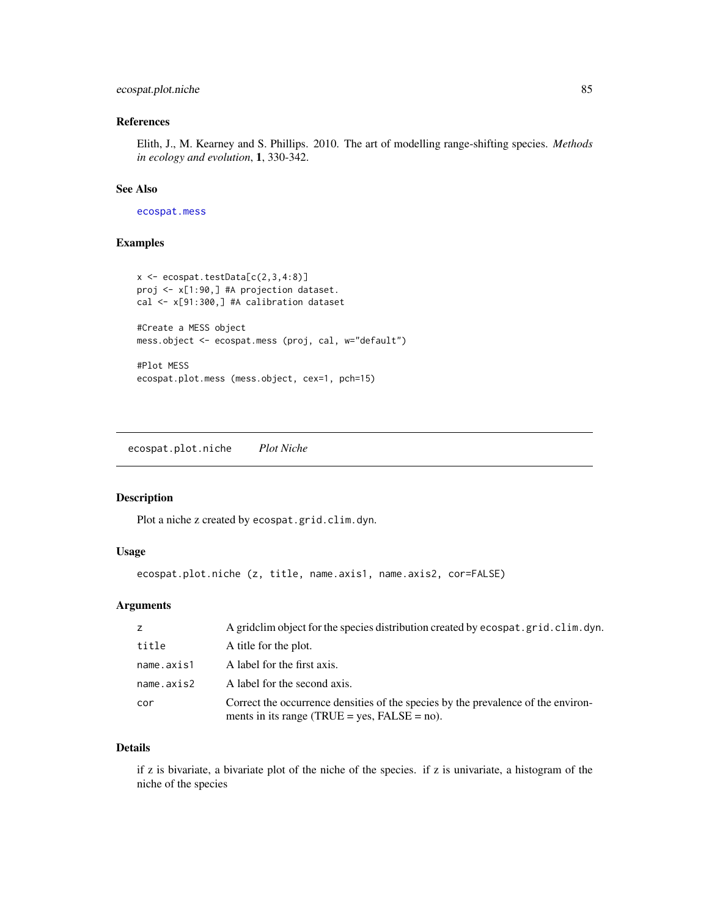# ecospat.plot.niche 85

# References

Elith, J., M. Kearney and S. Phillips. 2010. The art of modelling range-shifting species. *Methods in ecology and evolution*, 1, 330-342.

## See Also

[ecospat.mess](#page-62-0)

# Examples

```
x \leftarrow e \cos p \cdot t \cdot t \cdot \sinh[c(2,3,4:8)]proj <- x[1:90,] #A projection dataset.
cal <- x[91:300,] #A calibration dataset
#Create a MESS object
mess.object <- ecospat.mess (proj, cal, w="default")
#Plot MESS
ecospat.plot.mess (mess.object, cex=1, pch=15)
```
ecospat.plot.niche *Plot Niche*

## Description

Plot a niche z created by ecospat.grid.clim.dyn.

# Usage

ecospat.plot.niche (z, title, name.axis1, name.axis2, cor=FALSE)

# Arguments

| Z          | A gridclim object for the species distribution created by ecospat.grid.clim.dyn.                                                     |
|------------|--------------------------------------------------------------------------------------------------------------------------------------|
| title      | A title for the plot.                                                                                                                |
| name.axis1 | A label for the first axis.                                                                                                          |
| name.axis2 | A label for the second axis.                                                                                                         |
| cor        | Correct the occurrence densities of the species by the prevalence of the environ-<br>ments in its range (TRUE = yes, $FALSE = no$ ). |

#### Details

if z is bivariate, a bivariate plot of the niche of the species. if z is univariate, a histogram of the niche of the species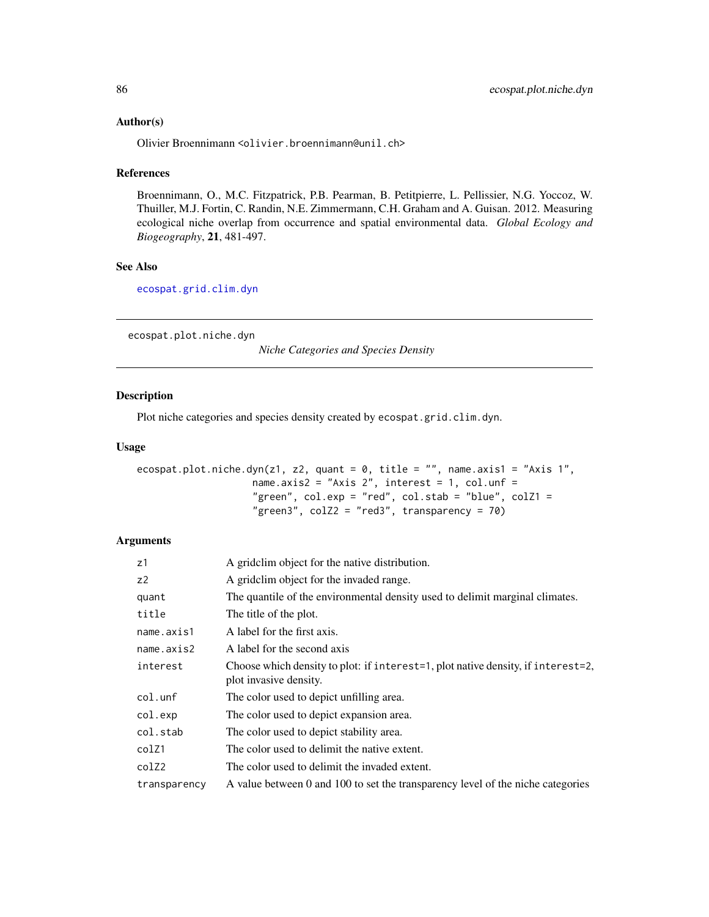#### Author(s)

Olivier Broennimann <olivier.broennimann@unil.ch>

#### References

Broennimann, O., M.C. Fitzpatrick, P.B. Pearman, B. Petitpierre, L. Pellissier, N.G. Yoccoz, W. Thuiller, M.J. Fortin, C. Randin, N.E. Zimmermann, C.H. Graham and A. Guisan. 2012. Measuring ecological niche overlap from occurrence and spatial environmental data. *Global Ecology and Biogeography*, 21, 481-497.

# See Also

[ecospat.grid.clim.dyn](#page-48-0)

<span id="page-85-0"></span>ecospat.plot.niche.dyn

*Niche Categories and Species Density*

# Description

Plot niche categories and species density created by ecospat.grid.clim.dyn.

# Usage

```
ecospat.plot.niche.dyn(z1, z2, quant = 0, title = "", name.axis1 = "Axis 1",
                   name.axis2 = "Axis 2", interest = 1, col.unf =
                    "green", col.exp = "red", col.stab = "blue", col21 ="green3", colZ2 = "red3", transparency = 70)
```
# Arguments

| z1             | A grid clim object for the native distribution.                                                            |
|----------------|------------------------------------------------------------------------------------------------------------|
| z <sub>2</sub> | A gridclim object for the invaded range.                                                                   |
| quant          | The quantile of the environmental density used to delimit marginal climates.                               |
| title          | The title of the plot.                                                                                     |
| name.axis1     | A label for the first axis.                                                                                |
| name.axis2     | A label for the second axis                                                                                |
| interest       | Choose which density to plot: if interest=1, plot native density, if interest=2,<br>plot invasive density. |
| col.unf        | The color used to depict unfilling area.                                                                   |
| col.exp        | The color used to depict expansion area.                                                                   |
| col.stab       | The color used to depict stability area.                                                                   |
| colZ1          | The color used to delimit the native extent.                                                               |
| colZ2          | The color used to delimit the invaded extent.                                                              |
| transparency   | A value between 0 and 100 to set the transparency level of the niche categories                            |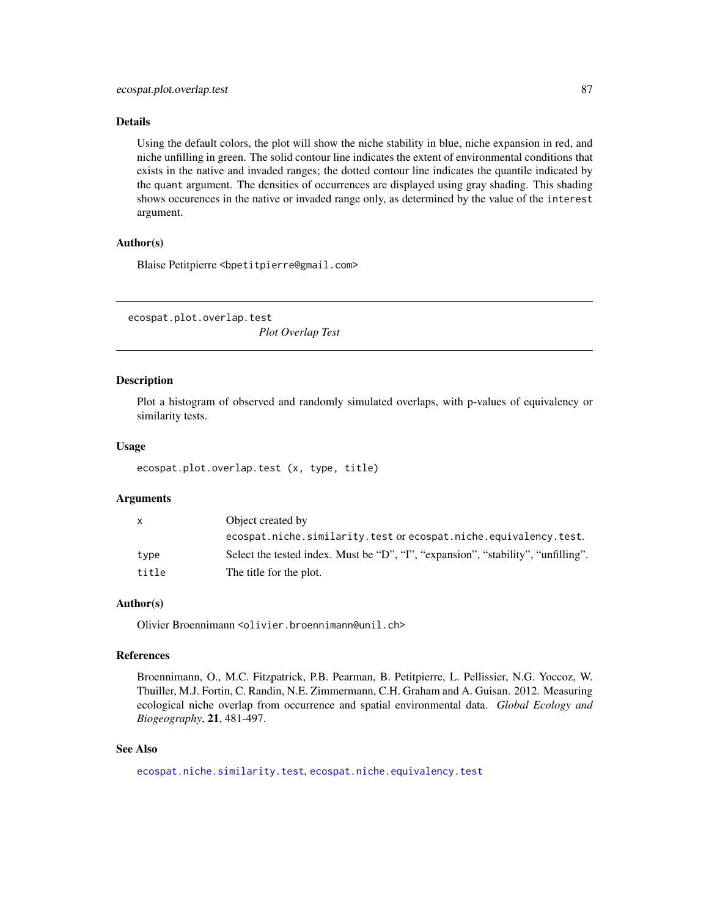# Details

Using the default colors, the plot will show the niche stability in blue, niche expansion in red, and niche unfilling in green. The solid contour line indicates the extent of environmental conditions that exists in the native and invaded ranges; the dotted contour line indicates the quantile indicated by the quant argument. The densities of occurrences are displayed using gray shading. This shading shows occurences in the native or invaded range only, as determined by the value of the interest argument.

# Author(s)

Blaise Petitpierre <bpetitpierre@gmail.com>

<span id="page-86-0"></span>ecospat.plot.overlap.test

*Plot Overlap Test*

## Description

Plot a histogram of observed and randomly simulated overlaps, with p-values of equivalency or similarity tests.

## Usage

ecospat.plot.overlap.test (x, type, title)

## Arguments

| $\mathsf{X}$ | Object created by                                                                 |
|--------------|-----------------------------------------------------------------------------------|
|              | ecospat.niche.similarity.test or ecospat.niche.equivalency.test.                  |
| type         | Select the tested index. Must be "D", "I", "expansion", "stability", "unfilling". |
| title        | The title for the plot.                                                           |

# Author(s)

Olivier Broennimann <olivier.broennimann@unil.ch>

# References

Broennimann, O., M.C. Fitzpatrick, P.B. Pearman, B. Petitpierre, L. Pellissier, N.G. Yoccoz, W. Thuiller, M.J. Fortin, C. Randin, N.E. Zimmermann, C.H. Graham and A. Guisan. 2012. Measuring ecological niche overlap from occurrence and spatial environmental data. *Global Ecology and Biogeography*, 21, 481-497.

## See Also

[ecospat.niche.similarity.test](#page-70-0), [ecospat.niche.equivalency.test](#page-67-0)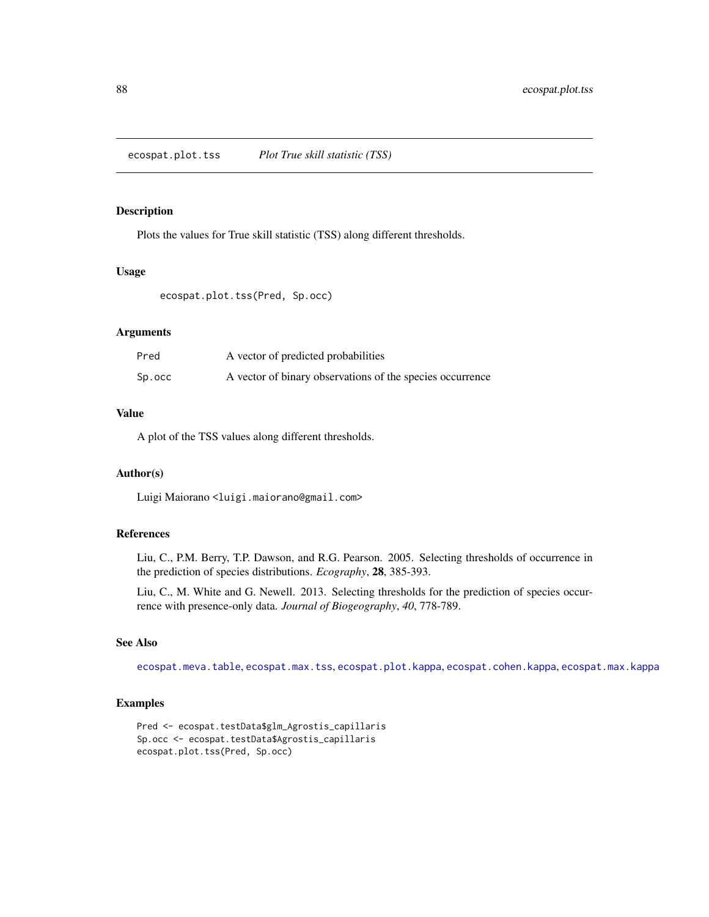<span id="page-87-0"></span>ecospat.plot.tss *Plot True skill statistic (TSS)*

# Description

Plots the values for True skill statistic (TSS) along different thresholds.

#### Usage

```
ecospat.plot.tss(Pred, Sp.occ)
```
## Arguments

| Pred   | A vector of predicted probabilities                       |
|--------|-----------------------------------------------------------|
| Sp.occ | A vector of binary observations of the species occurrence |

# Value

A plot of the TSS values along different thresholds.

#### Author(s)

Luigi Maiorano <luigi.maiorano@gmail.com>

# References

Liu, C., P.M. Berry, T.P. Dawson, and R.G. Pearson. 2005. Selecting thresholds of occurrence in the prediction of species distributions. *Ecography*, 28, 385-393.

Liu, C., M. White and G. Newell. 2013. Selecting thresholds for the prediction of species occurrence with presence-only data. *Journal of Biogeography*, *40*, 778-789.

# See Also

[ecospat.meva.table](#page-63-0), [ecospat.max.tss](#page-58-0), [ecospat.plot.kappa](#page-82-0), [ecospat.cohen.kappa](#page-22-0), [ecospat.max.kappa](#page-57-0)

# Examples

```
Pred <- ecospat.testData$glm_Agrostis_capillaris
Sp.occ <- ecospat.testData$Agrostis_capillaris
ecospat.plot.tss(Pred, Sp.occ)
```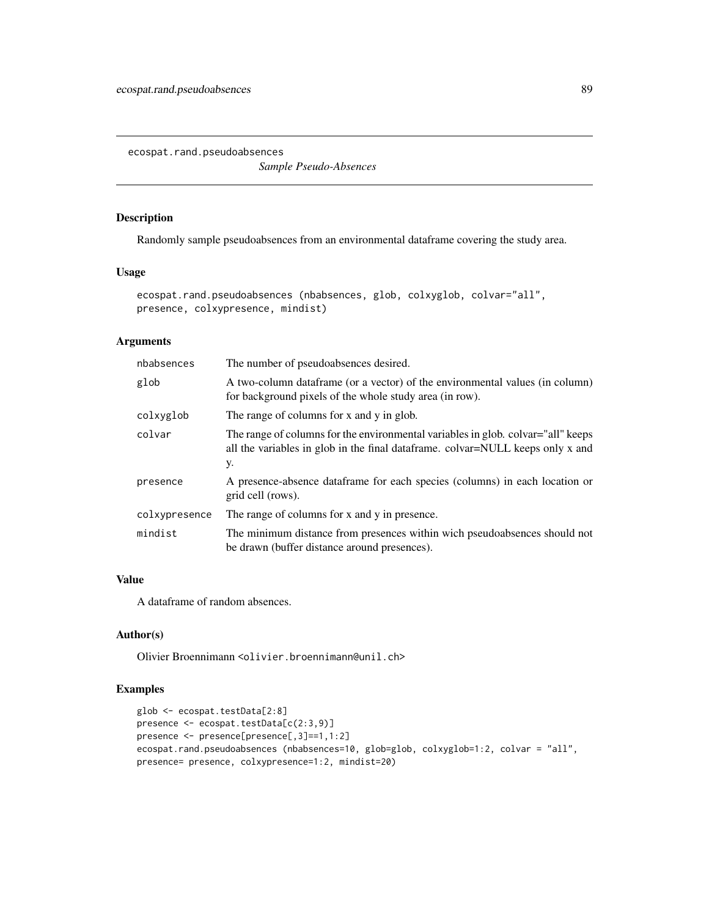ecospat.rand.pseudoabsences

*Sample Pseudo-Absences*

# Description

Randomly sample pseudoabsences from an environmental dataframe covering the study area.

## Usage

```
ecospat.rand.pseudoabsences (nbabsences, glob, colxyglob, colvar="all",
presence, colxypresence, mindist)
```
# Arguments

| nbabsences    | The number of pseudoabsences desired.                                                                                                                                     |
|---------------|---------------------------------------------------------------------------------------------------------------------------------------------------------------------------|
| glob          | A two-column data frame (or a vector) of the environmental values (in column)<br>for background pixels of the whole study area (in row).                                  |
| colxyglob     | The range of columns for x and y in glob.                                                                                                                                 |
| colvar        | The range of columns for the environmental variables in glob. colvar="all" keeps<br>all the variables in glob in the final data frame. colvar=NULL keeps only x and<br>y. |
| presence      | A presence-absence dataframe for each species (columns) in each location or<br>grid cell (rows).                                                                          |
| colxypresence | The range of columns for x and y in presence.                                                                                                                             |
| mindist       | The minimum distance from presences within wich pseudoabsences should not<br>be drawn (buffer distance around presences).                                                 |

# Value

A dataframe of random absences.

## Author(s)

Olivier Broennimann <olivier.broennimann@unil.ch>

# Examples

```
glob <- ecospat.testData[2:8]
presence <- ecospat.testData[c(2:3,9)]
presence <- presence[presence[,3]==1,1:2]
ecospat.rand.pseudoabsences (nbabsences=10, glob=glob, colxyglob=1:2, colvar = "all",
presence= presence, colxypresence=1:2, mindist=20)
```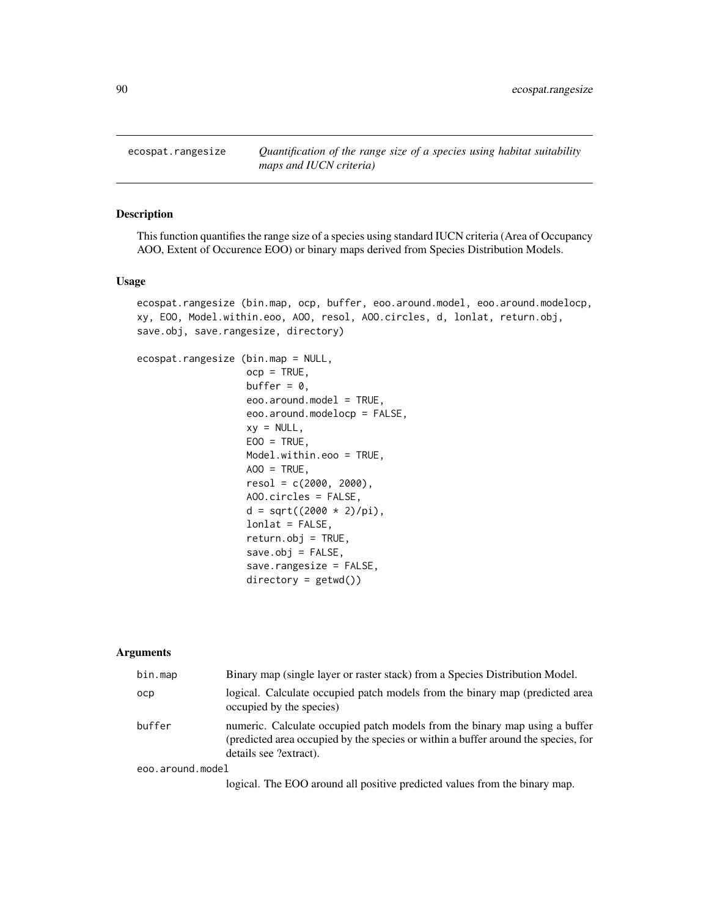<span id="page-89-0"></span>

## Description

This function quantifies the range size of a species using standard IUCN criteria (Area of Occupancy AOO, Extent of Occurence EOO) or binary maps derived from Species Distribution Models.

# Usage

```
ecospat.rangesize (bin.map, ocp, buffer, eoo.around.model, eoo.around.modelocp,
xy, EOO, Model.within.eoo, AOO, resol, AOO.circles, d, lonlat, return.obj,
save.obj, save.rangesize, directory)
```

```
ecospat.rangesize (bin.map = NULL,
                   ocp = TRUE,buffer = 0,
                   eoo.around.model = TRUE,
                   eoo.around.modelocp = FALSE,
                   xy = NULL,EOO = TRUE,Model.within.eoo = TRUE,
                   AOO = TRUE,resol = c(2000, 2000),
                   AOO.circles = FALSE,
                   d = sqrt((2000 * 2)/pi),lonlat = FALSE,
                   return.obj = TRUE,
                   save.obj = FALSE,save.rangesize = FALSE,
                   directory = getwd()
```
## Arguments

| bin.map          | Binary map (single layer or raster stack) from a Species Distribution Model.                                                                                                                |
|------------------|---------------------------------------------------------------------------------------------------------------------------------------------------------------------------------------------|
| ocp              | logical. Calculate occupied patch models from the binary map (predicted area<br>occupied by the species)                                                                                    |
| buffer           | numeric. Calculate occupied patch models from the binary map using a buffer<br>(predicted area occupied by the species or within a buffer around the species, for<br>details see ?extract). |
| eoo.around.model |                                                                                                                                                                                             |

logical. The EOO around all positive predicted values from the binary map.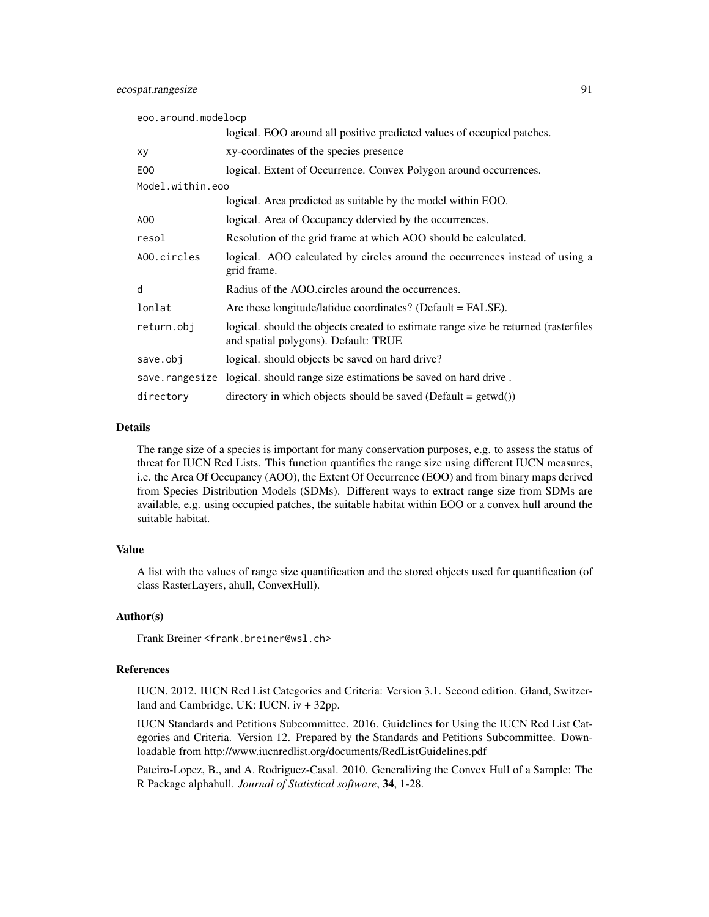| eoo.around.modelocp |                                                                                                                             |
|---------------------|-----------------------------------------------------------------------------------------------------------------------------|
|                     | logical. EOO around all positive predicted values of occupied patches.                                                      |
| xy                  | xy-coordinates of the species presence                                                                                      |
| E <sub>0</sub>      | logical. Extent of Occurrence. Convex Polygon around occurrences.                                                           |
| Model.within.eoo    |                                                                                                                             |
|                     | logical. Area predicted as suitable by the model within EOO.                                                                |
| AOO                 | logical. Area of Occupancy ddervied by the occurrences.                                                                     |
| resol               | Resolution of the grid frame at which AOO should be calculated.                                                             |
| AOO.circles         | logical. AOO calculated by circles around the occurrences instead of using a<br>grid frame.                                 |
| d                   | Radius of the AOO.circles around the occurrences.                                                                           |
| lonlat              | Are these longitude/latidue coordinates? (Default = $FALSE$ ).                                                              |
| return.obj          | logical, should the objects created to estimate range size be returned (rasterfiles<br>and spatial polygons). Default: TRUE |
| save.obj            | logical. should objects be saved on hard drive?                                                                             |
|                     | save.rangesize logical. should range size estimations be saved on hard drive.                                               |
| directory           | directory in which objects should be saved (Default = $getwd()$ )                                                           |

# Details

The range size of a species is important for many conservation purposes, e.g. to assess the status of threat for IUCN Red Lists. This function quantifies the range size using different IUCN measures, i.e. the Area Of Occupancy (AOO), the Extent Of Occurrence (EOO) and from binary maps derived from Species Distribution Models (SDMs). Different ways to extract range size from SDMs are available, e.g. using occupied patches, the suitable habitat within EOO or a convex hull around the suitable habitat.

## Value

A list with the values of range size quantification and the stored objects used for quantification (of class RasterLayers, ahull, ConvexHull).

# Author(s)

Frank Breiner <frank.breiner@wsl.ch>

# References

IUCN. 2012. IUCN Red List Categories and Criteria: Version 3.1. Second edition. Gland, Switzerland and Cambridge, UK: IUCN. iv + 32pp.

IUCN Standards and Petitions Subcommittee. 2016. Guidelines for Using the IUCN Red List Categories and Criteria. Version 12. Prepared by the Standards and Petitions Subcommittee. Downloadable from http://www.iucnredlist.org/documents/RedListGuidelines.pdf

Pateiro-Lopez, B., and A. Rodriguez-Casal. 2010. Generalizing the Convex Hull of a Sample: The R Package alphahull. *Journal of Statistical software*, 34, 1-28.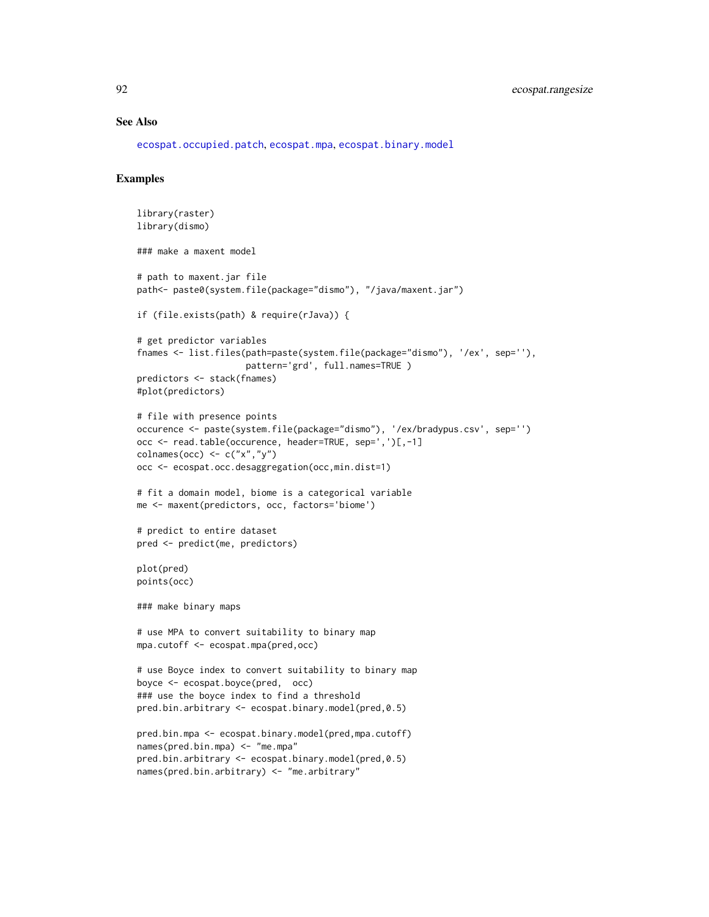# See Also

[ecospat.occupied.patch](#page-78-0), [ecospat.mpa](#page-64-0), [ecospat.binary.model](#page-5-0)

# Examples

```
library(raster)
library(dismo)
### make a maxent model
# path to maxent.jar file
path<- paste0(system.file(package="dismo"), "/java/maxent.jar")
if (file.exists(path) & require(rJava)) {
# get predictor variables
fnames <- list.files(path=paste(system.file(package="dismo"), '/ex', sep=''),
                     pattern='grd', full.names=TRUE )
predictors <- stack(fnames)
#plot(predictors)
# file with presence points
occurence <- paste(system.file(package="dismo"), '/ex/bradypus.csv', sep='')
occ <- read.table(occurence, header=TRUE, sep=',')[,-1]
colnames(occ) \leq c("x","y")
occ <- ecospat.occ.desaggregation(occ,min.dist=1)
# fit a domain model, biome is a categorical variable
me <- maxent(predictors, occ, factors='biome')
# predict to entire dataset
pred <- predict(me, predictors)
plot(pred)
points(occ)
### make binary maps
# use MPA to convert suitability to binary map
mpa.cutoff <- ecospat.mpa(pred,occ)
# use Boyce index to convert suitability to binary map
boyce <- ecospat.boyce(pred, occ)
### use the boyce index to find a threshold
pred.bin.arbitrary <- ecospat.binary.model(pred,0.5)
pred.bin.mpa <- ecospat.binary.model(pred,mpa.cutoff)
names(pred.bin.mpa) <- "me.mpa"
pred.bin.arbitrary <- ecospat.binary.model(pred,0.5)
names(pred.bin.arbitrary) <- "me.arbitrary"
```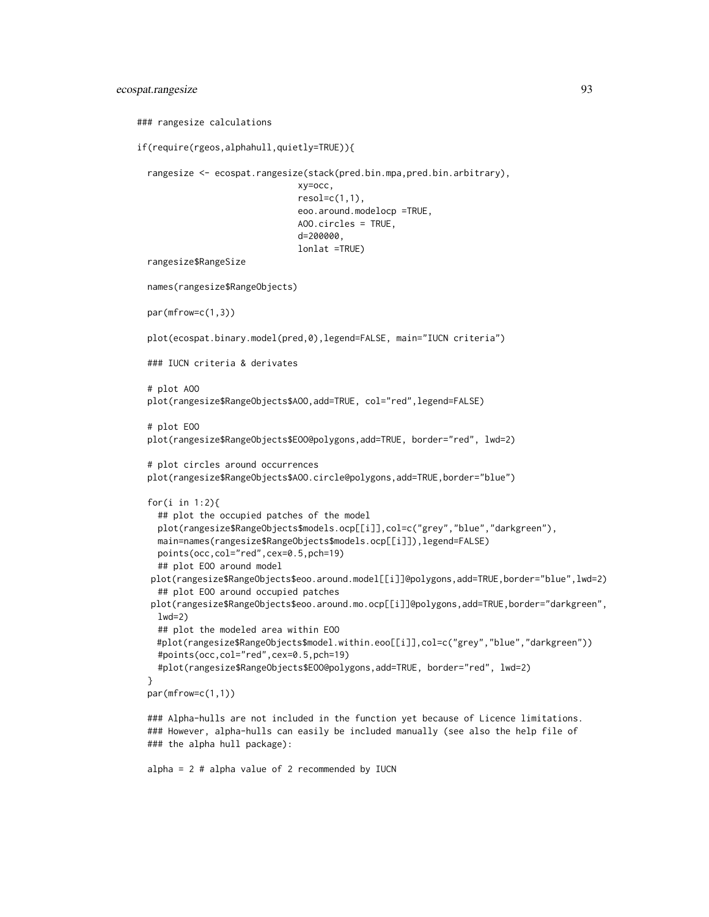### rangesize calculations

```
if(require(rgeos,alphahull,quietly=TRUE)){
 rangesize <- ecospat.rangesize(stack(pred.bin.mpa,pred.bin.arbitrary),
                              xy=occ,
                               resol=c(1,1),eoo.around.modelocp =TRUE,
                               AOO.circles = TRUE,
                               d=200000,
                               lonlat =TRUE)
 rangesize$RangeSize
 names(rangesize$RangeObjects)
 par(mfrow=c(1,3))
 plot(ecospat.binary.model(pred,0),legend=FALSE, main="IUCN criteria")
 ### IUCN criteria & derivates
 # plot AOO
 plot(rangesize$RangeObjects$AOO,add=TRUE, col="red",legend=FALSE)
 # plot EOO
 plot(rangesize$RangeObjects$EOO@polygons,add=TRUE, border="red", lwd=2)
 # plot circles around occurrences
 plot(rangesize$RangeObjects$AOO.circle@polygons,add=TRUE,border="blue")
 for(i in 1:2){
   ## plot the occupied patches of the model
   plot(rangesize$RangeObjects$models.ocp[[i]],col=c("grey","blue","darkgreen"),
   main=names(rangesize$RangeObjects$models.ocp[[i]]),legend=FALSE)
   points(occ,col="red",cex=0.5,pch=19)
   ## plot EOO around model
  plot(rangesize$RangeObjects$eoo.around.model[[i]]@polygons,add=TRUE,border="blue",lwd=2)
   ## plot EOO around occupied patches
  plot(rangesize$RangeObjects$eoo.around.mo.ocp[[i]]@polygons,add=TRUE,border="darkgreen",
   1wd=2)## plot the modeled area within EOO
   #plot(rangesize$RangeObjects$model.within.eoo[[i]],col=c("grey","blue","darkgreen"))
   #points(occ,col="red",cex=0.5,pch=19)
   #plot(rangesize$RangeObjects$EOO@polygons,add=TRUE, border="red", lwd=2)
 }
 par(mfrow=c(1,1))
 ### Alpha-hulls are not included in the function yet because of Licence limitations.
```
### However, alpha-hulls can easily be included manually (see also the help file of ### the alpha hull package):

alpha =  $2$  # alpha value of  $2$  recommended by IUCN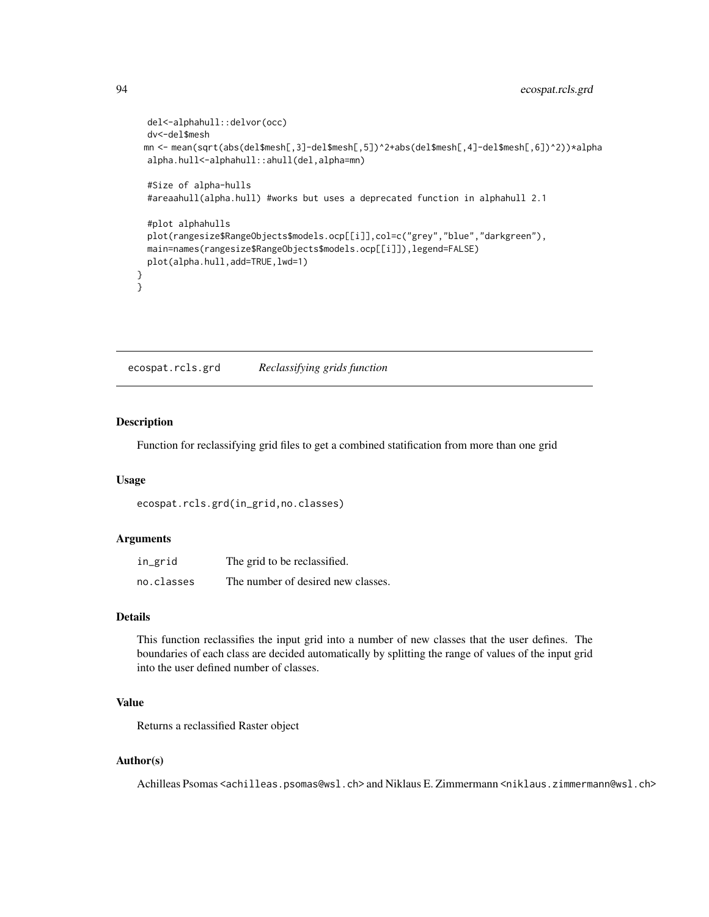```
del<-alphahull::delvor(occ)
dv<-del$mesh
mn <- mean(sqrt(abs(del$mesh[,3]-del$mesh[,5])^2+abs(del$mesh[,4]-del$mesh[,6])^2))*alpha
alpha.hull<-alphahull::ahull(del,alpha=mn)
#Size of alpha-hulls
#areaahull(alpha.hull) #works but uses a deprecated function in alphahull 2.1
#plot alphahulls
plot(rangesize$RangeObjects$models.ocp[[i]],col=c("grey","blue","darkgreen"),
main=names(rangesize$RangeObjects$models.ocp[[i]]),legend=FALSE)
plot(alpha.hull,add=TRUE,lwd=1)
```
<span id="page-93-0"></span>ecospat.rcls.grd *Reclassifying grids function*

# Description

} }

Function for reclassifying grid files to get a combined statification from more than one grid

#### Usage

```
ecospat.rcls.grd(in_grid,no.classes)
```
## Arguments

| in_grid    | The grid to be reclassified.       |
|------------|------------------------------------|
| no.classes | The number of desired new classes. |

# Details

This function reclassifies the input grid into a number of new classes that the user defines. The boundaries of each class are decided automatically by splitting the range of values of the input grid into the user defined number of classes.

# Value

Returns a reclassified Raster object

### Author(s)

Achilleas Psomas <achilleas.psomas@wsl.ch> and Niklaus E. Zimmermann <niklaus.zimmermann@wsl.ch>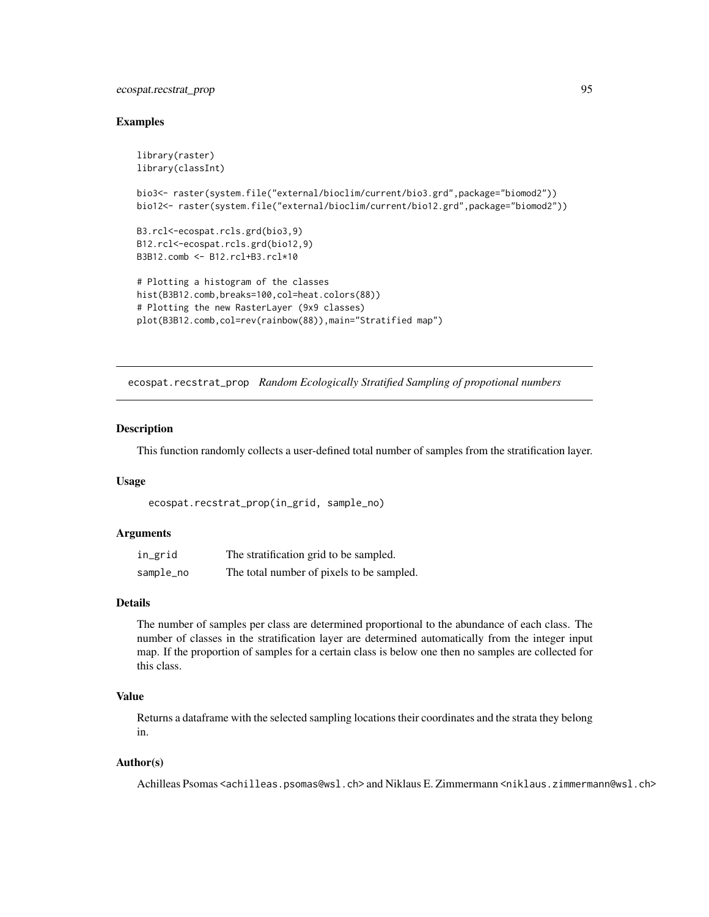# ecospat.recstrat\_prop 95

## Examples

```
library(raster)
library(classInt)
bio3<- raster(system.file("external/bioclim/current/bio3.grd",package="biomod2"))
bio12<- raster(system.file("external/bioclim/current/bio12.grd",package="biomod2"))
B3.rcl<-ecospat.rcls.grd(bio3,9)
B12.rcl<-ecospat.rcls.grd(bio12,9)
B3B12.comb <- B12.rcl+B3.rcl*10
# Plotting a histogram of the classes
hist(B3B12.comb,breaks=100,col=heat.colors(88))
# Plotting the new RasterLayer (9x9 classes)
plot(B3B12.comb,col=rev(rainbow(88)),main="Stratified map")
```
<span id="page-94-0"></span>ecospat.recstrat\_prop *Random Ecologically Stratified Sampling of propotional numbers*

# Description

This function randomly collects a user-defined total number of samples from the stratification layer.

#### Usage

```
ecospat.recstrat_prop(in_grid, sample_no)
```
#### Arguments

| in_grid   | The stratification grid to be sampled.    |
|-----------|-------------------------------------------|
| sample_no | The total number of pixels to be sampled. |

### Details

The number of samples per class are determined proportional to the abundance of each class. The number of classes in the stratification layer are determined automatically from the integer input map. If the proportion of samples for a certain class is below one then no samples are collected for this class.

#### Value

Returns a dataframe with the selected sampling locations their coordinates and the strata they belong in.

# Author(s)

Achilleas Psomas <achilleas.psomas@wsl.ch> and Niklaus E. Zimmermann <niklaus.zimmermann@wsl.ch>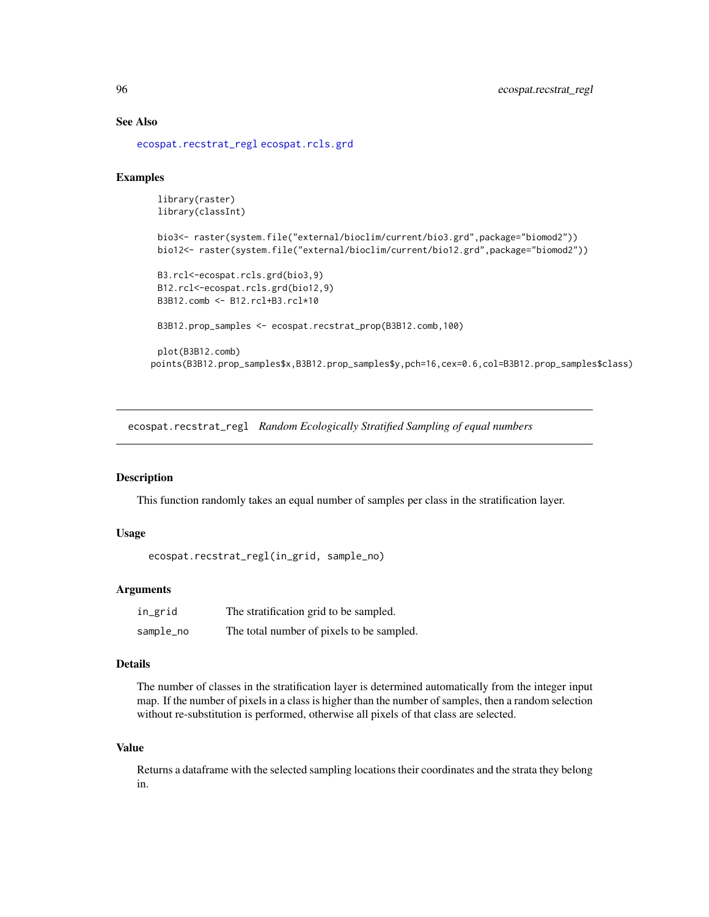# See Also

[ecospat.recstrat\\_regl](#page-95-0) [ecospat.rcls.grd](#page-93-0)

# Examples

```
library(raster)
 library(classInt)
 bio3<- raster(system.file("external/bioclim/current/bio3.grd",package="biomod2"))
 bio12<- raster(system.file("external/bioclim/current/bio12.grd",package="biomod2"))
 B3.rcl<-ecospat.rcls.grd(bio3,9)
 B12.rcl<-ecospat.rcls.grd(bio12,9)
 B3B12.comb <- B12.rcl+B3.rcl*10
 B3B12.prop_samples <- ecospat.recstrat_prop(B3B12.comb,100)
 plot(B3B12.comb)
points(B3B12.prop_samples$x,B3B12.prop_samples$y,pch=16,cex=0.6,col=B3B12.prop_samples$class)
```
<span id="page-95-0"></span>ecospat.recstrat\_regl *Random Ecologically Stratified Sampling of equal numbers*

# Description

This function randomly takes an equal number of samples per class in the stratification layer.

#### Usage

ecospat.recstrat\_regl(in\_grid, sample\_no)

### Arguments

| in_grid   | The stratification grid to be sampled.    |
|-----------|-------------------------------------------|
| sample_no | The total number of pixels to be sampled. |

# Details

The number of classes in the stratification layer is determined automatically from the integer input map. If the number of pixels in a class is higher than the number of samples, then a random selection without re-substitution is performed, otherwise all pixels of that class are selected.

# Value

Returns a dataframe with the selected sampling locations their coordinates and the strata they belong in.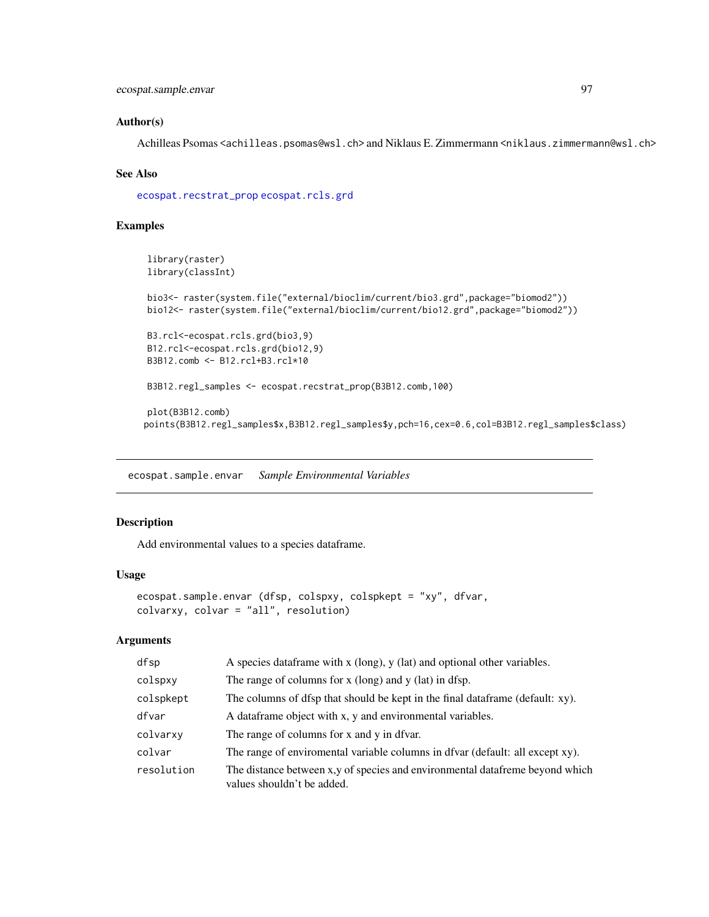## Author(s)

Achilleas Psomas <achilleas.psomas@wsl.ch> and Niklaus E. Zimmermann <niklaus.zimmermann@wsl.ch>

#### See Also

[ecospat.recstrat\\_prop](#page-94-0) [ecospat.rcls.grd](#page-93-0)

## Examples

```
library(raster)
library(classInt)
bio3<- raster(system.file("external/bioclim/current/bio3.grd",package="biomod2"))
bio12<- raster(system.file("external/bioclim/current/bio12.grd",package="biomod2"))
B3.rcl<-ecospat.rcls.grd(bio3,9)
B12.rcl<-ecospat.rcls.grd(bio12,9)
B3B12.comb <- B12.rcl+B3.rcl*10
B3B12.regl_samples <- ecospat.recstrat_prop(B3B12.comb,100)
plot(B3B12.comb)
points(B3B12.regl_samples$x,B3B12.regl_samples$y,pch=16,cex=0.6,col=B3B12.regl_samples$class)
```
ecospat.sample.envar *Sample Environmental Variables*

# Description

Add environmental values to a species dataframe.

# Usage

```
ecospat.sample.envar (dfsp, colspxy, colspkept = "xy", dfvar,
colvarxy, colvar = "all", resolution)
```
## Arguments

| dfsp       | A species data frame with $x$ (long), $y$ (lat) and optional other variables.                                |
|------------|--------------------------------------------------------------------------------------------------------------|
| colspxy    | The range of columns for $x$ (long) and $y$ (lat) in dfsp.                                                   |
| colspkept  | The columns of dfsp that should be kept in the final dataframe (default: xy).                                |
| dfvar      | A dataframe object with x, y and environmental variables.                                                    |
| colvarxy   | The range of columns for x and y in dfvar.                                                                   |
| colvar     | The range of enviromental variable columns in dfvar (default: all except xy).                                |
| resolution | The distance between x, y of species and environmental data freme beyond which<br>values shouldn't be added. |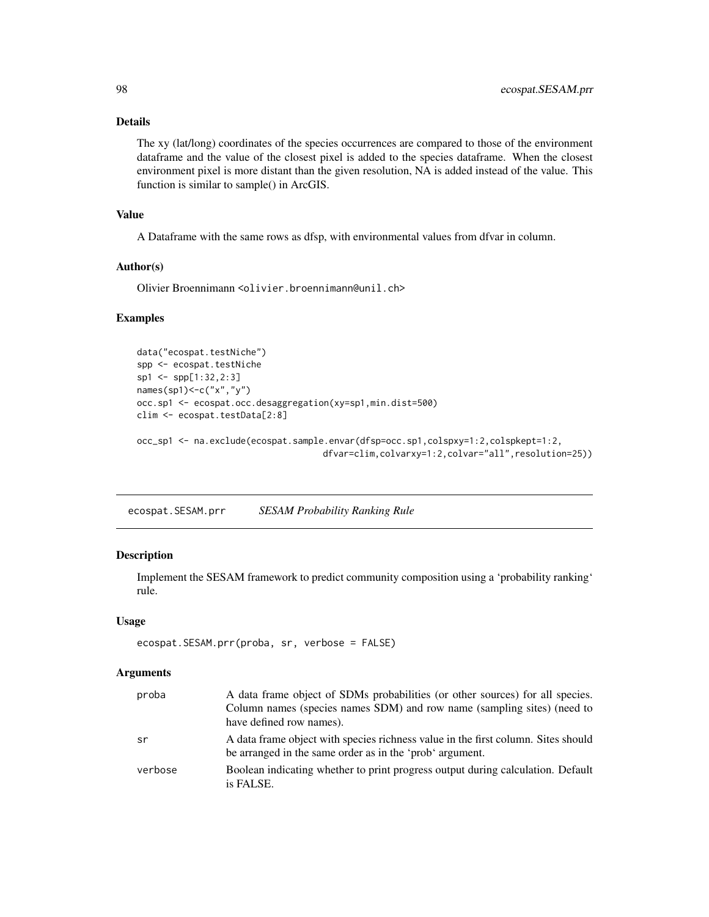# Details

The xy (lat/long) coordinates of the species occurrences are compared to those of the environment dataframe and the value of the closest pixel is added to the species dataframe. When the closest environment pixel is more distant than the given resolution, NA is added instead of the value. This function is similar to sample() in ArcGIS.

# Value

A Dataframe with the same rows as dfsp, with environmental values from dfvar in column.

# Author(s)

Olivier Broennimann <olivier.broennimann@unil.ch>

# Examples

```
data("ecospat.testNiche")
spp <- ecospat.testNiche
sp1 <- spp[1:32,2:3]
names(sp1)<-c("x","y")
occ.sp1 <- ecospat.occ.desaggregation(xy=sp1,min.dist=500)
clim <- ecospat.testData[2:8]
occ_sp1 <- na.exclude(ecospat.sample.envar(dfsp=occ.sp1,colspxy=1:2,colspkept=1:2,
                                    dfvar=clim,colvarxy=1:2,colvar="all",resolution=25))
```
ecospat.SESAM.prr *SESAM Probability Ranking Rule*

## **Description**

Implement the SESAM framework to predict community composition using a 'probability ranking' rule.

#### Usage

```
ecospat.SESAM.prr(proba, sr, verbose = FALSE)
```
#### Arguments

| proba   | A data frame object of SDMs probabilities (or other sources) for all species.                                                                 |
|---------|-----------------------------------------------------------------------------------------------------------------------------------------------|
|         | Column names (species names SDM) and row name (sampling sites) (need to                                                                       |
|         | have defined row names).                                                                                                                      |
| sr      | A data frame object with species richness value in the first column. Sites should<br>be arranged in the same order as in the 'prob' argument. |
| verbose | Boolean indicating whether to print progress output during calculation. Default<br>is FALSE.                                                  |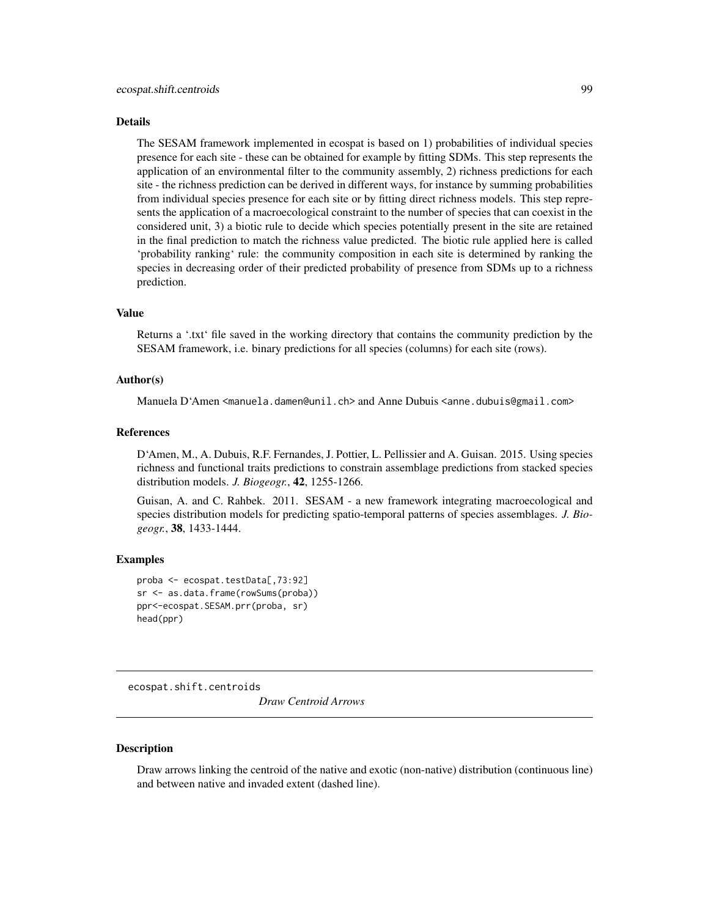#### Details

The SESAM framework implemented in ecospat is based on 1) probabilities of individual species presence for each site - these can be obtained for example by fitting SDMs. This step represents the application of an environmental filter to the community assembly, 2) richness predictions for each site - the richness prediction can be derived in different ways, for instance by summing probabilities from individual species presence for each site or by fitting direct richness models. This step represents the application of a macroecological constraint to the number of species that can coexist in the considered unit, 3) a biotic rule to decide which species potentially present in the site are retained in the final prediction to match the richness value predicted. The biotic rule applied here is called 'probability ranking' rule: the community composition in each site is determined by ranking the species in decreasing order of their predicted probability of presence from SDMs up to a richness prediction.

#### Value

Returns a '.txt' file saved in the working directory that contains the community prediction by the SESAM framework, i.e. binary predictions for all species (columns) for each site (rows).

## Author(s)

Manuela D'Amen <manuela.damen@unil.ch> and Anne Dubuis <anne.dubuis@gmail.com>

# References

D'Amen, M., A. Dubuis, R.F. Fernandes, J. Pottier, L. Pellissier and A. Guisan. 2015. Using species richness and functional traits predictions to constrain assemblage predictions from stacked species distribution models. *J. Biogeogr.*, 42, 1255-1266.

Guisan, A. and C. Rahbek. 2011. SESAM - a new framework integrating macroecological and species distribution models for predicting spatio-temporal patterns of species assemblages. *J. Biogeogr.*, 38, 1433-1444.

### Examples

```
proba <- ecospat.testData[,73:92]
sr <- as.data.frame(rowSums(proba))
ppr<-ecospat.SESAM.prr(proba, sr)
head(ppr)
```
ecospat.shift.centroids

*Draw Centroid Arrows*

#### **Description**

Draw arrows linking the centroid of the native and exotic (non-native) distribution (continuous line) and between native and invaded extent (dashed line).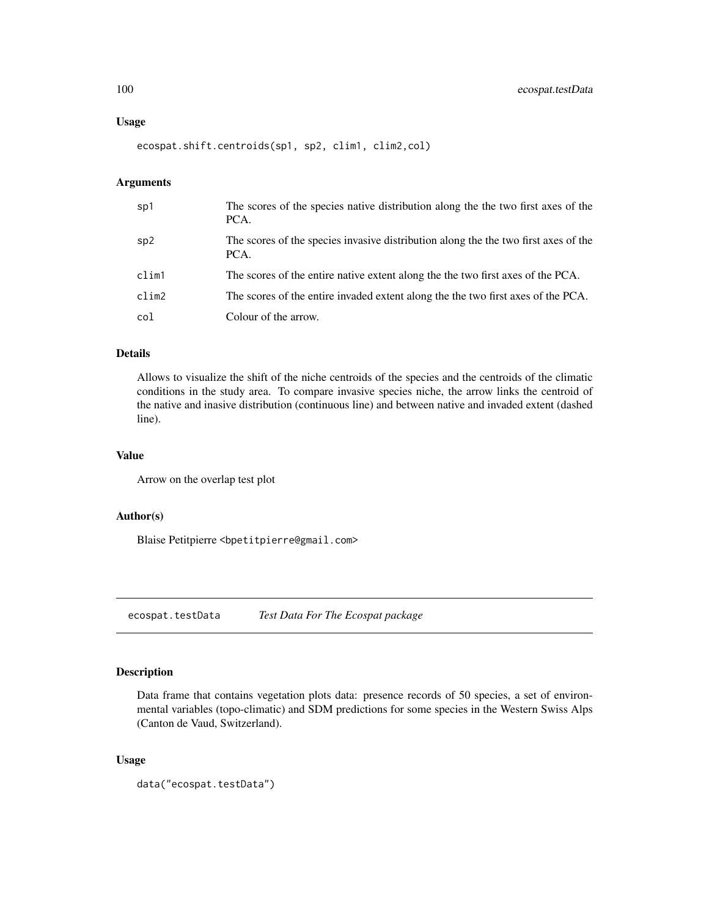## Usage

ecospat.shift.centroids(sp1, sp2, clim1, clim2,col)

# Arguments

| sp1             | The scores of the species native distribution along the the two first axes of the<br>PCA.   |
|-----------------|---------------------------------------------------------------------------------------------|
| sp <sub>2</sub> | The scores of the species invasive distribution along the the two first axes of the<br>PCA. |
| clim1           | The scores of the entire native extent along the the two first axes of the PCA.             |
| clim2           | The scores of the entire invaded extent along the the two first axes of the PCA.            |
| col             | Colour of the arrow.                                                                        |

# Details

Allows to visualize the shift of the niche centroids of the species and the centroids of the climatic conditions in the study area. To compare invasive species niche, the arrow links the centroid of the native and inasive distribution (continuous line) and between native and invaded extent (dashed line).

#### Value

Arrow on the overlap test plot

# Author(s)

Blaise Petitpierre <bpetitpierre@gmail.com>

<span id="page-99-0"></span>ecospat.testData *Test Data For The Ecospat package*

# Description

Data frame that contains vegetation plots data: presence records of 50 species, a set of environmental variables (topo-climatic) and SDM predictions for some species in the Western Swiss Alps (Canton de Vaud, Switzerland).

# Usage

```
data("ecospat.testData")
```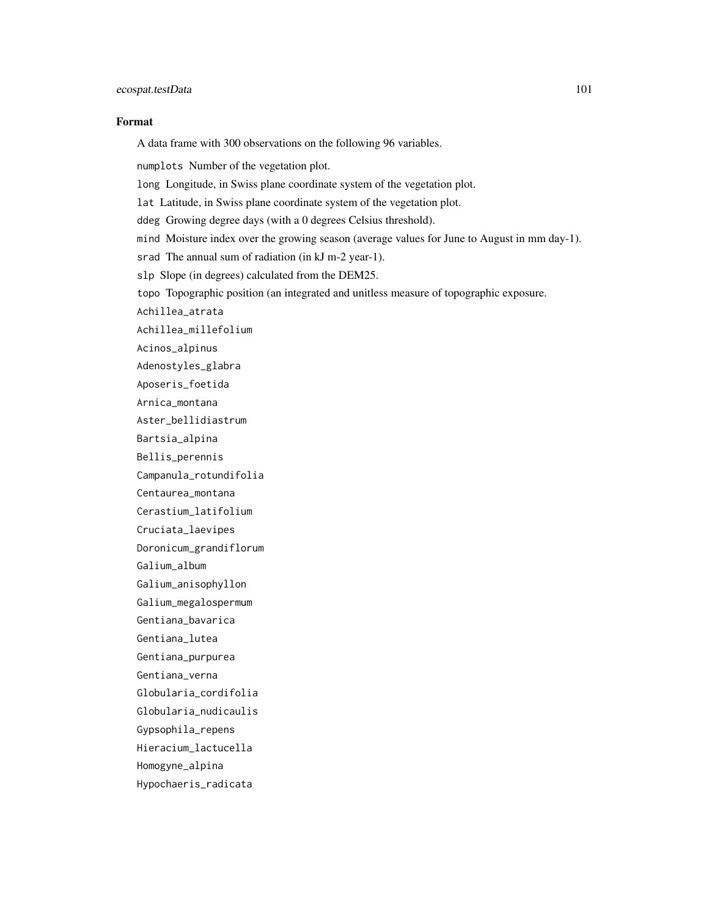# ecospat.testData 101

## Format

A data frame with 300 observations on the following 96 variables.

numplots Number of the vegetation plot.

long Longitude, in Swiss plane coordinate system of the vegetation plot.

lat Latitude, in Swiss plane coordinate system of the vegetation plot.

ddeg Growing degree days (with a 0 degrees Celsius threshold).

mind Moisture index over the growing season (average values for June to August in mm day-1).

srad The annual sum of radiation (in kJ m-2 year-1).

slp Slope (in degrees) calculated from the DEM25.

topo Topographic position (an integrated and unitless measure of topographic exposure.

Achillea\_atrata

Achillea\_millefolium

Acinos\_alpinus

Adenostyles\_glabra

Aposeris\_foetida

Arnica\_montana

Aster\_bellidiastrum

Bartsia\_alpina

Bellis\_perennis

Campanula\_rotundifolia

Centaurea\_montana

Cerastium\_latifolium

Cruciata\_laevipes

Doronicum\_grandiflorum

Galium\_album

Galium\_anisophyllon

Galium\_megalospermum

Gentiana\_bavarica

Gentiana\_lutea

Gentiana\_purpurea

Gentiana\_verna

Globularia\_cordifolia

Globularia\_nudicaulis

Gypsophila\_repens

Hieracium\_lactucella

Homogyne\_alpina

Hypochaeris\_radicata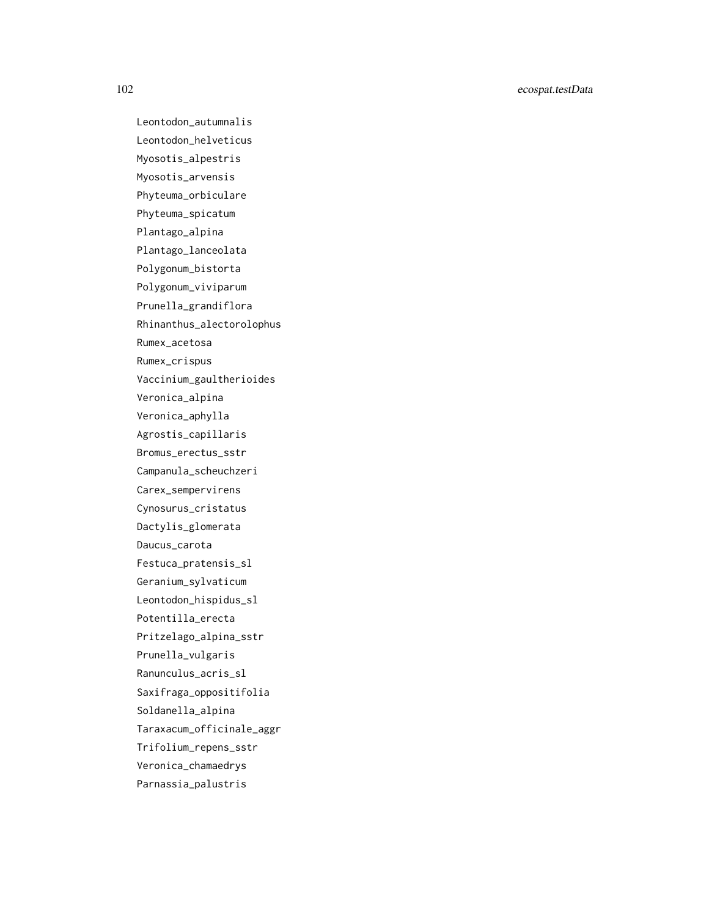102 ecospat.testData

Leontodon\_autumnalis Leontodon\_helveticus Myosotis\_alpestris Myosotis\_arvensis Phyteuma\_orbiculare Phyteuma\_spicatum Plantago\_alpina Plantago\_lanceolata Polygonum\_bistorta Polygonum\_viviparum Prunella\_grandiflora Rhinanthus\_alectorolophus Rumex\_acetosa Rumex\_crispus Vaccinium\_gaultherioides Veronica\_alpina Veronica\_aphylla Agrostis\_capillaris Bromus\_erectus\_sstr Campanula\_scheuchzeri Carex\_sempervirens Cynosurus\_cristatus Dactylis\_glomerata Daucus\_carota Festuca\_pratensis\_sl Geranium\_sylvaticum Leontodon\_hispidus\_sl Potentilla\_erecta Pritzelago\_alpina\_sstr Prunella\_vulgaris Ranunculus\_acris\_sl Saxifraga\_oppositifolia Soldanella\_alpina Taraxacum\_officinale\_aggr Trifolium\_repens\_sstr Veronica\_chamaedrys Parnassia\_palustris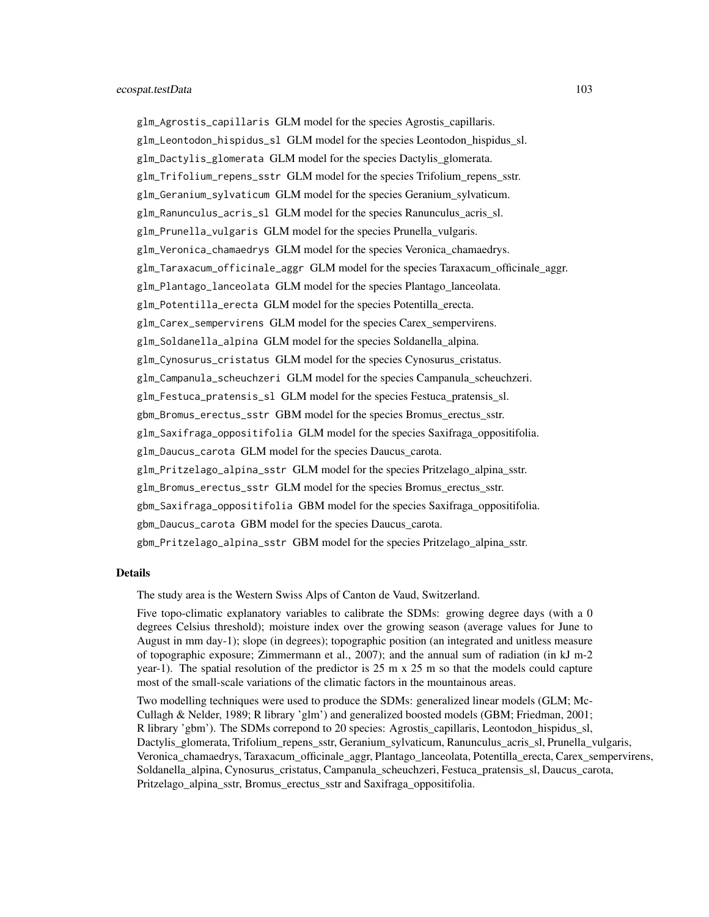glm\_Agrostis\_capillaris GLM model for the species Agrostis\_capillaris. glm\_Leontodon\_hispidus\_sl GLM model for the species Leontodon\_hispidus\_sl. glm\_Dactylis\_glomerata GLM model for the species Dactylis\_glomerata. glm\_Trifolium\_repens\_sstr GLM model for the species Trifolium\_repens\_sstr. glm\_Geranium\_sylvaticum GLM model for the species Geranium\_sylvaticum. glm\_Ranunculus\_acris\_sl GLM model for the species Ranunculus\_acris\_sl. glm\_Prunella\_vulgaris GLM model for the species Prunella\_vulgaris. glm\_Veronica\_chamaedrys GLM model for the species Veronica\_chamaedrys. glm\_Taraxacum\_officinale\_aggr GLM model for the species Taraxacum\_officinale\_aggr. glm\_Plantago\_lanceolata GLM model for the species Plantago\_lanceolata. glm\_Potentilla\_erecta GLM model for the species Potentilla\_erecta. glm\_Carex\_sempervirens GLM model for the species Carex\_sempervirens. glm\_Soldanella\_alpina GLM model for the species Soldanella\_alpina. glm\_Cynosurus\_cristatus GLM model for the species Cynosurus\_cristatus. glm\_Campanula\_scheuchzeri GLM model for the species Campanula\_scheuchzeri. glm\_Festuca\_pratensis\_sl GLM model for the species Festuca\_pratensis\_sl. gbm\_Bromus\_erectus\_sstr GBM model for the species Bromus\_erectus\_sstr. glm\_Saxifraga\_oppositifolia GLM model for the species Saxifraga\_oppositifolia. glm\_Daucus\_carota GLM model for the species Daucus\_carota. glm\_Pritzelago\_alpina\_sstr GLM model for the species Pritzelago\_alpina\_sstr. glm\_Bromus\_erectus\_sstr GLM model for the species Bromus\_erectus\_sstr. gbm\_Saxifraga\_oppositifolia GBM model for the species Saxifraga\_oppositifolia. gbm\_Daucus\_carota GBM model for the species Daucus\_carota. gbm\_Pritzelago\_alpina\_sstr GBM model for the species Pritzelago\_alpina\_sstr.

# Details

The study area is the Western Swiss Alps of Canton de Vaud, Switzerland.

Five topo-climatic explanatory variables to calibrate the SDMs: growing degree days (with a 0 degrees Celsius threshold); moisture index over the growing season (average values for June to August in mm day-1); slope (in degrees); topographic position (an integrated and unitless measure of topographic exposure; Zimmermann et al., 2007); and the annual sum of radiation (in kJ m-2 year-1). The spatial resolution of the predictor is  $25 \text{ m} \times 25 \text{ m}$  so that the models could capture most of the small-scale variations of the climatic factors in the mountainous areas.

Two modelling techniques were used to produce the SDMs: generalized linear models (GLM; Mc-Cullagh & Nelder, 1989; R library 'glm') and generalized boosted models (GBM; Friedman, 2001; R library 'gbm'). The SDMs correpond to 20 species: Agrostis capillaris, Leontodon hispidus sl, Dactylis\_glomerata, Trifolium\_repens\_sstr, Geranium\_sylvaticum, Ranunculus\_acris\_sl, Prunella\_vulgaris, Veronica\_chamaedrys, Taraxacum\_officinale\_aggr, Plantago\_lanceolata, Potentilla\_erecta, Carex\_sempervirens, Soldanella alpina, Cynosurus cristatus, Campanula scheuchzeri, Festuca pratensis sl, Daucus carota, Pritzelago\_alpina\_sstr, Bromus\_erectus\_sstr and Saxifraga\_oppositifolia.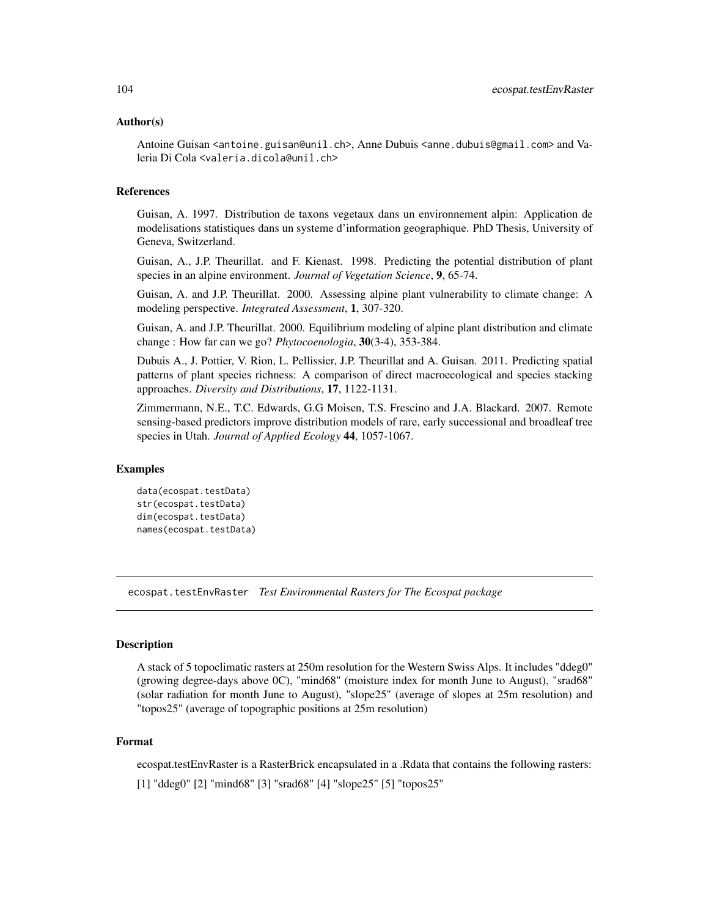#### Author(s)

Antoine Guisan <antoine.guisan@unil.ch>, Anne Dubuis <anne.dubuis@gmail.com> and Valeria Di Cola <valeria.dicola@unil.ch>

#### References

Guisan, A. 1997. Distribution de taxons vegetaux dans un environnement alpin: Application de modelisations statistiques dans un systeme d'information geographique. PhD Thesis, University of Geneva, Switzerland.

Guisan, A., J.P. Theurillat. and F. Kienast. 1998. Predicting the potential distribution of plant species in an alpine environment. *Journal of Vegetation Science*, 9, 65-74.

Guisan, A. and J.P. Theurillat. 2000. Assessing alpine plant vulnerability to climate change: A modeling perspective. *Integrated Assessment*, 1, 307-320.

Guisan, A. and J.P. Theurillat. 2000. Equilibrium modeling of alpine plant distribution and climate change : How far can we go? *Phytocoenologia*, 30(3-4), 353-384.

Dubuis A., J. Pottier, V. Rion, L. Pellissier, J.P. Theurillat and A. Guisan. 2011. Predicting spatial patterns of plant species richness: A comparison of direct macroecological and species stacking approaches. *Diversity and Distributions*, 17, 1122-1131.

Zimmermann, N.E., T.C. Edwards, G.G Moisen, T.S. Frescino and J.A. Blackard. 2007. Remote sensing-based predictors improve distribution models of rare, early successional and broadleaf tree species in Utah. *Journal of Applied Ecology* 44, 1057-1067.

#### Examples

```
data(ecospat.testData)
str(ecospat.testData)
dim(ecospat.testData)
names(ecospat.testData)
```
ecospat.testEnvRaster *Test Environmental Rasters for The Ecospat package*

#### Description

A stack of 5 topoclimatic rasters at 250m resolution for the Western Swiss Alps. It includes "ddeg0" (growing degree-days above 0C), "mind68" (moisture index for month June to August), "srad68" (solar radiation for month June to August), "slope25" (average of slopes at 25m resolution) and "topos25" (average of topographic positions at 25m resolution)

#### Format

ecospat.testEnvRaster is a RasterBrick encapsulated in a .Rdata that contains the following rasters: [1] "ddeg0" [2] "mind68" [3] "srad68" [4] "slope25" [5] "topos25"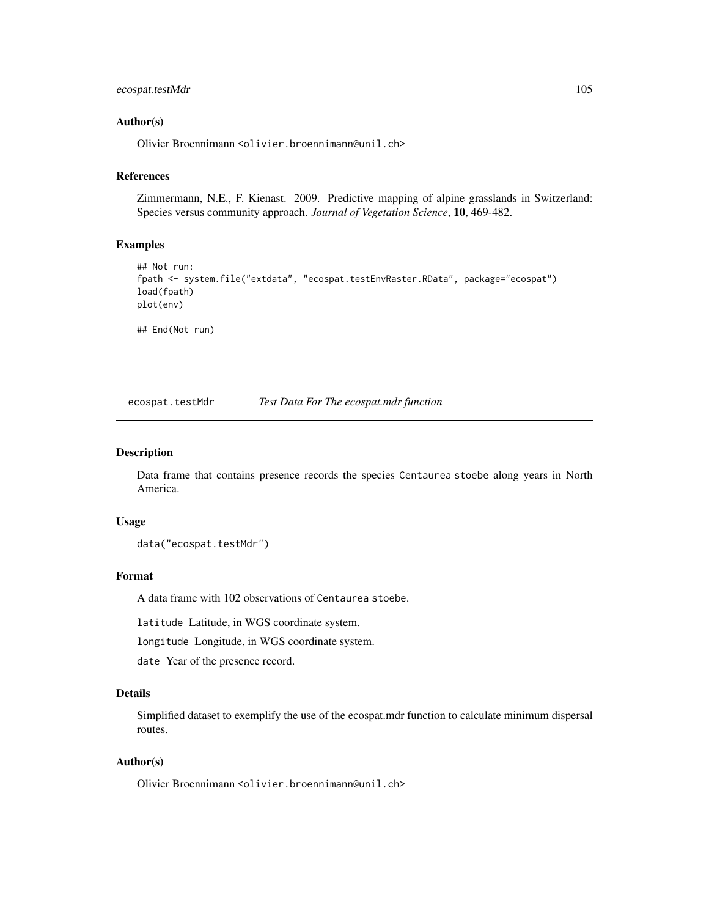# ecospat.testMdr 105

#### Author(s)

Olivier Broennimann <olivier.broennimann@unil.ch>

# References

Zimmermann, N.E., F. Kienast. 2009. Predictive mapping of alpine grasslands in Switzerland: Species versus community approach. *Journal of Vegetation Science*, 10, 469-482.

### Examples

```
## Not run:
fpath <- system.file("extdata", "ecospat.testEnvRaster.RData", package="ecospat")
load(fpath)
plot(env)
```
## End(Not run)

ecospat.testMdr *Test Data For The ecospat.mdr function*

# Description

Data frame that contains presence records the species Centaurea stoebe along years in North America.

#### Usage

data("ecospat.testMdr")

# Format

A data frame with 102 observations of Centaurea stoebe.

latitude Latitude, in WGS coordinate system.

longitude Longitude, in WGS coordinate system.

date Year of the presence record.

# Details

Simplified dataset to exemplify the use of the ecospat.mdr function to calculate minimum dispersal routes.

## Author(s)

Olivier Broennimann <olivier.broennimann@unil.ch>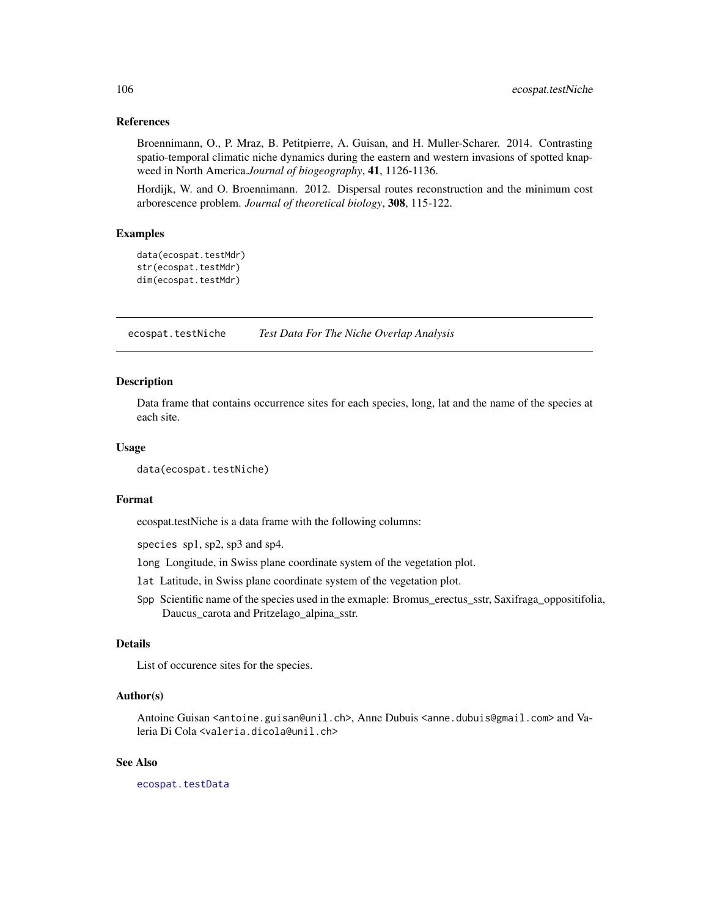# References

Broennimann, O., P. Mraz, B. Petitpierre, A. Guisan, and H. Muller-Scharer. 2014. Contrasting spatio-temporal climatic niche dynamics during the eastern and western invasions of spotted knapweed in North America.*Journal of biogeography*, 41, 1126-1136.

Hordijk, W. and O. Broennimann. 2012. Dispersal routes reconstruction and the minimum cost arborescence problem. *Journal of theoretical biology*, 308, 115-122.

## Examples

```
data(ecospat.testMdr)
str(ecospat.testMdr)
dim(ecospat.testMdr)
```
ecospat.testNiche *Test Data For The Niche Overlap Analysis*

## Description

Data frame that contains occurrence sites for each species, long, lat and the name of the species at each site.

#### Usage

```
data(ecospat.testNiche)
```
## Format

ecospat.testNiche is a data frame with the following columns:

species sp1, sp2, sp3 and sp4.

long Longitude, in Swiss plane coordinate system of the vegetation plot.

- lat Latitude, in Swiss plane coordinate system of the vegetation plot.
- Spp Scientific name of the species used in the exmaple: Bromus\_erectus\_sstr, Saxifraga\_oppositifolia, Daucus\_carota and Pritzelago\_alpina\_sstr.

# Details

List of occurence sites for the species.

#### Author(s)

Antoine Guisan <antoine.guisan@unil.ch>, Anne Dubuis <anne.dubuis@gmail.com> and Valeria Di Cola <valeria.dicola@unil.ch>

# See Also

[ecospat.testData](#page-99-0)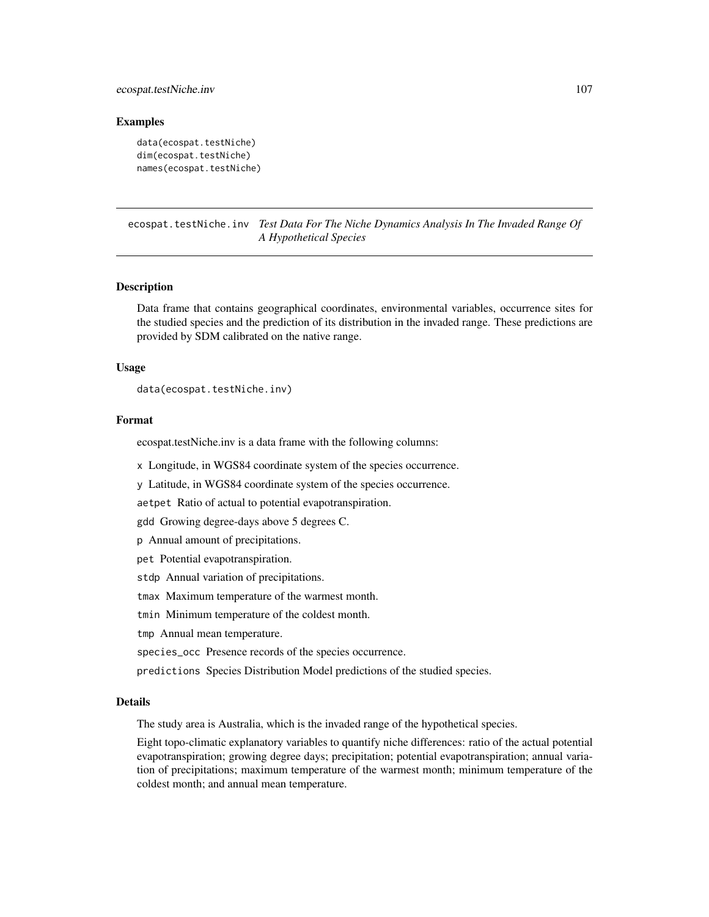# ecospat.testNiche.inv 107

#### Examples

```
data(ecospat.testNiche)
dim(ecospat.testNiche)
names(ecospat.testNiche)
```
ecospat.testNiche.inv *Test Data For The Niche Dynamics Analysis In The Invaded Range Of A Hypothetical Species*

### Description

Data frame that contains geographical coordinates, environmental variables, occurrence sites for the studied species and the prediction of its distribution in the invaded range. These predictions are provided by SDM calibrated on the native range.

#### Usage

```
data(ecospat.testNiche.inv)
```
#### Format

ecospat.testNiche.inv is a data frame with the following columns:

x Longitude, in WGS84 coordinate system of the species occurrence.

y Latitude, in WGS84 coordinate system of the species occurrence.

aetpet Ratio of actual to potential evapotranspiration.

gdd Growing degree-days above 5 degrees C.

p Annual amount of precipitations.

pet Potential evapotranspiration.

stdp Annual variation of precipitations.

tmax Maximum temperature of the warmest month.

tmin Minimum temperature of the coldest month.

tmp Annual mean temperature.

species\_occ Presence records of the species occurrence.

predictions Species Distribution Model predictions of the studied species.

#### Details

The study area is Australia, which is the invaded range of the hypothetical species.

Eight topo-climatic explanatory variables to quantify niche differences: ratio of the actual potential evapotranspiration; growing degree days; precipitation; potential evapotranspiration; annual variation of precipitations; maximum temperature of the warmest month; minimum temperature of the coldest month; and annual mean temperature.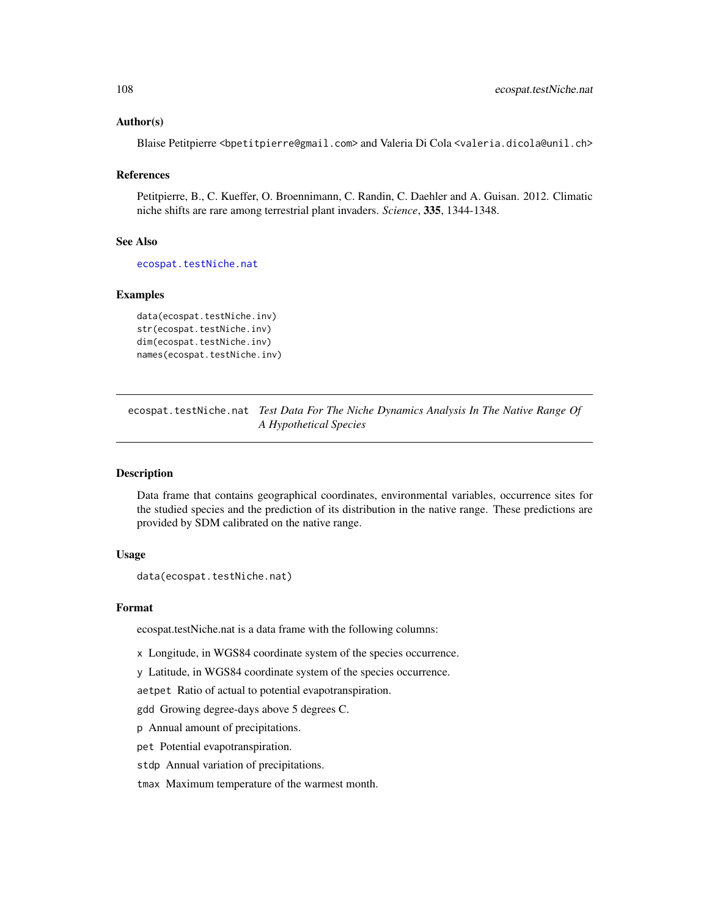## Author(s)

Blaise Petitpierre <br/>betitpierre@gmail.com> and Valeria Di Cola <valeria.dicola@unil.ch>

#### **References**

Petitpierre, B., C. Kueffer, O. Broennimann, C. Randin, C. Daehler and A. Guisan. 2012. Climatic niche shifts are rare among terrestrial plant invaders. *Science*, 335, 1344-1348.

# See Also

[ecospat.testNiche.nat](#page-107-0)

### Examples

```
data(ecospat.testNiche.inv)
str(ecospat.testNiche.inv)
dim(ecospat.testNiche.inv)
names(ecospat.testNiche.inv)
```
<span id="page-107-0"></span>ecospat.testNiche.nat *Test Data For The Niche Dynamics Analysis In The Native Range Of A Hypothetical Species*

#### Description

Data frame that contains geographical coordinates, environmental variables, occurrence sites for the studied species and the prediction of its distribution in the native range. These predictions are provided by SDM calibrated on the native range.

# Usage

```
data(ecospat.testNiche.nat)
```
## Format

ecospat.testNiche.nat is a data frame with the following columns:

x Longitude, in WGS84 coordinate system of the species occurrence.

y Latitude, in WGS84 coordinate system of the species occurrence.

aetpet Ratio of actual to potential evapotranspiration.

gdd Growing degree-days above 5 degrees C.

p Annual amount of precipitations.

pet Potential evapotranspiration.

stdp Annual variation of precipitations.

tmax Maximum temperature of the warmest month.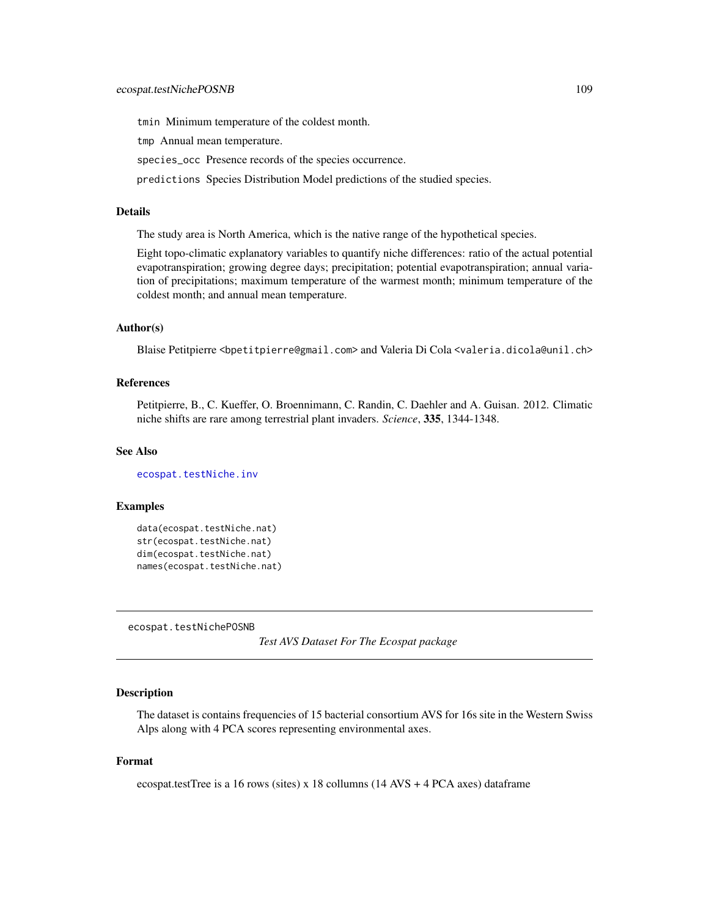<span id="page-108-0"></span>tmin Minimum temperature of the coldest month.

tmp Annual mean temperature.

species\_occ Presence records of the species occurrence.

predictions Species Distribution Model predictions of the studied species.

# Details

The study area is North America, which is the native range of the hypothetical species.

Eight topo-climatic explanatory variables to quantify niche differences: ratio of the actual potential evapotranspiration; growing degree days; precipitation; potential evapotranspiration; annual variation of precipitations; maximum temperature of the warmest month; minimum temperature of the coldest month; and annual mean temperature.

# Author(s)

Blaise Petitpierre <br/>betitpierre@gmail.com> and Valeria Di Cola <valeria.dicola@unil.ch>

# References

Petitpierre, B., C. Kueffer, O. Broennimann, C. Randin, C. Daehler and A. Guisan. 2012. Climatic niche shifts are rare among terrestrial plant invaders. *Science*, 335, 1344-1348.

# See Also

[ecospat.testNiche.inv](#page-106-0)

#### Examples

```
data(ecospat.testNiche.nat)
str(ecospat.testNiche.nat)
dim(ecospat.testNiche.nat)
names(ecospat.testNiche.nat)
```
ecospat.testNichePOSNB

*Test AVS Dataset For The Ecospat package*

### **Description**

The dataset is contains frequencies of 15 bacterial consortium AVS for 16s site in the Western Swiss Alps along with 4 PCA scores representing environmental axes.

# Format

ecospat.testTree is a 16 rows (sites) x 18 collumns (14 AVS + 4 PCA axes) dataframe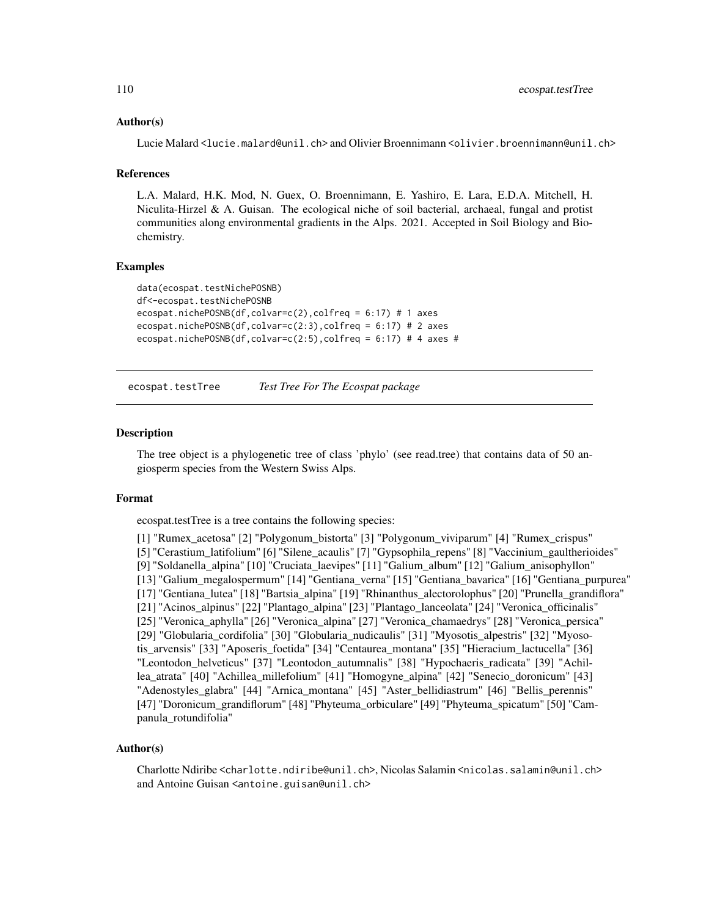# <span id="page-109-0"></span>Author(s)

Lucie Malard <lucie.malard@unil.ch> and Olivier Broennimann <olivier.broennimann@unil.ch>

#### References

L.A. Malard, H.K. Mod, N. Guex, O. Broennimann, E. Yashiro, E. Lara, E.D.A. Mitchell, H. Niculita-Hirzel & A. Guisan. The ecological niche of soil bacterial, archaeal, fungal and protist communities along environmental gradients in the Alps. 2021. Accepted in Soil Biology and Biochemistry.

# Examples

```
data(ecospat.testNichePOSNB)
df<-ecospat.testNichePOSNB
ecospat.nichePOSNB(df,colvar=c(2),colfreq = 6:17) # 1 axes
ecospat.nichePOSNB(df,colvar=c(2:3),colfreq = 6:17) # 2 axes
ecospat.nichePOSNB(df,colvar=c(2:5),colfreq = 6:17) # 4 axes #
```
ecospat.testTree *Test Tree For The Ecospat package*

## Description

The tree object is a phylogenetic tree of class 'phylo' (see read.tree) that contains data of 50 angiosperm species from the Western Swiss Alps.

#### Format

ecospat.testTree is a tree contains the following species:

[1] "Rumex\_acetosa" [2] "Polygonum\_bistorta" [3] "Polygonum\_viviparum" [4] "Rumex\_crispus" [5] "Cerastium\_latifolium" [6] "Silene\_acaulis" [7] "Gypsophila\_repens" [8] "Vaccinium\_gaultherioides" [9] "Soldanella\_alpina" [10] "Cruciata\_laevipes" [11] "Galium\_album" [12] "Galium\_anisophyllon" [13] "Galium\_megalospermum" [14] "Gentiana\_verna" [15] "Gentiana\_bavarica" [16] "Gentiana\_purpurea" [17] "Gentiana\_lutea" [18] "Bartsia\_alpina" [19] "Rhinanthus\_alectorolophus" [20] "Prunella\_grandiflora" [21] "Acinos\_alpinus" [22] "Plantago\_alpina" [23] "Plantago\_lanceolata" [24] "Veronica\_officinalis" [25] "Veronica\_aphylla" [26] "Veronica\_alpina" [27] "Veronica\_chamaedrys" [28] "Veronica\_persica" [29] "Globularia\_cordifolia" [30] "Globularia\_nudicaulis" [31] "Myosotis\_alpestris" [32] "Myosotis\_arvensis" [33] "Aposeris\_foetida" [34] "Centaurea\_montana" [35] "Hieracium\_lactucella" [36] "Leontodon\_helveticus" [37] "Leontodon\_autumnalis" [38] "Hypochaeris\_radicata" [39] "Achillea\_atrata" [40] "Achillea\_millefolium" [41] "Homogyne\_alpina" [42] "Senecio\_doronicum" [43] "Adenostyles\_glabra" [44] "Arnica\_montana" [45] "Aster\_bellidiastrum" [46] "Bellis\_perennis" [47] "Doronicum\_grandiflorum" [48] "Phyteuma\_orbiculare" [49] "Phyteuma\_spicatum" [50] "Campanula\_rotundifolia"

### Author(s)

Charlotte Ndiribe <charlotte.ndiribe@unil.ch>, Nicolas Salamin <nicolas.salamin@unil.ch> and Antoine Guisan <antoine.guisan@unil.ch>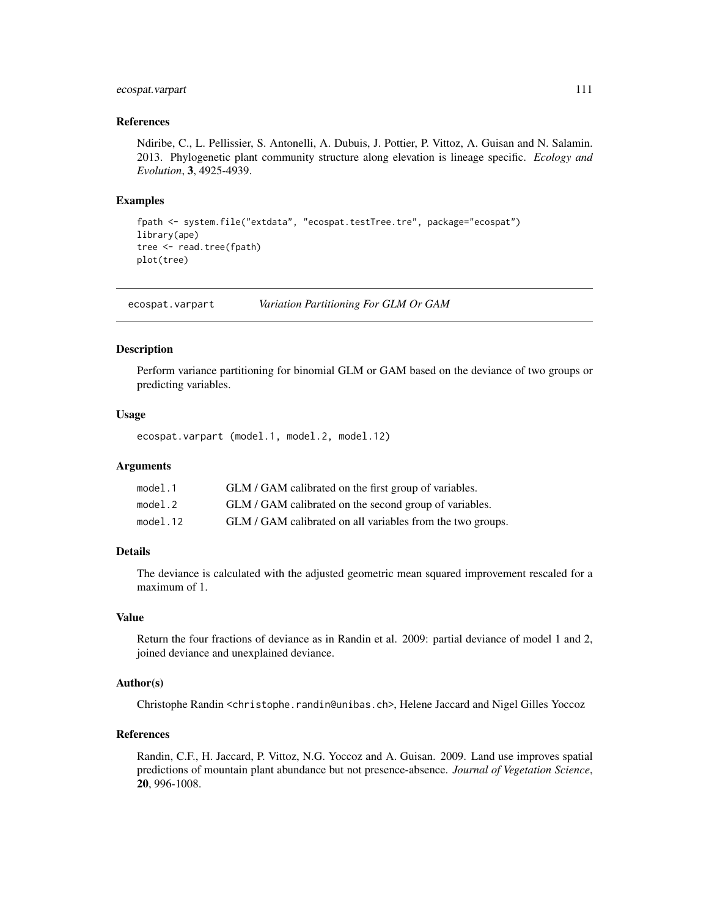# <span id="page-110-0"></span>ecospat.varpart 111

# References

Ndiribe, C., L. Pellissier, S. Antonelli, A. Dubuis, J. Pottier, P. Vittoz, A. Guisan and N. Salamin. 2013. Phylogenetic plant community structure along elevation is lineage specific. *Ecology and Evolution*, 3, 4925-4939.

#### Examples

```
fpath <- system.file("extdata", "ecospat.testTree.tre", package="ecospat")
library(ape)
tree <- read.tree(fpath)
plot(tree)
```
ecospat.varpart *Variation Partitioning For GLM Or GAM*

# Description

Perform variance partitioning for binomial GLM or GAM based on the deviance of two groups or predicting variables.

# Usage

ecospat.varpart (model.1, model.2, model.12)

# Arguments

| model.1  | GLM / GAM calibrated on the first group of variables.      |
|----------|------------------------------------------------------------|
| model.2  | GLM / GAM calibrated on the second group of variables.     |
| model.12 | GLM / GAM calibrated on all variables from the two groups. |

# Details

The deviance is calculated with the adjusted geometric mean squared improvement rescaled for a maximum of 1.

#### Value

Return the four fractions of deviance as in Randin et al. 2009: partial deviance of model 1 and 2, joined deviance and unexplained deviance.

# Author(s)

Christophe Randin <christophe.randin@unibas.ch>, Helene Jaccard and Nigel Gilles Yoccoz

# References

Randin, C.F., H. Jaccard, P. Vittoz, N.G. Yoccoz and A. Guisan. 2009. Land use improves spatial predictions of mountain plant abundance but not presence-absence. *Journal of Vegetation Science*, 20, 996-1008.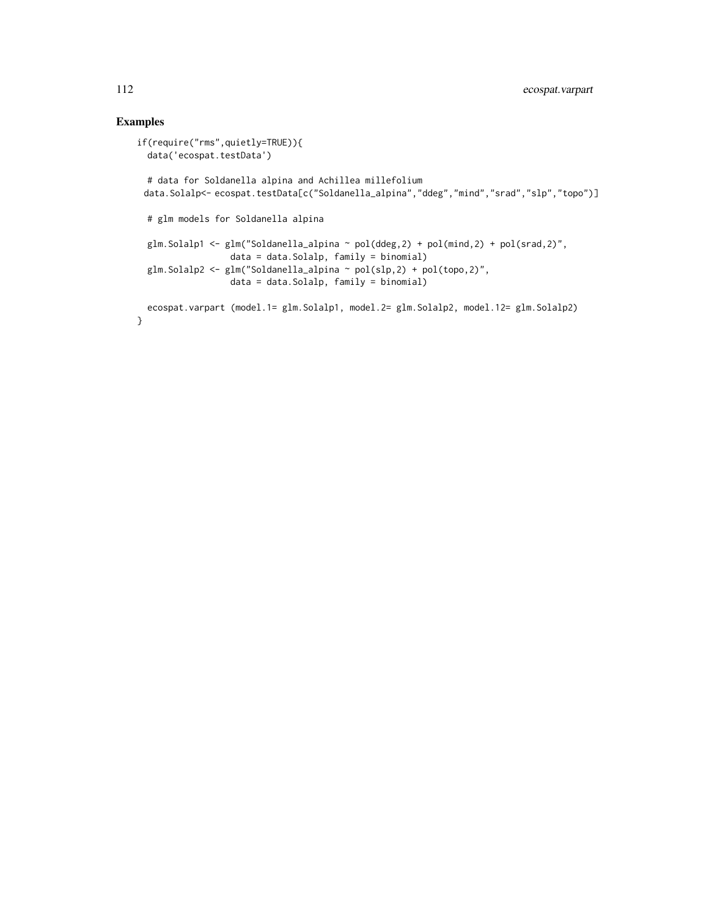# Examples

```
if(require("rms",quietly=TRUE)){
 data('ecospat.testData')
 # data for Soldanella alpina and Achillea millefolium
 data.Solalp<- ecospat.testData[c("Soldanella_alpina","ddeg","mind","srad","slp","topo")]
 # glm models for Soldanella alpina
 glm.Solalp1 <- glm("Soldanella_alpina ~ pol(ddeg,2) + pol(mind,2) + pol(srad,2)",
                 data = data.Solalp, family = binomial)
 glm.Solalp2 <- glm("Soldanella_alpina ~ pol(slp,2) + pol(topo,2)",
                 data = data.Solalp, family = binomial)
 ecospat.varpart (model.1= glm.Solalp1, model.2= glm.Solalp2, model.12= glm.Solalp2)
}
```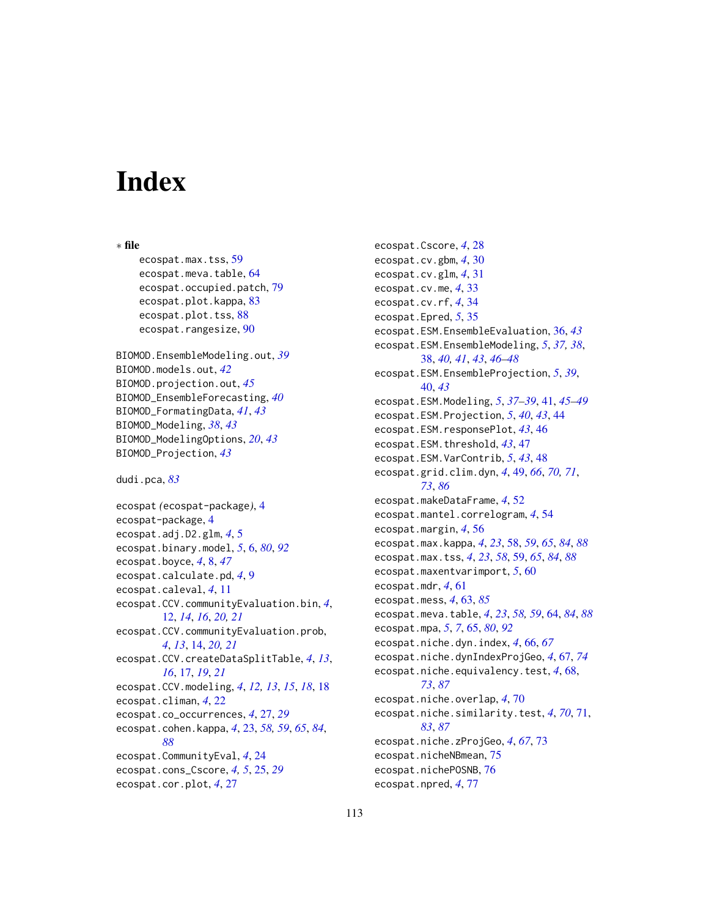# **Index**

∗ file ecospat.max.tss, [59](#page-58-0) ecospat.meva.table, [64](#page-63-0) ecospat.occupied.patch, [79](#page-78-0) ecospat.plot.kappa, [83](#page-82-0) ecospat.plot.tss, [88](#page-87-0) ecospat.rangesize, [90](#page-89-0) BIOMOD.EnsembleModeling.out, *[39](#page-38-0)* BIOMOD.models.out, *[42](#page-41-0)* BIOMOD.projection.out, *[45](#page-44-0)* BIOMOD\_EnsembleForecasting, *[40](#page-39-0)* BIOMOD\_FormatingData, *[41](#page-40-0)*, *[43](#page-42-0)* BIOMOD\_Modeling, *[38](#page-37-0)*, *[43](#page-42-0)* BIOMOD\_ModelingOptions, *[20](#page-19-0)*, *[43](#page-42-0)* BIOMOD\_Projection, *[43](#page-42-0)* dudi.pca, *[83](#page-82-0)* ecospat *(*ecospat-package*)*, [4](#page-3-0) ecospat-package, [4](#page-3-0) ecospat.adj.D2.glm, *[4](#page-3-0)*, [5](#page-4-0) ecospat.binary.model, *[5](#page-4-0)*, [6,](#page-5-0) *[80](#page-79-0)*, *[92](#page-91-0)* ecospat.boyce, *[4](#page-3-0)*, [8,](#page-7-0) *[47](#page-46-0)* ecospat.calculate.pd, *[4](#page-3-0)*, [9](#page-8-0) ecospat.caleval, *[4](#page-3-0)*, [11](#page-10-0) ecospat.CCV.communityEvaluation.bin, *[4](#page-3-0)*, [12,](#page-11-0) *[14](#page-13-0)*, *[16](#page-15-0)*, *[20,](#page-19-0) [21](#page-20-0)* ecospat.CCV.communityEvaluation.prob, *[4](#page-3-0)*, *[13](#page-12-0)*, [14,](#page-13-0) *[20,](#page-19-0) [21](#page-20-0)* ecospat.CCV.createDataSplitTable, *[4](#page-3-0)*, *[13](#page-12-0)*, *[16](#page-15-0)*, [17,](#page-16-0) *[19](#page-18-0)*, *[21](#page-20-0)* ecospat.CCV.modeling, *[4](#page-3-0)*, *[12,](#page-11-0) [13](#page-12-0)*, *[15](#page-14-0)*, *[18](#page-17-0)*, [18](#page-17-0) ecospat.climan, *[4](#page-3-0)*, [22](#page-21-0) ecospat.co\_occurrences, *[4](#page-3-0)*, [27,](#page-26-0) *[29](#page-28-0)* ecospat.cohen.kappa, *[4](#page-3-0)*, [23,](#page-22-0) *[58,](#page-57-0) [59](#page-58-0)*, *[65](#page-64-0)*, *[84](#page-83-0)*, *[88](#page-87-0)* ecospat.CommunityEval, *[4](#page-3-0)*, [24](#page-23-0) ecospat.cons\_Cscore, *[4,](#page-3-0) [5](#page-4-0)*, [25,](#page-24-0) *[29](#page-28-0)* ecospat.cor.plot, *[4](#page-3-0)*, [27](#page-26-0)

ecospat.Cscore, *[4](#page-3-0)*, [28](#page-27-0) ecospat.cv.gbm, *[4](#page-3-0)*, [30](#page-29-0) ecospat.cv.glm, *[4](#page-3-0)*, [31](#page-30-0) ecospat.cv.me, *[4](#page-3-0)*, [33](#page-32-0) ecospat.cv.rf, *[4](#page-3-0)*, [34](#page-33-0) ecospat.Epred, *[5](#page-4-0)*, [35](#page-34-0) ecospat.ESM.EnsembleEvaluation, [36,](#page-35-0) *[43](#page-42-0)* ecospat.ESM.EnsembleModeling, *[5](#page-4-0)*, *[37,](#page-36-0) [38](#page-37-0)*, [38,](#page-37-0) *[40,](#page-39-0) [41](#page-40-0)*, *[43](#page-42-0)*, *[46](#page-45-0)[–48](#page-47-0)* ecospat.ESM.EnsembleProjection, *[5](#page-4-0)*, *[39](#page-38-0)*, [40,](#page-39-0) *[43](#page-42-0)* ecospat.ESM.Modeling, *[5](#page-4-0)*, *[37](#page-36-0)[–39](#page-38-0)*, [41,](#page-40-0) *[45](#page-44-0)[–49](#page-48-0)* ecospat.ESM.Projection, *[5](#page-4-0)*, *[40](#page-39-0)*, *[43](#page-42-0)*, [44](#page-43-0) ecospat.ESM.responsePlot, *[43](#page-42-0)*, [46](#page-45-0) ecospat.ESM.threshold, *[43](#page-42-0)*, [47](#page-46-0) ecospat.ESM.VarContrib, *[5](#page-4-0)*, *[43](#page-42-0)*, [48](#page-47-0) ecospat.grid.clim.dyn, *[4](#page-3-0)*, [49,](#page-48-0) *[66](#page-65-0)*, *[70,](#page-69-0) [71](#page-70-0)*, *[73](#page-72-0)*, *[86](#page-85-0)* ecospat.makeDataFrame, *[4](#page-3-0)*, [52](#page-51-0) ecospat.mantel.correlogram, *[4](#page-3-0)*, [54](#page-53-0) ecospat.margin, *[4](#page-3-0)*, [56](#page-55-0) ecospat.max.kappa, *[4](#page-3-0)*, *[23](#page-22-0)*, [58,](#page-57-0) *[59](#page-58-0)*, *[65](#page-64-0)*, *[84](#page-83-0)*, *[88](#page-87-0)* ecospat.max.tss, *[4](#page-3-0)*, *[23](#page-22-0)*, *[58](#page-57-0)*, [59,](#page-58-0) *[65](#page-64-0)*, *[84](#page-83-0)*, *[88](#page-87-0)* ecospat.maxentvarimport, *[5](#page-4-0)*, [60](#page-59-0) ecospat.mdr, *[4](#page-3-0)*, [61](#page-60-0) ecospat.mess, *[4](#page-3-0)*, [63,](#page-62-0) *[85](#page-84-0)* ecospat.meva.table, *[4](#page-3-0)*, *[23](#page-22-0)*, *[58,](#page-57-0) [59](#page-58-0)*, [64,](#page-63-0) *[84](#page-83-0)*, *[88](#page-87-0)* ecospat.mpa, *[5](#page-4-0)*, *[7](#page-6-0)*, [65,](#page-64-0) *[80](#page-79-0)*, *[92](#page-91-0)* ecospat.niche.dyn.index, *[4](#page-3-0)*, [66,](#page-65-0) *[67](#page-66-0)* ecospat.niche.dynIndexProjGeo, *[4](#page-3-0)*, [67,](#page-66-0) *[74](#page-73-0)* ecospat.niche.equivalency.test, *[4](#page-3-0)*, [68,](#page-67-0) *[73](#page-72-0)*, *[87](#page-86-0)* ecospat.niche.overlap, *[4](#page-3-0)*, [70](#page-69-0) ecospat.niche.similarity.test, *[4](#page-3-0)*, *[70](#page-69-0)*, [71,](#page-70-0) *[83](#page-82-0)*, *[87](#page-86-0)* ecospat.niche.zProjGeo, *[4](#page-3-0)*, *[67](#page-66-0)*, [73](#page-72-0) ecospat.nicheNBmean, [75](#page-74-0) ecospat.nichePOSNB, [76](#page-75-0) ecospat.npred, *[4](#page-3-0)*, [77](#page-76-0)